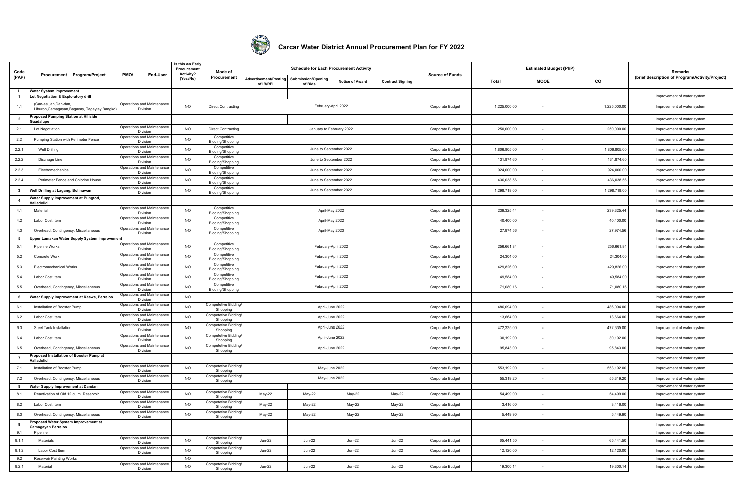

## **Carcar Water District Annual Procurement Plan for FY 2022**

| Code                    |                                                                       |                                        | Is this an Early<br>Procurement | Mode of                          | <b>Schedule for Each Procurement Activity</b><br><b>Advertisement/Posting</b><br>Submission/Opening<br><b>Notice of Award</b> |                        |                          |                         |                         |              | <b>Estimated Budget (PhP)</b> |              | Remarks                                         |
|-------------------------|-----------------------------------------------------------------------|----------------------------------------|---------------------------------|----------------------------------|-------------------------------------------------------------------------------------------------------------------------------|------------------------|--------------------------|-------------------------|-------------------------|--------------|-------------------------------|--------------|-------------------------------------------------|
| (PAP)                   | Procurement Program/Project                                           | PMO/<br>End-User                       | Activity?<br>(Yes/No)           | Procurement                      | of IB/REI                                                                                                                     | of Bids                |                          | <b>Contract Signing</b> | <b>Source of Funds</b>  | Total        | <b>MOOE</b>                   | $_{\rm co}$  | (brief description of Program/Activity/Project) |
| . I.                    | Water System Improvement                                              |                                        |                                 |                                  |                                                                                                                               |                        |                          |                         |                         |              |                               |              |                                                 |
| $\overline{1}$          | Lot Negotiation & Exploratory drill                                   |                                        |                                 |                                  |                                                                                                                               |                        |                          |                         |                         |              |                               |              | Improvement of water system                     |
| 1.1                     | (Can-asuian.Dan-dan.<br>Liburon, Camagayan, Bagacay, Tagaytay, Bangko | Operations and Maintenance<br>Division | <b>NO</b>                       | <b>Direct Contracting</b>        |                                                                                                                               |                        | February-April 2022      |                         | Corporate Budget        | 1,225,000.00 |                               | 1,225,000.00 | Improvement of water system                     |
| $\overline{2}$          | roposed Pumping Station at Hillside<br>uadalupe                       |                                        |                                 |                                  |                                                                                                                               |                        |                          |                         |                         |              |                               |              | Improvement of water system                     |
| 2.1                     | Lot Negotiation                                                       | Operations and Maintenance<br>Division | <b>NO</b>                       | Direct Contracting               |                                                                                                                               |                        | January to February 2022 |                         | <b>Corporate Budget</b> | 250,000.00   | $\sim$                        | 250,000.00   | Improvement of water system                     |
| 2.2                     | Pumping Station with Perimeter Fence                                  | Operations and Maintenance<br>Division | <b>NO</b>                       | Competitive<br>Bidding/Shopping  |                                                                                                                               |                        |                          |                         |                         |              |                               |              | Improvement of water system                     |
| 2.2.1                   | Well Drilling                                                         | Operations and Maintenance<br>Division | NO.                             | Competitive<br>Bidding/Shopping  |                                                                                                                               | June to September 2022 |                          |                         | <b>Corporate Budget</b> | 1,806,805.00 |                               | 1,806,805.00 | Improvement of water system                     |
| 2.2.2                   | Dischage Line                                                         | Operations and Maintenance<br>Division | NO.                             | Competitive<br>Bidding/Shopping  |                                                                                                                               | June to September 2022 |                          |                         | Corporate Budget        | 131,874.60   |                               | 131,874.60   | Improvement of water system                     |
| 2.2.3                   | Electromechanical                                                     | Operations and Maintenance<br>Division | <b>NO</b>                       | Competitive<br>Bidding/Shopping  |                                                                                                                               | June to September 2022 |                          |                         | Corporate Budget        | 924,000.00   |                               | 924,000.00   | Improvement of water system                     |
| 2.2.4                   | Perimeter Fence and Chlorine House                                    | Operations and Maintenance<br>Division | <b>NO</b>                       | Competitive<br>Bidding/Shopping  |                                                                                                                               | June to September 2022 |                          |                         | Corporate Budget        | 436,038.56   |                               | 436,038.56   | Improvement of water system                     |
| $\overline{\mathbf{3}}$ | Well Drilling at Lagang, Bolinawan                                    | Operations and Maintenance<br>Division | <b>NO</b>                       | Competitive                      |                                                                                                                               | June to September 2022 |                          |                         | Corporate Budget        | 1,298,718.00 | $\sim$                        | 1,298,718.00 | Improvement of water system                     |
| $\overline{4}$          | Water Supply Improvement at Pungtod,<br>alladolid                     |                                        |                                 | Bidding/Shopping                 |                                                                                                                               |                        |                          |                         |                         |              |                               |              | Improvement of water system                     |
| 4.1                     | Material                                                              | Operations and Maintenanc<br>Division  | <b>NO</b>                       | Competitive<br>Bidding/Shopping  |                                                                                                                               | April-May 2022         |                          |                         | Corporate Budget        | 239,325.44   |                               | 239,325.44   | Improvement of water system                     |
| 4.2                     | Labor Cost Item                                                       | Operations and Maintenance<br>Division | <b>NO</b>                       | Competitive<br>Bidding/Shopping  |                                                                                                                               | April-May 2022         |                          |                         | Corporate Budget        | 40,400.00    |                               | 40,400.00    | Improvement of water system                     |
| 4.3                     | Overhead, Contingency, Miscellaneous                                  | Operations and Maintenance<br>Division | <b>NO</b>                       | Competitive<br>Bidding/Shopping  |                                                                                                                               | April-May 2023         |                          |                         | Corporate Budget        | 27,974.56    |                               | 27,974.56    | Improvement of water system                     |
| $5\overline{5}$         | Jpper Lamakan Water Supply System Improvement                         |                                        |                                 |                                  |                                                                                                                               |                        |                          |                         |                         |              |                               |              | Improvement of water system                     |
| 5.1                     | Pipeline Works                                                        | Operations and Maintenance<br>Division | <b>NO</b>                       | Competitive<br>Bidding/Shopping  |                                                                                                                               | February-April 2022    |                          |                         | Corporate Budget        | 256,661.84   |                               | 256,661.84   | Improvement of water system                     |
| 5.2                     | Concrete Work                                                         | Operations and Maintenanc<br>Division  | <b>NO</b>                       | Competitive<br>Bidding/Shopping  |                                                                                                                               | February-April 2022    |                          |                         | Corporate Budget        | 24,304.00    |                               | 24,304.00    | Improvement of water system                     |
| $5.3\,$                 | <b>Electromechanical Works</b>                                        | Operations and Maintenanc<br>Division  | <b>NO</b>                       | Competitive<br>Bidding/Shopping  |                                                                                                                               | February-April 2022    |                          |                         | Corporate Budget        | 429,826.00   | $\sim$                        | 429,826.00   | Improvement of water system                     |
| $5.4\,$                 | Labor Cost Item                                                       | Operations and Maintenance<br>Division | <b>NO</b>                       | Competitive<br>Bidding/Shopping  |                                                                                                                               | February-April 2022    |                          |                         | Corporate Budget        | 49,584.00    |                               | 49,584.00    | Improvement of water system                     |
| 5.5                     | Overhead, Contingency, Miscellaneous                                  | Operations and Maintenance<br>Division | <b>NO</b>                       | Competitive<br>Bidding/Shopping  |                                                                                                                               | February-April 2022    |                          |                         | <b>Corporate Budget</b> | 71,080.16    |                               | 71,080.16    | Improvement of water system                     |
| 6                       | Water Supply Improvement at Kaawa, Perrelos                           | Operations and Maintenance<br>Division | <b>NO</b>                       |                                  |                                                                                                                               |                        |                          |                         |                         |              |                               |              | Improvement of water system                     |
| 6.1                     | Installation of Booster Pump                                          | Operations and Maintenance<br>Division | <b>NO</b>                       | Competetive Bidding<br>Shopping  |                                                                                                                               | April-June 2022        |                          |                         | Corporate Budget        | 486,094.00   |                               | 486,094.00   | Improvement of water system                     |
| 6.2                     | Labor Cost Item                                                       | Operations and Maintenance<br>Division | <b>NO</b>                       | Competetive Bidding<br>Shopping  |                                                                                                                               | April-June 2022        |                          |                         | <b>Corporate Budget</b> | 13.664.00    |                               | 13,664.00    | Improvement of water system                     |
| 6.3                     | Steel Tank Installation                                               | Operations and Maintenance<br>Division | <b>NO</b>                       | Competetive Bidding<br>Shopping  |                                                                                                                               | April-June 2022        |                          |                         | Corporate Budget        | 472,335.00   | $\sim$                        | 472,335.00   | Improvement of water system                     |
| $6.4\,$                 | Labor Cost Item                                                       | Operations and Maintenance<br>Divisio  | <b>NO</b>                       | Competetive Bidding<br>Shopping  |                                                                                                                               | April-June 2022        |                          |                         | Corporate Budget        | 30,192.00    | $\sim$                        | 30,192.00    | Improvement of water system                     |
| 6.5                     | Overhead, Contingency, Miscellaneous                                  | Operations and Maintenance<br>Division | <b>NO</b>                       | Competetive Bidding<br>Shopping  |                                                                                                                               | April-June 2022        |                          |                         | Corporate Budget        | 95,843.00    | $\sim$                        | 95,843.00    | Improvement of water system                     |
| $\overline{7}$          | roposed Installation of Booster Pump at<br>alladolid                  |                                        |                                 |                                  |                                                                                                                               |                        |                          |                         |                         |              |                               |              | Improvement of water system                     |
| 7.1                     | Installation of Booster Pump                                          | Operations and Maintenanc<br>Division  | <b>NO</b>                       | Competetive Bidding<br>Shopping  |                                                                                                                               | May-June 2022          |                          |                         | Corporate Budget        | 553,192.00   |                               | 553,192.00   | Improvement of water system                     |
| 7.2                     | Overhead, Contingency, Miscellaneous                                  | Operations and Maintenance<br>Division | <b>NO</b>                       | Competetive Bidding<br>Shopping  |                                                                                                                               | May-June 2022          |                          |                         | Corporate Budget        | 55,319.20    |                               | 55,319.20    | Improvement of water system                     |
| 8                       | Water Supply Improvement at Dandan                                    |                                        |                                 |                                  |                                                                                                                               |                        |                          |                         |                         |              |                               |              | Improvement of water system                     |
| 8.1                     | Reactivation of Old 12 cu.m. Reservoir                                | Operations and Maintenance<br>Division | <b>NO</b>                       | Competetive Bidding<br>Shopping  | May-22                                                                                                                        | May-22                 | May-22                   | May-22                  | Corporate Budget        | 54,499.00    |                               | 54,499.00    | Improvement of water system                     |
| 8.2                     | Labor Cost Item                                                       | Operations and Maintenance<br>Division | <b>NO</b>                       | Competetive Bidding<br>Shopping  | May-22                                                                                                                        | May-22                 | May-22                   | May-22                  | Corporate Budget        | 3,416.00     | $\sim$                        | 3,416.00     | Improvement of water system                     |
| 8.3                     | Overhead, Contingency, Miscellaneous                                  | Operations and Maintenance<br>Division | <b>NO</b>                       | Competetive Bidding<br>Shopping  | May-22                                                                                                                        | May-22                 | May-22                   | May-22                  | Corporate Budget        | 5,449.90     |                               | 5,449.90     | Improvement of water system                     |
| 9                       | Proposed Water System Improvement at<br>amagayan Perrelos             |                                        |                                 |                                  |                                                                                                                               |                        |                          |                         |                         |              |                               |              | Improvement of water system                     |
| 9.1                     | Pipeline                                                              |                                        |                                 |                                  |                                                                                                                               |                        |                          |                         |                         |              |                               |              | Improvement of water system                     |
| 9.1.1                   | Materials                                                             | Operations and Maintenance<br>Division | <b>NO</b>                       | Competetive Bidding/<br>Shopping | Jun-22                                                                                                                        | <b>Jun-22</b>          | <b>Jun-22</b>            | <b>Jun-22</b>           | Corporate Budget        | 65,441.50    |                               | 65,441.50    | Improvement of water system                     |
| 9.1.2                   | Labor Cost Item                                                       | Operations and Maintenance<br>Division | <b>NO</b>                       | Competetive Bidding<br>Shopping  | $Jun-22$                                                                                                                      | $Jun-22$               | $Jun-22$                 | $Jun-22$                | Corporate Budget        | 12,120.00    | $\sim$                        | 12,120.00    | Improvement of water system                     |
| 9.2                     | Reservoir Painting Works                                              | Operations and Maintenance             | <b>NO</b>                       | Competetive Bidding              |                                                                                                                               |                        |                          |                         |                         |              |                               |              | Improvement of water system                     |
| 9.2.1                   | Material                                                              | Division                               | <b>NO</b>                       | Shopping                         | $Jun-22$                                                                                                                      | <b>Jun-22</b>          | $Jun-22$                 | <b>Jun-22</b>           | Corporate Budget        | 19,300.14    |                               | 19,300.14    | Improvement of water system                     |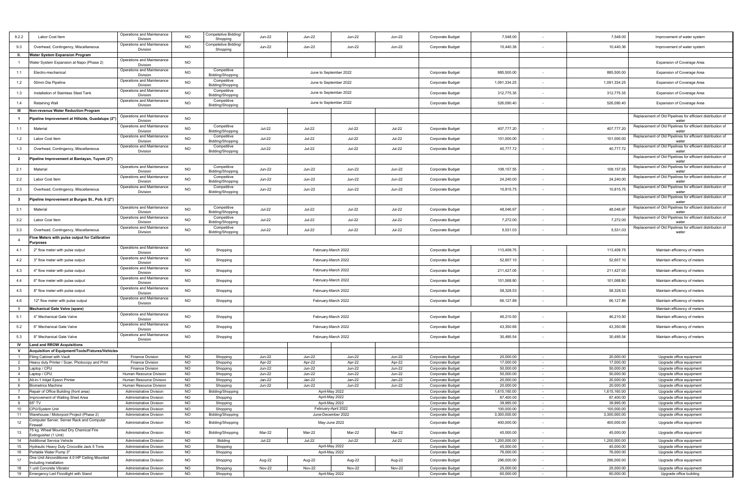| 9.2.2                | Labor Cost Item                                    | Operations and Maintenance<br>Division      | <b>NO</b>              | Competetive Bidding/<br>Shopping | <b>Jun-22</b>                  | <b>Jun-22</b>                  | <b>Jun-22</b>                  | Jun-22             | Corporate Budget                     | 7,548.00               |                          | 7,548.00               | Improvement of water system                                         |
|----------------------|----------------------------------------------------|---------------------------------------------|------------------------|----------------------------------|--------------------------------|--------------------------------|--------------------------------|--------------------|--------------------------------------|------------------------|--------------------------|------------------------|---------------------------------------------------------------------|
| 9.3                  | Overhead, Contingency, Miscellaneous               | Operations and Maintenance<br>Division      | <b>NO</b>              | Competetive Bidding/<br>Shopping | <b>Jun-22</b>                  | <b>Jun-22</b>                  | <b>Jun-22</b>                  | <b>Jun-22</b>      | Corporate Budget                     | 10,440.36              | ٠                        | 10,440.36              | Improvement of water system                                         |
| H.                   |                                                    |                                             |                        |                                  |                                |                                |                                |                    |                                      |                        |                          |                        |                                                                     |
|                      | Water System Expansion Program                     | Operations and Maintenance                  |                        |                                  |                                |                                |                                |                    |                                      |                        |                          |                        |                                                                     |
|                      | Vater System Expansion at Napo (Phase 2)           | Division                                    | <b>NO</b>              |                                  |                                |                                |                                |                    |                                      |                        |                          |                        | Expansion of Coverage Area                                          |
| 1.1                  | Electro-mechanical                                 | Operations and Maintenance<br>Division      | <b>NO</b>              | Competitive<br>Bidding/Shopping  |                                | June to September 2022         |                                |                    | Corporate Budget                     | 885,500.00             | $\sim$                   | 885,500.00             | Expansion of Coverage Area                                          |
| 1.2                  | 50mm Dia Pipeline                                  | Operations and Maintenance<br>Division      | <b>NO</b>              | Competitive<br>Bidding/Shopping  |                                |                                | June to September 2022         |                    | Corporate Budget                     | 1,091,334.25           | $\sim$                   | 1,091,334.25           | Expansion of Coverage Area                                          |
| 1.3                  | Installation of Stainless Steel Tank               | Operations and Maintenance<br>Division      | <b>NO</b>              | Competitive<br>Bidding/Shopping  |                                |                                | June to September 2022         |                    | <b>Corporate Budget</b>              | 312,775.35             |                          | 312,775.35             | Expansion of Coverage Area                                          |
| 1.4                  | Retaining Wall                                     | Operations and Maintenance                  | NO                     | Competitive                      |                                | June to September 2022         |                                |                    | <b>Corporate Budget</b>              | 526,090.40             |                          | 526,090.40             | Expansion of Coverage Area                                          |
|                      |                                                    | Division                                    |                        | Bidding/Shopping                 |                                |                                |                                |                    |                                      |                        |                          |                        |                                                                     |
| Ш                    | Non-revenue Water Reduction Program                | Operations and Maintenance                  |                        |                                  |                                |                                |                                |                    |                                      |                        |                          |                        |                                                                     |
| $\mathbf{1}$         | lipeline Improvement at Hillside, Guadalupe (2")   | Division                                    | <b>NO</b>              |                                  |                                |                                |                                |                    |                                      |                        |                          |                        | Replacement of Old Pipelines for efficient distribution of<br>water |
| 1.1                  | Material                                           | Operations and Maintenance<br>Division      | <b>NO</b>              | Competitive<br>Bidding/Shopping  | <b>Jul-22</b>                  | <b>Jul-22</b>                  | <b>Jul-22</b>                  | <b>Jul-22</b>      | Corporate Budget                     | 407,777.20             | $\sim$                   | 407,777.20             | Replacement of Old Pipelines for efficient distribution of<br>water |
| 1.2                  | Labor Cost Item                                    | Operations and Maintenance                  | <b>NO</b>              | Competitive                      | <b>Jul-22</b>                  | <b>Jul-22</b>                  | <b>Jul-22</b>                  | $Jul-22$           | Corporate Budget                     | 101,000.00             | $\sim$                   | 101,000.00             | Replacement of Old Pipelines for efficient distribution of          |
| 1.3                  | Overhead, Contingency, Miscellaneous               | Division<br>Operations and Maintenance      | <b>NO</b>              | Bidding/Shopping<br>Competitive  | <b>Jul-22</b>                  | <b>Jul-22</b>                  | <b>Jul-22</b>                  | $Jul-22$           | Corporate Budget                     | 40,777.72              | ٠                        | 40,777.72              | water<br>Replacement of Old Pipelines for efficient distribution of |
|                      |                                                    | Division                                    |                        | Bidding/Shopping                 |                                |                                |                                |                    |                                      |                        |                          |                        | water                                                               |
| $\overline{2}$       | 'ipeline Improvement at Bantayan, Tuyom (2")       |                                             |                        |                                  |                                |                                |                                |                    |                                      |                        |                          |                        | Replacement of Old Pipelines for efficient distribution of<br>water |
| 2.1                  | Material                                           | Operations and Maintenance<br>Division      | <b>NO</b>              | Competitive<br>Bidding/Shopping  | <b>Jun-22</b>                  | <b>Jun-22</b>                  | <b>Jun-22</b>                  | <b>Jun-22</b>      | Corporate Budget                     | 108, 157.55            | $\sim$                   | 108, 157.55            | Replacement of Old Pipelines for efficient distribution of<br>water |
| 2.2                  | Labor Cost Item                                    | Operations and Maintenance<br>Division      | <b>NO</b>              | Competitive<br>Bidding/Shopping  | <b>Jun-22</b>                  | <b>Jun-22</b>                  | <b>Jun-22</b>                  | <b>Jun-22</b>      | Corporate Budget                     | 24,240.00              |                          | 24,240.00              | Replacement of Old Pipelines for efficient distribution of<br>water |
| 2.3                  | Overhead, Contingency, Miscellaneous               | Operations and Maintenance                  | <b>NO</b>              | Competitive                      | <b>Jun-22</b>                  | <b>Jun-22</b>                  | Jun-22                         | <b>Jun-22</b>      | <b>Corporate Budget</b>              | 10,815.75              |                          | 10,815.75              | Replacement of Old Pipelines for efficient distribution of          |
|                      |                                                    | Division                                    |                        | Bidding/Shopping                 |                                |                                |                                |                    |                                      |                        |                          |                        | water<br>Replacement of Old Pipelines for efficient distribution of |
| $\mathbf{3}$         | Pipeline Improvement at Burgos St., Pob. II (2")   |                                             |                        |                                  |                                |                                |                                |                    |                                      |                        |                          |                        | water                                                               |
| 3.1                  | Material                                           | Operations and Maintenance<br>Division      | <b>NO</b>              | Competitive<br>Bidding/Shopping  | <b>Jul-22</b>                  | <b>Jul-22</b>                  | <b>Jul-22</b>                  | <b>Jul-22</b>      | Corporate Budget                     | 48,046.97              |                          | 48,046.97              | Replacement of Old Pipelines for efficient distribution of<br>water |
| 3.2                  | Labor Cost Item                                    | Operations and Maintenance<br>Division      | <b>NO</b>              | Competitive<br>Bidding/Shopping  | <b>Jul-22</b>                  | <b>Jul-22</b>                  | <b>Jul-22</b>                  | <b>Jul-22</b>      | Corporate Budget                     | 7,272.00               | $\sim$                   | 7,272.00               | Replacement of Old Pipelines for efficient distribution of<br>water |
| 3.3                  | Overhead, Contingency, Miscellaneous               | Operations and Maintenance                  | <b>NO</b>              | Competitive                      | <b>Jul-22</b>                  | <b>Jul-22</b>                  | <b>Jul-22</b>                  | <b>Jul-22</b>      | Corporate Budget                     | 5,531.03               | $\sim$                   | 5,531.03               | Replacement of Old Pipelines for efficient distribution of          |
|                      | low Meters with pulse output for Calibration       | Division                                    |                        | Bidding/Shopping                 |                                |                                |                                |                    |                                      |                        |                          |                        | water                                                               |
| $\overline{4}$       | urposes                                            |                                             |                        |                                  |                                |                                |                                |                    |                                      |                        |                          |                        |                                                                     |
| 4.1                  | 2" flow meter with pulse output                    | Operations and Maintenance                  | NO                     | Shopping                         |                                | February-March 2022            |                                |                    | Corporate Budget                     | 113,409.75             | ٠                        | 113,409.75             | Maintain efficiency of meters                                       |
| 4.2                  | 3" flow meter with pulse output                    | Division<br>Operations and Maintenance      | <b>NO</b>              | Shopping                         |                                |                                | February-March 2022            |                    | Corporate Budget                     | 52,607.10              | $\overline{\phantom{a}}$ | 52,607.10              | Maintain efficiency of meters                                       |
|                      |                                                    | Division<br>Operations and Maintenance      |                        |                                  |                                |                                |                                |                    |                                      |                        |                          |                        |                                                                     |
| 4.3                  | 4" flow meter with pulse output                    | Division<br>Operations and Maintenance      | <b>NO</b>              | Shopping                         |                                |                                | February-March 2022            |                    | Corporate Budget                     | 211,427.05             | $\sim$                   | 211,427.05             | Maintain efficiency of meters                                       |
| 4.4                  | 6" flow meter with pulse output                    | Division                                    | <b>NO</b>              | Shopping                         |                                |                                | February-March 2022            |                    | Corporate Budget                     | 101,068.80             |                          | 101,068.80             | Maintain efficiency of meters                                       |
| 4.5                  | 8" flow meter with pulse output                    | Operations and Maintenance<br>Division      | <b>NO</b>              | Shopping                         |                                |                                | February-March 2022            |                    | Corporate Budget                     | 58,328.53              |                          | 58,328.53              | Maintain efficiency of meters                                       |
| 4.6                  | 12" flow meter with pulse output                   | Operations and Maintenance<br>Division      | <b>NO</b>              | Shopping                         |                                |                                | February-March 2022            |                    | <b>Corporate Budget</b>              | 66,127.89              |                          | 66,127.89              | Maintain efficiency of meters                                       |
| - 5                  | <b>Mechanical Gate Valve (spare)</b>               |                                             |                        |                                  |                                |                                |                                |                    |                                      |                        |                          |                        | Maintain efficiency of meters                                       |
| 5.1                  | 4" Mechanical Gate Valve                           | Operations and Maintenance<br>Division      | <b>NO</b>              | Shopping                         |                                |                                | February-March 2022            |                    | Corporate Budget                     | 46,210.50              |                          | 46,210.50              | Maintain efficiency of meters                                       |
| 5.2                  | 6" Mechanical Gate Valve                           | Operations and Maintenance<br>Division      | <b>NO</b>              | Shopping                         |                                |                                | February-March 2022            |                    | Corporate Budget                     | 43,350.66              | $\sim$                   | 43,350.66              | Maintain efficiency of meters                                       |
| 5.3                  | 8" Mechanical Gate Valve                           | Operations and Maintenance                  | NO                     | Shopping                         |                                |                                | February-March 2022            |                    | Corporate Budget                     | 30,495.54              | $\sim$                   | 30,495.54              | Maintain efficiency of meters                                       |
|                      |                                                    | Division                                    |                        |                                  |                                |                                |                                |                    |                                      |                        |                          |                        |                                                                     |
| IV                   | <b>Land and RROW Acquisitions</b>                  |                                             |                        |                                  |                                |                                |                                |                    |                                      |                        |                          |                        |                                                                     |
| V                    | Acquisition of Equipment/Tools/Fixtures/Vehicles   |                                             |                        |                                  |                                |                                |                                |                    |                                      |                        |                          |                        |                                                                     |
| $\overline{1}$       | iling Cabinet with Vault                           | Finance Division                            | <b>NO</b>              | Shopping                         | <b>Jun-22</b>                  | Jun-22                         | Jun-22                         | <b>Jun-22</b>      | <b>Corporate Budget</b>              | 20,000.00              | $\sim$                   | 20,000.00              | Upgrade office equipment<br>Upgrade office equipment                |
| $\overline{2}$<br>-3 | Heavy duty Printer / Scan, Photocopy and Print     | <b>Finance Division</b>                     | <b>NO</b><br><b>NO</b> | Shopping                         | Apr-22                         | Apr-22                         | Apr-22                         | Apr-22<br>$Jun-22$ | Corporate Budget<br>Corporate Budget | 17,000.00<br>50,000.00 | $\sim$                   | 17,000.00<br>50,000.00 | Upgrade office equipment                                            |
| $\overline{4}$       | _aptop / CPU<br>aptop / CPU                        | Finance Division<br>Human Resource Division | <b>NO</b>              | Shopping<br>Shopping             | <b>Jun-22</b><br><b>Jun-22</b> | <b>Jun-22</b><br><b>Jun-22</b> | <b>Jun-22</b><br><b>Jun-22</b> | <b>Jun-22</b>      | Corporate Budget                     | 50,000.00              | $\sim$<br>$\sim$         | 50,000.00              | Upgrade office equipment                                            |
| - 5                  | All-in-1 Inkjet Epson Printer                      | Human Resource Division                     | <b>NO</b>              | Shopping                         | Jan-22                         | Jan-22                         | Jan-22                         | Jan-22             | Corporate Budget                     | 20,000.00              |                          | 20,000.00              | Upgrade office equipment                                            |
| 6                    | <b>Biometrics Machine</b>                          | Human Resource Division                     | NO                     | Shopping                         | <b>Jun-22</b>                  | <b>Jun-22</b>                  | <b>Jun-22</b>                  | <b>Jun-22</b>      | Corporate Budget                     | 20,000.00              | $\sim$<br>$\sim$         | 20,000.00              | Upgrade office equipment                                            |
|                      | Repair of Office Building (front area)             | Administrative Division                     | NO                     |                                  |                                | April-May 2022                 |                                |                    | Corporate Budge                      | 1,615,160.00           |                          | 1,615,160.00           | Updrade office equipment                                            |
| 8                    | Improvement of Waiting Shed Area                   | <b>Administrative Division</b>              | <b>NO</b>              | Bidding/Shopping<br>Shopping     |                                |                                | April-May 2022                 |                    | Corporate Budget                     | 87,400.00              | $\sim$                   | 87,400.00              | Upgrade office equipment                                            |
| 9                    | 65" TV                                             | <b>Administrative Division</b>              | <b>NO</b>              | Shopping                         |                                | April-May 2022                 |                                |                    | Corporate Budget                     | 39,995.00              | $\sim$                   | 39,995.00              | Upgrade office equipment                                            |
| 10                   | CPU/System Unit                                    | <b>Administrative Division</b>              | NO                     | Shopping                         |                                |                                | February-April 2022            |                    | Corporate Budget                     | 100,000.00             | $\sim$                   | 100,000.00             | Upgrade office equipment                                            |
| 11                   | Warehouse / Motorpool Project (Phase 2)            | <b>Administrative Division</b>              | <b>NO</b>              | Bidding/Shopping                 |                                | June-December 2022             |                                |                    | Corporate Budget                     | 3,300,000.00           | $\sim$                   | 3,300,000.00           | Upgrade office equipment                                            |
| 12                   | Computer Server, Server Rack and Computer          | <b>Administrative Division</b>              | <b>NO</b>              | Bidding/Shopping                 |                                |                                | May-June 2022                  |                    | Corporate Budget                     | 400,000.00             | $\sim$                   | 400,000.00             | Upgrade office equipment                                            |
| 13                   | irewall<br>75 kg. Wheel Mounted Dry Chemical Fire  | <b>Administrative Division</b>              | <b>NO</b>              | Bidding/Shopping                 | Mar-22                         | Mar-22                         | Mar-22                         | Mar-22             | Corporate Budget                     | 45,000.00              | $\sim$                   | 45,000.00              | Upgrade office equipment                                            |
| 14                   | xtinguisher (1 Unit)<br>Additional Service Vehicle | <b>Administrative Division</b>              | <b>NO</b>              | Bidding                          | <b>Jul-22</b>                  | <b>Jul-22</b>                  | <b>Jul-22</b>                  | <b>Jul-22</b>      | Corporate Budget                     | 1,200,000.00           | $\sim$                   | 1,200,000.00           | Upgrade office equipment                                            |
| 15                   | Hydraulic Heavy Duty Crocodile Jack 5 Tons         | <b>Administrative Division</b>              | <b>NO</b>              | Shopping                         |                                | April-May 2022                 |                                |                    | Corporate Budget                     | 45,000.00              | $\sim$                   | 45,000.00              | Upgrade office equipment                                            |
| 16                   | Portable Water Pump 3"                             | <b>Administrative Division</b>              | NO                     | Shopping                         |                                | April-May 2022                 |                                |                    | Corporate Budget                     | 76,000.00              | $\sim$ $-$               | 76,000.00              | Upgrade office equipment                                            |
| 17                   | One Unit Airconditioner 4.0 HP Ceiling Mounted     |                                             |                        |                                  |                                |                                |                                |                    |                                      |                        |                          |                        |                                                                     |
|                      | ncluding Installation                              | <b>Administrative Division</b>              | <b>NO</b>              | Shopping                         | Aug-22                         | Aug-22                         | Aug-22                         | Aug-22             | Corporate Budget                     | 296,000.00             |                          | 296,000.00             | Upgrade office equipment                                            |
| 18                   | unit Concrete Vibrator                             | <b>Administrative Division</b>              | <b>NO</b>              | Shopping                         | <b>Nov-22</b>                  | <b>Nov-22</b>                  | <b>Nov-22</b>                  | <b>Nov-22</b>      | Corporate Budget                     | 25,000.00              | $\sim$                   | 25,000.00              | Upgrade office equipment                                            |
| 19                   | Emergency Led Floodlight with Stand                | Administrative Division                     | <b>NO</b>              | Shopping                         |                                |                                | April-May 2022                 |                    | Corporate Budget                     | 60,000.00              | $\sim$                   | 60,000.00              | Upgrade office building                                             |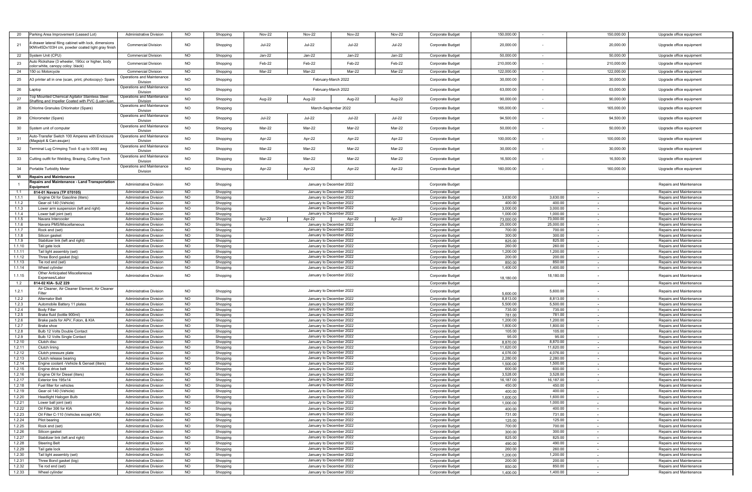| 20     | Parking Area Improvement (Leased Lot)                 | <b>Administrative Division</b> | <b>NO</b> | Shopping | <b>Nov-22</b> | <b>Nov-22</b>            | <b>Nov-22</b> | <b>Nov-22</b> | Corporate Budget        | 150,000.00 |           | 150,000.00     | Upgrade office equipment |
|--------|-------------------------------------------------------|--------------------------------|-----------|----------|---------------|--------------------------|---------------|---------------|-------------------------|------------|-----------|----------------|--------------------------|
|        | -drawer lateral filing cabinet with lock, dimensions  |                                |           |          |               |                          |               |               |                         |            |           |                |                          |
| 21     | 90Wx45Dx103H cm, powder coated light gray finish      | <b>Commercial Division</b>     | <b>NO</b> | Shopping | <b>Jul-22</b> | <b>Jul-22</b>            | <b>Jul-22</b> | <b>Jul-22</b> | Corporate Budget        | 20,000.00  |           | 20,000.00      | Upgrade office equipment |
|        |                                                       |                                |           |          |               |                          |               |               |                         |            |           |                |                          |
| 22     | System Unit (CPU)                                     | <b>Commercial Division</b>     | <b>NO</b> | Shopping | Jan-22        | Jan-22                   | Jan-22        | Jan-22        | <b>Corporate Budget</b> | 50,000.00  |           | 50,000.00      | Upgrade office equipment |
|        | Auto Rickshaw (3 wheeler, 190cc or higher, body       |                                |           |          |               |                          |               |               |                         |            |           |                |                          |
| 23     | color:white, canopy coloy: black)                     | <b>Commercial Division</b>     | <b>NO</b> | Shopping | Feb-22        | Feb-22                   | Feb-22        | Feb-22        | Corporate Budget        | 210,000.00 |           | 210,000.00     | Upgrade office equipment |
|        |                                                       |                                |           |          |               |                          |               |               |                         |            |           |                |                          |
| 24     | 150 cc Motorcycle                                     | <b>Commercial Division</b>     | <b>NO</b> | Shopping | Mar-22        | Mar-22                   | Mar-22        | Mar-22        | Corporate Budget        | 122,000.00 | $\sim$    | 122,000.00     | Upgrade office equipment |
| 25     | A3 printer all in one (scan, print, photocopy)- Spare | Operations and Maintenance     | <b>NO</b> | Shopping |               | February-March 2022      |               |               | Corporate Budget        | 30,000.00  |           | 30,000.00      | Upgrade office equipment |
|        |                                                       | Division                       |           |          |               |                          |               |               |                         |            |           |                |                          |
|        |                                                       | Operations and Maintenance     |           |          |               |                          |               |               |                         |            |           |                |                          |
| 26     | aptop                                                 | <b>Division</b>                | NO.       | Shopping |               | February-March 2022      |               |               | <b>Corporate Budget</b> | 63,000.00  |           | 63,000.00      | Upgrade office equipment |
|        | op Mounted Chemical Agitator Stainless Steel          | Operations and Maintenance     |           |          |               |                          |               |               |                         |            |           |                |                          |
| 27     | nafting and Impeller Coated with PVC (Luan-luan       |                                | <b>NO</b> | Shopping | Aug-22        | Aug-22                   | Aug-22        | Aug-22        | <b>Corporate Budget</b> | 90,000.00  |           | 90,000.00      | Upgrade office equipment |
|        |                                                       | Operations and Maintenance     |           |          |               |                          |               |               |                         |            |           |                |                          |
| 28     | Chlorine Granules Chlorinator (Spare)                 | Division                       | <b>NO</b> | Shopping |               | March-September 2022     |               |               | Corporate Budget        | 165,000.00 |           | 165,000.00     | Upgrade office equipment |
|        |                                                       | Operations and Maintenance     |           |          |               |                          |               |               |                         |            |           |                |                          |
| 29     | Chlorometer (Spare)                                   | Division                       | <b>NO</b> | Shopping | <b>Jul-22</b> | <b>Jul-22</b>            | <b>Jul-22</b> | <b>Jul-22</b> | <b>Corporate Budget</b> | 94,500.00  |           | 94,500.00      | Upgrade office equipment |
|        |                                                       | Operations and Maintenance     |           |          |               |                          |               |               |                         |            |           |                |                          |
| 30     | System unit of computer                               | <b>Division</b>                | <b>NO</b> | Shopping | Mar-22        | Mar-22                   | Mar-22        | Mar-22        | Corporate Budget        | 50,000.00  |           | 50,000.00      | Upgrade office equipment |
|        |                                                       |                                |           |          |               |                          |               |               |                         |            |           |                |                          |
| 31     | Auto-Transfer Switch 100 Amperes with Enclosure       | Operations and Maintenance     | <b>NO</b> | Shopping | Apr-22        | Apr-22                   | Apr-22        | Apr-22        | Corporate Budget        | 100,000.00 |           | 100,000.00     | Upgrade office equipment |
|        | Magsipit & Can-asujan)                                | Division                       |           |          |               |                          |               |               |                         |            |           |                |                          |
| 32     | Ferminal Lug Crimping Tool- 6 up to 0000 awg          | Operations and Maintenance     | NO.       | Shopping | Mar-22        | Mar-22                   | Mar-22        | Mar-22        | <b>Corporate Budget</b> | 30,000.00  |           | 30,000.00      | Upgrade office equipment |
|        |                                                       | <b>Division</b>                |           |          |               |                          |               |               |                         |            |           |                |                          |
|        |                                                       | Operations and Maintenance     |           |          |               |                          |               |               |                         |            |           |                |                          |
| 33     | Cutting outfit for Welding, Brazing, Cutting Torch    | Division                       | <b>NO</b> | Shopping | Mar-22        | Mar-22                   | Mar-22        | Mar-22        | <b>Corporate Budget</b> | 16,500.00  |           | 16,500.00      | Upgrade office equipment |
|        |                                                       | Operations and Maintenance     |           |          |               |                          |               |               |                         |            |           |                |                          |
| 34     | Portable Turbidity Meter                              | Division                       | <b>NO</b> | Shopping | Apr-22        | Apr-22                   | Apr-22        | Apr-22        | <b>Corporate Budget</b> | 160,000.00 |           | 160,000.00     | Upgrade office equipment |
|        |                                                       |                                |           |          |               |                          |               |               |                         |            |           |                |                          |
| VI     | <b>Repairs and Maintenance</b>                        |                                |           |          |               |                          |               |               |                         |            |           |                |                          |
|        | Repairs and Maintenance - Land Transportation         | <b>Administrative Division</b> | <b>NO</b> | Shopping |               | January to December 2022 |               |               | Corporate Budget        |            |           |                | Repairs and Maintenance  |
|        | Equipment                                             |                                |           |          |               |                          |               |               |                         |            |           |                |                          |
| 1.1    | 814-01 Navara (TP 070105)                             | <b>Administrative Division</b> | NO.       | Shopping |               | January to December 2022 |               |               | <b>Corporate Budget</b> |            |           |                | Repairs and Maintenance  |
| 1.1.1  | Engine Oil for Gasoline (liters)                      | <b>Administrative Division</b> | <b>NO</b> | Shopping |               | January to December 2022 |               |               | Corporate Budget        | 3,630.00   | 3,630.00  | $\sim$         | Repairs and Maintenance  |
| 1.1.2  | Gear oil 140 (Vehicle)                                | <b>Administrative Division</b> | NO.       | Shopping |               | January to December 2022 |               |               | Corporate Budget        | 400.00     | 400.00    |                | Repairs and Maintenance  |
|        |                                                       |                                |           |          |               |                          |               |               |                         |            |           |                |                          |
| 1.1.3  | Lower arm suspension (left and right)                 | <b>Administrative Division</b> | NO.       | Shopping |               | January to December 2022 |               |               | Corporate Budget        | 3,000.00   | 3,000.00  | $\sim$         | Repairs and Maintenance  |
| 1.1.4  | Lower ball joint (set)                                | <b>Administrative Division</b> | <b>NO</b> | Shopping |               | January to December 2022 |               |               | Corporate Budget        | 1,000.00   | 1,000.00  | $\sim$         | Repairs and Maintenance  |
| 1.1.5  | Navara Intercooler                                    | <b>Administrative Division</b> | <b>NO</b> | Shopping | Apr-22        | Apr-22                   | Apr-22        | Apr-22        | Corporate Budget        | 73,000.00  | 73,000.00 | $\sim$         | Repairs and Maintenance  |
| 1.1.6  | Navara PMS/Miscellaneous                              | <b>Administrative Division</b> | <b>NO</b> | Shopping |               | January to December 2022 |               |               | Corporate Budget        | 25,000.00  | 25,000.00 |                | Repairs and Maintenance  |
| 1.1.7  | Rock end (set)                                        | Administrative Division        | <b>NO</b> | Shopping |               | January to December 2022 |               |               | Corporate Budget        | 700.00     | 700.00    | $\sim$ $-$     | Repairs and Maintenance  |
| 1.1.8  | Silicon gasket                                        | <b>Administrative Division</b> | NO.       |          |               | January to December 2022 |               |               |                         | 300.00     | 300.00    |                | Repairs and Maintenance  |
|        |                                                       |                                |           | Shopping |               |                          |               |               | <b>Corporate Budget</b> |            |           |                |                          |
| 1.1.9  | Stabilizer link (left and right)                      | <b>Administrative Division</b> | <b>NO</b> | Shopping |               | January to December 2022 |               |               | <b>Corporate Budget</b> | 825.00     | 825.00    | $\sim$         | Repairs and Maintenance  |
| 1.1.10 | Tail gate lock                                        | <b>Administrative Division</b> | <b>NO</b> | Shopping |               | January to December 2022 |               |               | Corporate Budget        | 260.00     | 260.00    |                | Repairs and Maintenance  |
| 1.1.11 | Tail light assembly (set)                             | <b>Administrative Division</b> | NO.       | Shopping |               | January to December 2022 |               |               | Corporate Budget        | 1,200.00   | 1,200.00  | $\sim$         | Repairs and Maintenance  |
| 1.1.12 | Three Bond gasket (big)                               | Administrative Division        | <b>NO</b> | Shopping |               | January to December 2022 |               |               | Corporate Budget        | 200.00     | 200.00    | $\sim$         | Repairs and Maintenance  |
| 1.1.13 | Tie rod end (set)                                     | Administrative Division        | NO.       | Shopping |               | January to December 2022 |               |               | Corporate Budget        | 850.00     | 850.00    | $\sim$         | Repairs and Maintenance  |
| 1.1.14 | Wheel cylinder                                        | <b>Administrative Division</b> | NO        |          |               | January to December 2022 |               |               |                         | 1,400.00   | 1,400.00  | $\sim$         |                          |
|        |                                                       |                                |           | Shopping |               |                          |               |               | Corporate Budget        |            |           |                | Repairs and Maintenance  |
| 1.1.15 | Other Anticipated Miscellaneous                       | Administrative Division        | <b>NO</b> | Shopping |               | January to December 2022 |               |               | Corporate Budget        |            | 18,180.00 |                | Repairs and Maintenance  |
|        | Expenses/Labor                                        |                                |           |          |               |                          |               |               |                         | 18,180.00  |           |                |                          |
| 1.2    | 814-02 KIA- SJZ 229                                   |                                |           |          |               |                          |               |               | Corporate Budget        |            |           | $\sim$         | Repairs and Maintenance  |
| 1.2.1  | Air Cleaner, Air Cleaner Element, Air Cleaner         |                                |           |          |               |                          |               |               |                         |            |           |                |                          |
|        | Filter                                                | Administrative Division        | <b>NO</b> | Shopping |               | January to December 2022 |               |               | <b>Corporate Budget</b> | 5,600.00   | 5,600.00  |                | Repairs and Maintenance  |
| 1.2.2  | <b>Alternator Belt</b>                                | <b>Administrative Division</b> | <b>NO</b> | Shopping |               | January to December 2022 |               |               | Corporate Budget        | 8,813.00   | 8,813.00  | $\sim$         | Repairs and Maintenance  |
| 1.2.3  | Automobile Battery 11 plates                          | <b>Administrative Division</b> | <b>NO</b> | Shopping |               | January to December 2022 |               |               | <b>Corporate Budget</b> | 5,500.00   | 5,500.00  |                | Repairs and Maintenance  |
|        | <b>Body Filler</b>                                    | <b>Administrative Division</b> | NO.       |          |               | January to December 2022 |               |               |                         |            | 735.00    |                | Repairs and Maintenance  |
| 1.2.4  |                                                       |                                |           | Shopping |               |                          |               |               | <b>Corporate Budget</b> | 735.00     |           | $\sim$         |                          |
| 1.2.5  | Brake fluid (bottle 900ml)                            | Administrative Division        | <b>NO</b> | Shopping |               | January to December 2022 |               |               | <b>Corporate Budget</b> | 781.00     | 781.00    | $\sim$         | Repairs and Maintenance  |
| 1.2.6  | Brake pads for APV, Foton, & KIA                      | <b>Administrative Division</b> | <b>NO</b> | Shopping |               | January to December 2022 |               |               | <b>Corporate Budget</b> | 1,200.00   | 1,200.00  | <b>Section</b> | Repairs and Maintenance  |
| 1.2.7  | Brake shoe                                            | <b>Administrative Division</b> | <b>NO</b> | Shopping |               | January to December 2022 |               |               | <b>Corporate Budget</b> | 1,800.00   | 1,800.00  | $\sim$         | Repairs and Maintenance  |
| 1.2.8  | Bulb 12 Volts Double Contact                          | Administrative Division        | NO.       | Shopping |               | January to December 2022 |               |               | <b>Corporate Budget</b> | 105.00     | 105.00    |                | Repairs and Maintenance  |
| 1.2.9  | Bulb 12 Volts Single Contact                          | <b>Administrative Division</b> | NO.       | Shopping |               | January to December 2022 |               |               | <b>Corporate Budget</b> | 95.00      | 95.00     | $\sim$         | Repairs and Maintenance  |
| 1.2.10 | Clutch disc                                           | <b>Administrative Division</b> | <b>NO</b> |          |               | January to December 2022 |               |               | Corporate Budget        | 8,870.00   | 8,870.00  |                | Repairs and Maintenance  |
|        |                                                       |                                |           | Shopping |               |                          |               |               |                         |            |           |                |                          |
| 1.2.11 | Clutch lining                                         | <b>Administrative Division</b> | <b>NO</b> | Shopping |               | January to December 2022 |               |               | Corporate Budget        | 11,620.00  | 11,620.00 |                | Repairs and Maintenance  |
| 1.2.12 | Clutch pressure plate                                 | <b>Administrative Division</b> | NO.       | Shopping |               | January to December 2022 |               |               | Corporate Budget        | 4,076.00   | 4,076.00  | $\sim$         | Repairs and Maintenance  |
| 1.2.13 | Clutch release bearing                                | <b>Administrative Division</b> | NO.       | Shopping |               | January to December 2022 |               |               | Corporate Budget        | 2,280.00   | 2,280.00  | $\sim$         | Repairs and Maintenance  |
| 1.2.14 | Engine coolant -Vehicle & Genset (liters)             | <b>Administrative Division</b> | <b>NO</b> | Shopping |               | January to December 2022 |               |               | Corporate Budget        | 1.500.00   | 1,500.00  | $\sim$         | Repairs and Maintenance  |
| 1.2.15 | Engine drive belt                                     | <b>Administrative Division</b> | <b>NO</b> | Shopping |               | January to December 2022 |               |               | Corporate Budget        | 600.00     | 600.00    | $\sim$         | Repairs and Maintenance  |
| 1.2.16 | Engine Oil for Diesel (liters)                        | <b>Administrative Division</b> | NO.       | Shopping |               | January to December 2022 |               |               | Corporate Budget        | 3,528.00   | 3,528.00  | $\sim$         | Repairs and Maintenance  |
|        |                                                       |                                |           |          |               | January to December 2022 |               |               |                         | 16,187.00  |           |                |                          |
| 1.2.17 | Exterior tire 195x14                                  | <b>Administrative Division</b> | NO.       | Shopping |               |                          |               |               | Corporate Budget        |            | 16,187.00 | $\sim$         | Repairs and Maintenance  |
| 1.2.18 | Fuel filter for vehicles                              | <b>Administrative Division</b> | <b>NO</b> | Shopping |               | January to December 2022 |               |               | Corporate Budget        | 450.00     | 450.00    |                | Repairs and Maintenance  |
| 1.2.19 | ear oil 140 (Vehicle)                                 | Administrative Division        | NU.       | Shopping |               | January to December 2022 |               |               | Corporate Buddet        | 400.00     | 400.00    |                | Repairs and Maintenance  |
| 1.2.20 | <b>Headlight Halogen Bulb</b>                         | Administrative Division        | NO.       | Shopping |               | January to December 2022 |               |               | Corporate Budget        | 1,600.00   | 1,600.00  |                | Repairs and Maintenance  |
| 1.2.21 |                                                       | <b>Administrative Division</b> | <b>NO</b> |          |               | January to December 2022 |               |               | Corporate Budget        | 1,000.00   | 1,000.00  |                | Repairs and Maintenance  |
|        | Lower ball joint (set)                                |                                |           | Shopping |               |                          |               |               |                         |            |           |                |                          |
| 1.2.22 | Oil Filter 306 for KIA                                | <b>Administrative Division</b> | <b>NO</b> | Shopping |               | January to December 2022 |               |               | Corporate Budget        | 400.00     | 400.00    | $\sim$         | Repairs and Maintenance  |
| 1.2.23 | Oil Filter C-110 (Vehicles except KIA)                | <b>Administrative Division</b> | <b>NO</b> | Shopping |               | January to December 2022 |               |               | Corporate Budget        | 731.00     | 731.00    | $\sim$         | Repairs and Maintenance  |
| 1.2.24 | Pilot bearing                                         | <b>Administrative Division</b> | <b>NO</b> | Shopping |               | January to December 2022 |               |               | Corporate Budget        | 125.00     | 125.00    | $\sim$         | Repairs and Maintenance  |
| 1.2.25 | Rock end (set)                                        | <b>Administrative Division</b> | <b>NO</b> | Shopping |               | January to December 2022 |               |               | Corporate Budget        | 700.00     | 700.00    | $\sim$         | Repairs and Maintenance  |
|        |                                                       |                                |           |          |               |                          |               |               |                         |            |           |                |                          |
| 1.2.26 | Silicon gasket                                        | <b>Administrative Division</b> | <b>NO</b> | Shopping |               | January to December 2022 |               |               | Corporate Budget        | 300.00     | 300.00    | $\sim$         | Repairs and Maintenance  |
| 1.2.27 | Stabilizer link (left and right)                      | Administrative Division        | <b>NO</b> | Shopping |               | January to December 2022 |               |               | Corporate Budget        | 825.00     | 825.00    | $\sim$         | Repairs and Maintenance  |
| 1.2.28 | <b>Steering Belt</b>                                  | <b>Administrative Division</b> | <b>NO</b> | Shopping |               | January to December 2022 |               |               | Corporate Budget        | 490.00     | 490.00    | $\sim$         | Repairs and Maintenance  |
| 1.2.29 | Tail gate lock                                        | <b>Administrative Division</b> | <b>NO</b> | Shopping |               | January to December 2022 |               |               | Corporate Budget        | 260.00     | 260.00    | $\sim$         | Repairs and Maintenance  |
|        |                                                       |                                |           |          |               |                          |               |               |                         |            |           |                |                          |
| 1.2.30 | Tail light assembly (set)                             | <b>Administrative Division</b> | <b>NO</b> | Shopping |               | January to December 2022 |               |               | Corporate Budget        | 1,200.00   | 1,200.00  | $\sim$         | Repairs and Maintenance  |
| 1.2.31 | Three Bond gasket (big)                               | <b>Administrative Division</b> | <b>NO</b> | Shopping |               | January to December 2022 |               |               | Corporate Budget        | 200.00     | 200.00    | $\sim$         | Repairs and Maintenance  |
| 1.2.32 | Tie rod end (set)                                     | Administrative Division        | <b>NO</b> | Shopping |               | January to December 2022 |               |               | Corporate Budget        | 850.00     | 850.00    | $\sim$         | Repairs and Maintenance  |
| 1.2.33 | Wheel cylinder                                        | <b>Administrative Division</b> | <b>NO</b> | Shopping |               | January to December 2022 |               |               | Corporate Budget        | 1,400.00   | 1,400.00  | $\sim$         | Repairs and Maintenance  |
|        |                                                       |                                |           |          |               |                          |               |               |                         |            |           |                |                          |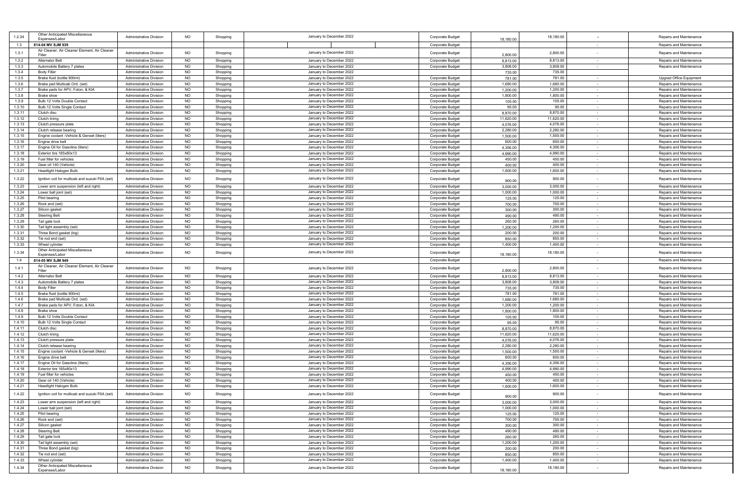| 1.2.34           | Other Anticipated Miscellaneous<br>Expenses/Labor                   | <b>Administrative Division</b>                                   | <b>NO</b>              | Shopping             | January to December 2022                             | Corporate Budget                            | 18,180.00          | 18,180.00          |        | Repairs and Maintenance                            |
|------------------|---------------------------------------------------------------------|------------------------------------------------------------------|------------------------|----------------------|------------------------------------------------------|---------------------------------------------|--------------------|--------------------|--------|----------------------------------------------------|
| 1.3              | 814-04 MV SJM 939                                                   |                                                                  |                        |                      |                                                      | Corporate Budget                            |                    |                    |        | Repairs and Maintenance                            |
| 1.3.1            | Air Cleaner, Air Cleaner Element, Air Cleaner<br>Filter             | <b>Administrative Division</b>                                   | <b>NO</b>              | Shopping             | January to December 2022                             | Corporate Budget                            | 2,800.00           | 2,800.00           |        | Repairs and Maintenance                            |
| 1.3.2            | <b>Alternator Belt</b>                                              | <b>Administrative Division</b>                                   | NO                     | Shopping             | January to December 2022                             | Corporate Budget                            | 8,813.00           | 8,813.00           | $\sim$ | Repairs and Maintenance                            |
| 1.3.3            | Automobile Battery 7 plates                                         | <b>Administrative Division</b>                                   | <b>NO</b>              | Shopping             | January to December 2022                             | Corporate Budget                            | 3,808.00           | 3,808.00           | $\sim$ | Repairs and Maintenance                            |
| 1.3.4            | <b>Body Filler</b>                                                  | <b>Administrative Division</b>                                   | <b>NO</b>              | Shopping             | January to December 2022                             |                                             | 735.00             | 735.00             |        |                                                    |
| 1.3.5            | Brake fluid (bottle 900ml)                                          | <b>Administrative Division</b>                                   | <b>NO</b>              | Shopping             | January to December 2022                             | Corporate Budget                            | 781.00             | 781.00             | $\sim$ | Upgrad Office Equipment                            |
| 1.3.6            | Brake pad Multicab Ord. (set)                                       | <b>Administrative Division</b>                                   | <b>NO</b>              | Shopping             | January to December 2022                             | Corporate Budget                            | 1,680.00           | 1,680.00           |        | Repairs and Maintenance                            |
| 1.3.7            | Brake pads for APV, Foton, & KIA                                    | <b>Administrative Division</b>                                   | <b>NO</b>              | Shopping             | January to December 2022                             | Corporate Budget                            | 1,200.00           | 1,200.00           | $\sim$ | Repairs and Maintenance                            |
| 1.3.8            | Brake shoe                                                          | Administrative Division                                          | <b>NO</b>              | Shopping             | January to December 2022                             | Corporate Budget                            | 1,800.00           | 1,800.00           |        | Repairs and Maintenance                            |
| 1.3.9            | Bulb 12 Volts Double Contact                                        | <b>Administrative Division</b>                                   | <b>NO</b>              | Shopping             | January to December 2022                             | Corporate Budget                            | 105.00             | 105.00             | $\sim$ | Repairs and Maintenance                            |
| 1.3.10           | Bulb 12 Volts Single Contact                                        | <b>Administrative Division</b>                                   | <b>NO</b>              | Shopping             | January to December 2022                             | Corporate Budget                            | 95.00              | 95.00              | $\sim$ | Repairs and Maintenance                            |
| 1.3.11           | Clutch disc                                                         | <b>Administrative Division</b>                                   | <b>NO</b>              | Shopping             | January to December 2022                             | <b>Corporate Budget</b>                     | 8,870.00           | 8,870.00           |        | Repairs and Maintenance                            |
| 1.3.12           | Clutch lining                                                       | <b>Administrative Division</b>                                   | NO                     | Shopping             | January to December 2022                             | <b>Corporate Budget</b>                     | 11,620.00          | 11,620.00          | $\sim$ | Repairs and Maintenance                            |
| 1.3.13           | Clutch pressure plate                                               | <b>Administrative Division</b>                                   | <b>NO</b>              | Shopping             | January to December 2022                             | Corporate Budget                            | 4,076.00           | 4,076.00           | $\sim$ | Repairs and Maintenance                            |
| 1.3.14           | Clutch release bearing<br>Engine coolant -Vehicle & Genset (liters) | <b>Administrative Division</b>                                   | <b>NO</b>              | Shopping             | January to December 2022                             | Corporate Budget                            | 2,280.00           | 2,280.00           | $\sim$ | Repairs and Maintenance<br>Repairs and Maintenance |
| 1.3.15<br>1.3.16 | Engine drive bel                                                    | <b>Administrative Division</b><br><b>Administrative Division</b> | <b>NO</b><br><b>NO</b> | Shopping<br>Shopping | January to December 2022<br>January to December 2022 | Corporate Budget<br><b>Corporate Budget</b> | 1,500.00<br>600.00 | 1,500.00<br>600.00 | $\sim$ | Repairs and Maintenance                            |
| 1.3.17           | Engine Oil for Gasoline (liters)                                    | <b>Administrative Division</b>                                   | <b>NO</b>              | Shopping             | January to December 2022                             | <b>Corporate Budget</b>                     | 4,356.00           | 4,356.00           | $\sim$ | Repairs and Maintenance                            |
| 1.3.18           | Exterior tire 165x80x13                                             | <b>Administrative Division</b>                                   | <b>NO</b>              | Shopping             | January to December 2022                             | Corporate Budget                            | 4,990.00           | 4,990.00           | $\sim$ | Repairs and Maintenance                            |
| 1.3.19           | Fuel filter for vehicles                                            | <b>Administrative Division</b>                                   | <b>NO</b>              | Shopping             | January to December 2022                             | Corporate Budget                            | 450.00             | 450.00             | $\sim$ | Repairs and Maintenance                            |
| 1.3.20           | Gear oil 140 (Vehicle)                                              | <b>Administrative Division</b>                                   | <b>NO</b>              | Shopping             | January to December 2022                             | Corporate Budget                            | 400.00             | 400.00             | $\sim$ | Repairs and Maintenance                            |
| 1.3.21           | Headlight Halogen Bulb                                              | <b>Administrative Division</b>                                   | <b>NO</b>              | Shopping             | January to December 2022                             | Corporate Budget                            | 1,600.00           | 1,600.00           |        | Repairs and Maintenance                            |
| 1.3.22           | Ignition coil for multicab and suzuki F6A (set)                     | <b>Administrative Division</b>                                   | <b>NO</b>              |                      |                                                      |                                             |                    | 900.00             |        |                                                    |
|                  |                                                                     |                                                                  |                        | Shopping             | January to December 2022                             | Corporate Budget                            | 900.00             |                    |        | Repairs and Maintenance                            |
| 1.3.23           | Lower arm suspension (left and right)                               | <b>Administrative Division</b>                                   | <b>NO</b>              | Shopping             | January to December 2022                             | Corporate Budget                            | 3,000.00           | 3,000.00           | $\sim$ | Repairs and Maintenance                            |
| 1.3.24           | Lower ball joint (set)                                              | <b>Administrative Division</b>                                   | <b>NO</b>              | Shopping             | January to December 2022                             | Corporate Budget                            | 1,000.00           | 1,000.00           |        | Repairs and Maintenance                            |
| 1.3.25           | Pilot bearing                                                       | <b>Administrative Division</b>                                   | <b>NO</b>              | Shopping             | January to December 2022                             | Corporate Budget                            | 125.00             | 125.00             | $\sim$ | Repairs and Maintenance                            |
| 1.3.26           | Rock end (set)                                                      | <b>Administrative Division</b>                                   | <b>NO</b>              | Shopping             | January to December 2022                             | <b>Corporate Budget</b>                     | 700.00             | 700.00             | $\sim$ | Repairs and Maintenance                            |
| 1.3.27           | Silicon gasket                                                      | <b>Administrative Division</b>                                   | <b>NO</b>              | Shopping             | January to December 2022                             | <b>Corporate Budget</b>                     | 300.00             | 300.00             |        | Repairs and Maintenance                            |
| 1.3.28<br>1.3.29 | <b>Steering Belt</b><br>Tail gate lock                              | <b>Administrative Division</b><br><b>Administrative Division</b> | <b>NO</b><br><b>NO</b> | Shopping<br>Shopping | January to December 2022<br>January to December 2022 | Corporate Budget<br>Corporate Budget        | 490.00<br>260.00   | 490.00<br>260.00   | $\sim$ | Repairs and Maintenance<br>Repairs and Maintenance |
| 1.3.30           | Tail light assembly (set)                                           | <b>Administrative Division</b>                                   | NO                     | Shopping             | January to December 2022                             | Corporate Budget                            | 1,200.00           | 1,200.00           | $\sim$ | Repairs and Maintenance                            |
| 1.3.31           | Three Bond gasket (big)                                             | <b>Administrative Division</b>                                   | <b>NO</b>              | Shopping             | January to December 2022                             | Corporate Budget                            | 200.00             | 200.00             | $\sim$ | Repairs and Maintenance                            |
| 1.3.32           | Tie rod end (set)                                                   | <b>Administrative Division</b>                                   | <b>NO</b>              | Shopping             | January to December 2022                             | Corporate Budget                            | 850.00             | 850.00             | $\sim$ | Repairs and Maintenance                            |
| 1.3.33           | Wheel cylinder                                                      | <b>Administrative Division</b>                                   | <b>NO</b>              | Shopping             | January to December 2022                             | Corporate Budget                            | 1,400.00           | 1,400.00           | $\sim$ | Repairs and Maintenance                            |
|                  | Other Anticipated Miscellaneous                                     |                                                                  | <b>NO</b>              |                      |                                                      |                                             |                    |                    |        |                                                    |
| 1.3.34           | Expenses/Labor                                                      | <b>Administrative Division</b>                                   |                        | Shopping             | January to December 2022                             | Corporate Budget                            | 18,180.00          | 18,180.00          |        | Repairs and Maintenance                            |
| 1.4              | 814-05 MV SJM 949                                                   |                                                                  |                        |                      |                                                      | Corporate Budget                            |                    |                    | $\sim$ | Repairs and Maintenance                            |
| 1.4.1            | Air Cleaner, Air Cleaner Element, Air Cleaner<br>Filter             | <b>Administrative Division</b>                                   | <b>NO</b>              | Shopping             | January to December 2022                             | Corporate Budget                            | 2,800.00           | 2,800.00           |        | Repairs and Maintenance                            |
| 1.4.2            | <b>Alternator Belt</b>                                              | <b>Administrative Division</b>                                   | <b>NO</b>              | Shopping             | January to December 2022                             | Corporate Budget                            | 8,813.00           | 8,813.00           |        | Repairs and Maintenance                            |
| 1.4.3            | Automobile Battery 7 plates                                         | Administrative Division                                          | <b>NO</b>              | Shopping             | January to December 2022                             | <b>Corporate Budget</b>                     | 3,808.00           | 3,808.00           | $\sim$ | Repairs and Maintenance                            |
| 1.4.4            | <b>Body Filler</b>                                                  | <b>Administrative Division</b>                                   | <b>NO</b>              | Shopping             | January to December 2022                             | Corporate Budget                            | 735.00             | 735.00             | $\sim$ | Repairs and Maintenance                            |
| 1.4.5            | Brake fluid (bottle 900ml)                                          | <b>Administrative Division</b>                                   | <b>NO</b>              | Shopping             | January to December 2022                             | Corporate Budget                            | 781.00             | 781.00             |        | Repairs and Maintenance                            |
| 1.4.6            | Brake pad Multicab Ord. (set)                                       | <b>Administrative Division</b>                                   | <b>NO</b>              | Shopping             | January to December 2022                             | Corporate Budget                            | 1,680.00           | 1,680.00           | $\sim$ | Repairs and Maintenance                            |
| 1.4.7            | Brake pads for APV, Foton, & KIA                                    | <b>Administrative Division</b>                                   | <b>NO</b>              | Shopping             | January to December 2022                             | Corporate Budget                            | 1,200.00           | 1,200.00           | $\sim$ | Repairs and Maintenance                            |
| 1.4.8            | Brake shoe                                                          | Administrative Division                                          | <b>NO</b>              | Shopping             | January to December 2022                             | Corporate Budget                            | 1,800.00           | 1,800.00           | $\sim$ | Repairs and Maintenance                            |
| 1.4.9            | Bulb 12 Volts Double Contact                                        | <b>Administrative Division</b>                                   | <b>NO</b>              | Shopping             | January to December 2022                             | Corporate Budget                            | 105.00             | 105.00             | $\sim$ | Repairs and Maintenance                            |
| 1.4.10           | Bulb 12 Volts Single Contact                                        | <b>Administrative Division</b>                                   | <b>NO</b>              | Shopping             | January to December 2022                             | Corporate Budget                            | 95.00              | 95.00              |        | Repairs and Maintenance                            |
| 1.4.11           | Clutch disc                                                         | <b>Administrative Division</b>                                   | <b>NO</b>              | Shopping             | January to December 2022                             | Corporate Budget                            | 8,870.00           | 8,870.00           | $\sim$ | Repairs and Maintenance                            |
| 1.4.12           | Clutch lining                                                       | <b>Administrative Division</b>                                   | <b>NO</b>              | Shopping             | January to December 2022                             | Corporate Budget                            | 11,620.00          | 11,620.00          | $\sim$ | Repairs and Maintenance                            |
| 1.4.13           | Clutch pressure plate                                               | <b>Administrative Division</b>                                   | <b>NO</b>              | Shopping             | January to December 2022                             | Corporate Budget                            | 4,076.00           | 4,076.00           | $\sim$ | Repairs and Maintenance                            |
| 1.4.14           | Clutch release bearing                                              | <b>Administrative Division</b><br><b>Administrative Division</b> | <b>NO</b>              | Shopping             | January to December 2022<br>January to December 2022 | Corporate Budget                            | 2,280.00           | 2,280.00           | $\sim$ | Repairs and Maintenance                            |
| 1.4.15<br>1.4.16 | Engine coolant -Vehicle & Genset (liters)<br>Engine drive belt      | <b>Administrative Division</b>                                   | <b>NO</b><br>NO        | Shopping<br>Shopping | January to December 2022                             | <b>Corporate Budget</b><br>Corporate Budget | 1,500.00<br>600.00 | 1,500.00<br>600.00 | $\sim$ | Repairs and Maintenance<br>Repairs and Maintenance |
| 1.4.17           | Engine Oil for Gasoline (liters)                                    | <b>Administrative Division</b>                                   | <b>NO</b>              | Shopping             | January to December 2022                             | Corporate Budget                            | 4,356.00           | 4,356.00           | $\sim$ | Repairs and Maintenance                            |
| 1.4.18           | Exterior tire 165x80x13                                             | Administrative Division                                          | <b>NO</b>              | Shopping             | January to December 2022                             | Corporate Budget                            | 4,990.00           | 4,990.00           | $\sim$ | Repairs and Maintenance                            |
| 1.4.19           | Fuel filter for vehicles                                            | <b>Administrative Division</b>                                   | <b>NO</b>              | Shopping             | January to December 2022                             | Corporate Budget                            | 450.00             | 450.00             | $\sim$ | Repairs and Maintenance                            |
| 1.4.20           | Gear oil 140 (Vehicle)                                              | <b>Administrative Division</b>                                   | <b>NO</b>              | Shopping             | January to December 2022                             | Corporate Budget                            | 400.00             | 400.00             |        | Repairs and Maintenance                            |
| 1.4.21           | Headlight Halogen Bulb                                              | <b>Administrative Division</b>                                   | <b>NO</b>              | Shopping             | January to December 2022                             | Corporate Budget                            | 1,600.00           | 1,600.00           | $\sim$ | Repairs and Maintenance                            |
| 1.4.22           | Ignition coil for multicab and suzuki F6A (set)                     | Administrative Division                                          | <b>NO</b>              | Shopping             | January to December 2022                             | Corporate Budget                            |                    | 900.00             |        | Repairs and Maintenance                            |
| 1.4.23           | Lower arm suspension (left and right)                               | Administrative Division                                          | <b>NO</b>              | Shopping             | January to December 2022                             | Corporate Budget                            | 900.00<br>3,000.00 | 3,000.00           |        | Repairs and Maintenance                            |
| 1.4.24           | Lower ball joint (set)                                              | Administrative Division                                          | <b>NO</b>              |                      | January to December 2022                             | Corporate Budget                            | 1,000.00           | 1,000.00           | $\sim$ | Repairs and Maintenance                            |
| 1.4.25           | Pilot bearing                                                       | <b>Administrative Division</b>                                   | <b>NO</b>              | Shopping<br>Shopping | January to December 2022                             | Corporate Budget                            | 125.00             | 125.00             | $\sim$ | Repairs and Maintenance                            |
| 1.4.26           | Rock end (set)                                                      | Administrative Division                                          | <b>NO</b>              | Shopping             | January to December 2022                             | Corporate Budget                            | 700.00             | 700.00             | $\sim$ | Repairs and Maintenance                            |
| 1.4.27           | Silicon gasket                                                      | <b>Administrative Division</b>                                   | <b>NO</b>              | Shopping             | January to December 2022                             | Corporate Budget                            | 300.00             | 300.00             | $\sim$ | Repairs and Maintenance                            |
| 1.4.28           | <b>Steering Belt</b>                                                | Administrative Division                                          | <b>NO</b>              | Shopping             | January to December 2022                             | Corporate Budget                            | 490.00             | 490.00             |        | Repairs and Maintenance                            |
| 1.4.29           | Tail gate lock                                                      | Administrative Division                                          | <b>NO</b>              | Shopping             | January to December 2022                             | Corporate Budget                            | 260.00             | 260.00             | $\sim$ | Repairs and Maintenance                            |
| 1.4.30           | Tail light assembly (set)                                           | <b>Administrative Division</b>                                   | <b>NO</b>              | Shopping             | January to December 2022                             | Corporate Budget                            | 1,200.00           | 1,200.00           | $\sim$ | Repairs and Maintenance                            |
| 1.4.31           | Three Bond gasket (big)                                             | Administrative Division                                          | <b>NO</b>              | Shopping             | January to December 2022                             | Corporate Budget                            | 200.00             | 200.00             | $\sim$ | Repairs and Maintenance                            |
| 1.4.32           | Tie rod end (set)                                                   | <b>Administrative Division</b>                                   | <b>NO</b>              | Shopping             | January to December 2022                             | Corporate Budget                            | 850.00             | 850.00             | $\sim$ | Repairs and Maintenance                            |
| 1.4.33           | Wheel cylinder                                                      | Administrative Division                                          | <b>NO</b>              | Shopping             | January to December 2022                             | Corporate Budget                            | 1,400.00           | 1,400.00           |        | Repairs and Maintenance                            |
| 1.4.34           | Other Anticipated Miscellaneous<br>Expenses/Labor                   | <b>Administrative Division</b>                                   | <b>NO</b>              | Shopping             | January to December 2022                             | Corporate Budget                            | 18,180.00          | 18,180.00          | $\sim$ | Repairs and Maintenance                            |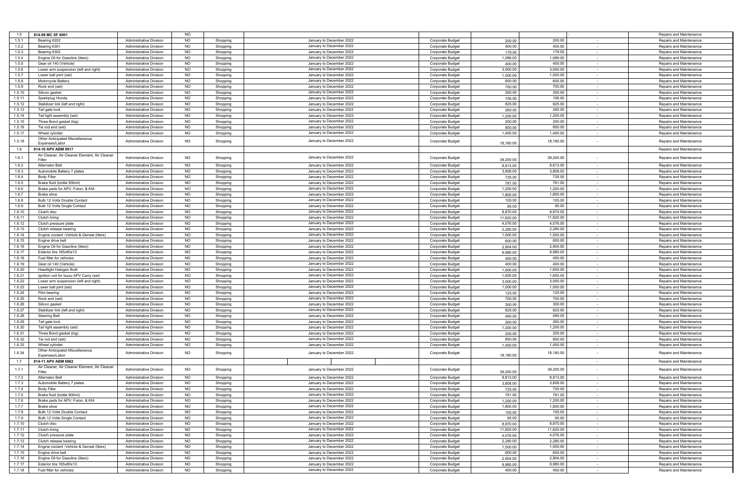|        | 814-09 MC SF 6001                             |                                |           |          |                          |                         |           |           |        |                         |
|--------|-----------------------------------------------|--------------------------------|-----------|----------|--------------------------|-------------------------|-----------|-----------|--------|-------------------------|
| 1.5    |                                               |                                | <b>NO</b> |          |                          |                         |           |           |        | Repairs and Maintenance |
| 1.5.1  | Bearing 6202                                  | Administrative Division        | <b>NO</b> | Shopping | January to December 2022 | Corporate Budget        | 200.00    | 200.00    |        | Repairs and Maintenance |
| 1.5.2  | Bearing 6301                                  | <b>Administrative Division</b> | NO        | Shopping | January to December 2022 | Corporate Budget        | 400.00    | 400.00    | $\sim$ | Repairs and Maintenance |
| 1.5.3  | Bearing 6302                                  | Administrative Division        | <b>NO</b> | Shopping | January to December 2022 | Corporate Budget        | 179.00    | 179.00    | $\sim$ | Repairs and Maintenance |
| 1.5.4  | Engine Oil for Gasoline (liters)              | <b>Administrative Division</b> | <b>NO</b> | Shopping | January to December 2022 | <b>Corporate Budget</b> | 1,089.00  | 1,089.00  |        | Repairs and Maintenance |
|        | Gear oil 140 (Vehicle)                        | Administrative Division        | <b>NO</b> |          | January to December 2022 |                         | 400.00    | 400.00    |        | Repairs and Maintenance |
| 1.5.5  |                                               |                                |           | Shopping |                          | Corporate Budget        |           |           | $\sim$ |                         |
| 1.5.6  | Lower arm suspension (left and right)         | Administrative Division        | <b>NO</b> | Shopping | January to December 2022 | Corporate Budget        | 3,000.00  | 3,000.00  |        | Repairs and Maintenance |
| 1.5.7  | Lower ball joint (set)                        | Administrative Division        | <b>NO</b> | Shopping | January to December 2022 | Corporate Budget        | 1,000.00  | 1,000.00  | $\sim$ | Repairs and Maintenance |
| 1.5.8  | Motorcycle Battery                            | <b>Administrative Division</b> | <b>NO</b> | Shopping | January to December 2022 | <b>Corporate Budget</b> | 600.00    | 600.00    | $\sim$ | Repairs and Maintenance |
| 1.5.9  | Rock end (set)                                | <b>Administrative Division</b> | <b>NO</b> | Shopping | January to December 2022 | Corporate Budget        | 700.00    | 700.00    |        | Repairs and Maintenance |
|        |                                               |                                |           |          |                          |                         |           |           |        |                         |
| 1.5.10 | Silicon gasket                                | <b>Administrative Division</b> | <b>NO</b> | Shopping | January to December 2022 | <b>Corporate Budget</b> | 300.00    | 300.00    | $\sim$ | Repairs and Maintenance |
| 1.5.11 | Sparkplug Honda                               | Administrative Division        | <b>NO</b> | Shopping | January to December 2022 | Corporate Budget        | 106.00    | 106.00    |        | Repairs and Maintenance |
| 1.5.12 | Stabilizer link (left and right)              | Administrative Division        | <b>NO</b> | Shopping | January to December 2022 | Corporate Budget        | 825.00    | 825.00    | $\sim$ | Repairs and Maintenance |
| 1.5.13 | Tail gate lock                                | <b>Administrative Division</b> | <b>NO</b> | Shopping | January to December 2022 | <b>Corporate Budget</b> | 260.00    | 260.00    | $\sim$ | Repairs and Maintenance |
|        |                                               |                                |           |          |                          |                         |           |           |        |                         |
| 1.5.14 | Tail light assembly (set)                     | <b>Administrative Division</b> | <b>NO</b> | Shopping | January to December 2022 | Corporate Budget        | 1,200.00  | 1,200.00  | $\sim$ | Repairs and Maintenance |
| 1.5.15 | Three Bond gasket (big)                       | <b>Administrative Division</b> | <b>NO</b> | Shopping | January to December 2022 | Corporate Budget        | 200.00    | 200.00    | $\sim$ | Repairs and Maintenance |
| 1.5.16 | Tie rod end (set)                             | <b>Administrative Division</b> | <b>NO</b> | Shopping | January to December 2022 | Corporate Budget        | 850.00    | 850.00    |        | Repairs and Maintenance |
| 1.5.17 | Wheel cylinder                                | <b>Administrative Division</b> | <b>NO</b> | Shopping | January to December 2022 | Corporate Budget        | 1,400.00  | 1,400.00  | $\sim$ | Repairs and Maintenance |
|        | Other Anticipated Miscellaneous               |                                |           |          |                          |                         |           |           |        |                         |
| 1.5.18 | Expenses/Labor                                | <b>Administrative Division</b> | <b>NO</b> | Shopping | January to December 2022 | <b>Corporate Budget</b> | 18,180.00 | 18,180.00 |        | Repairs and Maintenance |
|        |                                               |                                |           |          |                          |                         |           |           |        |                         |
| 1.6    | 814-10 APV ABM 9917                           |                                |           |          |                          |                         |           |           |        | Repairs and Maintenance |
| 1.6.1  | Air Cleaner, Air Cleaner Element, Air Cleaner |                                | <b>NO</b> |          | January to December 2022 |                         |           |           |        |                         |
|        | Filter                                        | <b>Administrative Division</b> |           | Shopping |                          | <b>Corporate Budget</b> | 39,200.00 | 39,200.00 |        | Repairs and Maintenance |
| 1.6.2  | <b>Alternator Belt</b>                        | Administrative Division        | <b>NO</b> | Shopping | January to December 2022 | Corporate Budget        | 8,813,00  | 8,813.00  | $\sim$ | Repairs and Maintenance |
| 1.6.3  | Automobile Battery 7 plates                   | <b>Administrative Division</b> | <b>NO</b> | Shopping | January to December 2022 | Corporate Budget        | 3,808.00  | 3,808.00  | $\sim$ | Repairs and Maintenance |
|        |                                               |                                |           |          |                          |                         |           |           |        |                         |
| 1.6.4  | <b>Body Filler</b>                            | <b>Administrative Division</b> | <b>NO</b> | Shopping | January to December 2022 | Corporate Budget        | 735.00    | 735.00    | $\sim$ | Repairs and Maintenance |
| 1.6.5  | Brake fluid (bottle 900ml)                    | <b>Administrative Division</b> | <b>NO</b> | Shopping | January to December 2022 | Corporate Budget        | 781.00    | 781.00    |        | Repairs and Maintenance |
| 1.6.6  | Brake pads for APV, Foton, & KIA              | Administrative Division        | <b>NO</b> | Shopping | January to December 2022 | Corporate Budget        | 1,200.00  | 1,200.00  | $\sim$ | Repairs and Maintenance |
| 1.6.7  | Brake shoe                                    | Administrative Division        | <b>NO</b> | Shopping | January to December 2022 | Corporate Budget        | 1,800.00  | 1,800.00  | $\sim$ | Repairs and Maintenance |
|        |                                               |                                |           |          |                          |                         |           |           |        |                         |
| 1.6.8  | Bulb 12 Volts Double Contact                  | <b>Administrative Division</b> | <b>NO</b> | Shopping | January to December 2022 | Corporate Budget        | 105.00    | 105.00    | $\sim$ | Repairs and Maintenance |
| 1.6.9  | Bulb 12 Volts Single Contact                  | <b>Administrative Division</b> | <b>NO</b> | Shopping | January to December 2022 | <b>Corporate Budget</b> | 95.00     | 95.00     | $\sim$ | Repairs and Maintenance |
| 1.6.10 | Clutch disc                                   | <b>Administrative Division</b> | <b>NO</b> | Shopping | January to December 2022 | Corporate Budget        | 8,870.00  | 8,870.00  | $\sim$ | Repairs and Maintenance |
| 1.6.11 | Clutch lining                                 | Administrative Division        | <b>NO</b> | Shopping | January to December 2022 | Corporate Budget        | 11,620.00 | 11,620.00 | $\sim$ | Repairs and Maintenance |
| 1.6.12 | Clutch pressure plate                         | Administrative Division        | <b>NO</b> |          | January to December 2022 |                         |           | 4,076.00  | $\sim$ | Repairs and Maintenance |
|        |                                               |                                |           | Shopping |                          | Corporate Budget        | 4,076.00  |           |        |                         |
| 1.6.13 | Clutch release bearing                        | Administrative Division        | <b>NO</b> | Shopping | January to December 2022 | <b>Corporate Budget</b> | 2,280.00  | 2,280.00  | $\sim$ | Repairs and Maintenance |
| 1.6.14 | Engine coolant -Vehicle & Genset (liters)     | <b>Administrative Division</b> | <b>NO</b> | Shopping | January to December 2022 | Corporate Budget        | 1,500.00  | 1,500.00  | $\sim$ | Repairs and Maintenance |
| 1.6.15 | Engine drive belt                             | <b>Administrative Division</b> | <b>NO</b> | Shopping | January to December 2022 | Corporate Budget        | 600.00    | 600.00    | $\sim$ | Repairs and Maintenance |
|        |                                               |                                | <b>NO</b> |          | January to December 2022 |                         |           | 2,904.00  |        |                         |
| 1.6.16 | Engine Oil for Gasoline (liters)              | Administrative Division        |           | Shopping |                          | Corporate Budget        | 2,904.00  |           | $\sim$ | Repairs and Maintenance |
| 1.6.17 | Exterior tire 165x80x13                       | Administrative Division        | <b>NO</b> | Shopping | January to December 2022 | Corporate Budget        | 9,980.00  | 9,980.00  | $\sim$ | Repairs and Maintenance |
| 1.6.18 | Fuel filter for vehicles                      | <b>Administrative Division</b> | <b>NO</b> | Shopping | January to December 2022 | Corporate Budget        | 450.00    | 450.00    | $\sim$ | Repairs and Maintenance |
| 1.6.19 | Gear oil 140 (Vehicle)                        | <b>Administrative Division</b> | NO        | Shopping | January to December 2022 | <b>Corporate Budget</b> | 400.00    | 400.00    | $\sim$ | Repairs and Maintenance |
| 1.6.20 | Headlight Halogen Bulb                        | Administrative Division        | <b>NO</b> | Shopping | January to December 2022 | Corporate Budget        | 1,600.00  | 1,600.00  |        | Repairs and Maintenance |
|        |                                               |                                |           |          |                          |                         |           |           |        |                         |
| 1.6.21 | Ignition coil for Isuzu APV Carry (set)       | <b>Administrative Division</b> | <b>NO</b> | Shopping | January to December 2022 | Corporate Budget        | 1,650.00  | 1,650.00  | $\sim$ | Repairs and Maintenance |
| 1.6.22 | Lower arm suspension (left and right)         | Administrative Division        | <b>NO</b> | Shopping | January to December 2022 | Corporate Budget        | 3.000.00  | 3,000.00  | $\sim$ | Repairs and Maintenance |
| 1.6.23 | Lower ball joint (set)                        | <b>Administrative Division</b> | NO        | Shopping | January to December 2022 | Corporate Budget        | 1,000.00  | 1,000.00  | $\sim$ | Repairs and Maintenance |
| 1.6.24 | Pilot bearing                                 | <b>Administrative Division</b> | <b>NO</b> | Shopping | January to December 2022 | Corporate Budget        | 125.00    | 125.00    | $\sim$ | Repairs and Maintenance |
|        |                                               |                                |           |          | January to December 2022 |                         |           |           |        |                         |
| 1.6.25 | Rock end (set)                                | Administrative Division        | <b>NO</b> | Shopping |                          | Corporate Budget        | 700.00    | 700.00    |        | Repairs and Maintenance |
| 1.6.26 | Silicon gasket                                | Administrative Division        | <b>NO</b> | Shopping | January to December 2022 | Corporate Budget        | 300.00    | 300.00    | $\sim$ | Repairs and Maintenance |
| 1.6.27 | Stabilizer link (left and right)              | Administrative Division        | <b>NO</b> | Shopping | January to December 2022 | Corporate Budget        | 825.00    | 825.00    | $\sim$ | Repairs and Maintenance |
| 1.6.28 | <b>Steering Belt</b>                          | <b>Administrative Division</b> | <b>NO</b> | Shopping | January to December 2022 | Corporate Budget        | 490.00    | 490.00    | $\sim$ | Repairs and Maintenance |
| 1.6.29 | Tail gate lock                                | <b>Administrative Division</b> | <b>NO</b> | Shopping | January to December 2022 | <b>Corporate Budget</b> | 260.00    | 260.00    | $\sim$ | Repairs and Maintenance |
|        |                                               |                                |           |          |                          |                         |           |           |        |                         |
| 1.6.30 | Tail light assembly (set)                     | Administrative Division        | <b>NO</b> | Shopping | January to December 2022 | Corporate Budget        | 1,200.00  | 1,200.00  | $\sim$ | Repairs and Maintenance |
| 1.6.31 | Three Bond gasket (big)                       | Administrative Division        | <b>NO</b> | Shopping | January to December 2022 | Corporate Budget        | 200.00    | 200.00    | $\sim$ | Repairs and Maintenance |
| 1.6.32 | Tie rod end (set)                             | Administrative Division        | <b>NO</b> | Shopping | January to December 2022 | Corporate Budget        | 850.00    | 850.00    | $\sim$ | Repairs and Maintenance |
| 1.6.33 | Wheel cylinder                                | <b>Administrative Division</b> | <b>NO</b> | Shopping | January to December 2022 | Corporate Budget        | 1,400.00  | 1,400.00  | $\sim$ | Repairs and Maintenance |
|        | Other Anticipated Miscellaneous               |                                |           |          |                          |                         |           |           |        |                         |
| 1.6.34 | Expenses/Labor                                | <b>Administrative Division</b> | <b>NO</b> | Shopping | January to December 2022 | Corporate Budget        | 18,180.00 | 18,180.00 |        | Repairs and Maintenance |
|        |                                               |                                |           |          |                          |                         |           |           |        |                         |
| 1.7    | 814-11 APV ABM 6662                           |                                |           |          |                          |                         |           |           |        | Repairs and Maintenance |
| 1.7.1  | Air Cleaner, Air Cleaner Element, Air Cleaner | <b>Administrative Division</b> | <b>NO</b> |          | January to December 2022 | Corporate Budget        |           | 39,200.00 |        | Repairs and Maintenance |
|        | Filter                                        |                                |           | Shopping |                          |                         | 39,200.00 |           |        |                         |
| 1.7.2  | <b>Alternator Belt</b>                        | <b>Administrative Division</b> | <b>NO</b> | Shopping | January to December 2022 | Corporate Budget        | 8,813.00  | 8,813.00  |        | Repairs and Maintenance |
| 1.7.3  | Automobile Battery 7 plates                   | <b>Administrative Division</b> | NO.       | Shopping | January to December 2022 | <b>Corporate Budget</b> | 3,808.00  | 3,808.00  |        | Repairs and Maintenance |
|        |                                               |                                |           |          |                          |                         |           |           |        |                         |
| 1.7.4  | <b>Body Filler</b>                            | <b>Administrative Division</b> | NO        | Shopping | January to December 2022 | Corporate Budget        | 735.01    | 735.00    |        | Repairs and Maintenance |
| 1.7.5  | Brake fluid (bottle 900ml)                    | Administrative Division        | <b>NO</b> | Shopping | January to December 2022 | Corporate Budget        | 781.00    | 781.00    |        | Repairs and Maintenance |
| 1.7.6  | Brake pads for APV, Foton, & KIA              | Administrative Division        | <b>NO</b> | Shopping | January to December 2022 | Corporate Budget        | 1,200.00  | 1,200.00  | $\sim$ | Repairs and Maintenance |
| 1.7.7  | Brake shoe                                    | <b>Administrative Division</b> | NO        | Shopping | January to December 2022 | Corporate Budget        | 1,800.00  | 1,800.00  | $\sim$ | Repairs and Maintenance |
|        | Bulb 12 Volts Double Contact                  |                                |           |          |                          |                         |           |           |        |                         |
| 1.7.8  |                                               | <b>Administrative Division</b> | <b>NO</b> | Shopping | January to December 2022 | Corporate Budget        | 105.00    | 105.00    |        | Repairs and Maintenance |
| 1.7.9  | Bulb 12 Volts Single Contact                  | Administrative Division        | <b>NO</b> | Shopping | January to December 2022 | Corporate Budget        | 95.00     | 95.00     | $\sim$ | Repairs and Maintenance |
| 1.7.10 | Clutch disc                                   | Administrative Division        | <b>NO</b> | Shopping | January to December 2022 | Corporate Budget        | 8,870.00  | 8,870.00  | $\sim$ | Repairs and Maintenance |
| 1.7.11 | Clutch lining                                 | <b>Administrative Division</b> | <b>NO</b> | Shopping | January to December 2022 | Corporate Budget        | 11,620.00 | 11,620.00 | $\sim$ | Repairs and Maintenance |
|        |                                               |                                |           |          |                          | Corporate Budget        |           | 4,076.00  |        |                         |
| 1.7.12 | Clutch pressure plate                         | <b>Administrative Division</b> | <b>NO</b> | Shopping | January to December 2022 |                         | 4,076.00  |           | $\sim$ | Repairs and Maintenance |
| 1.7.13 | Clutch release bearing                        | <b>Administrative Division</b> | <b>NO</b> | Shopping | January to December 2022 | Corporate Budget        | 2,280.00  | 2,280.00  | $\sim$ | Repairs and Maintenance |
| 1.7.14 | Engine coolant -Vehicle & Genset (liters)     | Administrative Division        | <b>NO</b> | Shopping | January to December 2022 | Corporate Budget        | 1,500.00  | 1,500.00  | $\sim$ | Repairs and Maintenance |
| 1.7.15 | Engine drive belt                             | <b>Administrative Division</b> | <b>NO</b> | Shopping | January to December 2022 | Corporate Budget        | 600.00    | 600.00    |        | Repairs and Maintenance |
|        | Engine Oil for Gasoline (liters)              |                                |           |          |                          | Corporate Budget        |           |           |        |                         |
| 1.7.16 |                                               | Administrative Division        | <b>NO</b> | Shopping | January to December 2022 |                         | 2,904.00  | 2,904.00  | $\sim$ | Repairs and Maintenance |
| 1.7.17 | Exterior tire 165x80x13                       | Administrative Division        | <b>NO</b> | Shopping | January to December 2022 | Corporate Budget        | 9,980.00  | 9,980.00  | $\sim$ | Repairs and Maintenance |
| 1.7.18 | Fuel filter for vehicles                      | Administrative Division        | <b>NO</b> | Shopping | January to December 2022 | Corporate Budget        | 450.00    | 450.00    | $\sim$ | Repairs and Maintenance |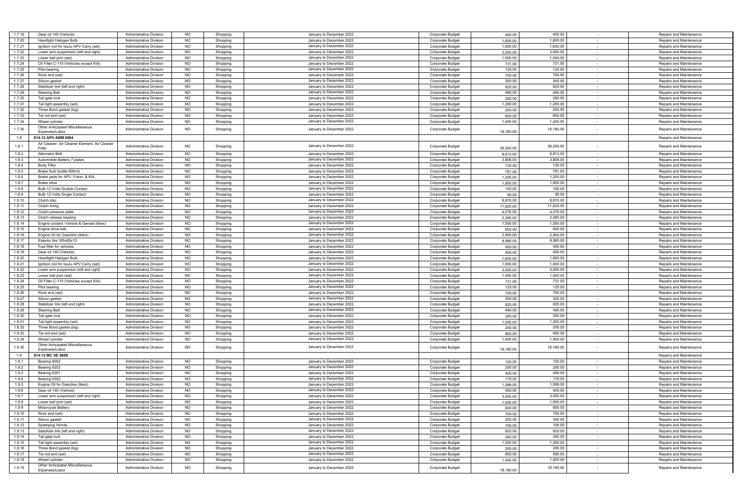| 1.7.19 | Gear oil 140 (Vehicle)                        | <b>Administrative Division</b> | <b>NO</b> | Shopping | January to December 2022 | <b>Corporate Budget</b> | 400.00    | 400.00    |        | Repairs and Maintenance |
|--------|-----------------------------------------------|--------------------------------|-----------|----------|--------------------------|-------------------------|-----------|-----------|--------|-------------------------|
| 1.7.20 | <b>Headlight Halogen Bulb</b>                 | <b>Administrative Division</b> | <b>NO</b> | Shopping | January to December 2022 | Corporate Budget        | 1,600.00  | 1,600.00  |        | Repairs and Maintenance |
| 1.7.21 | Ignition coil for Isuzu APV Carry (set)       | Administrative Division        | <b>NO</b> | Shopping | January to December 2022 | Corporate Budget        | 1,650.00  | 1,650.00  | $\sim$ | Repairs and Maintenance |
|        |                                               |                                |           |          |                          |                         |           |           |        |                         |
| 1.7.22 | Lower arm suspension (left and right)         | <b>Administrative Division</b> | <b>NO</b> | Shopping | January to December 2022 | Corporate Budget        | 3,000.00  | 3,000.00  | $\sim$ | Repairs and Maintenance |
| 1.7.23 | Lower ball joint (set)                        | <b>Administrative Division</b> | <b>NO</b> | Shopping | January to December 2022 | Corporate Budget        | 1,000.00  | 1,000.00  |        | Repairs and Maintenance |
| 1.7.24 | Oil Filter C-110 (Vehicles except KIA)        | <b>Administrative Division</b> | NO        |          | January to December 2022 | Corporate Budget        | 731.00    | 731.00    | $\sim$ | Repairs and Maintenance |
|        |                                               |                                |           | Shopping |                          |                         |           |           |        |                         |
| 1.7.25 | Pilot bearing                                 | Administrative Division        | <b>NO</b> | Shopping | January to December 2022 | Corporate Budget        | 125.00    | 125.00    |        | Repairs and Maintenance |
| 1.7.26 | Rock end (set)                                | <b>Administrative Division</b> | <b>NO</b> | Shopping | January to December 2022 | Corporate Budget        | 700.00    | 700.00    | $\sim$ | Repairs and Maintenance |
| 1.7.27 | Silicon gasket                                | <b>Administrative Division</b> | <b>NO</b> | Shopping | January to December 2022 | <b>Corporate Budget</b> | 300.00    | 300.00    | $\sim$ | Repairs and Maintenance |
|        |                                               |                                |           |          |                          |                         |           |           |        |                         |
| 1.7.28 | Stabilizer link (left and right)              | <b>Administrative Division</b> | <b>NO</b> | Shopping | January to December 2022 | Corporate Budget        | 825.00    | 825.00    |        | Repairs and Maintenance |
| 1.7.29 | <b>Steering Belt</b>                          | <b>Administrative Division</b> | NO        | Shopping | January to December 2022 | Corporate Budget        | 490.00    | 490.00    | $\sim$ | Repairs and Maintenance |
| 1.7.30 | Tail gate lock                                | Administrative Division        | <b>NO</b> | Shopping | January to December 2022 | Corporate Budget        | 260.00    | 260.00    |        | Repairs and Maintenance |
|        |                                               |                                |           |          |                          |                         |           |           |        |                         |
| 1.7.31 | Tail light assembly (set)                     | Administrative Division        | NO        | Shopping | January to December 2022 | <b>Corporate Budget</b> | 1,200.00  | 1,200.00  | $\sim$ | Repairs and Maintenance |
| 1.7.32 | Three Bond gasket (big)                       | <b>Administrative Division</b> | <b>NO</b> | Shopping | January to December 2022 | Corporate Budget        | 200.00    | 200.00    | $\sim$ | Repairs and Maintenance |
| 1.7.33 | Tie rod end (set)                             | <b>Administrative Division</b> | <b>NO</b> | Shopping | January to December 2022 | Corporate Budget        | 850.0     | 850.00    |        | Repairs and Maintenance |
|        |                                               |                                |           |          |                          |                         |           |           |        |                         |
| 1.7.34 | Wheel cylinder                                | <b>Administrative Division</b> | <b>NO</b> | Shopping | January to December 2022 | <b>Corporate Budget</b> | 1,400.00  | 1,400.00  |        | Repairs and Maintenance |
| 1.7.35 | Other Anticipated Miscellaneous               | <b>Administrative Division</b> | <b>NO</b> | Shopping | January to December 2022 | Corporate Budget        |           | 18,180.00 |        | Repairs and Maintenance |
|        | Expenses/Labor                                |                                |           |          |                          |                         | 18,180.00 |           |        |                         |
| 1.8    | 814-12 APV ABM 6664                           |                                |           |          |                          |                         |           |           |        | Repairs and Maintenance |
|        | Air Cleaner, Air Cleaner Element, Air Cleaner |                                |           |          |                          |                         |           |           |        |                         |
| 1.8.1  | Filter                                        | <b>Administrative Division</b> | <b>NO</b> | Shopping | January to December 2022 | <b>Corporate Budget</b> | 39,200.00 | 39,200.00 |        | Repairs and Maintenance |
|        |                                               |                                |           |          |                          |                         |           |           |        |                         |
| 1.8.2  | <b>Alternator Belt</b>                        | <b>Administrative Division</b> | <b>NO</b> | Shopping | January to December 2022 | Corporate Budget        | 8,813.00  | 8,813.00  |        | Repairs and Maintenance |
| 1.8.3  | Automobile Battery 7 plates                   | <b>Administrative Division</b> | NO        | Shopping | January to December 2022 | Corporate Budget        | 3,808.00  | 3,808.00  | $\sim$ | Repairs and Maintenance |
| 1.8.4  | <b>Body Filler</b>                            | <b>Administrative Division</b> | <b>NO</b> | Shopping | January to December 2022 | Corporate Budget        | 735.00    | 735.00    | $\sim$ | Repairs and Maintenance |
| 1.8.5  |                                               |                                | <b>NO</b> |          | January to December 2022 |                         |           |           |        |                         |
|        | Brake fluid (bottle 900ml)                    | <b>Administrative Division</b> |           | Shopping |                          | Corporate Budget        | 781.00    | 781.00    | $\sim$ | Repairs and Maintenance |
| 1.8.6  | Brake pads for APV, Foton, & KIA              | <b>Administrative Division</b> | <b>NO</b> | Shopping | January to December 2022 | Corporate Budget        | 1,200.00  | 1,200.00  | $\sim$ | Repairs and Maintenance |
| 1.8.7  | Brake shoe                                    | <b>Administrative Division</b> | <b>NO</b> | Shopping | January to December 2022 | Corporate Budget        | 1,800.00  | 1,800.00  |        | Repairs and Maintenance |
| 1.8.8  | Bulb 12 Volts Double Contact                  | <b>Administrative Division</b> | NO        |          | January to December 2022 |                         |           | 105.00    | $\sim$ | Repairs and Maintenance |
|        |                                               |                                |           | Shopping |                          | Corporate Budget        | 105.00    |           |        |                         |
| 1.8.9  | Bulb 12 Volts Single Contact                  | <b>Administrative Division</b> | <b>NO</b> | Shopping | January to December 2022 | Corporate Budget        | 95.00     | 95.00     | $\sim$ | Repairs and Maintenance |
| 1.8.10 | Clutch disc                                   | Administrative Division        | <b>NO</b> | Shopping | January to December 2022 | <b>Corporate Budget</b> | 8,870.00  | 8,870.00  | $\sim$ | Repairs and Maintenance |
| 1.8.11 | Clutch lining                                 | Administrative Division        | NO        | Shopping | January to December 2022 | Corporate Budget        | 11,620.00 | 11,620.00 | $\sim$ | Repairs and Maintenance |
|        |                                               |                                |           |          |                          |                         |           |           |        |                         |
| 1.8.12 | Clutch pressure plate                         | <b>Administrative Division</b> | <b>NO</b> | Shopping | January to December 2022 | Corporate Budget        | 4,076.00  | 4,076.00  |        | Repairs and Maintenance |
| 1.8.13 | Clutch release bearing                        | <b>Administrative Division</b> | <b>NO</b> | Shopping | January to December 2022 | <b>Corporate Budget</b> | 2,280.00  | 2,280.00  | $\sim$ | Repairs and Maintenance |
| 1.8.14 | Engine coolant -Vehicle & Genset (liters)     | <b>Administrative Division</b> | <b>NO</b> | Shopping | January to December 2022 | Corporate Budget        | 1.500.00  | 1,500.00  | $\sim$ | Repairs and Maintenance |
| 1.8.15 | Engine drive belt                             | Administrative Division        | <b>NO</b> | Shopping | January to December 2022 | Corporate Budget        | 600.00    | 600.00    |        | Repairs and Maintenance |
|        |                                               |                                |           |          |                          |                         |           |           | $\sim$ |                         |
| 1.8.16 | Engine Oil for Gasoline (liters)              | <b>Administrative Division</b> | <b>NO</b> | Shopping | January to December 2022 | Corporate Budget        | 2,904.00  | 2,904.00  | $\sim$ | Repairs and Maintenance |
| 1.8.17 | Exterior tire 165x80x13                       | <b>Administrative Division</b> | <b>NO</b> | Shopping | January to December 2022 | Corporate Budget        | 9,980.00  | 9,980.00  |        | Repairs and Maintenance |
| 1.8.18 | Fuel filter for vehicles                      | <b>Administrative Division</b> | <b>NO</b> | Shopping | January to December 2022 | Corporate Budget        | 450.00    | 450.00    | $\sim$ | Repairs and Maintenance |
|        |                                               | <b>Administrative Division</b> |           |          |                          |                         |           |           |        |                         |
| 1.8.19 | Gear oil 140 (Vehicle)                        |                                | <b>NO</b> | Shopping | January to December 2022 | Corporate Budget        | 400.00    | 400.00    | $\sim$ | Repairs and Maintenance |
| 1.8.20 | Headlight Halogen Bulb                        | <b>Administrative Division</b> | <b>NO</b> | Shopping | January to December 2022 | Corporate Budget        | 1,600.00  | 1,600.00  | $\sim$ | Repairs and Maintenance |
| 1.8.21 | Ignition coil for Isuzu APV Carry (set)       | <b>Administrative Division</b> | <b>NO</b> | Shopping | January to December 2022 | Corporate Budget        | 1,650.00  | 1,650.00  | $\sim$ | Repairs and Maintenance |
| 1.8.22 | Lower arm suspension (left and right)         | <b>Administrative Division</b> | <b>NO</b> |          | January to December 2022 | Corporate Budget        | 3,000.00  | 3,000.00  |        | Repairs and Maintenance |
|        |                                               |                                |           | Shopping |                          |                         |           |           |        |                         |
| 1.8.23 | Lower ball joint (set)                        | <b>Administrative Division</b> | <b>NO</b> | Shopping | January to December 2022 | Corporate Budget        | 1,000.00  | 1,000.00  | $\sim$ | Repairs and Maintenance |
| 1.8.24 | Oil Filter C-110 (Vehicles except KIA)        | <b>Administrative Division</b> | <b>NO</b> | Shopping | January to December 2022 | Corporate Budget        | 731.00    | 731.00    | $\sim$ | Repairs and Maintenance |
| 1.8.25 | Pilot bearing                                 | <b>Administrative Division</b> | <b>NO</b> | Shopping | January to December 2022 | <b>Corporate Budget</b> | 125.00    | 125.00    |        | Repairs and Maintenance |
|        |                                               |                                |           |          |                          |                         |           |           |        |                         |
| 1.8.26 | Rock end (set                                 | <b>Administrative Division</b> | NO        | Shopping | January to December 2022 | Corporate Budget        | 700.00    | 700.00    | $\sim$ | Repairs and Maintenance |
| 1.8.27 | Silicon gasket                                | <b>Administrative Division</b> | <b>NO</b> | Shopping | January to December 2022 | Corporate Budget        | 300.00    | 300.00    |        | Repairs and Maintenance |
| 1.8.28 | Stabilizer link (left and right)              | <b>Administrative Division</b> | <b>NO</b> | Shopping | January to December 2022 | <b>Corporate Budget</b> | 825.00    | 825.00    | $\sim$ | Repairs and Maintenance |
| 1.8.29 | <b>Steering Belt</b>                          | <b>Administrative Division</b> | <b>NO</b> | Shopping | January to December 2022 | Corporate Budget        | 490.00    | 490.00    | $\sim$ | Repairs and Maintenance |
|        |                                               |                                |           |          |                          |                         |           |           |        |                         |
| 1.8.30 | Tail gate lock                                | Administrative Division        | <b>NO</b> | Shopping | January to December 2022 | Corporate Budget        | 260.00    | 260.00    | $\sim$ | Repairs and Maintenance |
| 1.8.31 | Tail light assembly (set)                     | <b>Administrative Division</b> | <b>NO</b> | Shopping | January to December 2022 | Corporate Budget        | 1,200.00  | 1,200.00  |        | Repairs and Maintenance |
| 1.8.32 | Three Bond gasket (big)                       | <b>Administrative Division</b> | <b>NO</b> | Shopping | January to December 2022 | Corporate Budget        | 200.00    | 200.00    |        | Repairs and Maintenance |
| 1.8.33 | Tie rod end (set)                             | <b>Administrative Division</b> | <b>NO</b> |          | January to December 2022 | Corporate Budget        | 850.00    | 850.00    |        | Repairs and Maintenance |
|        |                                               |                                |           | Shopping |                          |                         |           |           |        |                         |
| 1.8.34 | Wheel cylinder                                | <b>Administrative Division</b> | <b>NO</b> | Shopping | January to December 2022 | Corporate Budget        | 1.400.00  | 1,400.00  |        | Repairs and Maintenance |
| 1.8.35 | Other Anticipated Miscellaneous               | <b>Administrative Division</b> | <b>NO</b> | Shopping | January to December 2022 | Corporate Budget        |           | 18,180.00 |        | Repairs and Maintenance |
|        | Expenses/Labo                                 |                                |           |          |                          |                         | 18,180.00 |           |        |                         |
| 1.9    | 814-13 MC SE 6669                             |                                |           |          |                          |                         |           |           |        | Repairs and Maintenance |
| 1.9.1  |                                               |                                | <b>NO</b> |          |                          |                         |           | 120.00    |        |                         |
|        | Bearing 6002                                  | <b>Administrative Division</b> |           | Shopping | January to December 2022 | Corporate Budget        | 120.00    |           |        | Repairs and Maintenance |
| 1.9.2  | Bearing 6202                                  | <b>Administrative Division</b> | <b>NO</b> | Shopping | January to December 2022 | <b>Corporate Budget</b> | 200.00    | 200.00    | $\sim$ | Repairs and Maintenance |
| 1.9.3  | Bearing 6301                                  | <b>Administrative Division</b> | <b>NO</b> | Shopping | January to December 2022 | Corporate Budget        | 400.00    | 400.00    |        | Repairs and Maintenance |
| 1.9.4  | Bearing 6302                                  | Administrative Division        | <b>NO</b> | Shopping | January to December 2022 | <b>Corporate Budget</b> | 179.00    | 179.00    | $\sim$ | Repairs and Maintenance |
| 1.9.5  | Engine Oil for Gasoline (liters)              | Administrative Division        | <b>NO</b> |          | January to December 2022 | Corporate Budget        | 1,089.00  | 1,089.00  |        | Repairs and Maintenance |
|        |                                               |                                |           | Shopping |                          |                         |           |           |        |                         |
|        | Gear oil 140 (Vehicle)                        | vullillisuauve Divisio         |           | onopping | January to December 2022 | Corporate Budge         | 400.0     | 400.00    |        | Repairs and Maintenanc  |
| 1.9.7  | Lower arm suspension (left and right)         | <b>Administrative Division</b> | <b>NO</b> | Shopping | January to December 2022 | Corporate Budget        | 3,000.00  | 3,000.00  | $\sim$ | Repairs and Maintenance |
| 1.9.8  | Lower ball joint (set)                        | <b>Administrative Division</b> | <b>NO</b> | Shopping | January to December 2022 | Corporate Budget        | 1,000.00  | 1,000.00  | $\sim$ | Repairs and Maintenance |
|        |                                               |                                |           |          |                          | Corporate Budget        |           |           |        |                         |
| 1.9.9  | Motorcycle Battery                            | <b>Administrative Division</b> | <b>NO</b> | Shopping | January to December 2022 |                         | 600.00    | 600.00    | $\sim$ | Repairs and Maintenance |
| 1.9.10 | Rock end (set)                                | <b>Administrative Division</b> | <b>NO</b> | Shopping | January to December 2022 | Corporate Budget        | 700.00    | 700.00    | $\sim$ | Repairs and Maintenance |
| 1.9.11 | Silicon gasket                                | <b>Administrative Division</b> | <b>NO</b> | Shopping | January to December 2022 | Corporate Budget        | 300.00    | 300.00    |        | Repairs and Maintenance |
| 1.9.12 | Sparkplug Honda                               | <b>Administrative Division</b> | <b>NO</b> | Shopping | January to December 2022 | Corporate Budget        | 106.00    | 106.00    | $\sim$ | Repairs and Maintenance |
|        |                                               |                                |           |          |                          |                         |           |           |        |                         |
| 1.9.13 | Stabilizer link (left and right)              | <b>Administrative Division</b> | <b>NO</b> | Shopping | January to December 2022 | Corporate Budget        | 825.00    | 825.00    | $\sim$ | Repairs and Maintenance |
| 1.9.14 | Tail gate lock                                | <b>Administrative Division</b> | <b>NO</b> | Shopping | January to December 2022 | Corporate Budget        | 260.00    | 260.00    | $\sim$ | Repairs and Maintenance |
| 1.9.15 | Tail light assembly (set)                     | <b>Administrative Division</b> | <b>NO</b> | Shopping | January to December 2022 | Corporate Budget        | 1,200.00  | 1,200.00  | $\sim$ | Repairs and Maintenance |
| 1.9.16 |                                               |                                | <b>NO</b> |          | January to December 2022 | Corporate Budget        |           | 200.00    | $\sim$ |                         |
|        | Three Bond gasket (big)                       | <b>Administrative Division</b> |           | Shopping |                          |                         | 200.00    |           |        | Repairs and Maintenance |
| 1.9.17 | Tie rod end (set)                             | <b>Administrative Division</b> | NO        | Shopping | January to December 2022 | Corporate Budget        | 850.00    | 850.00    | $\sim$ | Repairs and Maintenance |
| 1.9.18 | Wheel cylinder                                | <b>Administrative Division</b> | NO        | Shopping | January to December 2022 | Corporate Budget        | 1,400.00  | 1,400.00  | $\sim$ | Repairs and Maintenance |
|        | Other Anticipated Miscellaneous               |                                |           |          |                          |                         |           |           |        |                         |
| 1.9.19 | Expenses/Labor                                | <b>Administrative Division</b> | <b>NO</b> | Shopping | January to December 2022 | Corporate Budget        | 18,180.00 | 18,180.00 | $\sim$ | Repairs and Maintenance |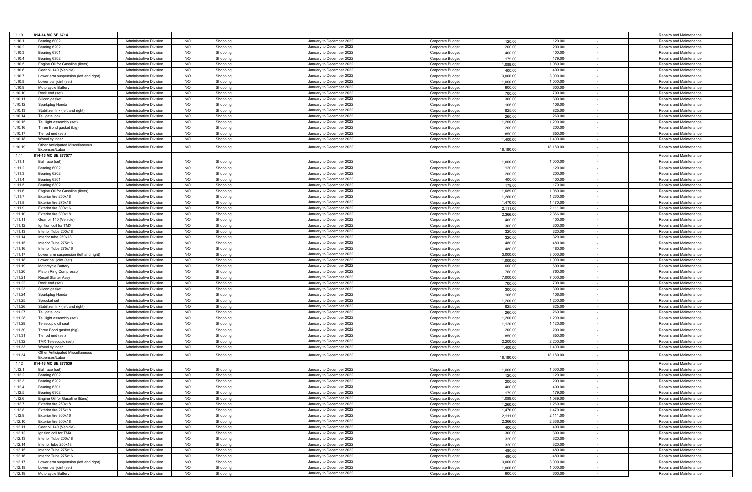| 1.10               | 814-14 MC SE 6714                                    |                                                                  |                        |                      |                                                      |                                      |                    |                    |                                    | Repairs and Maintenance                            |
|--------------------|------------------------------------------------------|------------------------------------------------------------------|------------------------|----------------------|------------------------------------------------------|--------------------------------------|--------------------|--------------------|------------------------------------|----------------------------------------------------|
| 1.10.1             | Bearing 6002                                         | <b>Administrative Division</b>                                   | <b>NO</b>              | Shopping             | January to December 2022                             | Corporate Budget                     | 120.00             | 120.00             |                                    | Repairs and Maintenance                            |
| 1.10.2             | Bearing 6202                                         | Administrative Division                                          | NO                     | Shopping             | January to December 2022                             | Corporate Budget                     | 200.00             | 200.00             | $\sim$                             | Repairs and Maintenance                            |
| 1.10.3             | Bearing 6301                                         | <b>Administrative Division</b>                                   | <b>NO</b>              | Shopping             | January to December 2022                             | Corporate Budget                     | 400.00             | 400.00             |                                    | Repairs and Maintenance                            |
| 1.10.4             | Bearing 6302                                         | Administrative Division                                          | <b>NO</b>              | Shopping             | January to December 2022                             | Corporate Budget                     | 179.00             | 179.00             | $\sim$                             | Repairs and Maintenance                            |
| 1.10.5             | Engine Oil for Gasoline (liters)                     | <b>Administrative Division</b>                                   | <b>NO</b>              | Shopping             | January to December 2022                             | Corporate Budget                     | 1,089.00           | 1,089.00           | $\sim$                             | Repairs and Maintenance                            |
| 1.10.6             | Gear oil 140 (Vehicle)                               | <b>Administrative Division</b>                                   | <b>NO</b>              | Shopping             | January to December 2022                             | Corporate Budget                     | 400.00             | 400.00             | $\sim$                             | Repairs and Maintenance                            |
| 1.10.7             | Lower arm suspension (left and right)                | <b>Administrative Division</b>                                   | <b>NO</b>              | Shopping             | January to December 2022                             | Corporate Budget                     | 3,000.00           | 3,000.00           | $\sim$                             | Repairs and Maintenance                            |
| 1.10.8             | Lower ball joint (set)                               | <b>Administrative Division</b>                                   | <b>NO</b>              | Shopping             | January to December 2022                             | Corporate Budget                     | 1,000.00           | 1,000.00           | $\sim$                             | Repairs and Maintenance                            |
| 1.10.9             | Motorcycle Battery                                   | Administrative Division                                          | <b>NO</b>              | Shopping             | January to December 2022                             | Corporate Budget                     | 600.00             | 600.00             | $\overline{\phantom{a}}$           | Repairs and Maintenance                            |
| 1.10.10            | Rock end (set)                                       | <b>Administrative Division</b>                                   | <b>NO</b>              | Shopping             | January to December 2022                             | Corporate Budget                     | 700.00             | 700.00             | $\sim$                             | Repairs and Maintenance                            |
| 1.10.11            | Silicon gasket                                       | <b>Administrative Division</b>                                   | <b>NO</b>              | Shopping             | January to December 2022                             | Corporate Budget                     | 300.00             | 300.00             | $\overline{\phantom{a}}$           | Repairs and Maintenance                            |
| 1.10.12            | Sparkplug Honda                                      | <b>Administrative Division</b>                                   | NO                     | Shopping             | January to December 2022                             | Corporate Budget                     | 106.00             | 106.00             | $\sim$                             | Repairs and Maintenance                            |
| 1.10.13            | Stabilizer link (left and right)                     | <b>Administrative Division</b>                                   | <b>NO</b>              | Shopping             | January to December 2022<br>January to December 2022 | Corporate Budget                     | 825.00             | 825.00             |                                    | Repairs and Maintenance                            |
| 1.10.14<br>1.10.15 | Tail gate lock                                       | Administrative Division<br><b>Administrative Division</b>        | <b>NO</b><br><b>NO</b> | Shopping             | January to December 2022                             | Corporate Budget                     | 260.00<br>1.200.00 | 260.00<br>1,200.00 | $\sim$<br>$\sim$                   | Repairs and Maintenance                            |
| 1.10.16            | Tail light assembly (set)<br>Three Bond gasket (big) | <b>Administrative Division</b>                                   | <b>NO</b>              | Shopping<br>Shopping | January to December 2022                             | Corporate Budget<br>Corporate Budget | 200.00             | 200.00             |                                    | Repairs and Maintenance<br>Repairs and Maintenance |
| 1.10.17            | Tie rod end (set)                                    | <b>Administrative Division</b>                                   | NO                     | Shopping             | January to December 2022                             | <b>Corporate Budget</b>              | 850.00             | 850.00             | $\sim$<br>$\sim$                   | Repairs and Maintenance                            |
| 1.10.18            | Wheel cylinder                                       | Administrative Division                                          | <b>NO</b>              | Shopping             | January to December 2022                             | Corporate Budget                     | 1,400.00           | 1,400.00           |                                    | Repairs and Maintenance                            |
|                    | Other Anticipated Miscellaneous                      |                                                                  |                        |                      |                                                      |                                      |                    |                    |                                    |                                                    |
| 1.10.19            | Expenses/Labor                                       | <b>Administrative Division</b>                                   | <b>NO</b>              | Shopping             | January to December 2022                             | Corporate Budget                     | 18,180.00          | 18,180.00          |                                    | Repairs and Maintenance                            |
| 1.11               | 814-15 MC SE 877577                                  |                                                                  |                        |                      |                                                      |                                      |                    |                    | $\sim$                             | Repairs and Maintenance                            |
| 1.11.1             | Ball race (set)                                      | <b>Administrative Division</b>                                   | <b>NO</b>              | Shopping             | January to December 2022                             | Corporate Budget                     | 1,000.00           | 1,000.00           | $\sim$                             | Repairs and Maintenance                            |
| 1.11.2             | Bearing 6002                                         | <b>Administrative Division</b>                                   | <b>NO</b>              | Shopping             | January to December 2022                             | Corporate Budget                     | 120.00             | 120.00             | $\sim$                             | Repairs and Maintenance                            |
| 1.11.3             | Bearing 6202                                         | <b>Administrative Division</b>                                   | <b>NO</b>              | Shopping             | January to December 2022                             | Corporate Budget                     | 200.00             | 200.00             | $\sim$                             | Repairs and Maintenance                            |
| 1.11.4             | Bearing 6301                                         | <b>Administrative Division</b>                                   | <b>NO</b>              | Shopping             | January to December 2022                             | Corporate Budget                     | 400.00             | 400.00             | $\sim$                             | Repairs and Maintenance                            |
| 1.11.5             | Bearing 6302                                         | <b>Administrative Division</b>                                   | <b>NO</b>              | Shopping             | January to December 2022                             | Corporate Budget                     | 179.00             | 179.00             | $\sim$                             | Repairs and Maintenance                            |
| 1.11.6             | Engine Oil for Gasoline (liters)                     | Administrative Division                                          | <b>NO</b>              | Shopping             | January to December 2022                             | Corporate Budget                     | 1.089.00           | 1,089.00           | $\overline{\phantom{a}}$           | Repairs and Maintenance                            |
| 1.11.7             | Exterior tire 250x18                                 | <b>Administrative Division</b>                                   | <b>NO</b>              | Shopping             | January to December 2022                             | Corporate Budget                     | 1,260.00           | 1,260.00           | $\sim$                             | Repairs and Maintenance                            |
| 1.11.8             | Exterior tire 275x18                                 | <b>Administrative Division</b>                                   | <b>NO</b>              | Shopping             | January to December 2022                             | Corporate Budget                     | 1,470.00           | 1,470.00           |                                    | Repairs and Maintenance                            |
| 1.11.9             | Exterior tire 300x16                                 | Administrative Division                                          | <b>NO</b>              | Shopping             | January to December 2022                             | Corporate Budget                     | 2,111.00           | 2,111.00           | $\sim$                             | Repairs and Maintenance                            |
| 1.11.10            | Exterior tire 300x18                                 | <b>Administrative Division</b>                                   | <b>NO</b>              | Shopping             | January to December 2022                             | Corporate Budget                     | 2,366.00           | 2,366.00           | $\sim$                             | Repairs and Maintenance                            |
| 1.11.11            | Gear oil 140 (Vehicle)                               | Administrative Division                                          | <b>NO</b>              | Shopping             | January to December 2022                             | Corporate Budget                     | 400.00             | 400.00             | $\overline{\phantom{a}}$           | Repairs and Maintenance                            |
| 1.11.12            | Ignition coil for TMX                                | <b>Administrative Division</b>                                   | <b>NO</b>              | Shopping             | January to December 2022                             | Corporate Budget                     | 300.00             | 300.00             | $\sim$                             | Repairs and Maintenance                            |
| 1.11.13            | Interior Tube 200x18                                 | <b>Administrative Division</b>                                   | <b>NO</b>              | Shopping             | January to December 2022                             | Corporate Budget                     | 320.00             | 320.00             |                                    | Repairs and Maintenance                            |
| 1.11.14            | Interior tube 250x18                                 | <b>Administrative Division</b>                                   | <b>NO</b>              | Shopping             | January to December 2022                             | Corporate Budget                     | 320.00             | 320.00             | $\sim$                             | Repairs and Maintenance                            |
| 1.11.15            | Interior Tube 275x16                                 | <b>Administrative Division</b>                                   | <b>NO</b>              | Shopping             | January to December 2022                             | Corporate Budget                     | 480.00             | 480.00             |                                    | Repairs and Maintenance                            |
| 1.11.16            | Interior Tube 275x16                                 | <b>Administrative Division</b>                                   | <b>NO</b>              | Shopping             | January to December 2022                             | Corporate Budget                     | 480.00             | 480.00             | $\sim$                             | Repairs and Maintenance                            |
| 1.11.17            | Lower arm suspension (left and right)                | <b>Administrative Division</b>                                   | <b>NO</b>              | Shopping             | January to December 2022                             | Corporate Budget                     | 3.000.00           | 3,000.00           | $\sim$                             | Repairs and Maintenance                            |
| 1.11.18<br>1.11.19 | Lower ball joint (set)<br>Motorcycle Battery         | <b>Administrative Division</b><br><b>Administrative Division</b> | <b>NO</b><br><b>NO</b> | Shopping             | January to December 2022<br>January to December 2022 | Corporate Budget                     | 1,000.00           | 1,000.00<br>600.00 |                                    | Repairs and Maintenance<br>Repairs and Maintenance |
| 1.11.20            |                                                      | <b>Administrative Division</b>                                   | <b>NO</b>              | Shopping             | January to December 2022                             | Corporate Budget                     | 600.00             | 760.00             | $\sim$<br>$\sim$                   |                                                    |
| 1.11.21            | Piston Ring Compressor<br>Recoil Starter Assy        | Administrative Division                                          | <b>NO</b>              | Shopping<br>Shopping | January to December 2022                             | Corporate Budget<br>Corporate Budget | 760.00<br>7,000.00 | 7,000.00           |                                    | Repairs and Maintenance<br>Repairs and Maintenance |
| 1.11.22            | Rock end (set)                                       | <b>Administrative Division</b>                                   | <b>NO</b>              | Shopping             | January to December 2022                             | Corporate Budget                     | 700.00             | 700.00             | $\overline{\phantom{a}}$<br>$\sim$ | Repairs and Maintenance                            |
| 1.11.23            | Silicon gasket                                       | <b>Administrative Division</b>                                   | <b>NO</b>              | Shopping             | January to December 2022                             | Corporate Budget                     | 300.00             | 300.00             | $\sim$                             | Repairs and Maintenance                            |
| 1.11.24            | Sparkplug Honda                                      | Administrative Division                                          | <b>NO</b>              | Shopping             | January to December 2022                             | Corporate Budget                     | 106.00             | 106.00             | $\sim$                             | Repairs and Maintenance                            |
| 1.11.25            | Sprocket set                                         | <b>Administrative Division</b>                                   | <b>NO</b>              | Shopping             | January to December 2022                             | Corporate Budget                     | 1,200.00           | 1,200.00           | $\sim$                             | Repairs and Maintenance                            |
| 1.11.26            | Stabilizer link (left and right)                     | Administrative Division                                          | <b>NO</b>              | Shopping             | January to December 2022                             | Corporate Budget                     | 825.00             | 825.00             | $\overline{\phantom{a}}$           | Repairs and Maintenance                            |
| 1.11.27            | Tail gate lock                                       | <b>Administrative Division</b>                                   | <b>NO</b>              | Shopping             | January to December 2022                             | Corporate Budget                     | 260.00             | 260.00             | $\sim$                             | Repairs and Maintenance                            |
| 1.11.28            | Tail light assembly (set)                            | <b>Administrative Division</b>                                   | <b>NO</b>              | Shopping             | January to December 2022                             | Corporate Budget                     | 1,200.00           | 1,200.00           |                                    | Repairs and Maintenance                            |
| 1.11.29            | Telescopic oil seal                                  | <b>Administrative Division</b>                                   | <b>NO</b>              | Shopping             | January to December 2022                             | Corporate Budget                     | 1,120.00           | 1,120.00           | $\sim$                             | Repairs and Maintenance                            |
| 1.11.30            | Three Bond gasket (big)                              | <b>Administrative Division</b>                                   | <b>NO</b>              | Shopping             | January to December 2022                             | Corporate Budget                     | 200.00             | 200.00             |                                    | Repairs and Maintenance                            |
| 1.11.31            | Tie rod end (set)                                    | <b>Administrative Division</b>                                   | <b>NO</b>              | Shopping             | January to December 2022                             | Corporate Budget                     | 850.00             | 850.00             | $\sim$                             | Repairs and Maintenance                            |
| 1.11.32            | TMX Telescopic (set)                                 | <b>Administrative Division</b>                                   | <b>NO</b>              | Shopping             | January to December 2022                             | Corporate Budget                     | 2,200.00           | 2,200.00           | $\sim$                             | Repairs and Maintenance                            |
| 1.11.33            | Wheel cylinder                                       | <b>Administrative Division</b>                                   | <b>NO</b>              | Shopping             | January to December 2022                             | Corporate Budget                     | 1,400.00           | 1,400.00           |                                    | Repairs and Maintenance                            |
| 1.11.34            | Other Anticipated Miscellaneous                      | <b>Administrative Division</b>                                   | <b>NO</b>              | Shopping             | January to December 2022                             | Corporate Budget                     |                    | 18,180.00          |                                    | Repairs and Maintenance                            |
|                    | Expenses/Labor                                       |                                                                  |                        |                      |                                                      |                                      | 18,180.00          |                    |                                    |                                                    |
| 1.12               | 814-16 MC SE 877539                                  |                                                                  |                        |                      |                                                      |                                      |                    |                    | $\sim$                             | Repairs and Maintenance                            |
| 1.12.1             | Ball race (set)                                      | <b>Administrative Division</b>                                   | <b>NO</b>              | Shopping             | January to December 2022                             | Corporate Budget                     | 1,000.00           | 1,000.00           | $\sim$                             | Repairs and Maintenance                            |
| 1.12.2             | Bearing 6002                                         | <b>Administrative Division</b>                                   | <b>NO</b>              | Shopping             | January to December 2022                             | Corporate Budget                     | 120.00             | 120.00             | $\sim$                             | Repairs and Maintenance                            |
| 1.12.3             | Bearing 6202                                         | <b>Administrative Division</b>                                   | <b>NO</b>              | Shopping             | January to December 2022<br>January to December 2022 | Corporate Budget                     | 200.00             | 200.00             |                                    | Repairs and Maintenance                            |
| 1.12.4<br>1.12.5   | Bearing 6301<br>Bearing 6302                         | Administrative Division                                          | <b>NO</b><br><b>NO</b> | Shopping<br>Shopping |                                                      | Corporate Budget<br>Corporate Budget | 400.00<br>179.00   | 400.00<br>179.00   |                                    | Repairs and Maintenance                            |
| 1.12.6             | Engine Oil for Gasoline (liters)                     | Administrative Division<br>Administrative Division               | <b>NO</b>              | Shopping             | January to December 2022<br>January to December 2022 | Corporate Budget                     | 1,089.00           | 1,089.00           | $\sim$                             | Repairs and Maintenance<br>Repairs and Maintenance |
| 1.12.7             | Exterior tire 250x18                                 | <b>Administrative Division</b>                                   | <b>NO</b>              | Shopping             | January to December 2022                             | Corporate Budget                     | 1,260.00           | 1,260.00           | $\sim$                             | Repairs and Maintenance                            |
| 1.12.8             | Exterior tire 275x18                                 | <b>Administrative Division</b>                                   | <b>NO</b>              | Shopping             | January to December 2022                             | Corporate Budget                     | 1,470.00           | 1,470.00           | $\overline{\phantom{a}}$           | Repairs and Maintenance                            |
| 1.12.9             | Exterior tire 300x16                                 | Administrative Division                                          | <b>NO</b>              | Shopping             | January to December 2022                             | Corporate Budget                     | 2,111.00           | 2,111.00           | $\sim$                             | Repairs and Maintenance                            |
| 1.12.10            | Exterior tire 300x18                                 | <b>Administrative Division</b>                                   | <b>NO</b>              | Shopping             | January to December 2022                             | Corporate Budget                     | 2,366.00           | 2,366.00           | $\sim$                             | Repairs and Maintenance                            |
| 1.12.11            | Gear oil 140 (Vehicle)                               | <b>Administrative Division</b>                                   | <b>NO</b>              | Shopping             | January to December 2022                             | Corporate Budget                     | 400.00             | 400.00             | $\sim$                             | Repairs and Maintenance                            |
| 1.12.12            | Ignition coil for TMX                                | <b>Administrative Division</b>                                   | <b>NO</b>              | Shopping             | January to December 2022                             | Corporate Budget                     | 300.00             | 300.00             | $\sim$                             | Repairs and Maintenance                            |
| 1.12.13            | Interior Tube 200x18                                 | Administrative Division                                          | <b>NO</b>              | Shopping             | January to December 2022                             | Corporate Budget                     | 320.00             | 320.00             | $\sim$                             | Repairs and Maintenance                            |
| 1.12.14            | Interior tube 250x18                                 | Administrative Division                                          | NO                     | Shopping             | January to December 2022                             | Corporate Budget                     | 320.00             | 320.00             | $\sim$                             | Repairs and Maintenance                            |
| 1.12.15            | Interior Tube 275x16                                 | <b>Administrative Division</b>                                   | <b>NO</b>              | Shopping             | January to December 2022                             | Corporate Budget                     | 480.00             | 480.00             | $\sim$                             | Repairs and Maintenance                            |
| 1.12.16            | Interior Tube 275x16                                 | <b>Administrative Division</b>                                   | <b>NO</b>              | Shopping             | January to December 2022                             | Corporate Budget                     | 480.00             | 480.00             | $\sim$                             | Repairs and Maintenance                            |
| 1.12.17            | Lower arm suspension (left and right)                | <b>Administrative Division</b>                                   | <b>NO</b>              | Shopping             | January to December 2022                             | Corporate Budget                     | 3,000.00           | 3,000.00           | $\sim$                             | Repairs and Maintenance                            |
| 1.12.18            | Lower ball joint (set)                               | Administrative Division                                          | <b>NO</b>              | Shopping             | January to December 2022                             | Corporate Budget                     | 1,000.00           | 1,000.00           | $\sim$                             | Repairs and Maintenance                            |
| 1.12.19            | Motorcycle Battery                                   | <b>Administrative Division</b>                                   | <b>NO</b>              | Shopping             | January to December 2022                             | <b>Corporate Budget</b>              | 600.00             | 600.00             | $\sim$ $-$                         | Repairs and Maintenance                            |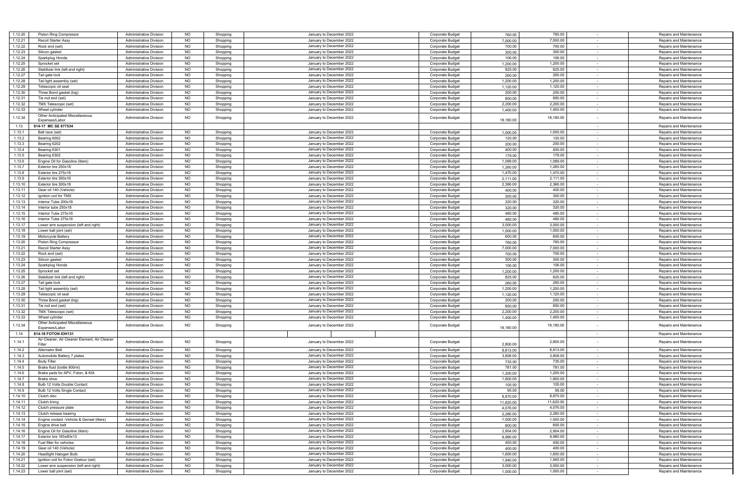| 1.12.20 | Piston Ring Compressor                        | <b>Administrative Division</b> | <b>NO</b> | Shopping | January to December 2022 | Corporate Budget        | 760.00    | 760.00    | Repairs and Maintenance                             |
|---------|-----------------------------------------------|--------------------------------|-----------|----------|--------------------------|-------------------------|-----------|-----------|-----------------------------------------------------|
| 1.12.21 | Recoil Starter Assy                           | <b>Administrative Division</b> | <b>NO</b> | Shopping | January to December 2022 | Corporate Budget        | 7,000.00  | 7,000.00  | Repairs and Maintenance                             |
| 1.12.22 | Rock end (set)                                | <b>Administrative Division</b> | <b>NO</b> | Shopping | January to December 2022 | Corporate Budget        | 700.00    | 700.00    | Repairs and Maintenance<br>$\sim$                   |
| 1.12.23 | Silicon gasket                                | Administrative Division        | <b>NO</b> | Shopping | January to December 2022 | Corporate Budget        | 300.00    | 300.00    | Repairs and Maintenance<br>$\sim$                   |
| 1.12.24 | Sparkplug Honda                               | Administrative Division        | <b>NO</b> | Shopping | January to December 2022 | Corporate Budget        | 106.00    | 106.00    | Repairs and Maintenance<br>$\sim$                   |
|         |                                               |                                |           |          |                          |                         |           |           |                                                     |
| 1.12.25 | Sprocket set                                  | Administrative Division        | <b>NO</b> | Shopping | January to December 2022 | Corporate Budget        | 1,200.00  | 1,200.00  | Repairs and Maintenance<br>$\sim$                   |
| 1.12.26 | Stabilizer link (left and right)              | <b>Administrative Division</b> | NO        | Shopping | January to December 2022 | Corporate Budget        | 825.00    | 825.00    | Repairs and Maintenance                             |
| 1.12.27 | Tail gate lock                                | Administrative Division        | NO        | Shopping | January to December 2022 | Corporate Budget        | 260.00    | 260.00    | Repairs and Maintenance<br>$\sim$                   |
| 1.12.28 | Tail light assembly (set)                     | Administrative Division        | <b>NO</b> | Shopping | January to December 2022 | Corporate Budget        | 1,200.00  | 1,200.00  | Repairs and Maintenance<br>$\sim$                   |
| 1.12.29 | Telescopic oil seal                           | Administrative Division        | <b>NO</b> |          | January to December 2022 | Corporate Budget        | 1,120.00  | 1,120.00  | Repairs and Maintenance                             |
|         |                                               |                                |           | Shopping |                          |                         |           |           | $\sim$                                              |
| 1.12.30 | Three Bond gasket (big)                       | Administrative Division        | <b>NO</b> | Shopping | January to December 2022 | Corporate Budget        | 200.00    | 200.00    | Repairs and Maintenance<br>$\sim$                   |
| 1.12.31 | Tie rod end (set)                             | Administrative Division        | NO        | Shopping | January to December 2022 | Corporate Budget        | 850.00    | 850.00    | Repairs and Maintenance                             |
| 1.12.32 | TMX Telescopic (set)                          | Administrative Division        | <b>NO</b> | Shopping | January to December 2022 | Corporate Budget        | 2,200.00  | 2,200.00  | Repairs and Maintenance<br>$\sim$                   |
| 1.12.33 | Wheel cylinder                                | <b>Administrative Division</b> | <b>NO</b> |          | January to December 2022 | Corporate Budget        | 1,400.00  | 1,400.00  | Repairs and Maintenance<br>$\sim$                   |
|         |                                               |                                |           | Shopping |                          |                         |           |           |                                                     |
| 1.12.34 | Other Anticipated Miscellaneous               | <b>Administrative Division</b> | <b>NO</b> | Shopping | January to December 2022 | Corporate Budget        |           | 18,180.00 | Repairs and Maintenance<br>$\overline{\phantom{a}}$ |
|         | Expenses/Labor                                |                                |           |          |                          |                         | 18,180.00 |           |                                                     |
| 1.13    | 814-17 MC SE 877534                           |                                |           |          |                          |                         |           |           | Repairs and Maintenance<br>$\overline{\phantom{a}}$ |
| 1.13.1  | Ball race (set)                               | <b>Administrative Division</b> | <b>NO</b> | Shopping | January to December 2022 | Corporate Budget        | 1,000.00  | 1,000.00  | Repairs and Maintenance                             |
| 1.13.2  | Bearing 6002                                  | Administrative Division        | NO        | Shopping | January to December 2022 | Corporate Budget        | 120.00    | 120.00    | Repairs and Maintenance<br>$\sim$                   |
|         |                                               |                                |           |          |                          |                         |           |           |                                                     |
| 1.13.3  | Bearing 6202                                  | <b>Administrative Division</b> | NO        | Shopping | January to December 2022 | Corporate Budget        | 200.00    | 200.00    | Repairs and Maintenance                             |
| 1.13.4  | Bearing 6301                                  | Administrative Division        | <b>NO</b> | Shopping | January to December 2022 | <b>Corporate Budget</b> | 400.00    | 400.00    | Repairs and Maintenance<br>$\sim$                   |
| 1.13.5  | Bearing 6302                                  | Administrative Division        | <b>NO</b> | Shopping | January to December 2022 | Corporate Budget        | 179.00    | 179.00    | Repairs and Maintenance<br>$\sim$                   |
| 1.13.6  | Engine Oil for Gasoline (liters)              | Administrative Division        | <b>NO</b> | Shopping | January to December 2022 | Corporate Budget        | 1,089.00  | 1,089.00  | Repairs and Maintenance                             |
|         |                                               |                                |           |          | January to December 2022 |                         |           |           |                                                     |
| 1.13.7  | Exterior tire 250x18                          | <b>Administrative Division</b> | NO        | Shopping |                          | Corporate Budget        | 1,260.00  | 1,260.00  | Repairs and Maintenance<br>$\sim$                   |
| 1.13.8  | Exterior tire 275x18                          | Administrative Division        | <b>NO</b> | Shopping | January to December 2022 | Corporate Budget        | 1,470.00  | 1,470.00  | Repairs and Maintenance                             |
| 1.13.9  | Exterior tire 300x16                          | <b>Administrative Division</b> | <b>NO</b> | Shopping | January to December 2022 | Corporate Budget        | 2,111.00  | 2,111.00  | Repairs and Maintenance<br>$\sim$                   |
| 1.13.10 | Exterior tire 300x18                          | Administrative Division        | <b>NO</b> | Shopping | January to December 2022 | Corporate Budget        | 2,366.00  | 2,366.00  | Repairs and Maintenance<br>$\sim$                   |
| 1.13.11 | Gear oil 140 (Vehicle)                        |                                | NO        |          |                          | Corporate Budget        | 400.00    |           |                                                     |
|         |                                               | <b>Administrative Division</b> |           | Shopping | January to December 2022 |                         |           | 400.00    | Repairs and Maintenance                             |
| 1.13.12 | Ignition coil for TMX                         | <b>Administrative Division</b> | NO        | Shopping | January to December 2022 | Corporate Budget        | 300.00    | 300.00    | Repairs and Maintenance<br>$\sim$                   |
| 1.13.13 | Interior Tube 200x18                          | Administrative Division        | <b>NO</b> | Shopping | January to December 2022 | Corporate Budget        | 320.00    | 320.00    | Repairs and Maintenance                             |
| 1.13.14 | Interior tube 250x18                          | Administrative Division        | <b>NO</b> | Shopping | January to December 2022 | <b>Corporate Budget</b> | 320.00    | 320.00    | Repairs and Maintenance<br>$\sim$                   |
| 1.13.15 | Interior Tube 275x16                          | Administrative Division        | <b>NO</b> | Shopping | January to December 2022 | Corporate Budget        | 480.00    | 480.00    | Repairs and Maintenance<br>$\sim$                   |
|         |                                               |                                |           |          |                          |                         |           |           |                                                     |
| 1.13.16 | Interior Tube 275x16                          | Administrative Division        | <b>NO</b> | Shopping | January to December 2022 | Corporate Budget        | 480.00    | 480.00    | Repairs and Maintenance                             |
| 1.13.17 | Lower arm suspension (left and right)         | <b>Administrative Division</b> | NO        | Shopping | January to December 2022 | Corporate Budget        | 3,000.00  | 3,000.00  | Repairs and Maintenance<br>$\sim$                   |
| 1.13.18 | Lower ball joint (set)                        | <b>Administrative Division</b> | NO        | Shopping | January to December 2022 | Corporate Budget        | 1,000.00  | 1,000.00  | Repairs and Maintenance                             |
| 1.13.19 | Motorcycle Battery                            | Administrative Division        | NO        | Shopping | January to December 2022 | Corporate Budget        | 600.00    | 600.00    | Repairs and Maintenance<br>$\sim$                   |
|         |                                               |                                |           |          |                          |                         |           |           |                                                     |
| 1.13.20 | <b>Piston Ring Compressor</b>                 | Administrative Division        | <b>NO</b> | Shopping | January to December 2022 | Corporate Budget        | 760.00    | 760.00    | Repairs and Maintenance<br>$\sim$                   |
| 1.13.21 | Recoil Starter Assy                           | <b>Administrative Division</b> | <b>NO</b> | Shopping | January to December 2022 | Corporate Budget        | 7,000.00  | 7,000.00  | Repairs and Maintenance                             |
| 1.13.22 | Rock end (set)                                | <b>Administrative Division</b> | NO        | Shopping | January to December 2022 | Corporate Budget        | 700.00    | 700.00    | Repairs and Maintenance<br>$\sim$                   |
| 1.13.23 | Silicon gasket                                | Administrative Division        | <b>NO</b> | Shopping | January to December 2022 | Corporate Budget        | 300.00    | 300.00    | Repairs and Maintenance<br>$\sim$                   |
| 1.13.24 |                                               | Administrative Division        | <b>NO</b> |          | January to December 2022 | Corporate Budget        |           | 106.00    | Repairs and Maintenance                             |
|         | Sparkplug Honda                               |                                |           | Shopping |                          |                         | 106.00    |           | $\sim$                                              |
| 1.13.25 | Sprocket set                                  | <b>Administrative Division</b> | <b>NO</b> | Shopping | January to December 2022 | Corporate Budget        | 1,200.00  | 1,200.00  | Repairs and Maintenance<br>$\sim$                   |
| 1.13.26 | Stabilizer link (left and right)              | <b>Administrative Division</b> | NO        | Shopping | January to December 2022 | Corporate Budget        | 825.00    | 825.00    | Repairs and Maintenance                             |
| 1.13.27 | Tail gate lock                                | <b>Administrative Division</b> | NO        | Shopping | January to December 2022 | Corporate Budget        | 260.00    | 260.00    | Repairs and Maintenance<br>$\sim$                   |
| 1.13.28 | Tail light assembly (set)                     | <b>Administrative Division</b> | <b>NO</b> |          | January to December 2022 | Corporate Budget        | 1,200.00  | 1,200.00  | Repairs and Maintenance                             |
|         |                                               |                                |           | Shopping |                          |                         |           |           |                                                     |
| 1.13.29 | Telescopic oil seal                           | Administrative Division        | <b>NO</b> | Shopping | January to December 2022 | <b>Corporate Budget</b> | 1,120.00  | 1,120.00  | Repairs and Maintenance<br>$\sim$                   |
| 1.13.30 | Three Bond gasket (big)                       | Administrative Division        | <b>NO</b> | Shopping | January to December 2022 | Corporate Budget        | 200.00    | 200.00    | Repairs and Maintenance<br>$\sim$                   |
| 1.13.31 | Tie rod end (set)                             | Administrative Division        | <b>NO</b> | Shopping | January to December 2022 | Corporate Budget        | 850.00    | 850.00    | Repairs and Maintenance                             |
| 1.13.32 | TMX Telescopic (set)                          | <b>Administrative Division</b> | NO        | Shopping | January to December 2022 | Corporate Budget        | 2,200.00  | 2,200.00  | Repairs and Maintenance<br>$\sim$                   |
| 1.13.33 | Wheel cylinder                                | Administrative Division        | <b>NO</b> |          | January to December 2022 |                         | 1,400.00  | 1,400.00  | Repairs and Maintenance                             |
|         |                                               |                                |           | Shopping |                          | Corporate Budget        |           |           |                                                     |
| 1.13.34 | <b>Other Anticipated Miscellaneous</b>        | <b>Administrative Division</b> | <b>NO</b> | Shopping | January to December 2022 | Corporate Budget        |           | 18,180.00 | Repairs and Maintenance                             |
|         | Expenses/Labor                                |                                |           |          |                          |                         | 18,180.00 |           |                                                     |
| 1.14    | 814-18 FOTON IOH131                           |                                |           |          |                          |                         |           |           | Repairs and Maintenance<br>$\overline{\phantom{a}}$ |
|         | Air Cleaner, Air Cleaner Element, Air Cleaner |                                |           |          |                          |                         |           |           |                                                     |
| 1.14.1  | Filter                                        | <b>Administrative Division</b> | <b>NO</b> | Shopping | January to December 2022 | Corporate Budget        | 2,800.00  | 2,800.00  | Repairs and Maintenance                             |
| 1.14.2  | <b>Alternator Belt</b>                        | <b>Administrative Division</b> | <b>NO</b> | Shopping | January to December 2022 | Corporate Budget        | 8,813.00  | 8,813.00  | Repairs and Maintenance<br>$\sim$                   |
| 1.14.3  | Automobile Battery 7 plates                   | <b>Administrative Division</b> | <b>NO</b> | Shopping | January to December 2022 | Corporate Budget        | 3,808.00  | 3,808.00  | Repairs and Maintenance<br>$\sim$                   |
|         |                                               |                                |           |          |                          |                         |           |           |                                                     |
| 1.14.4  | <b>Body Filler</b>                            | Administrative Division        | <b>NO</b> | Shopping | January to December 2022 | Corporate Budget        | 735.00    | 735.00    | Repairs and Maintenance<br>$\sim$                   |
| 1.14.5  | Brake fluid (bottle 900ml)                    | <b>Administrative Division</b> | <b>NO</b> | Shopping | January to December 2022 | Corporate Budget        | 781.00    | 781.00    | Repairs and Maintenance<br>$\sim$                   |
| 1.14.6  | Brake pads for APV, Foton, & KIA              | Administrative Division        | NO        | Shopping | January to December 2022 | <b>Corporate Budget</b> | 1,200.00  | 1,200.00  | Repairs and Maintenance                             |
| 1.14.7  | Brake shoe                                    | Administrative Division        | <b>NO</b> | Shopping | January to December 2022 | Corporate Budget        | 1,800.00  | 1,800.00  | Repairs and Maintenance<br>$\sim$                   |
|         |                                               |                                |           |          | January to December 2022 |                         |           |           |                                                     |
| 1.14.8  | Bulb 12 Volts Double Contact                  | Administrative Division        | <b>NO</b> | Shopping |                          | Corporate Budget        | 105.00    | 105.00    | Repairs and Maintenance                             |
| 1.14.9  | Bulb 12 Volts Single Contact                  | Administrative Division        | ΝU        | ənoppıng | January to December 2022 | Corporate Budget        | 95.00     | 90.UU     | Repairs and Maintenance                             |
| 1.14.10 | Clutch disc                                   | Administrative Division        | <b>NO</b> | Shopping | January to December 2022 | Corporate Budget        | 8,870.00  | 8,870.00  | Repairs and Maintenance<br>$\sim$                   |
| 1.14.11 | Clutch lining                                 | Administrative Division        | <b>NO</b> | Shopping | January to December 2022 | Corporate Budget        | 11,620.00 | 11,620.00 | Repairs and Maintenance                             |
| 1.14.12 |                                               |                                |           |          | January to December 2022 |                         |           | 4,076.00  |                                                     |
|         | Clutch pressure plate                         | <b>Administrative Division</b> | NO        | Shopping |                          | Corporate Budget        | 4,076.00  |           | Repairs and Maintenance<br>$\sim$                   |
| 1.14.13 | Clutch release bearing                        | <b>Administrative Division</b> | <b>NO</b> | Shopping | January to December 2022 | Corporate Budget        | 2,280.00  | 2,280.00  | $\sim$<br>Repairs and Maintenance                   |
| 1.14.14 | Engine coolant -Vehicle & Genset (liters)     | Administrative Division        | <b>NO</b> | Shopping | January to December 2022 | Corporate Budget        | 1,500.00  | 1,500.00  | Repairs and Maintenance<br>$\sim$                   |
| 1.14.15 | Engine drive belt                             | <b>Administrative Division</b> | NO        | Shopping | January to December 2022 | Corporate Budget        | 600.00    | 600.00    | $\sim$<br>Repairs and Maintenance                   |
| 1.14.16 |                                               |                                | <b>NO</b> |          | January to December 2022 |                         |           | 2,904.00  | $\sim$                                              |
|         | Engine Oil for Gasoline (liters)              | <b>Administrative Division</b> |           | Shopping |                          | Corporate Budget        | 2,904.00  |           | Repairs and Maintenance                             |
| 1.14.17 | Exterior tire 165x80x13                       | <b>Administrative Division</b> | NO        | Shopping | January to December 2022 | Corporate Budget        | 9,980.00  | 9,980.00  | Repairs and Maintenance<br>$\sim$                   |
| 1.14.18 | Fuel filter for vehicles                      | <b>Administrative Division</b> | <b>NO</b> | Shopping | January to December 2022 | Corporate Budget        | 450.00    | 450.00    | Repairs and Maintenance<br>$\sim$                   |
| 1.14.19 | Gear oil 140 (Vehicle)                        | <b>Administrative Division</b> | <b>NO</b> | Shopping | January to December 2022 | Corporate Budget        | 400.00    | 400.00    | Repairs and Maintenance<br>$\sim$                   |
| 1.14.20 | <b>Headlight Halogen Bulb</b>                 | <b>Administrative Division</b> | <b>NO</b> | Shopping | January to December 2022 | Corporate Budget        | 1,600.00  | 1,600.00  | Repairs and Maintenance<br>$\sim$                   |
|         |                                               |                                |           |          |                          |                         |           |           |                                                     |
| 1.14.21 | Ignition coil for Foton Gratour (set)         | <b>Administrative Division</b> | NO        | Shopping | January to December 2022 | Corporate Budget        | 1,940.00  | 1,940.00  | Repairs and Maintenance                             |
| 1.14.22 | Lower arm suspension (left and right)         | <b>Administrative Division</b> | NO        | Shopping | January to December 2022 | Corporate Budget        | 3,000.00  | 3,000.00  | Repairs and Maintenance<br>$\sim$                   |
| 1.14.23 | Lower ball joint (set)                        | <b>Administrative Division</b> | <b>NO</b> | Shopping | January to December 2022 | Corporate Budget        | 1,000.00  | 1,000.00  | Repairs and Maintenance<br>$\sim$                   |
|         |                                               |                                |           |          |                          |                         |           |           |                                                     |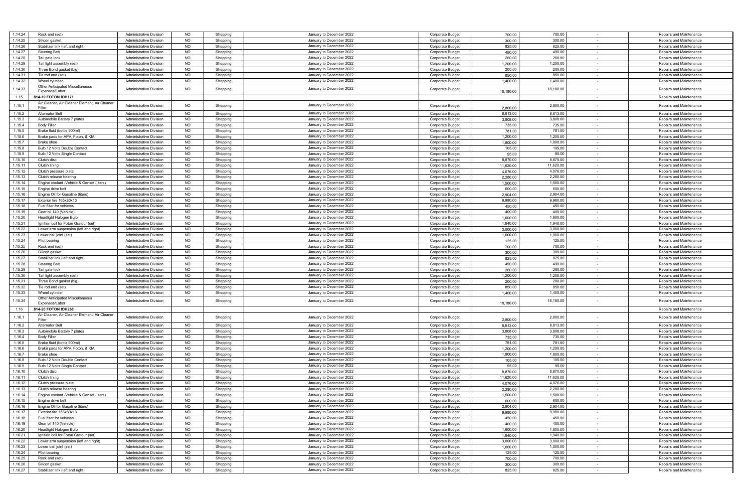| 1.14.24 | Rock end (set)                                | <b>Administrative Division</b> | <b>NO</b> | Shopping | January to December 2022 | Corporate Budget        | 700.00    | 700.00    |        | Repairs and Maintenance |
|---------|-----------------------------------------------|--------------------------------|-----------|----------|--------------------------|-------------------------|-----------|-----------|--------|-------------------------|
| 1.14.25 | Silicon gasket                                | <b>Administrative Division</b> | <b>NO</b> | Shopping | January to December 2022 | Corporate Budget        | 300.00    | 300.00    |        | Repairs and Maintenance |
|         |                                               |                                |           |          |                          |                         |           |           |        |                         |
| 1.14.26 | Stabilizer link (left and right)              | Administrative Division        | <b>NO</b> | Shopping | January to December 2022 | Corporate Budget        | 825.00    | 825.00    | $\sim$ | Repairs and Maintenance |
| 1.14.27 | <b>Steering Belt</b>                          | <b>Administrative Division</b> | <b>NO</b> | Shopping | January to December 2022 | Corporate Budget        | 490.00    | 490.00    | $\sim$ | Repairs and Maintenance |
|         |                                               |                                |           |          |                          |                         |           |           |        |                         |
| 1.14.28 | Tail gate lock                                | <b>Administrative Division</b> | <b>NO</b> | Shopping | January to December 2022 | Corporate Budget        | 260.00    | 260.00    |        | Repairs and Maintenance |
| 1.14.29 | Tail light assembly (set)                     | Administrative Division        | <b>NO</b> | Shopping | January to December 2022 | Corporate Budget        | 1,200.00  | 1,200.00  | $\sim$ | Repairs and Maintenance |
| 1.14.30 | Three Bond gasket (big)                       | <b>Administrative Division</b> | <b>NO</b> | Shopping | January to December 2022 | Corporate Budget        | 200.00    | 200.00    | $\sim$ | Repairs and Maintenance |
|         |                                               |                                |           |          |                          |                         |           |           |        |                         |
| 1.14.31 | Tie rod end (set)                             | <b>Administrative Division</b> | <b>NO</b> | Shopping | January to December 2022 | Corporate Budget        | 850.00    | 850.00    | $\sim$ | Repairs and Maintenance |
| 1.14.32 | Wheel cylinder                                | <b>Administrative Division</b> | <b>NO</b> | Shopping | January to December 2022 | Corporate Budget        | 1,400.00  | 1,400.00  | $\sim$ | Repairs and Maintenance |
|         |                                               |                                |           |          |                          |                         |           |           |        |                         |
| 1.14.33 | Other Anticipated Miscellaneous               | <b>Administrative Division</b> | <b>NO</b> |          | January to December 2022 | Corporate Budget        |           | 18,180.00 |        | Repairs and Maintenance |
|         | Expenses/Labor                                |                                |           | Shopping |                          |                         | 18,180.00 |           |        |                         |
| 1.15    | 814-19 FOTON IOH171                           |                                |           |          |                          |                         |           |           | $\sim$ | Repairs and Maintenance |
|         |                                               |                                |           |          |                          |                         |           |           |        |                         |
| 1.15.1  | Air Cleaner, Air Cleaner Element, Air Cleaner | <b>Administrative Division</b> | <b>NO</b> |          | January to December 2022 |                         |           | 2,800.00  |        |                         |
|         | Filter                                        |                                |           | Shopping |                          | Corporate Budget        | 2,800.00  |           |        | Repairs and Maintenance |
| 1.15.2  | <b>Alternator Belt</b>                        | <b>Administrative Division</b> | <b>NO</b> | Shopping | January to December 2022 | Corporate Budget        | 8,813.00  | 8,813.00  | $\sim$ | Repairs and Maintenance |
|         |                                               |                                |           |          |                          |                         |           |           |        |                         |
| 1.15.3  | Automobile Battery 7 plates                   | <b>Administrative Division</b> | <b>NO</b> | Shopping | January to December 2022 | Corporate Budget        | 3,808.00  | 3,808.00  | $\sim$ | Repairs and Maintenance |
| 1.15.4  | <b>Body Filler</b>                            | Administrative Division        | <b>NO</b> | Shopping | January to December 2022 | <b>Corporate Budget</b> | 735.00    | 735.00    |        | Repairs and Maintenance |
|         |                                               |                                |           |          |                          |                         |           |           |        |                         |
| 1.15.5  | Brake fluid (bottle 900ml)                    | Administrative Division        | <b>NO</b> | Shopping | January to December 2022 | Corporate Budget        | 781.00    | 781.00    | $\sim$ | Repairs and Maintenance |
| 1.15.6  | Brake pads for APV, Foton, & KIA              | <b>Administrative Division</b> | <b>NO</b> | Shopping | January to December 2022 | Corporate Budget        | 1,200.00  | 1,200.00  | $\sim$ | Repairs and Maintenance |
|         |                                               | <b>Administrative Division</b> |           |          |                          |                         |           |           |        |                         |
| 1.15.7  | Brake shoe                                    |                                | <b>NO</b> | Shopping | January to December 2022 | Corporate Budget        | 1,800.00  | 1,800.00  | $\sim$ | Repairs and Maintenance |
| 1.15.8  | Bulb 12 Volts Double Contact                  | <b>Administrative Division</b> | NO        | Shopping | January to December 2022 | Corporate Budget        | 105.00    | 105.00    | $\sim$ | Repairs and Maintenance |
| 1.15.9  | Bulb 12 Volts Single Contact                  | <b>Administrative Division</b> | <b>NO</b> | Shopping | January to December 2022 | Corporate Budget        | 95.00     | 95.00     |        | Repairs and Maintenance |
|         |                                               |                                |           |          |                          |                         |           |           |        |                         |
| 1.15.10 | Clutch disc                                   | Administrative Division        | <b>NO</b> | Shopping | January to December 2022 | Corporate Budget        | 8,870.00  | 8,870.00  | $\sim$ | Repairs and Maintenance |
| 1.15.11 | Clutch lining                                 | <b>Administrative Division</b> | <b>NO</b> | Shopping | January to December 2022 | Corporate Budget        | 11.620.00 | 11,620.00 | $\sim$ | Repairs and Maintenance |
|         |                                               |                                |           |          |                          |                         |           |           |        |                         |
| 1.15.12 | Clutch pressure plate                         | <b>Administrative Division</b> | <b>NO</b> | Shopping | January to December 2022 | Corporate Budget        | 4,076.00  | 4,076.00  | $\sim$ | Repairs and Maintenance |
| 1.15.13 | Clutch release bearing                        | <b>Administrative Division</b> | <b>NO</b> | Shopping | January to December 2022 | Corporate Budget        | 2,280.00  | 2,280.00  | $\sim$ | Repairs and Maintenance |
|         |                                               |                                |           |          |                          |                         |           |           |        |                         |
| 1.15.14 | Engine coolant -Vehicle & Genset (liters)     | <b>Administrative Division</b> | <b>NO</b> | Shopping | January to December 2022 | Corporate Budget        | 1,500.00  | 1,500.00  |        | Repairs and Maintenance |
| 1.15.15 | Fngine drive belt                             | Administrative Division        | <b>NO</b> | Shopping | January to December 2022 | Corporate Budget        | 600.00    | 600.00    | $\sim$ | Repairs and Maintenance |
| 1.15.16 |                                               |                                | <b>NO</b> |          | January to December 2022 |                         |           | 2,904.00  | $\sim$ |                         |
|         | Engine Oil for Gasoline (liters)              | <b>Administrative Division</b> |           | Shopping |                          | Corporate Budget        | 2,904.00  |           |        | Repairs and Maintenance |
| 1.15.17 | Exterior tire 165x80x13                       | <b>Administrative Division</b> | <b>NO</b> | Shopping | January to December 2022 | Corporate Budget        | 9,980.00  | 9,980.00  | $\sim$ | Repairs and Maintenance |
| 1.15.18 | Fuel filter for vehicles                      | <b>Administrative Division</b> | <b>NO</b> | Shopping | January to December 2022 | Corporate Budget        | 450.00    | 450.00    | $\sim$ | Repairs and Maintenance |
|         |                                               |                                |           |          |                          |                         |           |           |        |                         |
| 1.15.19 | Gear oil 140 (Vehicle)                        | <b>Administrative Division</b> | <b>NO</b> | Shopping | January to December 2022 | Corporate Budget        | 400.00    | 400.00    | $\sim$ | Repairs and Maintenance |
| 1.15.20 | Headlight Halogen Bulb                        | Administrative Division        | <b>NO</b> | Shopping | January to December 2022 | Corporate Budget        | 1,600.00  | 1,600.00  | $\sim$ | Repairs and Maintenance |
|         |                                               |                                |           |          |                          |                         |           |           |        |                         |
| 1.15.21 | Ignition coil for Foton Gratour (set)         | <b>Administrative Division</b> | <b>NO</b> | Shopping | January to December 2022 | Corporate Budget        | 1,940.00  | 1,940.00  | $\sim$ | Repairs and Maintenance |
| 1.15.22 | Lower arm suspension (left and right)         | <b>Administrative Division</b> | <b>NO</b> | Shopping | January to December 2022 | Corporate Budget        | 3,000.00  | 3,000.00  | $\sim$ | Repairs and Maintenance |
|         |                                               |                                |           |          |                          |                         |           |           |        |                         |
| 1.15.23 | Lower ball joint (set)                        | <b>Administrative Division</b> | <b>NO</b> | Shopping | January to December 2022 | <b>Corporate Budget</b> | 1,000.00  | 1,000.00  | $\sim$ | Repairs and Maintenance |
| 1.15.24 | Pilot bearing                                 | Administrative Division        | <b>NO</b> | Shopping | January to December 2022 | <b>Corporate Budget</b> | 125.00    | 125.00    | $\sim$ | Repairs and Maintenance |
|         |                                               |                                |           |          |                          |                         |           |           |        |                         |
| 1.15.25 | Rock end (set)                                | Administrative Division        | <b>NO</b> | Shopping | January to December 2022 | Corporate Budget        | 700.00    | 700.00    | $\sim$ | Repairs and Maintenance |
| 1.15.26 | Silicon gasket                                | <b>Administrative Division</b> | <b>NO</b> | Shopping | January to December 2022 | Corporate Budget        | 300.00    | 300.00    | $\sim$ | Repairs and Maintenance |
| 1.15.27 | Stabilizer link (left and right)              | <b>Administrative Division</b> | <b>NO</b> | Shopping | January to December 2022 | Corporate Budget        | 825.00    | 825.00    |        | Repairs and Maintenance |
|         |                                               |                                |           |          |                          |                         |           |           | $\sim$ |                         |
| 1.15.28 | <b>Steering Belt</b>                          | <b>Administrative Division</b> | NO        | Shopping | January to December 2022 | Corporate Budget        | 490.00    | 490.00    | $\sim$ | Repairs and Maintenance |
| 1.15.29 | Tail gate lock                                | <b>Administrative Division</b> | <b>NO</b> | Shopping | January to December 2022 | Corporate Budget        | 260.00    | 260.00    |        | Repairs and Maintenance |
|         |                                               |                                |           |          |                          |                         |           |           |        |                         |
| 1.15.30 | Tail light assembly (set)                     | Administrative Division        | <b>NO</b> | Shopping | January to December 2022 | Corporate Budget        | 1,200.00  | 1,200.00  | $\sim$ | Repairs and Maintenance |
| 1.15.31 | Three Bond gasket (big)                       | <b>Administrative Division</b> | <b>NO</b> | Shopping | January to December 2022 | Corporate Budget        | 200.00    | 200.00    | $\sim$ | Repairs and Maintenance |
|         |                                               |                                |           |          |                          |                         |           |           |        |                         |
| 1.15.32 | Tie rod end (set)                             | <b>Administrative Division</b> | <b>NO</b> | Shopping | January to December 2022 | Corporate Budget        | 850.00    | 850.00    | $\sim$ | Repairs and Maintenance |
| 1.15.33 | Wheel cylinder                                | <b>Administrative Division</b> | <b>NO</b> | Shopping | January to December 2022 | Corporate Budget        | 1,400.00  | 1,400.00  | $\sim$ | Repairs and Maintenance |
|         | Other Anticipated Miscellaneous               |                                |           |          |                          |                         |           |           |        |                         |
| 1.15.34 |                                               | <b>Administrative Division</b> | <b>NO</b> | Shopping | January to December 2022 | Corporate Budget        |           | 18,180.00 | $\sim$ | Repairs and Maintenance |
|         | Expenses/Labor                                |                                |           |          |                          |                         | 18,180.00 |           |        |                         |
| 1.16    | 814-20 FOTON IOH268                           |                                |           |          |                          |                         |           |           |        | Repairs and Maintenance |
|         |                                               |                                |           |          |                          |                         |           |           |        |                         |
| 1.16.1  | Air Cleaner, Air Cleaner Element, Air Cleaner | <b>Administrative Division</b> | <b>NO</b> | Shopping | January to December 2022 | Corporate Budget        |           | 2,800.00  |        | Repairs and Maintenance |
|         | Filter                                        |                                |           |          |                          |                         | 2,800.00  |           |        |                         |
| 1.16.2  | <b>Alternator Belt</b>                        | <b>Administrative Division</b> | <b>NO</b> | Shopping | January to December 2022 | Corporate Budget        | 8,813.00  | 8,813.00  |        | Repairs and Maintenance |
| 1.16.3  | Automobile Battery 7 plates                   | <b>Administrative Division</b> | <b>NO</b> | Shopping | January to December 2022 | Corporate Budget        | 3,808.00  | 3,808.00  | $\sim$ | Repairs and Maintenance |
|         |                                               |                                |           |          |                          |                         |           |           |        |                         |
| 1.16.4  | <b>Body Filler</b>                            | <b>Administrative Division</b> | <b>NO</b> | Shopping | January to December 2022 | Corporate Budget        | 735.00    | 735.00    | $\sim$ | Repairs and Maintenance |
| 1.16.5  | Brake fluid (bottle 900ml)                    | <b>Administrative Division</b> | <b>NO</b> | Shopping | January to December 2022 | Corporate Budget        | 781.00    | 781.00    | $\sim$ | Repairs and Maintenance |
|         |                                               |                                |           |          |                          |                         |           |           |        |                         |
| 1.16.6  | Brake pads for APV, Foton, & KIA              | <b>Administrative Division</b> | <b>NO</b> | Shopping | January to December 2022 | Corporate Budget        | 1,200.00  | 1,200.00  | $\sim$ | Repairs and Maintenance |
| 1.16.7  | <b>Brake shoe</b>                             | <b>Administrative Division</b> | <b>NO</b> | Shopping | January to December 2022 | Corporate Budget        | 1,800.00  | 1,800.00  | $\sim$ | Repairs and Maintenance |
| 1.16.8  | Bulb 12 Volts Double Contact                  | <b>Administrative Division</b> | <b>NO</b> | Shopping | January to December 2022 | Corporate Budget        | 105.00    | 105.00    | $\sim$ | Repairs and Maintenance |
|         |                                               |                                |           |          |                          |                         |           |           |        |                         |
| 1.16.9  | Bulb 12 Volts Single Contact                  | <b>Administrative Division</b> | <b>NO</b> | Shopping | January to December 2022 | Corporate Budget        | 95.00     | 95.00     |        | Repairs and Maintenance |
| 1.16.10 | Clutch disc                                   | <b>Administrative Division</b> | <b>NO</b> | Shopping | January to December 2022 | Corporate Budget        | 8,870.00  | 8,870.00  | $\sim$ | Repairs and Maintenance |
|         |                                               |                                |           |          |                          |                         |           |           |        |                         |
| 1.16.11 | Clutch lining                                 | <b>Administrative Division</b> | <b>NO</b> | Shopping | January to December 2022 | Corporate Budget        | 11,620.00 | 11,620.00 |        | Repairs and Maintenance |
| 1.16.12 | Clutch pressure plate                         | <b>Administrative Division</b> | <b>NO</b> | Shopping | January to December 2022 | Corporate Budget        | 4,076.00  | 4,076.00  |        | Repairs and Maintenance |
| 1.16.13 | Clutch release bearing                        | Administrative Division        |           |          |                          |                         |           |           |        |                         |
|         |                                               |                                | NO        | Shopping | January to December 2022 | Corporate Budget        | 2,280.0   | 2,280.00  |        | Repairs and Maintenance |
| 1.16.14 | Engine coolant -Vehicle & Genset (liters)     | <b>Administrative Division</b> | NO.       | Shopping | January to December 2022 | Corporate Budget        | 1,500.00  | 1,500.00  |        | Repairs and Maintenance |
| 1.16.15 | Engine drive belt                             | Administrative Division        | <b>NO</b> | Shopping | January to December 2022 | Corporate Budget        | 600.00    | 600.00    |        | Repairs and Maintenance |
|         |                                               |                                |           |          |                          |                         |           |           | $\sim$ |                         |
| 1.16.16 | Engine Oil for Gasoline (liters)              | <b>Administrative Division</b> | <b>NO</b> | Shopping | January to December 2022 | Corporate Budget        | 2,904.00  | 2,904.00  | $\sim$ | Repairs and Maintenance |
| 1.16.17 | Exterior tire 165x80x13                       | <b>Administrative Division</b> | <b>NO</b> | Shopping | January to December 2022 | Corporate Budget        | 9,980.00  | 9,980.00  |        | Repairs and Maintenance |
|         |                                               |                                |           |          |                          |                         |           |           |        |                         |
| 1.16.18 | Fuel filter for vehicles                      | Administrative Division        | <b>NO</b> | Shopping | January to December 2022 | Corporate Budget        | 450.00    | 450.00    | $\sim$ | Repairs and Maintenance |
| 1.16.19 | Gear oil 140 (Vehicle)                        | <b>Administrative Division</b> | <b>NO</b> | Shopping | January to December 2022 | Corporate Budget        | 400.00    | 400.00    | $\sim$ | Repairs and Maintenance |
|         |                                               |                                |           |          |                          |                         |           |           |        |                         |
| 1.16.20 | Headlight Halogen Bulb                        | Administrative Division        | <b>NO</b> | Shopping | January to December 2022 | Corporate Budget        | 1,600.00  | 1,600.00  | $\sim$ | Repairs and Maintenance |
| 1.16.21 | Ignition coil for Foton Gratour (set)         | <b>Administrative Division</b> | <b>NO</b> | Shopping | January to December 2022 | Corporate Budget        | 1,940.00  | 1,940.00  | $\sim$ | Repairs and Maintenance |
| 1.16.22 |                                               | <b>Administrative Division</b> | <b>NO</b> |          |                          |                         |           | 3,000.00  |        |                         |
|         | Lower arm suspension (left and right)         |                                |           | Shopping | January to December 2022 | Corporate Budget        | 3,000.00  |           |        | Repairs and Maintenance |
| 1.16.23 | Lower ball joint (set)                        | <b>Administrative Division</b> | <b>NO</b> | Shopping | January to December 2022 | Corporate Budget        | 1,000.00  | 1,000.00  | $\sim$ | Repairs and Maintenance |
| 1.16.24 | Pilot bearing                                 | <b>Administrative Division</b> | <b>NO</b> | Shopping | January to December 2022 |                         | 125.00    | 125.00    |        | Repairs and Maintenance |
|         |                                               |                                |           |          |                          | Corporate Budget        |           |           |        |                         |
| 1.16.25 | Rock end (set)                                | Administrative Division        | <b>NO</b> | Shopping | January to December 2022 | Corporate Budget        | 700.00    | 700.00    | $\sim$ | Repairs and Maintenance |
| 1.16.26 | Silicon gasket                                | Administrative Division        | <b>NO</b> | Shopping | January to December 2022 | Corporate Budget        | 300.00    | 300.00    | $\sim$ | Repairs and Maintenance |
|         |                                               |                                |           |          |                          |                         |           |           |        |                         |
| 1.16.27 | Stabilizer link (left and right)              | <b>Administrative Division</b> | <b>NO</b> | Shopping | January to December 2022 | Corporate Budget        | 825.00    | 825.00    |        | Repairs and Maintenance |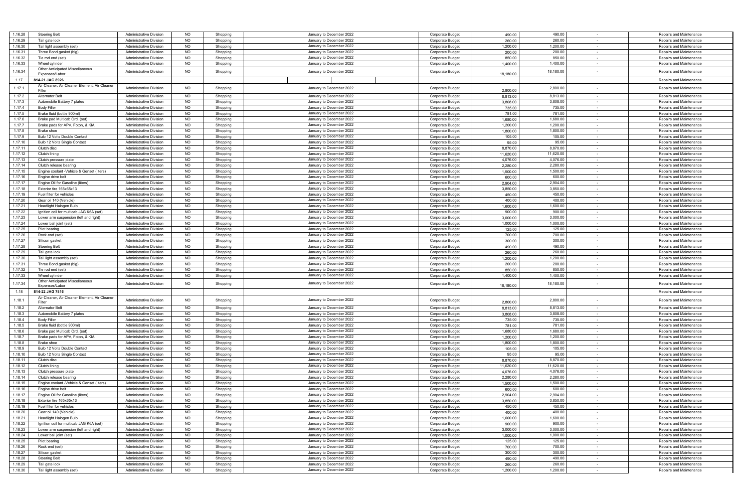| 1.16.28            | <b>Steering Belt</b>                          | <b>Administrative Division</b>                            | <b>NO</b>              | Shopping             | January to December 2022                             | Corporate Budget                     | 490.00             | 490.00             |            | Repairs and Maintenance                            |
|--------------------|-----------------------------------------------|-----------------------------------------------------------|------------------------|----------------------|------------------------------------------------------|--------------------------------------|--------------------|--------------------|------------|----------------------------------------------------|
| 1.16.29            | Tail gate lock                                | <b>Administrative Division</b>                            | <b>NO</b>              | Shopping             | January to December 2022                             | Corporate Budget                     | 260.00             | 260.00             |            | Repairs and Maintenance                            |
|                    |                                               |                                                           |                        |                      |                                                      |                                      |                    |                    |            |                                                    |
| 1.16.30            | Tail light assembly (set)                     | Administrative Division                                   | <b>NO</b>              | Shopping             | January to December 2022                             | Corporate Budget                     | 1,200.00           | 1,200.00           | $\sim$     | Repairs and Maintenance                            |
| 1.16.31            | Three Bond gasket (big)                       | <b>Administrative Division</b>                            | <b>NO</b>              | Shopping             | January to December 2022                             | Corporate Budget                     | 200.00             | 200.00             | $\sim$     | Repairs and Maintenance                            |
| 1.16.32            | Tie rod end (set)                             | <b>Administrative Division</b>                            | <b>NO</b>              | Shopping             | January to December 2022                             | Corporate Budget                     | 850.00             | 850.00             |            | Repairs and Maintenance                            |
|                    |                                               |                                                           |                        |                      |                                                      |                                      |                    |                    |            |                                                    |
| 1.16.33            | Wheel cylinder                                | <b>Administrative Division</b>                            | <b>NO</b>              | Shopping             | January to December 2022                             | Corporate Budget                     | 1,400.00           | 1,400.00           | $\sim$     | Repairs and Maintenance                            |
|                    | Other Anticipated Miscellaneous               |                                                           |                        |                      |                                                      |                                      |                    |                    |            |                                                    |
| 1.16.34            | Expenses/Labor                                | <b>Administrative Division</b>                            | <b>NO</b>              | Shopping             | January to December 2022                             | Corporate Budget                     | 18,180.00          | 18,180.00          |            | Repairs and Maintenance                            |
|                    |                                               |                                                           |                        |                      |                                                      |                                      |                    |                    |            |                                                    |
| 1.17               | 814-21 JAG 8926                               |                                                           |                        |                      |                                                      |                                      |                    |                    |            | Repairs and Maintenance                            |
|                    |                                               |                                                           |                        |                      |                                                      |                                      |                    |                    |            |                                                    |
| 1.17.1             | Air Cleaner, Air Cleaner Element, Air Cleaner | <b>Administrative Division</b>                            | <b>NO</b>              | Shopping             | January to December 2022                             | Corporate Budget                     |                    | 2,800.00           |            | Repairs and Maintenance                            |
|                    | Filter                                        |                                                           |                        |                      |                                                      |                                      | 2,800.00           |                    |            |                                                    |
| 1.17.2             | <b>Alternator Belt</b>                        | <b>Administrative Division</b>                            | <b>NO</b>              | Shopping             | January to December 2022                             | Corporate Budget                     | 8,813.00           | 8,813.00           | $\sim$     | Repairs and Maintenance                            |
|                    |                                               |                                                           |                        |                      | January to December 2022                             |                                      |                    |                    |            |                                                    |
| 1.17.3             | Automobile Battery 7 plates                   | Administrative Division                                   | <b>NO</b>              | Shopping             |                                                      | Corporate Budget                     | 3,808.00           | 3,808.00           | $\sim$     | Repairs and Maintenance                            |
| 1.17.4             | <b>Body Filler</b>                            | <b>Administrative Division</b>                            | <b>NO</b>              | Shopping             | January to December 2022                             | Corporate Budget                     | 735.00             | 735.00             | $\sim$     | Repairs and Maintenance                            |
| 1.17.5             | Brake fluid (bottle 900ml)                    | <b>Administrative Division</b>                            | <b>NO</b>              | Shopping             | January to December 2022                             | Corporate Budget                     | 781.00             | 781.00             | $\sim$     | Repairs and Maintenance                            |
|                    |                                               |                                                           |                        |                      |                                                      |                                      |                    |                    |            |                                                    |
| 1.17.6             | Brake pad Multicab Ord. (set)                 | <b>Administrative Division</b>                            | NO                     | Shopping             | January to December 2022                             | Corporate Budget                     | 1,680.00           | 1,680.00           | $\sim$ $-$ | Repairs and Maintenance                            |
| 1.17.7             | Brake pads for APV, Foton, & KIA              | <b>Administrative Division</b>                            | <b>NO</b>              | Shopping             | January to December 2022                             | Corporate Budget                     | 1,200.00           | 1,200.00           |            | Repairs and Maintenance                            |
|                    |                                               |                                                           |                        |                      |                                                      |                                      |                    |                    |            |                                                    |
| 1.17.8             | <b>Brake</b> shoe                             | <b>Administrative Division</b>                            | <b>NO</b>              | Shopping             | January to December 2022                             | Corporate Budget                     | 1,800.00           | 1,800.00           | $\sim$     | Repairs and Maintenance                            |
| 1.17.9             | Bulb 12 Volts Double Contact                  | <b>Administrative Division</b>                            | <b>NO</b>              | Shopping             | January to December 2022                             | Corporate Budget                     | 105.00             | 105.00             | $\sim$     | Repairs and Maintenance                            |
|                    |                                               |                                                           |                        |                      |                                                      |                                      |                    |                    |            |                                                    |
| 1.17.10            | Bulb 12 Volts Single Contact                  | <b>Administrative Division</b>                            | <b>NO</b>              | Shopping             | January to December 2022                             | Corporate Budget                     | 95.00              | 95.00              | $\sim$     | Repairs and Maintenance                            |
| 1.17.11            | Clutch disc                                   | <b>Administrative Division</b>                            | NO                     | Shopping             | January to December 2022                             | Corporate Budget                     | 8,870.00           | 8,870.00           | $\sim$     | Repairs and Maintenance                            |
|                    |                                               |                                                           |                        |                      |                                                      |                                      |                    |                    |            |                                                    |
| 1.17.12            | Clutch lining                                 | <b>Administrative Division</b>                            | <b>NO</b>              | Shopping             | January to December 2022                             | Corporate Budget                     | 11,620.00          | 11,620.00          |            | Repairs and Maintenance                            |
| 1.17.13            | Clutch pressure plate                         | <b>Administrative Division</b>                            | <b>NO</b>              | Shopping             | January to December 2022                             | Corporate Budget                     | 4,076.00           | 4,076.00           | $\sim$     | Repairs and Maintenance                            |
| 1.17.14            | Clutch release bearing                        | <b>Administrative Division</b>                            | <b>NO</b>              | Shopping             | January to December 2022                             | Corporate Budget                     | 2,280.00           | 2,280.00           | $\sim$     | Repairs and Maintenance                            |
|                    |                                               |                                                           |                        |                      |                                                      |                                      |                    |                    |            |                                                    |
| 1.17.15            | Engine coolant -Vehicle & Genset (liters)     | <b>Administrative Division</b>                            | <b>NO</b>              | Shopping             | January to December 2022                             | Corporate Budget                     | 1,500.00           | 1,500.00           | $\sim$     | Repairs and Maintenance                            |
| 1.17.16            | Engine drive belt                             | <b>Administrative Division</b>                            | <b>NO</b>              | Shopping             | January to December 2022                             | Corporate Budget                     | 600.00             | 600.00             | $\sim$     | Repairs and Maintenance                            |
|                    |                                               |                                                           |                        |                      |                                                      |                                      |                    |                    |            |                                                    |
| 1.17.17            | Engine Oil for Gasoline (liters)              | <b>Administrative Division</b>                            | <b>NO</b>              | Shopping             | January to December 2022                             | Corporate Budget                     | 2,904.00           | 2,904.00           |            | Repairs and Maintenance                            |
| 1.17.18            | Exterior tire 165x65x13                       | <b>Administrative Division</b>                            | <b>NO</b>              | Shopping             | January to December 2022                             | Corporate Budget                     | 3,850.00           | 3,850.00           | $\sim$     | Repairs and Maintenance                            |
|                    |                                               |                                                           |                        |                      |                                                      |                                      |                    |                    |            |                                                    |
| 1.17.19            | Fuel filter for vehicles                      | <b>Administrative Division</b>                            | <b>NO</b>              | Shopping             | January to December 2022                             | Corporate Budget                     | 450.00             | 450.00             | $\sim$     | Repairs and Maintenance                            |
| 1.17.20            | Gear oil 140 (Vehicle)                        | <b>Administrative Division</b>                            | <b>NO</b>              | Shopping             | January to December 2022                             | Corporate Budget                     | 400.00             | 400.00             | $\sim$     | Repairs and Maintenance                            |
|                    |                                               |                                                           |                        |                      |                                                      |                                      |                    |                    |            |                                                    |
| 1.17.21            | <b>Headlight Halogen Bulb</b>                 | <b>Administrative Division</b>                            | <b>NO</b>              | Shopping             | January to December 2022                             | Corporate Budget                     | 1,600.00           | 1,600.00           | $\sim$ $-$ | Repairs and Maintenance                            |
| 1.17.22            | Ignition coil for multicab JAG K6A (set)      | <b>Administrative Division</b>                            | <b>NO</b>              | Shopping             | January to December 2022                             | Corporate Budget                     | 900.00             | 900.00             | $\sim$     | Repairs and Maintenance                            |
|                    |                                               |                                                           |                        |                      | January to December 2022                             |                                      |                    |                    |            |                                                    |
| 1.17.23            | Lower arm suspension (left and right)         | Administrative Division                                   | <b>NO</b>              | Shopping             |                                                      | Corporate Budget                     | 3,000.00           | 3,000.00           | $\sim$     | Repairs and Maintenance                            |
| 1.17.24            | Lower ball joint (set)                        | <b>Administrative Division</b>                            | <b>NO</b>              | Shopping             | January to December 2022                             | Corporate Budget                     | 1,000.00           | 1,000.00           | $\sim$     | Repairs and Maintenance                            |
| 1.17.25            | Pilot bearing                                 | <b>Administrative Division</b>                            | <b>NO</b>              | Shopping             | January to December 2022                             |                                      | 125.00             | 125.00             |            |                                                    |
|                    |                                               |                                                           |                        |                      |                                                      | Corporate Budget                     |                    |                    | $\sim$     | Repairs and Maintenance                            |
| 1.17.26            | Rock end (set)                                | <b>Administrative Division</b>                            | <b>NO</b>              | Shopping             | January to December 2022                             | Corporate Budget                     | 700.00             | 700.00             | $\sim$     | Repairs and Maintenance                            |
| 1.17.27            | Silicon gasket                                |                                                           | <b>NO</b>              |                      | January to December 2022                             |                                      | 300.00             | 300.00             | $\sim$     |                                                    |
|                    |                                               | <b>Administrative Division</b>                            |                        | Shopping             |                                                      | Corporate Budget                     |                    |                    |            | Repairs and Maintenance                            |
| 1.17.28            | <b>Steering Belt</b>                          | Administrative Division                                   | <b>NO</b>              | Shopping             | January to December 2022                             | Corporate Budget                     | 490.00             | 490.00             | $\sim$     | Repairs and Maintenance                            |
| 1.17.29            | Tail gate lock                                | <b>Administrative Division</b>                            | <b>NO</b>              | Shopping             | January to December 2022                             | Corporate Budget                     | 260.00             | 260.00             | $\sim$     | Repairs and Maintenance                            |
|                    |                                               |                                                           |                        |                      |                                                      |                                      |                    |                    |            |                                                    |
| 1.17.30            | Tail light assembly (set)                     | <b>Administrative Division</b>                            | <b>NO</b>              | Shopping             | January to December 2022                             | Corporate Budget                     | 1,200.00           | 1,200.00           | $\sim$     | Repairs and Maintenance                            |
| 1.17.31            | Three Bond gasket (big)                       | <b>Administrative Division</b>                            | NO                     | Shopping             | January to December 2022                             | Corporate Budget                     | 200.00             | 200.00             | $\sim$     | Repairs and Maintenance                            |
|                    |                                               |                                                           |                        |                      |                                                      |                                      |                    |                    |            |                                                    |
| 1.17.32            | Tie rod end (set)                             | <b>Administrative Division</b>                            | <b>NO</b>              | Shopping             | January to December 2022                             | Corporate Budget                     | 850.00             | 850.00             |            | Repairs and Maintenance                            |
| 1.17.33            | Wheel cylinder                                | Administrative Division                                   | <b>NO</b>              | Shopping             | January to December 2022                             | Corporate Budget                     | 1,400.00           | 1,400.00           | $\sim$     | Repairs and Maintenance                            |
|                    | Other Anticipated Miscellaneous               |                                                           |                        |                      |                                                      |                                      |                    |                    |            |                                                    |
| 1.17.34            |                                               | <b>Administrative Division</b>                            | <b>NO</b>              | Shopping             | January to December 2022                             | Corporate Budget                     |                    | 18,180.00          |            | Repairs and Maintenance                            |
|                    | Expenses/Labor                                |                                                           |                        |                      |                                                      |                                      | 18,180.00          |                    |            |                                                    |
| 1.18               | 814-22 JAG 7816                               |                                                           |                        |                      |                                                      |                                      |                    |                    |            | Repairs and Maintenance                            |
|                    |                                               |                                                           |                        |                      |                                                      |                                      |                    |                    |            |                                                    |
| 1.18.1             | Air Cleaner, Air Cleaner Element, Air Cleaner | <b>Administrative Division</b>                            | <b>NO</b>              | Shopping             | January to December 2022                             | Corporate Budget                     |                    | 2,800.00           |            | Repairs and Maintenance                            |
|                    | Filter                                        |                                                           |                        |                      |                                                      |                                      | 2,800.00           |                    |            |                                                    |
| 1.18.2             | <b>Alternator Belt</b>                        | <b>Administrative Division</b>                            | <b>NO</b>              | Shopping             | January to December 2022                             | Corporate Budget                     | 8,813.00           | 8,813.00           |            | Repairs and Maintenance                            |
|                    |                                               |                                                           |                        |                      |                                                      |                                      |                    |                    |            |                                                    |
| 1.18.3             | Automobile Battery 7 plates                   | <b>Administrative Division</b>                            | <b>NO</b>              | Shopping             | January to December 2022                             | Corporate Budget                     | 3,808.00           | 3,808.00           | $\sim$     | Repairs and Maintenance                            |
| 1.18.4             | <b>Body Filler</b>                            | <b>Administrative Division</b>                            | <b>NO</b>              | Shopping             | January to December 2022                             | Corporate Budget                     | 735.00             | 735.00             | $\sim$     | Repairs and Maintenance                            |
| 1.18.5             | Brake fluid (bottle 900ml)                    | <b>Administrative Division</b>                            | <b>NO</b>              | Shopping             | January to December 2022                             | Corporate Budget                     | 781.00             | 781.00             |            | Repairs and Maintenance                            |
|                    |                                               |                                                           |                        |                      |                                                      |                                      |                    |                    |            |                                                    |
| 1.18.6             | Brake pad Multicab Ord. (set)                 | <b>Administrative Division</b>                            | <b>NO</b>              | Shopping             | January to December 2022                             | Corporate Budget                     | 1,680.00           | 1,680.00           | $\sim$     | Repairs and Maintenance                            |
| 1.18.7             | Brake pads for APV, Foton, & KIA              | <b>Administrative Division</b>                            | <b>NO</b>              | Shopping             | January to December 2022                             | Corporate Budget                     | 1,200.00           | 1,200.00           |            | Repairs and Maintenance                            |
|                    |                                               |                                                           |                        |                      |                                                      |                                      |                    |                    |            |                                                    |
| 1.18.8             | Brake shoe                                    | <b>Administrative Division</b>                            | <b>NO</b>              | Shopping             | January to December 2022                             | Corporate Budget                     | 1,800.00           | 1,800.00           | $\sim$     | Repairs and Maintenance                            |
| 1.18.9             | Bulb 12 Volts Double Contact                  | <b>Administrative Division</b>                            | <b>NO</b>              | Shopping             | January to December 2022                             | Corporate Budget                     | 105.00             | 105.00             | $\sim$     | Repairs and Maintenance                            |
| 1.18.10            | Bulb 12 Volts Single Contact                  | <b>Administrative Division</b>                            | <b>NO</b>              | Shopping             | January to December 2022                             | Corporate Budget                     | 95.00              | 95.00              |            | Repairs and Maintenance                            |
|                    |                                               |                                                           |                        |                      |                                                      |                                      |                    |                    |            |                                                    |
| 1.18.11            | Clutch disc                                   | <b>Administrative Division</b>                            | <b>NO</b>              | Shopping             | January to December 2022                             | Corporate Budget                     | 8,870.00           | 8,870.00           | $\sim$     | Repairs and Maintenance                            |
| 1.18.12            | Clutch lining                                 | <b>Administrative Division</b>                            | <b>NO</b>              | Shopping             | January to December 2022                             | Corporate Budget                     | 11,620.00          | 11,620.00          |            | Repairs and Maintenance                            |
|                    |                                               |                                                           |                        |                      |                                                      |                                      |                    |                    |            |                                                    |
| 1.18.13            | Clutch pressure plate                         | <b>Administrative Division</b>                            | <b>NO</b>              | Shopping             | January to December 2022                             | Corporate Budget                     | 4,076.00           | 4,076.00           | $\sim$     | Repairs and Maintenance                            |
| 1.18.14            | Clutch release bearing                        | <b>Administrative Division</b>                            | <b>NO</b>              | Shopping             | January to December 2022                             | Corporate Budget                     | 2,280.00           | 2,280.00           |            | Repairs and Maintenance                            |
| 1.18.15            |                                               |                                                           | <b>NO</b>              |                      |                                                      |                                      |                    | 1,500.00           |            |                                                    |
|                    | Engine coolant -Vehicle & Genset (liters)     | <b>Administrative Division</b>                            |                        | Shopping             | January to December 2022                             | Corporate Budget                     | 1,500.00           |                    |            | Repairs and Maintenance                            |
| 1.18.16            | Engine drive belt                             | Administrative Division                                   | <b>NO</b>              | Shopping             | January to December 2022                             | Corporate Budget                     | 600.0              | 600.00             |            | Repairs and Maintenance                            |
| 1.18.17            | Engine Oil for Gasoline (liters)              | <b>Administrative Division</b>                            | NO.                    | Shopping             | January to December 2022                             | Corporate Budget                     | 2,904.00           | 2,904.00           |            | Repairs and Maintenance                            |
|                    |                                               |                                                           |                        |                      |                                                      |                                      |                    |                    |            |                                                    |
| 1.18.18            | Exterior tire 165x65x13                       | Administrative Division                                   | <b>NO</b>              | Shopping             | January to December 2022                             | Corporate Budget                     | 3,850.00           | 3,850.00           | $\sim$     | Repairs and Maintenance                            |
| 1.18.19            | Fuel filter for vehicles                      | <b>Administrative Division</b>                            | <b>NO</b>              | Shopping             | January to December 2022                             | Corporate Budget                     | 450.00             | 450.00             | $\sim$     | Repairs and Maintenance                            |
|                    |                                               |                                                           |                        |                      |                                                      |                                      |                    |                    |            |                                                    |
| 1.18.20            | Gear oil 140 (Vehicle)                        | <b>Administrative Division</b>                            | <b>NO</b>              | Shopping             | January to December 2022                             | Corporate Budget                     | 400.00             | 400.00             |            | Repairs and Maintenance                            |
| 1.18.21            | Headlight Halogen Bulb                        | Administrative Division                                   | <b>NO</b>              | Shopping             | January to December 2022                             | Corporate Budget                     | 1,600.00           | 1,600.00           | $\sim$     | Repairs and Maintenance                            |
|                    |                                               |                                                           |                        |                      | January to December 2022                             |                                      |                    |                    |            |                                                    |
| 1.18.22            | Ignition coil for multicab JAG K6A (set)      | <b>Administrative Division</b>                            | <b>NO</b>              | Shopping             |                                                      | Corporate Budget                     | 900.00             | 900.00             | $\sim$     | Repairs and Maintenance                            |
|                    |                                               |                                                           | <b>NO</b>              | Shopping             | January to December 2022                             | Corporate Budget                     | 3,000.00           | 3,000.00           | $\sim$     | Repairs and Maintenance                            |
| 1.18.23            | Lower arm suspension (left and right)         | Administrative Division                                   |                        |                      |                                                      |                                      |                    |                    |            |                                                    |
|                    |                                               |                                                           |                        |                      |                                                      |                                      |                    |                    |            |                                                    |
| 1.18.24            | Lower ball joint (set)                        | <b>Administrative Division</b>                            | <b>NO</b>              | Shopping             | January to December 2022                             | Corporate Budget                     | 1,000.00           | 1,000.00           | $\sim$     | Repairs and Maintenance                            |
| 1.18.25            | Pilot bearing                                 | <b>Administrative Division</b>                            | <b>NO</b>              | Shopping             | January to December 2022                             | Corporate Budget                     | 125.00             | 125.00             |            | Repairs and Maintenance                            |
|                    |                                               | <b>Administrative Division</b>                            |                        |                      |                                                      |                                      |                    |                    | $\sim$     |                                                    |
| 1.18.26            | Rock end (set)                                |                                                           | <b>NO</b>              | Shopping             | January to December 2022                             | Corporate Budget                     | 700.00             | 700.00             |            | Repairs and Maintenance                            |
| 1.18.27            | Silicon gasket                                | <b>Administrative Division</b>                            | <b>NO</b>              | Shopping             | January to December 2022                             | Corporate Budget                     | 300.00             | 300.00             |            | Repairs and Maintenance                            |
| 1.18.28            | <b>Steering Belt</b>                          | Administrative Division                                   | <b>NO</b>              |                      | January to December 2022                             | Corporate Budget                     |                    | 490.00             | $\sim$     | Repairs and Maintenance                            |
|                    |                                               |                                                           |                        | Shopping             |                                                      |                                      | 490.00             |                    |            |                                                    |
| 1.18.29<br>1.18.30 | Tail gate lock<br>Tail light assembly (set)   | Administrative Division<br><b>Administrative Division</b> | <b>NO</b><br><b>NO</b> | Shopping<br>Shopping | January to December 2022<br>January to December 2022 | Corporate Budget<br>Corporate Budget | 260.00<br>1,200.00 | 260.00<br>1,200.00 | $\sim$     | Repairs and Maintenance<br>Repairs and Maintenance |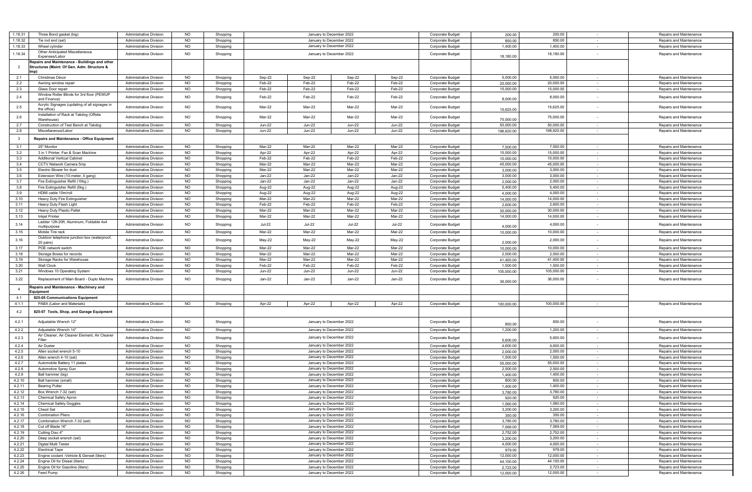| 1.18.31        | Three Bond gasket (big)                           | Administrative Division        | <b>NO</b> | Shopping |               |               | January to December 2022 |               | Corporate Budget        | 200.00     | 200.00     |            | Repairs and Maintenance |
|----------------|---------------------------------------------------|--------------------------------|-----------|----------|---------------|---------------|--------------------------|---------------|-------------------------|------------|------------|------------|-------------------------|
| 1.18.32        | Tie rod end (set)                                 | <b>Administrative Division</b> | NO.       | Shopping |               |               | January to December 2022 |               | Corporate Budget        | 850.00     | 850.00     |            | Repairs and Maintenance |
| 1.18.33        | Wheel cylinder                                    | <b>Administrative Division</b> | <b>NO</b> |          |               |               | January to December 2022 |               |                         | 1,400.00   | 1,400.00   |            |                         |
|                |                                                   |                                |           | Shopping |               |               |                          |               | <b>Corporate Budget</b> |            |            |            | Repairs and Maintenance |
| 1.18.34        | Other Anticipated Miscellaneous<br>Expenses/Labor | <b>Administrative Division</b> | <b>NO</b> | Shopping |               |               | January to December 2022 |               | <b>Corporate Budget</b> | 18,180.00  | 18,180.00  |            | Repairs and Maintenance |
|                |                                                   |                                |           |          |               |               |                          |               |                         |            |            |            |                         |
| $\overline{2}$ | Repairs and Maintenance - Buildings and other     |                                |           |          |               |               |                          |               |                         |            |            |            |                         |
|                | Structures (Maint. Of Gen. Adm. Structure &       |                                |           |          |               |               |                          |               |                         |            |            |            |                         |
| 2.1            |                                                   |                                |           |          |               |               |                          |               | Corporate Budget        |            | 5,000.00   |            |                         |
|                | Christmas Décor                                   | <b>Administrative Division</b> | <b>NO</b> | Shopping | Sep-22        | Sep-22        | Sep-22                   | Sep-22        |                         | 5,000.00   |            |            | Repairs and Maintenance |
| 2.2            | Awning window repair                              | <b>Administrative Division</b> | <b>NO</b> | Shopping | Feb-22        | Feb-22        | Feb-22                   | Feb-22        | Corporate Budget        | 20,000.00  | 20,000.00  | $\sim$     | Repairs and Maintenance |
| 2.3            | Glass Door repair                                 | <b>Administrative Division</b> | <b>NO</b> | Shopping | Feb-22        | Feb-22        | Feb-22                   | Feb-22        | Corporate Budget        | 15,000.00  | 15,000.00  | $\sim$     | Repairs and Maintenance |
| 2.4            | Window Roller Blinds for 3rd floor (PEWUP         | <b>Administrative Division</b> | <b>NO</b> | Shopping | Feb-22        | Feb-22        | Feb-22                   | Feb-22        | <b>Corporate Budget</b> |            | 8,000.00   |            | Repairs and Maintenance |
|                | and Finance)                                      |                                |           |          |               |               |                          |               |                         | 8,000.0    |            |            |                         |
| 2.5            | Acrylic Signages (updating of all signages in     | <b>Administrative Division</b> | NO.       | Shopping | Mar-22        | Mar-22        | Mar-22                   | Mar-22        | Corporate Budget        |            | 15,625.00  |            | Repairs and Maintenance |
|                | the office)                                       |                                |           |          |               |               |                          |               |                         | 15,625.0   |            |            |                         |
| 2.6            | Installation of Rack at Takdog (Offsite           | <b>Administrative Division</b> | <b>NO</b> |          | Mar-22        | Mar-22        | Mar-22                   | Mar-22        |                         |            | 75,000.00  |            |                         |
|                | Warehouse <sup>®</sup>                            |                                |           | Shopping |               |               |                          |               | <b>Corporate Budget</b> | 75,000.00  |            |            | Repairs and Maintenance |
| 2.7            | Construction of Test Bench at Takdog              | <b>Administrative Division</b> | NO.       | Shopping | <b>Jun-22</b> | <b>Jun-22</b> | Jun-22                   | <b>Jun-22</b> | Corporate Budget        | 50,000.00  | 50,000.00  | $\sim$     | Repairs and Maintenance |
| 2.8            | Miscellaneous/Labor                               | <b>Administrative Division</b> | NO.       | Shopping | <b>Jun-22</b> | <b>Jun-22</b> | <b>Jun-22</b>            | <b>Jun-22</b> | Corporate Budget        | 198,920.00 | 198,920.00 |            | Repairs and Maintenance |
|                |                                                   |                                |           |          |               |               |                          |               |                         |            |            |            |                         |
| $\mathbf{3}$   | Repairs and Maintenance - Office Equipment        |                                |           |          |               |               |                          |               |                         |            |            |            |                         |
| 3.1            | 25" Monitor                                       | <b>Administrative Division</b> | <b>NO</b> | Shopping | Mar-22        | Mar-22        | Mar-22                   | Mar-22        | Corporate Budget        | 7.500.00   | 7,500.00   | $\sim$     | Repairs and Maintenance |
| 3.2            | 3 in 1 Printer, Fax & Scan Machine                | <b>Administrative Division</b> | NO.       | Shopping | Apr-22        | Apr-22        | Apr-22                   | Apr-22        | Corporate Budget        | 15,000.00  | 15,000.00  |            | Repairs and Maintenance |
| 3.3            |                                                   |                                | <b>NO</b> |          | Feb-22        | Feb-22        | Feb-22                   | Feb-22        |                         |            | 10,000.00  | $\sim$     |                         |
|                | <b>Additional Vertical Cabinet</b>                | <b>Administrative Division</b> |           | Shopping |               |               |                          |               | <b>Corporate Budget</b> | 10,000.00  |            |            | Repairs and Maintenance |
| 3.4            | CCTV Network Camera 5mp                           | <b>Administrative Division</b> | <b>NO</b> | Shopping | Mar-22        | Mar-22        | Mar-22                   | Mar-22        | <b>Corporate Budget</b> | 45,000.00  | 45,000.00  | $\sim$     | Repairs and Maintenance |
| 3.5            | Electric Blower for dust                          | <b>Administrative Division</b> | <b>NO</b> | Shopping | Mar-22        | Mar-22        | Mar-22                   | Mar-22        | Corporate Budget        | 3,000.00   | 3,000.00   | $\sim$     | Repairs and Maintenance |
| 3.6            | Extension Wire (10-meter, 4 gang)                 | <b>Administrative Division</b> | <b>NO</b> | Shopping | Jan-22        | Jan-22        | Jan-22                   | Jan-22        | Corporate Budget        | 3,000.00   | 3,000.00   | $\sim$     | Repairs and Maintenance |
| 3.7            | Fire Extinguisher Refill (10kg.)                  | <b>Administrative Division</b> | NO.       | Shopping | Jan-22        | Jan-22        | Jan-22                   | Jan-22        | Corporate Budget        | 2,000.00   | 2,000.00   |            | Repairs and Maintenance |
| 3.8            | Fire Extinguisher Refill (5kg.)                   | <b>Administrative Division</b> | NO.       | Shopping | Aug-22        | Aug-22        | Aug-22                   | Aug-22        | Corporate Budget        | 5,400.00   | 5,400.00   | $\sim$     | Repairs and Maintenance |
| 3.9            | HDMI cable 10m/roll                               | <b>Administrative Division</b> | <b>NO</b> | Shopping | Aug-22        | Aug-22        | Aug-22                   | Aug-22        | Corporate Budget        | 4,000.00   | 4,000.00   |            | Repairs and Maintenance |
|                |                                                   |                                |           |          |               | Mar-22        | Mar-22                   | Mar-22        |                         |            | 14,000.00  |            |                         |
| 3.10           | Heavy Duty Fire Extinguisher                      | <b>Administrative Division</b> | <b>NO</b> | Shopping | Mar-22        |               |                          |               | Corporate Budget        | 14,000.00  |            | $\sim$     | Repairs and Maintenance |
| 3.11           | Heavy Duty Flash Light                            | <b>Administrative Division</b> | <b>NO</b> | Shopping | Feb-22        | Feb-22        | Feb-22                   | Feb-22        | Corporate Budget        | 2.600.00   | 2,600.00   | $\sim$     | Repairs and Maintenance |
| 3.12           | Heavy Duty Plastic Pallet                         | <b>Administrative Division</b> | NO.       | Shopping | Mar-22        | Mar-22        | Mar-22                   | Mar-22        | Corporate Budget        | 30,000.00  | 30,000.00  |            | Repairs and Maintenance |
| 3.13           | <b>Inkjet Printer</b>                             | <b>Administrative Division</b> | <b>NO</b> | Shopping | Mar-22        | Mar-22        | Mar-22                   | Mar-22        | <b>Corporate Budget</b> | 14,000.00  | 14,000.00  | $\sim$     | Repairs and Maintenance |
|                | Ladder 12ft-20ft. Aluminum, Foldable 4x4          |                                |           |          |               |               |                          |               |                         |            |            |            |                         |
| 3.14           | multipurpose                                      | <b>Administrative Division</b> | <b>NO</b> | Shopping | <b>Jul-22</b> | <b>Jul-22</b> | <b>Jul-22</b>            | <b>Jul-22</b> | Corporate Budget        | 4.000.00   | 4,000.00   | $\sim$     | Repairs and Maintenance |
| 3.15           | Mobile Tire rack                                  | <b>Administrative Division</b> | <b>NO</b> | Shopping | Mar-22        | Mar-22        | Mar-22                   | Mar-22        | Corporate Budget        | 10,000.00  | 10,000.00  |            | Repairs and Maintenance |
|                | Outdoor telephone junction box (waterproof,       |                                |           |          |               |               |                          |               |                         |            |            |            |                         |
| 3.16           | 20 pairs)                                         | <b>Administrative Division</b> | <b>NO</b> | Shopping | May-22        | May-22        | May-22                   | May-22        | Corporate Budget        | 2,000.00   | 2,000.00   |            | Repairs and Maintenance |
| 3.17           | POE network switch                                | <b>Administrative Division</b> | <b>NO</b> | Shopping | Mar-22        | Mar-22        | Mar-22                   | Mar-22        | Corporate Budget        | 10.000.00  | 10,000.00  | $\sim$     | Repairs and Maintenance |
| 3.18           | Storage Boxes for records                         |                                | NO.       |          | Mar-22        | Mar-22        | Mar-22                   | Mar-22        |                         | 2,500.00   | 2,500.00   |            |                         |
|                |                                                   | <b>Administrative Division</b> |           | Shopping |               |               |                          |               | Corporate Budget        |            |            |            | Repairs and Maintenance |
| 3.19           | Storage Racks for Warehouse                       | <b>Administrative Division</b> | <b>NO</b> | Shopping | Mar-22        | Mar-22        | Mar-22                   | Mar-22        | <b>Corporate Budget</b> | 41,400.00  | 41,400.00  | $\sim$     | Repairs and Maintenance |
| 3.20           | <b>Wall Clock</b>                                 | <b>Administrative Division</b> | <b>NO</b> | Shopping | Feb-22        | Feb-22        | Feb-22                   | Feb-22        | Corporate Budget        | 1,500.00   | 1,500.00   |            | Repairs and Maintenance |
| 3.21           | Windows 10 Operating System                       | <b>Administrative Division</b> | <b>NO</b> | Shopping | Jun-22        | Jun-22        | Jun-22                   | Jun-22        | <b>Corporate Budget</b> | 105,000.00 | 105,000.00 |            | Repairs and Maintenance |
| 3.22           | Replacement of Main Board - Duplo Machine         | Administrative Division        | NO.       | Shopping | Jan-22        | Jan-22        | Jan-22                   | Jan-22        | Corporate Budget        |            | 36,000.00  |            | Repairs and Maintenance |
|                |                                                   |                                |           |          |               |               |                          |               |                         | 36,000.00  |            |            |                         |
| $\overline{4}$ | Repairs and Maintenance - Machinery and           |                                |           |          |               |               |                          |               |                         |            |            |            |                         |
|                | Equipment                                         |                                |           |          |               |               |                          |               |                         |            |            |            |                         |
| 4.1            | 825-05 Communications Equipment                   |                                |           |          |               |               |                          |               |                         |            |            |            |                         |
| 4.1.1          | PABX (Labor and Materials)                        | <b>Administrative Division</b> | <b>NO</b> | Shopping | Apr-22        | Apr-22        | Apr-22                   | Apr-22        | Corporate Budget        | 100,000.00 | 100,000.00 |            | Repairs and Maintenance |
|                |                                                   |                                |           |          |               |               |                          |               |                         |            |            |            |                         |
| 4.2            | 825-07 Tools, Shop, and Garage Equipment          |                                |           |          |               |               |                          |               |                         |            |            |            |                         |
|                |                                                   |                                |           |          |               |               |                          |               |                         |            |            |            |                         |
| 4.2.1          | Adjustable Wrench 12"                             | Administrative Division        | <b>NO</b> | Shopping |               |               | January to December 2022 |               | <b>Corporate Budget</b> | 850.00     | 850.00     | $\sim$     | Repairs and Maintenance |
| 4.2.2          | Adiustable Wrench 14                              | <b>Administrative Division</b> | <b>NO</b> | Shopping |               |               | January to December 2022 |               | Corporate Budget        | 1,200.00   | 1,200.00   |            | Repairs and Maintenance |
|                | Air Cleaner, Air Cleaner Element, Air Cleaner     |                                |           |          |               |               |                          |               |                         |            |            |            |                         |
| 4.2.3          | Filter                                            | <b>Administrative Division</b> | <b>NO</b> | Shopping |               |               | January to December 2022 |               | Corporate Budget        | 5,600.00   | 5,600.00   | $\sim$     | Repairs and Maintenance |
| 4.2.4          | Air Duster                                        | <b>Administrative Division</b> | NO.       | Shopping |               |               | January to December 2022 |               | Corporate Budget        | 4,600.00   | 4,600.00   |            | Repairs and Maintenance |
| 4.2.5          | Allen socket wrench 5-10                          | <b>Administrative Division</b> | <b>NO</b> | Shopping |               |               | January to December 2022 |               | Corporate Budget        | 2,000.00   | 2,000.00   | $\sim$     | Repairs and Maintenance |
|                |                                                   |                                |           |          |               |               |                          |               |                         |            |            |            |                         |
| 4.2.6          | Allen wrench 4-10 (set)                           | <b>Administrative Division</b> | <b>NO</b> | Shopping |               |               | January to December 2022 |               | <b>Corporate Budget</b> | 1,500.00   | 1,500.00   |            | Repairs and Maintenance |
| 4.2.7          | Automobile Battery 11 plates                      | <b>Administrative Division</b> | <b>NO</b> | Shopping |               |               | January to December 2022 |               | <b>Corporate Budget</b> | 55,000.00  | 55,000.00  | $\sim$     | Repairs and Maintenance |
| 4.2.8          | Automotive Spray Gun                              | <b>Administrative Division</b> | NO.       | Shopping |               |               | January to December 2022 |               | Corporate Budget        | 2,500.00   | 2,500.00   |            | Repairs and Maintenance |
| 4.2.9          | Ball hammer (big)                                 | <b>Administrative Division</b> | NO.       | Shopping |               |               | January to December 2022 |               | Corporate Budget        | 1.400.00   | 1,400.00   | $\sim$     | Repairs and Maintenance |
| 4.2.10         | Ball hammer (small)                               | <b>Administrative Division</b> | NO.       | Shopping |               |               | January to December 2022 |               | Corporate Budget        | 800.00     | 800.00     |            | Repairs and Maintenance |
| 4.2.11         | <b>Bearing Puller</b>                             | <b>Administrative Division</b> | <b>NO</b> | Shopping |               |               | January to December 2022 |               | Corporate Budget        | 1,400.00   | 1,400.00   |            | Repairs and Maintenance |
| 4.2.12         | Box Wrench 7-32 (set                              | Administrative Division        | NO.       | Shopping |               |               | January to December 2022 |               | Corporate Budge         | 3,780.00   | 3,780.00   |            | Repairs and Maintenance |
| 4.2.13         | <b>Chemical Safety Apron</b>                      | <b>Administrative Division</b> | NO.       | Shopping |               |               | January to December 2022 |               | Corporate Budget        | 920.00     | 920.00     | $\sim$     | Repairs and Maintenance |
|                |                                                   |                                |           |          |               |               | January to December 2022 |               |                         |            |            |            |                         |
| 4.2.14         | <b>Chemical Safety Goggles</b>                    | Administrative Division        | <b>NO</b> | Shopping |               |               |                          |               | Corporate Budget        | 1.560.00   | 1,560.00   | $\sim$ $-$ | Repairs and Maintenance |
| 4.2.15         | <b>Chesil Set</b>                                 | <b>Administrative Division</b> | <b>NO</b> | Shopping |               |               | January to December 2022 |               | Corporate Budget        | 3,200.00   | 3,200.00   | $\sim$     | Repairs and Maintenance |
| 4.2.16         | <b>Combination Pliers</b>                         | <b>Administrative Division</b> | <b>NO</b> | Shopping |               |               | January to December 2022 |               | Corporate Budget        | 350.00     | 350.00     |            | Repairs and Maintenance |
| 4.2.17         | Combination Wrench 7-32 (set)                     | Administrative Division        | <b>NO</b> | Shopping |               |               | January to December 2022 |               | Corporate Budget        | 3,780.00   | 3,780.00   | $\sim$ $-$ | Repairs and Maintenance |
| 4.2.18         | Cut off Blade 16"                                 | <b>Administrative Division</b> | NO.       | Shopping |               |               | January to December 2022 |               | Corporate Budget        | 7,569.00   | 7,569.00   | $\sim$     | Repairs and Maintenance |
| 4.2.19         | Cutting Disc 4"                                   | Administrative Division        | <b>NO</b> | Shopping |               |               | January to December 2022 |               | Corporate Budget        | 2,752.00   | 2,752.00   | $\sim$     | Repairs and Maintenance |
| 4.2.20         | Deep socket wrench (set)                          | <b>Administrative Division</b> | <b>NO</b> | Shopping |               |               | January to December 2022 |               | Corporate Budget        | 3,200.00   | 3,200.00   | $\sim$     | Repairs and Maintenance |
| 4.2.21         |                                                   |                                | <b>NO</b> |          |               |               | January to December 2022 |               |                         |            | 4,000.00   | $\sim$     |                         |
|                | Digital Multi Tester                              | <b>Administrative Division</b> |           | Shopping |               |               |                          |               | Corporate Budget        | 4,000.00   |            |            | Repairs and Maintenance |
| 4.2.22         | <b>Electrical Tape</b>                            | Administrative Division        | <b>NO</b> | Shopping |               |               | January to December 2022 |               | Corporate Budget        | 979.00     | 979.00     | $\sim$     | Repairs and Maintenance |
| 4.2.23         | Engine coolant -Vehicle & Genset (liters)         | <b>Administrative Division</b> | NO.       | Shopping |               |               | January to December 2022 |               | Corporate Budget        | 12,000.00  | 12,000.00  | $\sim$     | Repairs and Maintenance |
| 4.2.24         | Engine Oil for Diesel (liters)                    | Administrative Division        | <b>NO</b> | Shopping |               |               | January to December 2022 |               | Corporate Budget        | 44.100.00  | 44,100.00  | $\sim$     | Repairs and Maintenance |
| 4.2.25         | Engine Oil for Gasoline (liters)                  | <b>Administrative Division</b> | <b>NO</b> | Shopping |               |               | January to December 2022 |               | Corporate Budget        | 2,723.00   | 2,723.00   | $\sim$     | Repairs and Maintenance |
| 4.2.26         | Feed Pump                                         | Administrative Division        | <b>NO</b> | Shopping |               |               | January to December 2022 |               | Corporate Budget        | 12,000.00  | 12,000.00  | $\sim$     | Repairs and Maintenance |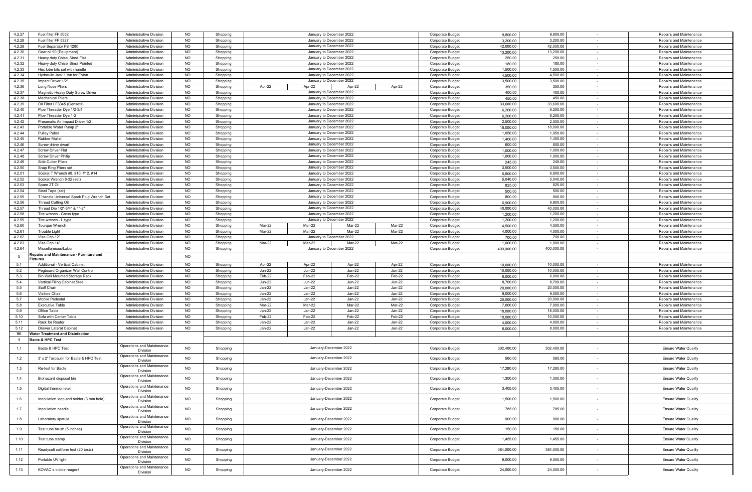| 4.2.27         | Fuel filter FF 5052                      | <b>Administrative Division</b>         | <b>NO</b>      | Shopping |        | January to December 2022 |                       |        | <b>Corporate Budget</b> | 9,800.00   | 9,800.00   |        | Repairs and Maintenance     |
|----------------|------------------------------------------|----------------------------------------|----------------|----------|--------|--------------------------|-----------------------|--------|-------------------------|------------|------------|--------|-----------------------------|
| 4.2.28         | Fuel filter FF 5327                      | <b>Administrative Division</b>         | <b>NO</b>      | Shopping |        | January to December 2022 |                       |        | Corporate Budget        | 3,200.00   | 3,200.00   |        | Repairs and Maintenance     |
| 4.2.29         | Fuel Separator FS 1280                   | Administrative Division                | <b>NO</b>      |          |        | January to December 2022 |                       |        |                         | 42,000.00  | 42,000.00  |        | Repairs and Maintenance     |
|                |                                          |                                        |                | Shopping |        |                          |                       |        | Corporate Budget        |            |            | $\sim$ |                             |
| 4.2.30         | Gear oil 90 (Equipment)                  | Administrative Division                | <b>NO</b>      | Shopping |        | January to December 2022 |                       |        | Corporate Budget        | 13,200.00  | 13,200.00  | $\sim$ | Repairs and Maintenance     |
| 4.2.31         | Heavy duty Chisel Sinsil Flat            | <b>Administrative Division</b>         | <b>NO</b>      | Shopping |        | January to December 2022 |                       |        | Corporate Budget        | 250.00     | 250.00     |        | Repairs and Maintenance     |
| 4.2.32         | Heavy duty Chisel Sinsil Pointed         | <b>Administrative Division</b>         | <b>NO</b>      | Shopping |        | January to December 2022 |                       |        | <b>Corporate Budget</b> | 180.00     | 180.00     | $\sim$ | Repairs and Maintenance     |
| 4.2.33         | Hex lobe bits set with handle            | <b>Administrative Division</b>         | <b>NO</b>      | Shopping |        | January to December 2022 |                       |        | Corporate Budget        | 1,500.00   | 1,500.00   |        | Repairs and Maintenance     |
| 4.2.34         | Hydraulic Jack 1 ton for Foton           | Administrative Division                | <b>NO</b>      | Shopping |        | January to December 2022 |                       |        | Corporate Budget        | 4,500.00   | 4,500.00   | $\sim$ | Repairs and Maintenance     |
| 4.2.35         | Impact Driver 1/2"                       | <b>Administrative Division</b>         | <b>NO</b>      | Shopping |        | January to December 2022 |                       |        | Corporate Budget        | 3,500.00   | 3,500.00   | $\sim$ | Repairs and Maintenance     |
| 4.2.36         | Long Nose Pliers                         | <b>Administrative Division</b>         | <b>NO</b>      | Shopping | Apr-22 | Apr-22                   | Apr-22                | Apr-22 | Corporate Budget        | 350.00     | 350.00     | $\sim$ | Repairs and Maintenance     |
| 4.2.37         | Magnetic Heavy Duty Screw Driver         | <b>Administrative Division</b>         | <b>NO</b>      | Shopping |        | January to December 2022 |                       |        | Corporate Budget        | 400.00     | 400.00     | $\sim$ | Repairs and Maintenance     |
| 4.2.38         | <b>Mechanical Pliers</b>                 | <b>Administrative Division</b>         | <b>NO</b>      | Shopping |        | January to December 2022 |                       |        |                         | 450.00     | 450.00     |        | Repairs and Maintenance     |
|                |                                          |                                        |                |          |        |                          |                       |        | Corporate Budget        |            |            |        |                             |
| 4.2.39         | Oil Filter LF3345 (Gensets)              | <b>Administrative Division</b>         | NO.            | Shopping |        | January to December 2022 |                       |        | Corporate Budget        | 33,600.00  | 33,600.00  | $\sim$ | Repairs and Maintenance     |
| 4.2.40         | Pipe Threader Dye 1/2-3/4                | <b>Administrative Division</b>         | <b>NO</b>      | Shopping |        | January to December 2022 |                       |        | Corporate Budget        | 6,200.00   | 6,200.00   | $\sim$ | Repairs and Maintenance     |
| 4.2.41         | Pipe Threader Dye 1-2                    | <b>Administrative Division</b>         | <b>NO</b>      | Shopping |        | January to December 2022 |                       |        | Corporate Budget        | 6,200.00   | 6,200.00   |        | Repairs and Maintenance     |
| 4.2.42         | Pneumatic Air Impact Driver 1/2          | <b>Administrative Division</b>         | <b>NO</b>      | Shopping |        | January to December 2022 |                       |        | Corporate Budget        | 2,500.00   | 2,500.00   | $\sim$ | Repairs and Maintenance     |
| 4.2.43         | Portable Water Pump 2"                   | <b>Administrative Division</b>         | <b>NO</b>      | Shopping |        | January to December 2022 |                       |        | Corporate Budget        | 18,000.00  | 18,000.00  |        | Repairs and Maintenance     |
| 4.2.44         | <b>Pulley Puller</b>                     | <b>Administrative Division</b>         | NO.            | Shopping |        | January to December 2022 |                       |        | Corporate Budget        | 1,050.00   | 1,050.00   | $\sim$ | Repairs and Maintenance     |
| 4.2.45         | <b>Rubber Mallet</b>                     | <b>Administrative Division</b>         | <b>NO</b>      | Shopping |        | January to December 2022 |                       |        | Corporate Budget        | 1,400.00   | 1,400.00   | $\sim$ | Repairs and Maintenance     |
|                |                                          |                                        |                |          |        |                          |                       |        |                         |            |            |        |                             |
| 4.2.46         | Screw driver dwarf                       | <b>Administrative Division</b>         | <b>NO</b>      | Shopping |        | January to December 2022 |                       |        | <b>Corporate Budget</b> | 600.00     | 600.00     |        | Repairs and Maintenance     |
| 4.2.47         | <b>Screw Driver Flat</b>                 | <b>Administrative Division</b>         | <b>NO</b>      | Shopping |        | January to December 2022 |                       |        | <b>Corporate Budget</b> | 1,000.00   | 1,000.00   | $\sim$ | Repairs and Maintenance     |
| 4.2.48         | <b>Screw Driver Philip</b>               | <b>Administrative Division</b>         | <b>NO</b>      | Shopping |        | January to December 2022 |                       |        | Corporate Budget        | 1,000.00   | 1,000.00   |        | Repairs and Maintenance     |
| 4.2.49         | Side Cutter Pliers                       | Administrative Division                | <b>NO</b>      | Shopping |        | January to December 2022 |                       |        | Corporate Budget        | 245.00     | 245.00     | $\sim$ | Repairs and Maintenance     |
| 4.2.50         | Snap Ring Pliers set                     | <b>Administrative Division</b>         | <b>NO</b>      | Shopping |        | January to December 2022 |                       |        | Corporate Budget        | 3,500.00   | 3,500.00   | $\sim$ | Repairs and Maintenance     |
| 4.2.51         | Socket T Wrench #8, #10, #12, #14        | <b>Administrative Division</b>         | <b>NO</b>      | Shopping |        | January to December 2022 |                       |        | Corporate Budget        | 6,800.00   | 6,800.00   | $\sim$ | Repairs and Maintenance     |
| 4.2.52         | Socket Wrench 8-32 (set)                 | <b>Administrative Division</b>         | <b>NO</b>      | Shopping |        | January to December 2022 |                       |        | Corporate Budget        | 5,040.00   | 5,040.00   | $\sim$ | Repairs and Maintenance     |
| 4.2.53         |                                          |                                        | <b>NO</b>      |          |        | January to December 2022 |                       |        |                         |            | 825.00     |        |                             |
|                | Spare 2T Oil                             | <b>Administrative Division</b>         |                | Shopping |        |                          |                       |        | Corporate Budget        | 825.00     |            |        | Repairs and Maintenance     |
| 4.2.54         | Steel Tape (set)                         | <b>Administrative Division</b>         | NO.            | Shopping |        | January to December 2022 |                       |        | Corporate Budget        | 500.00     | 500.00     | $\sim$ | Repairs and Maintenance     |
| 4.2.55         | T Handle Universal Spark Plug Wrench Set | <b>Administrative Division</b>         | <b>NO</b>      | Shopping |        | January to December 2022 |                       |        | Corporate Budget        | 800.00     | 800.00     | $\sim$ | Repairs and Maintenance     |
| 4.2.56         | Thread Cutting Oil                       | <b>Administrative Division</b>         | <b>NO</b>      | Shopping |        | January to December 2022 |                       |        | Corporate Budget        | 6,900.00   | 6,900.00   |        | Repairs and Maintenance     |
| 4.2.57         | Thread Die 1/2"-3/4" & 1"-2"             | <b>Administrative Division</b>         | <b>NO</b>      | Shopping |        | January to December 2022 |                       |        | Corporate Budget        | 40,000.00  | 40,000.00  | $\sim$ | Repairs and Maintenance     |
| 4.2.58         | Tire wrench - Cross type                 | <b>Administrative Division</b>         | <b>NO</b>      | Shopping |        | January to December 2022 |                       |        | Corporate Budget        | 1,200.00   | 1,200.00   |        | Repairs and Maintenance     |
| 4.2.59         | Tire wrench - L type                     | <b>Administrative Division</b>         | NO.            | Shopping |        | January to December 2022 |                       |        | Corporate Budget        | 1,200.00   | 1,200.00   | $\sim$ | Repairs and Maintenance     |
| 4.2.60         | Tourque Wrench                           | <b>Administrative Division</b>         | <b>NO</b>      | Shopping | Mar-22 | Mar-22                   | Mar-22                | Mar-22 | <b>Corporate Budget</b> | 4,500.00   | 4,500.00   | $\sim$ | Repairs and Maintenance     |
| 4.2.61         |                                          |                                        |                |          |        |                          |                       |        |                         |            |            |        |                             |
|                | <b>Trouble Light</b>                     | <b>Administrative Division</b>         | <b>NO</b>      | Shopping | Mar-22 | Mar-22                   | Mar-22                | Mar-22 | Corporate Budget        | 4,000.00   | 4,000.00   |        | Repairs and Maintenance     |
| 4.2.62         | Vise Grip 12"                            | <b>Administrative Division</b>         | <b>NO</b>      | Shopping |        | January to December 2022 |                       |        | <b>Corporate Budget</b> | 700.00     | 700.00     | $\sim$ | Repairs and Maintenance     |
| 4.2.63         | Vise Grip 14"                            | <b>Administrative Division</b>         | <b>NO</b>      | Shopping | Mar-22 | Mar-22                   | Mar-22                | Mar-22 | Corporate Budget        | 1,000.00   | 1,000.00   |        | Repairs and Maintenance     |
| 4.2.64         | Miscellaneous/Labor                      | Administrative Division                | <b>NO</b>      | Shopping |        | January to December 2022 |                       |        | Corporate Budget        | 400,000.00 | 400,000.00 | $\sim$ | Repairs and Maintenance     |
|                |                                          |                                        |                |          |        |                          |                       |        |                         |            |            |        |                             |
|                | epairs and Maintenance - Furniture and   |                                        |                |          |        |                          |                       |        |                         |            |            |        |                             |
| 5              | ixtures                                  |                                        | <b>NO</b>      |          |        |                          |                       |        |                         |            |            |        |                             |
| 5.1            | Additional - Vertical Cabinet            | <b>Administrative Division</b>         | <b>NO</b>      | Shopping | Apr-22 | Apr-22                   | Apr-22                | Apr-22 | Corporate Budget        | 10,000.00  | 10,000.00  |        | Repairs and Maintenance     |
| 5.2            | Pegboard Organizer Wall Control          | Administrative Division                | <b>NO</b>      | Shopping | Jun-22 | <b>Jun-22</b>            | Jun-22                | Jun-22 | <b>Corporate Budget</b> | 10,000.00  | 10,000.00  | $\sim$ | Repairs and Maintenance     |
|                |                                          |                                        |                |          |        |                          |                       |        |                         |            |            | $\sim$ |                             |
| 5.3            | <b>Bin Wall Mounted Storage Rack</b>     | <b>Administrative Division</b>         | <b>NO</b>      | Shopping | Feb-22 | Feb-22                   | Feb-22                | Feb-22 | Corporate Budget        | 6,000.00   | 6,000.00   | $\sim$ | Repairs and Maintenance     |
| 5.4            | Vertical Filing Cabinet Steel            | <b>Administrative Division</b>         | <b>NO</b>      | Shopping | Jun-22 | <b>Jun-22</b>            | Jun-22                | Jun-22 | Corporate Budget        | 8,700.00   | 8,700.00   |        | Repairs and Maintenance     |
| 5.5            | <b>Staff Chair</b>                       | <b>Administrative Division</b>         | <b>NO</b>      | Shopping | Jan-22 | Jan-22                   | Jan-22                | Jan-22 | <b>Corporate Budget</b> | 20,000.00  | 20,000.00  | $\sim$ | Repairs and Maintenance     |
| 5.6            | <b>Visitors Chair</b>                    | <b>Administrative Division</b>         | <b>NO</b>      | Shopping | Jan-22 | Jan-22                   | Jan-22                | Jan-22 | Corporate Budget        | 9,000.00   | 9,000.00   |        | Repairs and Maintenance     |
| 5.7            | Mobile Pedestal                          | <b>Administrative Division</b>         | NO.            | Shopping | Jan-22 | Jan-22                   | Jan-22                | Jan-22 | Corporate Budget        | 20,000.00  | 20,000.00  | $\sim$ | Repairs and Maintenance     |
| 5.8            | <b>Executive Table</b>                   | Administrative Division                | <b>NO</b>      | Shopping | Mar-22 | Mar-22                   | Mar-22                | Mar-22 | Corporate Budget        | 7,000.00   | 7,000.00   | $\sim$ | Repairs and Maintenance     |
| 5.9            | Office Table                             | <b>Administrative Division</b>         | <b>NO</b>      | Shopping | Jan-22 | Jan-22                   | Jan-22                | Jan-22 | Corporate Budget        | 18,000.00  | 18,000.00  |        | Repairs and Maintenance     |
| 5.10           | Sofa with Center Table                   | <b>Administrative Division</b>         | NO             | Shopping | Feb-22 | Feb-22                   | Feb-22                | Feb-22 | <b>Corporate Budget</b> | 10,000.00  | 10,000.00  | $\sim$ | Repairs and Maintenance     |
| 5.11           | Rack for Router                          | <b>Administrative Division</b>         | <b>NO</b>      | Shopping | Jan-22 | Jan-22                   | Jan-22                | Jan-22 | Corporate Budget        | 4,000.00   | 4,000.00   |        | Repairs and Maintenance     |
| 5.12           | <b>Drawer Lateral Cabinet</b>            | Administrative Division                | NO             | Shopping | Jan-22 | Jan-22                   | Jan-22                | Jan-22 | Corporate Budget        | 8,000.00   | 8,000.00   | $\sim$ | Repairs and Maintenance     |
| VII            | Water Treatment and Disinfection         |                                        |                |          |        |                          |                       |        |                         |            |            |        |                             |
| $\overline{1}$ |                                          |                                        |                |          |        |                          |                       |        |                         |            |            |        |                             |
|                | Bacte & HPC Test                         |                                        |                |          |        |                          |                       |        |                         |            |            |        |                             |
| 1.1            | Bacte & HPC Test                         | Operations and Maintenance             | <b>NO</b>      | Shopping |        | January-December 2022    |                       |        | Corporate Budget        | 302,400.00 | 302,400.00 |        | <b>Ensure Water Quality</b> |
|                |                                          | Division                               |                |          |        |                          |                       |        |                         |            |            |        |                             |
| 1.2            | 3' x 2' Tarpaulin for Bacte & HPC Test   | Operations and Maintenance             | <b>NO</b>      | Shopping |        | January-December 2022    |                       |        | Corporate Budget        | 560.00     | 560.00     |        | <b>Ensure Water Quality</b> |
|                |                                          | Division                               |                |          |        |                          |                       |        |                         |            |            |        |                             |
| 1.3            | Re-test for Bacte                        | Operations and Maintenance             | <b>NO</b>      | Shopping |        | January-December 2022    |                       |        | Corporate Budget        | 17,280.00  | 17,280.00  |        | <b>Ensure Water Quality</b> |
|                |                                          | Division                               |                |          |        |                          |                       |        |                         |            |            |        |                             |
| 1.4            | Biohazard disposal bin                   | Operations and Maintenance             | <b>NO</b>      | Shopping |        | January-December 2022    |                       |        | Corporate Budget        | 1,300.00   | 1,300.00   |        | <b>Ensure Water Quality</b> |
|                |                                          | Division                               |                |          |        |                          |                       |        |                         |            |            |        |                             |
| 1.5            | Digital thermometer                      | Operations and Maintenance             | N <sub>O</sub> | Shopping |        |                          | January-December 2022 |        | Corporate Budget        | 3,405.00   | 3,405.00   |        | <b>Ensure Water Quality</b> |
|                |                                          | <b>DIVISION</b>                        |                |          |        |                          |                       |        |                         |            |            |        |                             |
| 1.6            | Inoculation loop and holder (3 mm hole)  | Operations and Maintenance<br>Division | <b>NO</b>      | Shopping |        |                          | January-December 2022 |        | Corporate Budget        | 1,500.00   | 1,500.00   |        | <b>Ensure Water Quality</b> |
|                |                                          |                                        |                |          |        |                          |                       |        |                         |            |            |        |                             |
| 1.7            | Inoculation needle                       | Operations and Maintenance<br>Division | <b>NO</b>      | Shopping |        |                          | January-December 2022 |        | Corporate Budget        | 785.00     | 785.00     |        | <b>Ensure Water Quality</b> |
|                |                                          |                                        |                |          |        |                          |                       |        |                         |            |            |        |                             |
| 1.8            | Laboratory spatula                       | Operations and Maintenance<br>Division | <b>NO</b>      | Shopping |        |                          | January-December 2022 |        | Corporate Budget        | 900.00     | 900.00     | $\sim$ | <b>Ensure Water Quality</b> |
|                |                                          | Operations and Maintenance             |                |          |        |                          |                       |        |                         |            |            |        |                             |
| 1.9            | Test tube brush (5 inches)               | Division                               | <b>NO</b>      | Shopping |        | January-December 2022    |                       |        | Corporate Budget        | 150.00     | 150.00     |        | <b>Ensure Water Quality</b> |
|                |                                          | Operations and Maintenance             |                |          |        |                          |                       |        |                         |            |            |        |                             |
| 1.10           | Test tube clamp                          | Division                               | <b>NO</b>      | Shopping |        |                          | January-December 2022 |        | Corporate Budget        | 1,455.00   | 1,455.00   |        | <b>Ensure Water Quality</b> |
|                |                                          | Operations and Maintenance             |                |          |        |                          |                       |        |                         |            |            |        |                             |
| 1.11           | Readycult coliform test (20 tests)       | Division                               | <b>NO</b>      | Shopping |        |                          | January-December 2022 |        | Corporate Budget        | 384,000.00 | 384,000.00 |        | <b>Ensure Water Quality</b> |
|                |                                          | Operations and Maintenance             |                |          |        |                          |                       |        |                         |            |            |        |                             |
| 1.12           | Portable UV light                        | Division                               | <b>NO</b>      | Shopping |        |                          | January-December 2022 |        | Corporate Budget        | 9,000.00   | 9,000.00   |        | <b>Ensure Water Quality</b> |
| 1.13           | KOVAC's indole reagent                   | Operations and Maintenance<br>Division | <b>NO</b>      | Shopping |        |                          | January-December 2022 |        | Corporate Budget        | 24,000.00  | 24,000.00  | $\sim$ | <b>Ensure Water Quality</b> |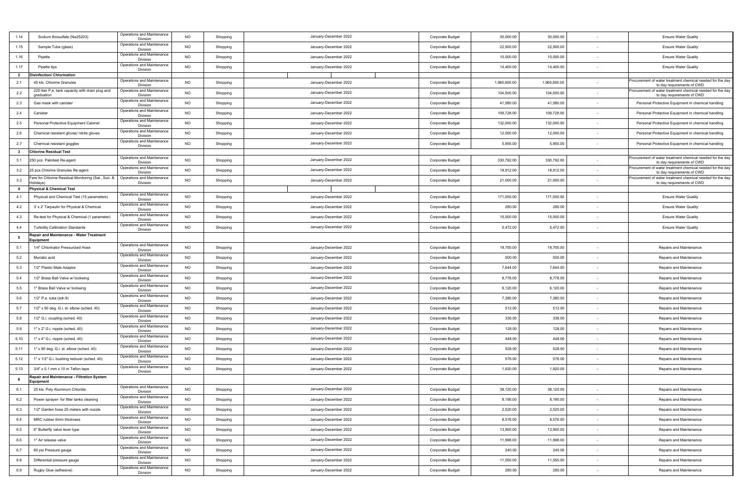| 1.14                    | Sodium thiosulfate (Na2S203)                                   | Operations and Maintenance<br>Division        | <b>NO</b> | Shopping | January-December 2022 | Corporate Budget | 30,000.00    | 30,000.00    |        | <b>Ensure Water Quality</b>                                                              |
|-------------------------|----------------------------------------------------------------|-----------------------------------------------|-----------|----------|-----------------------|------------------|--------------|--------------|--------|------------------------------------------------------------------------------------------|
| 1.15                    | Sample Tube (glass)                                            | Operations and Maintenance<br>Division        | <b>NO</b> | Shopping | January-December 2022 | Corporate Budget | 22,500.00    | 22,500.00    |        | <b>Ensure Water Quality</b>                                                              |
| 1.16                    | Pipette                                                        | Operations and Maintenance<br>Division        | NO        | Shopping | January-December 2022 | Corporate Budget | 10,000.00    | 10,000.00    |        | <b>Ensure Water Quality</b>                                                              |
| 1.17                    | Pipette tips                                                   | Operations and Maintenance<br>Division        | <b>NO</b> | Shopping | January-December 2022 | Corporate Budget | 14,400.00    | 14,400.00    |        | <b>Ensure Water Quality</b>                                                              |
| $\overline{2}$          | Disinfection/ Chlorination                                     |                                               |           |          |                       |                  |              |              |        |                                                                                          |
| 2.1                     | 45 kls. Chlorine Granules                                      | Operations and Maintenance<br>Division        | <b>NO</b> | Shopping | January-December 2022 | Corporate Budget | 1,965,600.00 | 1,965,600.00 |        | Procurement of water treatment chemical needed for the day<br>to day requirements of CWD |
| 2.2                     | 220 liter P.e. tank capacity with drain plug and<br>graduation | Operations and Maintenance<br>Division        | <b>NO</b> | Shopping | January-December 2022 | Corporate Budget | 104,500.00   | 104,500.00   |        | Procurement of water treatment chemical needed for the day<br>to day requirements of CWD |
| 2.3                     | Gas mask with canister                                         | Operations and Maintenance<br>Division        | NO        | Shopping | January-December 2022 | Corporate Budget | 41,580.00    | 41,580.00    |        | Personal Protective Equipment in chemical handling                                       |
| 2.4                     | Canister                                                       | Operations and Maintenance<br>Division        | <b>NO</b> | Shopping | January-December 2022 | Corporate Budget | 109,728.00   | 109,728.00   |        | Personal Protective Equipment in chemical handling                                       |
| 2.5                     | Personal Protective Equipment Cabinet                          | Operations and Maintenance<br>Division        | <b>NO</b> | Shopping | January-December 2022 | Corporate Budget | 132,000.00   | 132,000.00   |        | Personal Protective Equipment in chemical handling                                       |
| 2.6                     | Chemical resistant gloves/ nitrile gloves                      | Operations and Maintenance<br>Division        | <b>NO</b> | Shopping | January-December 2022 | Corporate Budget | 12,000.00    | 12,000.00    |        | Personal Protective Equipment in chemical handling                                       |
| 2.7                     | Chemical resistant goggles                                     | Operations and Maintenance<br>Division        | <b>NO</b> | Shopping | January-December 2022 | Corporate Budget | 5,955.00     | 5,955.00     | $\sim$ | Personal Protective Equipment in chemical handling                                       |
| $\overline{\mathbf{3}}$ | <b>Chlorine Residual Test</b>                                  |                                               |           |          |                       |                  |              |              |        |                                                                                          |
| 3.1                     | 250 pcs. Palintest Re-agent                                    | Operations and Maintenance<br>Division        | <b>NO</b> | Shopping | January-December 2022 | Corporate Budget | 330,792.00   | 330,792.00   |        | Procurement of water treatment chemical needed for the day<br>to day requirements of CWD |
| 3.2                     | 25 pcs.Chlorine Granules Re-agent                              | Operations and Maintenance<br>Division        | NO        | Shopping | January-December 2022 | Corporate Budget | 18,912.00    | 18,912.00    |        | Procurement of water treatment chemical needed for the day<br>to day requirements of CWD |
| 3.3                     | are for Chlorine Residual Monitoring (Sat., Sun. &             | Operations and Maintenance                    | <b>NO</b> |          | January-December 2022 |                  | 21,000.00    | 21,000.00    |        | rocurement of water treatment chemical needed for the day                                |
|                         | Holidays)                                                      | Division                                      |           | Shopping |                       | Corporate Budget |              |              |        | to day requirements of CWD                                                               |
| $\overline{4}$          | hysical & Chemical Test                                        |                                               |           |          |                       |                  |              |              |        |                                                                                          |
| 4.1                     | Physical and Chemical Test (15 parameters)                     | Operations and Maintenance<br>Division        | NO        | Shopping | January-December 2022 | Corporate Budget | 171,050.00   | 171,050.00   |        | <b>Ensure Water Quality</b>                                                              |
| 4.2                     | 3' x 2' Tarpaulin for Physical & Chemical                      | Operations and Maintenance<br>Division        | <b>NO</b> | Shopping | January-December 2022 | Corporate Budget | 280.00       | 280.00       |        | <b>Ensure Water Quality</b>                                                              |
| 4.3                     | Re-test for Physical & Chemical (1 parameter)                  | Operations and Maintenance<br>Division        | <b>NO</b> | Shopping | January-December 2022 | Corporate Budget | 15,000.00    | 15,000.00    |        | <b>Ensure Water Quality</b>                                                              |
| 4.4                     | <b>Turbidity Calibration Standards</b>                         | Operations and Maintenance<br>Division        | <b>NO</b> | Shopping | January-December 2022 | Corporate Budget | 5,472.00     | 5,472.00     |        | <b>Ensure Water Quality</b>                                                              |
| 5                       | Repair and Maintenance - Water Treatment<br>quipment           |                                               |           |          |                       |                  |              |              |        |                                                                                          |
| 5.1                     | 1/4" Chlorinator Pressurized Hose                              | Operations and Maintenance<br>Division        | <b>NO</b> | Shopping | January-December 2022 | Corporate Budget | 19,700.00    | 19,700.00    |        | Repairs and Maintenance                                                                  |
| 5.2                     | Muriatic acid                                                  | Operations and Maintenance<br>Division        | <b>NO</b> | Shopping | January-December 2022 | Corporate Budget | 500.00       | 500.00       |        | Repairs and Maintenance                                                                  |
| 5.3                     | 1/2" Plastic Male Adaptor                                      | Operations and Maintenance<br>Division        | <b>NO</b> | Shopping | January-December 2022 | Corporate Budget | 7,644.00     | 7,644.00     | $\sim$ | Repairs and Maintenance                                                                  |
| 5.4                     | 1/2" Brass Ball Valve w/ lockwing                              | Operations and Maintenance<br>Division        | <b>NO</b> | Shopping | January-December 2022 | Corporate Budget | 8,778.00     | 8,778.00     |        | Repairs and Maintenance                                                                  |
| 5.5                     | 1" Brass Ball Valve w/ lockwing                                | Operations and Maintenance<br>Division        | NO        | Shopping | January-December 2022 | Corporate Budget | 6,120.00     | 6,120.00     |        | Repairs and Maintenance                                                                  |
| 5.6                     | 1/2" P.e. tube (sdr-9)                                         | Operations and Maintenance<br>Division        | <b>NO</b> | Shopping | January-December 2022 | Corporate Budget | 7,380.00     | 7,380.00     |        | Repairs and Maintenance                                                                  |
| 5.7                     | 1/2" x 90 deg. G.i. st. elbow (sched. 40)                      | Operations and Maintenance<br>Division        | <b>NO</b> | Shopping | January-December 2022 | Corporate Budget | 512.00       | 512.00       |        | Repairs and Maintenance                                                                  |
| 5.8                     | 1/2" G.i. coupling (sched. 40)                                 | Operations and Maintenance<br>Division        | <b>NO</b> | Shopping | January-December 2022 | Corporate Budget | 336.00       | 336.00       |        | Repairs and Maintenance                                                                  |
| 5.9                     | 1" x 2" G.i. nipple (sched. 40)                                | Operations and Maintenance<br>Division        | <b>NO</b> | Shopping | January-December 2022 | Corporate Budget | 128.00       | 128.00       |        | Repairs and Maintenance                                                                  |
| 5.10                    | 1" x 4" G.i. nipple (sched. 40)                                | Operations and Maintenance<br>Division        | <b>NO</b> | Shopping | January-December 2022 | Corporate Budget | 448.00       | 448.00       |        | Repairs and Maintenance                                                                  |
| 5.11                    | 1" x 90 deg. G.i. st. elbow (sched. 40)                        | Operations and Maintenance<br>Division        | NO        | Shopping | January-December 2022 | Corporate Budget | 528.00       | 528.00       |        | Repairs and Maintenance                                                                  |
| 5.12                    | 1" x 1/2" G.i. bushing reducer (sched. 40)                     | Operations and Maintenance<br>Division        | <b>NO</b> | Shopping | January-December 2022 | Corporate Budget | 576.00       | 576.00       |        | Repairs and Maintenance                                                                  |
| 5.13                    | 3/4" x 0.1 mm x 10 m Teflon tape                               | Operations and Maintenance<br>Division        | <b>NO</b> | Shopping | January-December 2022 | Corporate Budget | 1,920.00     | 1,920.00     |        | Repairs and Maintenance                                                                  |
| 6                       | Repair and Maintenance - Filtration System<br>Equipment        |                                               |           |          |                       |                  |              |              |        |                                                                                          |
| 6.1                     | 25 kls. Poly Aluminum Chloride                                 | Operations and Maintenance<br><b>DIVISION</b> | NO        | Shopping | January-December 2022 | Corporate Budget | 38,120.00    | 38,120.00    |        | Repairs and Maintenance                                                                  |
| 6.2                     | Power sprayer- for filter tanks cleaning                       | Operations and Maintenance<br>Division        | NO        | Shopping | January-December 2022 | Corporate Budget | 8,190.00     | 8,190.00     |        | Repairs and Maintenance                                                                  |
| 6.3                     | 1/2" Garden hose 20 meters with nozzle                         | Operations and Maintenance<br>Division        | <b>NO</b> | Shopping | January-December 2022 | Corporate Budget | 2,520.00     | 2,520.00     |        | Repairs and Maintenance                                                                  |
| 6.4                     | MRC rubber 6mm thickness                                       | Operations and Maintenance<br>Division        | <b>NO</b> | Shopping | January-December 2022 | Corporate Budget | 8,576.00     | 8,576.00     |        | Repairs and Maintenance                                                                  |
| 6.5                     | 6" Butterfly valve lever type                                  | Operations and Maintenance<br>Division        | <b>NO</b> | Shopping | January-December 2022 | Corporate Budget | 13,900.00    | 13,900.00    | $\sim$ | Repairs and Maintenance                                                                  |
| 6.6                     | 1" Air release valve                                           | Operations and Maintenance<br>Division        | <b>NO</b> | Shopping | January-December 2022 | Corporate Budget | 11,998.00    | 11,998.00    |        | Repairs and Maintenance                                                                  |
| 6.7                     | 60 psi Pressure gauge                                          | Operations and Maintenance<br>Division        | NO        | Shopping | January-December 2022 | Corporate Budget | 240.00       | 240.00       |        | Repairs and Maintenance                                                                  |
| 6.8                     | Differential pressure gauge                                    | Operations and Maintenance<br>Division        | <b>NO</b> | Shopping | January-December 2022 | Corporate Budget | 11,550.00    | 11,550.00    |        | Repairs and Maintenance                                                                  |
| 6.9                     | Rugby Glue (adhesive)                                          | Operations and Maintenance<br>Division        | <b>NO</b> | Shopping | January-December 2022 | Corporate Budget | 280.00       | 280.00       | $\sim$ | Repairs and Maintenance                                                                  |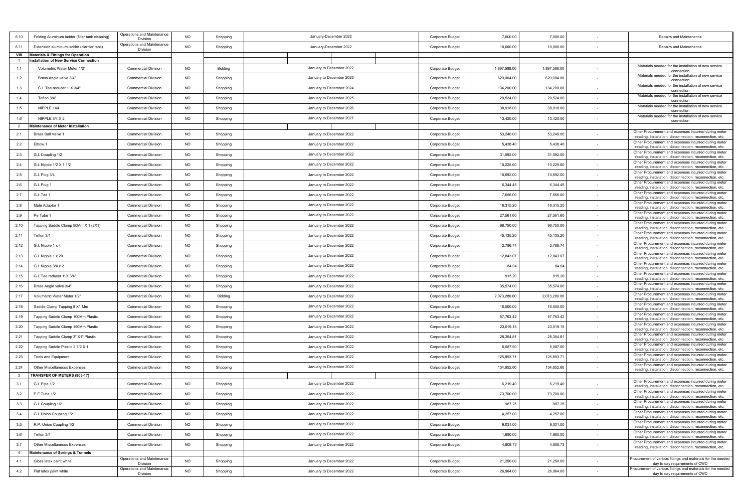| 6.10           | Folding Aluminum ladder (filter tank cleaning) | Operations and Maintenance             | <b>NO</b> | Shopping |                                                |                          |                  | Corporate Budget | 7,000.00     | 7,000.00     |                          | Repairs and Maintenance                                                                                          |
|----------------|------------------------------------------------|----------------------------------------|-----------|----------|------------------------------------------------|--------------------------|------------------|------------------|--------------|--------------|--------------------------|------------------------------------------------------------------------------------------------------------------|
| 6.11           | Extension aluminum ladder (clarifier tank)     | Division<br>Operations and Maintenance | <b>NO</b> | Shopping | January-December 2022<br>January-December 2022 |                          | Corporate Budget | 10,000.00        | 10,000.00    |              | Repairs and Maintenance  |                                                                                                                  |
| VIII           | <b>Materials &amp; Fittings for Operation</b>  | Division                               |           |          |                                                |                          |                  |                  |              |              |                          |                                                                                                                  |
|                | <b>Installation of New Service Connection</b>  |                                        |           |          |                                                |                          |                  |                  |              |              |                          |                                                                                                                  |
| 1.1            | Volumetric Water Meter 1/2"                    | <b>Commercial Division</b>             | <b>NO</b> | Bidding  |                                                | January to December 2022 |                  | Corporate Budget | 1,897,588.00 | 1,897,588.00 |                          | Materials needed for the installation of new service<br>connection                                               |
| 1.2            | Brass Angle valve 3/4"                         | <b>Commercial Division</b>             | <b>NO</b> | Shopping |                                                | January to December 2023 |                  | Corporate Budget | 620,004.00   | 620,004.00   | $\sim$                   | Materials needed for the installation of new service<br>connection                                               |
| 1.3            | G.I. Tee reducer 1' X 3/4"                     | <b>Commercial Division</b>             | <b>NO</b> | Shopping |                                                | January to December 2024 |                  | Corporate Budget | 134,200.00   | 134,200.00   |                          | Materials needed for the installation of new service<br>connection                                               |
| 1.4            | Teflon 3/4"                                    | <b>Commercial Division</b>             | <b>NO</b> | Shopping |                                                | January to December 2025 |                  | Corporate Budget | 29,524.00    | 29,524.00    |                          | Materials needed for the installation of new service<br>connection                                               |
| 1.5            | NIPPLE 1X4                                     | <b>Commercial Division</b>             | <b>NO</b> | Shopping |                                                | January to December 2026 |                  | Corporate Budget | 38,918.00    | 38,918.00    |                          | Materials needed for the installation of new service<br>connection                                               |
| 1.6            | NIPPLE 3/4 X 2                                 | <b>Commercial Division</b>             | <b>NO</b> | Shopping |                                                | January to December 2027 |                  | Corporate Budget | 13,420.00    | 13,420.00    |                          | Materials needed for the installation of new service<br>connection                                               |
|                | <b>Maintenance of Meter Installation</b>       |                                        |           |          |                                                |                          |                  |                  |              |              |                          |                                                                                                                  |
| 2.1            | Brass Ball Valve 1                             | <b>Commercial Division</b>             | <b>NO</b> | Shopping |                                                | January to December 2022 |                  | Corporate Budget | 53,240.00    | 53,240.00    |                          | Other Procurement and expenses incurred during meter<br>reading, installation, disconnection, reconnection, etc. |
| 2.2            | Elbow 1                                        | <b>Commercial Division</b>             | <b>NO</b> | Shopping |                                                | January to December 2022 |                  | Corporate Budget | 5,438.40     | 5,438.40     |                          | Other Procurement and expenses incurred during meter<br>reading, installation, disconnection, reconnection, etc. |
| 2.3            | G.I. Coupling 1/2                              | <b>Commercial Division</b>             | <b>NO</b> | Shopping |                                                | January to December 2022 |                  | Corporate Budget | 31,592.00    | 31,592.00    |                          | Other Procurement and expenses incurred during meter<br>reading, installation, disconnection, reconnection, etc. |
| 2.4            | G.I. Nipple 1/2 X 1 1/2                        | <b>Commercial Division</b>             | <b>NO</b> | Shopping |                                                | January to December 2022 |                  | Corporate Budget | 10,225.60    | 10,225.60    |                          | Other Procurement and expenses incurred during meter<br>reading, installation, disconnection, reconnection, etc. |
| 2.5            | G.I. Plug 3/4                                  | <b>Commercial Division</b>             | <b>NO</b> | Shopping |                                                | January to December 2022 |                  | Corporate Budget | 10,692.00    | 10,692.00    |                          | Other Procurement and expenses incurred during meter<br>reading, installation, disconnection, reconnection, etc. |
| 2.6            | G.I. Plug 1                                    | <b>Commercial Division</b>             | <b>NO</b> | Shopping |                                                | January to December 2022 |                  | Corporate Budget | 6,344.45     | 6,344.45     |                          | Other Procurement and expenses incurred during meter<br>reading, installation, disconnection, reconnection, etc. |
| 2.7            | G.I. Tee 1                                     | <b>Commercial Division</b>             | <b>NO</b> | Shopping |                                                | January to December 2022 |                  | Corporate Budget | 7,656.00     | 7,656.00     |                          | Other Procurement and expenses incurred during meter<br>reading, installation, disconnection, reconnection, etc. |
| 2.8            | Male Adaptor 1                                 | <b>Commercial Division</b>             | <b>NO</b> | Shopping |                                                | January to December 2022 |                  | Corporate Budget | 16,315.20    | 16,315.20    |                          | Other Procurement and expenses incurred during meter<br>reading, installation, disconnection, reconnection, etc. |
| 2.9            | Pe Tube 1                                      | <b>Commercial Division</b>             | <b>NO</b> | Shopping |                                                | January to December 2022 |                  | Corporate Budget | 27,561.60    | 27,561.60    | ٠.                       | Other Procurement and expenses incurred during meter<br>reading, installation, disconnection, reconnection, etc. |
| 2.10           | Tapping Saddle Clamp 50Mm X 1 (2X1)            | <b>Commercial Division</b>             | <b>NO</b> | Shopping |                                                | January to December 2022 |                  | Corporate Budget | 96,750.00    | 96,750.00    | $\sim$                   | Other Procurement and expenses incurred during meter<br>reading, installation, disconnection, reconnection, etc. |
| 2.11           | Teflon 3/4                                     | <b>Commercial Division</b>             | <b>NO</b> | Shopping |                                                | January to December 2022 |                  | Corporate Budget | 45,135.20    | 45,135.20    |                          | Other Procurement and expenses incurred during meter<br>reading, installation, disconnection, reconnection, etc. |
| 2.12           | G.I. Nipple 1 x 4                              | <b>Commercial Division</b>             | <b>NO</b> | Shopping |                                                | January to December 2022 |                  | Corporate Budget | 2,786.74     | 2,786.74     |                          | Other Procurement and expenses incurred during meter<br>reading, installation, disconnection, reconnection, etc. |
| 2.13           | G.I. Nipple 1 x 20                             | <b>Commercial Division</b>             | <b>NO</b> | Shopping |                                                | January to December 2022 |                  | Corporate Budget | 12,843.0     | 12,843.07    |                          | Other Procurement and expenses incurred during meter<br>reading, installation, disconnection, reconnection, etc. |
| 2.14           | G.I. Nipple 3/4 x 2                            | <b>Commercial Division</b>             | <b>NO</b> | Shopping |                                                | January to December 2022 |                  | Corporate Budget | 84.04        | 84.04        |                          | Other Procurement and expenses incurred during meter<br>reading, installation, disconnection, reconnection, etc. |
| 2.15           | G.I. Tee reducer 1' X 3/4"                     | <b>Commercial Division</b>             | <b>NO</b> | Shopping |                                                | January to December 2022 |                  | Corporate Budget | 915.20       | 915.20       |                          | Other Procurement and expenses incurred during meter<br>reading, installation, disconnection, reconnection, etc. |
| 2.16           | Brass Angle valve 3/4"                         | <b>Commercial Division</b>             | <b>NO</b> | Shopping |                                                | January to December 2022 |                  | Corporate Budget | 35,574.00    | 35,574.00    |                          | Other Procurement and expenses incurred during meter<br>reading, installation, disconnection, reconnection, etc. |
| 2.17           | Volumetric Water Meter 1/2"                    | <b>Commercial Division</b>             | <b>NO</b> | Bidding  |                                                | January to December 2022 |                  | Corporate Budget | 2,073,280.00 | 2,073,280.00 |                          | Other Procurement and expenses incurred during meter<br>reading, installation, disconnection, reconnection, etc. |
| 2.18           | Saddle Clamp Tapping 8 X1 Mm                   | <b>Commercial Division</b>             | <b>NO</b> | Shopping |                                                | January to December 2022 |                  | Corporate Budget | 16,500.00    | 16,500.00    |                          | Other Procurement and expenses incurred during meter<br>reading, installation, disconnection, reconnection, etc. |
| 2.19           | Tapping Saddle Clamp 100Mm Plastic             | <b>Commercial Division</b>             | <b>NO</b> | Shopping |                                                | January to December 2022 |                  | Corporate Budget | 57,763.42    | 57,763.42    | $\sim$                   | Other Procurement and expenses incurred during meter<br>reading, installation, disconnection, reconnection, etc. |
| 2.20           | Tapping Saddle Clamp 150Mm Plastic             | <b>Commercial Division</b>             | <b>NO</b> | Shopping |                                                | January to December 2022 |                  | Corporate Budget | 23,019.15    | 23,019.15    | $\sim$                   | Other Procurement and expenses incurred during meter<br>reading, installation, disconnection, reconnection, etc. |
| 2.21           | Tapping Saddle Clamp 3" X1" Plastic            | <b>Commercial Division</b>             | <b>NO</b> | Shopping |                                                | January to December 2022 |                  | Corporate Budget | 28,354.81    | 28,354.81    |                          | Other Procurement and expenses incurred during meter<br>reading, installation, disconnection, reconnection, etc. |
| 2.22           | Tapping Saddle Plastic 2 1/2 X 1               | <b>Commercial Division</b>             | <b>NO</b> | Shopping |                                                | January to December 2022 |                  | Corporate Budget | 5,087.50     | 5,087.50     |                          | Other Procurement and expenses incurred during meter<br>reading, installation, disconnection, reconnection, etc. |
| 2.23           | Tools and Equipment                            | <b>Commercial Division</b>             | <b>NO</b> | Shopping |                                                | January to December 2022 |                  | Corporate Budget | 125,893.7    | 125,893.7    |                          | Other Procurement and expenses incurred during meter<br>reading, installation, disconnection, reconnection, etc. |
| 2.24           | Other Miscellaneous Expenses                   | <b>Commercial Division</b>             | <b>NO</b> | Shopping |                                                | January to December 2022 |                  | Corporate Budget | 134,652.60   | 134,652.60   |                          | Other Procurement and expenses incurred during meter<br>reading, installation, disconnection, reconnection, etc. |
| 3              | <b>TRANSFER OF METERS (803-17)</b>             |                                        |           |          |                                                |                          |                  |                  |              |              |                          |                                                                                                                  |
| 3.1            | G.I. Pipe 1/2                                  | <b>Commercial Division</b>             | <b>NO</b> | Shopping |                                                | January to December 2022 |                  | Corporate Budget | 6,219.40     | 6,219.40     |                          | Other Procurement and expenses incurred during meter<br>reading, installation, disconnection, reconnection, etc. |
| 3.2            | P.E Tube 1/2                                   | <b>Commercial Division</b>             | <b>NO</b> | Shopping |                                                | January to December 2022 |                  | Corporate Budget | 73,700.00    | 73,700.00    | $\sim$                   | Other Procurement and expenses incurred during meter<br>reading, installation, disconnection, reconnection, etc. |
| 3.3            | G.I. Coupling 1/2                              | <b>Commercial Division</b>             | <b>NO</b> | Shopping |                                                | January to December 2022 |                  | Corporate Budget | 987.25       | 987.25       | $\sim$                   | Other Procurement and expenses incurred during meter<br>reading, installation, disconnection, reconnection, etc. |
| 3.4            | G.I. Union Coupling 1/2                        | <b>Commercial Division</b>             | <b>NO</b> | Shopping |                                                | January to December 2022 |                  | Corporate Budget | 4,257.00     | 4,257.00     | ٠                        | Other Procurement and expenses incurred during meter<br>reading, installation, disconnection, reconnection, etc. |
| 3.5            | R.P. Union Coupling 1/2                        | <b>Commercial Division</b>             | <b>NO</b> | Shopping |                                                | January to December 2022 |                  | Corporate Budget | 9,031.00     | 9,031.00     |                          | Other Procurement and expenses incurred during meter<br>reading, installation, disconnection, reconnection, etc. |
| 3.6            | Teflon 3/4                                     | <b>Commercial Division</b>             | <b>NO</b> | Shopping |                                                | January to December 2022 |                  | Corporate Budget | 1,980.00     | 1,980.00     |                          | Other Procurement and expenses incurred during meter                                                             |
| 3.7            | Other Miscellaneous Expenses                   | <b>Commercial Division</b>             | <b>NO</b> | Shopping |                                                | January to December 2022 |                  | Corporate Budget | 4,808.73     | 4,808.73     |                          | reading, installation, disconnection, reconnection, etc.<br>Other Procurement and expenses incurred during meter |
| $\overline{4}$ | <b>Maintenance of Springs &amp; Tunnels</b>    |                                        |           |          |                                                |                          |                  |                  |              |              |                          | reading, installation, disconnection, reconnection, etc.                                                         |
|                |                                                | Operations and Maintenance             |           |          |                                                |                          |                  |                  |              |              |                          | Procurement of various fittings and materials for the needed                                                     |
| 4.1            | Gloss latex paint white                        | Division                               | <b>NO</b> | Shopping |                                                | January to December 2022 |                  | Corporate Budget | 21,250.00    | 21,250.00    | $\overline{\phantom{a}}$ | day to day requirements of CWD                                                                                   |
| 4.2            | Flat latex paint white                         | Operations and Maintenance<br>Division | <b>NO</b> | Shopping |                                                | January to December 2022 |                  | Corporate Budget | 26,964.00    | 26,964.00    | $\sim$                   | Procurement of various fittings and materials for the needed<br>day to day requirements of CWD                   |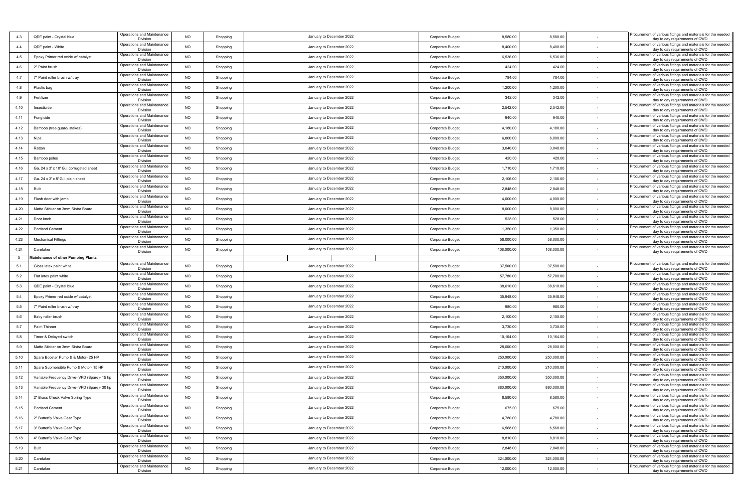| 4.3  | QDE paint - Crystal blue                     | Operations and Maintenance<br>Division | <b>NO</b> | Shopping | January to December 2022 | Corporate Budget        | 8,580.00   | 8,580.00            | Procurement of various fittings and materials for the needed<br>day to day requirements of CWD                                   |
|------|----------------------------------------------|----------------------------------------|-----------|----------|--------------------------|-------------------------|------------|---------------------|----------------------------------------------------------------------------------------------------------------------------------|
| 4.4  | QDE paint - White                            | Operations and Maintenance<br>Division | <b>NO</b> | Shopping | January to December 2022 | Corporate Budget        | 8,400.00   | 8,400.00            | Procurement of various fittings and materials for the needed<br>day to day requirements of CWD                                   |
| 4.5  | Epoxy Primer red oxide w/ catalyst           | Operations and Maintenance<br>Division | <b>NO</b> | Shopping | January to December 2022 | Corporate Budget        | 6,536.00   | 6,536.00            | Procurement of various fittings and materials for the needed<br>day to day requirements of CWD                                   |
| 4.6  | 2" Paint brush                               | Operations and Maintenance<br>Division | NO        | Shopping | January to December 2022 | Corporate Budget        | 424.00     | 424.00              | Procurement of various fittings and materials for the needed<br>day to day requirements of CWD                                   |
| 4.7  | 7" Paint roller brush w/ tray                | Operations and Maintenance<br>Division | NO        | Shopping | January to December 2022 | Corporate Budget        | 784.00     | 784.00              | Procurement of various fittings and materials for the needed<br>day to day requirements of CWD                                   |
| 4.8  | Plastic bag                                  | Operations and Maintenance<br>Division | NO.       | Shopping | January to December 2022 | Corporate Budget        | 1,200.00   | 1,200.00            | Procurement of various fittings and materials for the needed<br>day to day requirements of CWD                                   |
| 4.9  | Fertilizer                                   | Operations and Maintenance<br>Division | <b>NO</b> | Shopping | January to December 2022 | Corporate Budget        | 342.00     | 342.00              | Procurement of various fittings and materials for the needed<br>day to day requirements of CWD                                   |
| 4.10 | Insecticide                                  | Operations and Maintenance<br>Division | <b>NO</b> | Shopping | January to December 2022 | Corporate Budget        | 2,542.00   | 2,542.00            | Procurement of various fittings and materials for the needed<br>day to day requirements of CWD                                   |
| 4.11 | Fungicide                                    | Operations and Maintenance<br>Division | NO        | Shopping | January to December 2022 | Corporate Budget        | 940.00     | 940.00              | Procurement of various fittings and materials for the needed<br>day to day requirements of CWD                                   |
| 4.12 | Bamboo (tree guard/ stakes)                  | Operations and Maintenance<br>Division | <b>NO</b> | Shopping | January to December 2022 | Corporate Budget        | 4,180.00   | 4,180.00            | Procurement of various fittings and materials for the needed<br>day to day requirements of CWD                                   |
| 4.13 | Nipa                                         | Operations and Maintenance<br>Division | NO.       | Shopping | January to December 2022 | Corporate Budget        | 6,000.00   | 6,000.00            | Procurement of various fittings and materials for the needed<br>day to day requirements of CWD                                   |
| 4.14 | Rattan                                       | Operations and Maintenance<br>Division | NO.       | Shopping | January to December 2022 | <b>Corporate Budget</b> | 3,040.00   | 3,040.00            | Procurement of various fittings and materials for the needed<br>day to day requirements of CWD                                   |
| 4.15 | Bamboo poles                                 | Operations and Maintenance<br>Division | NO        | Shopping | January to December 2022 | Corporate Budget        | 420.00     | 420.00              | Procurement of various fittings and materials for the needed<br>day to day requirements of CWD                                   |
| 4.16 | Ga. 24 x 3' x 10' G.i. corrugated sheet      | Operations and Maintenance<br>Division | NO        | Shopping | January to December 2022 | Corporate Budget        | 1,710.00   | 1,710.00            | Procurement of various fittings and materials for the needed<br>day to day requirements of CWD                                   |
| 4.17 | Ga. 24 x 3' x 8' G.i. plain sheet            | Operations and Maintenance<br>Division | NO        | Shopping | January to December 2022 | Corporate Budget        | 2,106.00   | 2,106.00            | Procurement of various fittings and materials for the needed<br>day to day requirements of CWD                                   |
| 4.18 | Bulb                                         | Operations and Maintenance<br>Division | <b>NO</b> | Shopping | January to December 2022 | Corporate Budget        | 2,848.00   | 2,848.00            | Procurement of various fittings and materials for the needed<br>day to day requirements of CWD                                   |
| 4.19 | Flush door with jamb                         | Operations and Maintenance<br>Division | NO        | Shopping | January to December 2022 | Corporate Budget        | 4,000.00   | 4,000.00            | Procurement of various fittings and materials for the needed<br>day to day requirements of CWD                                   |
| 4.20 | Matte Sticker on 3mm Sintra Board            | Operations and Maintenance<br>Division | <b>NO</b> | Shopping | January to December 2022 | Corporate Budget        | 8,000.00   | 8,000.00            | Procurement of various fittings and materials for the needed<br>day to day requirements of CWD                                   |
| 4.21 | Door knob                                    | Operations and Maintenance<br>Division | <b>NO</b> | Shopping | January to December 2022 | Corporate Budget        | 528.00     | 528.00              | Procurement of various fittings and materials for the needed                                                                     |
| 4.22 | <b>Portland Cement</b>                       | Operations and Maintenance<br>Division | <b>NO</b> | Shopping | January to December 2022 | Corporate Budget        | 1,350.00   | 1,350.00            | day to day requirements of CWD<br>Procurement of various fittings and materials for the needed<br>day to day requirements of CWD |
| 4.23 | <b>Mechanical Fittings</b>                   | Operations and Maintenance<br>Division | <b>NO</b> | Shopping | January to December 2022 | Corporate Budget        | 58,000.00  | 58,000.00           | Procurement of various fittings and materials for the needed<br>day to day requirements of CWD                                   |
| 4.24 | Caretaker                                    | Operations and Maintenance<br>Division | <b>NO</b> | Shopping | January to December 2022 | Corporate Budget        | 108,000.00 | 108,000.00          | Procurement of various fittings and materials for the needed<br>day to day requirements of CWD                                   |
| 5    | <b>Maintenance of other Pumping Plants</b>   |                                        |           |          |                          |                         |            |                     |                                                                                                                                  |
| 5.1  | Gloss latex paint white                      | Operations and Maintenance<br>Division | NO        | Shopping | January to December 2022 | Corporate Budget        | 37,500.00  | 37,500.00           | Procurement of various fittings and materials for the needed<br>day to day requirements of CWD                                   |
| 5.2  | Flat latex paint white                       | Operations and Maintenance<br>Division | <b>NO</b> | Shopping | January to December 2022 | Corporate Budget        | 57,780.00  | 57,780.00           | Procurement of various fittings and materials for the needed<br>day to day requirements of CWD                                   |
| 5.3  | QDE paint - Crystal blue                     | Operations and Maintenance<br>Division | <b>NO</b> | Shopping | January to December 2022 | Corporate Budget        | 38,610.00  | 38,610.00           | Procurement of various fittings and materials for the needed<br>day to day requirements of CWD                                   |
| 5.4  | Epoxy Primer red oxide w/ catalyst           | Operations and Maintenance<br>Division | NO        | Shopping | January to December 2022 | Corporate Budget        | 35,948.00  | 35,948.00           | Procurement of various fittings and materials for the needed<br>day to day requirements of CWD                                   |
| 5.5  | 7" Paint roller brush w/ tray                | Operations and Maintenance<br>Division | <b>NO</b> | Shopping | January to December 2022 | Corporate Budget        | 980.00     | 980.00              | Procurement of various fittings and materials for the needed<br>day to day requirements of CWD                                   |
| 5.6  | Baby roller brush                            | Operations and Maintenance<br>Division | NO        | Shopping | January to December 2022 | Corporate Budget        | 2,100.00   | 2,100.00<br>$\sim$  | Procurement of various fittings and materials for the needed<br>day to day requirements of CWD                                   |
| 5.7  | Paint Thinner                                | Operations and Maintenance<br>Division | <b>NO</b> | Shopping | January to December 2022 | Corporate Budget        | 3,730.00   | 3,730.00            | Procurement of various fittings and materials for the needed<br>day to day requirements of CWD                                   |
| 5.8  | Timer & Delayed switch                       | Operations and Maintenance<br>Division | <b>NO</b> | Shopping | January to December 2022 | Corporate Budget        | 10,164.00  | 10,164.00           | Procurement of various fittings and materials for the needed<br>day to day requirements of CWD                                   |
| 5.9  | Matte Sticker on 3mm Sintra Board            | Operations and Maintenance<br>Division | NO        | Shopping | January to December 2022 | Corporate Budget        | 28,000.00  | 28,000.00<br>$\sim$ | Procurement of various fittings and materials for the needed<br>day to day requirements of CWD                                   |
| 5.10 | Spare Booster Pump & & Motor- 25 HP          | Operations and Maintenance<br>Division | <b>NO</b> | Shopping | January to December 2022 | Corporate Budget        | 250,000.00 | 250,000.00          | Procurement of various fittings and materials for the needed<br>day to day requirements of CWD                                   |
| 5.11 | Spare Submersible Pump & Motor- 15 HP        | Operations and Maintenance<br>Division | NO        | Shopping | January to December 2022 | Corporate Budget        | 210,000.00 | 210,000.00          | Procurement of various fittings and materials for the needed<br>day to day requirements of CWD                                   |
| 5.12 | Variable Frequency Drive- VFD (Spare)- 15 hp | Operations and Maintenance<br>Division | <b>NO</b> | Shopping | January to December 2022 | Corporate Budget        | 350,000.00 | 350,000.00          | Procurement of various fittings and materials for the needed<br>day to day requirements of CWD                                   |
| 5.13 | Variable Frequency Drive- VFD (Spare)- 30 hp | Operations and Maintenance<br>Division | <b>NO</b> | Shopping | January to December 2022 | Corporate Budget        | 880,000.00 | 880,000.00          | Procurement of various fittings and materials for the needed<br>day to day requirements of CWD                                   |
| 5.14 | 2" Brass Check Valve Spring Type             | Operations and Maintenance<br>Division | <b>NO</b> | Shopping | January to December 2022 | Corporate Budget        | 8,580.00   | 8,580.00            | Procurement of various fittings and materials for the needed<br>day to day requirements of CWD                                   |
| 5.15 | Portland Cement                              | Operations and Maintenance<br>Division | <b>NO</b> | Shopping | January to December 2022 | Corporate Budget        | 675.00     | 675.00              | Procurement of various fittings and materials for the needed<br>day to day requirements of CWD                                   |
| 5.16 | 2" Butterfly Valve Gear Type                 | Operations and Maintenance<br>Division | NO        | Shopping | January to December 2022 | Corporate Budget        | 4,780.00   | 4,780.00<br>$\sim$  | Procurement of various fittings and materials for the needed<br>day to day requirements of CWD                                   |
| 5.17 | 3" Butterfly Valve Gear Type                 | Operations and Maintenance<br>Division | NO        | Shopping | January to December 2022 | Corporate Budget        | 6,568.00   | 6,568.00            | Procurement of various fittings and materials for the needed<br>day to day requirements of CWD                                   |
| 5.18 | 4" Butterfly Valve Gear Type                 | Operations and Maintenance<br>Division | <b>NO</b> | Shopping | January to December 2022 | Corporate Budget        | 8,810.00   | 8,810.00            | Procurement of various fittings and materials for the needed<br>day to day requirements of CWD                                   |
| 5.19 | Bulb                                         | Operations and Maintenance<br>Division | <b>NO</b> | Shopping | January to December 2022 | Corporate Budget        | 2,848.00   | 2,848.00<br>$\sim$  | Procurement of various fittings and materials for the needed<br>day to day requirements of CWD                                   |
| 5.20 | Caretaker                                    | Operations and Maintenance<br>Division | <b>NO</b> | Shopping | January to December 2022 | Corporate Budget        | 324,000.00 | 324,000.00          | Procurement of various fittings and materials for the needed<br>day to day requirements of CWD                                   |
|      |                                              | Operations and Maintenance             |           |          | January to December 2022 | Corporate Budget        | 12,000.00  | 12,000.00           | Procurement of various fittings and materials for the needed                                                                     |
| 5.21 | Caretaker                                    | Division                               | NO        | Shopping |                          |                         |            |                     | day to day requirements of CWD                                                                                                   |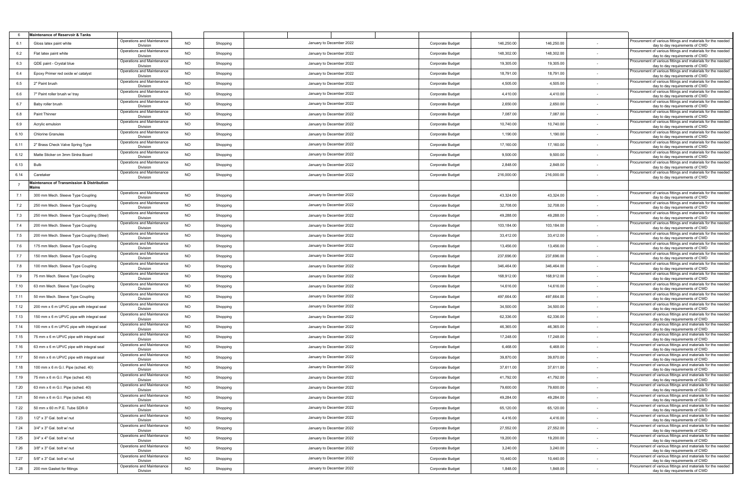| - 6  | <b>Maintenance of Reservoir &amp; Tanks</b>         |                                        |                |          |                          |                  |            |            |        |                                                                                                |
|------|-----------------------------------------------------|----------------------------------------|----------------|----------|--------------------------|------------------|------------|------------|--------|------------------------------------------------------------------------------------------------|
| 6.1  | Gloss latex paint white                             | Operations and Maintenance<br>Division | NO.            | Shopping | January to December 2022 | Corporate Budget | 146,250.00 | 146,250.00 |        | Procurement of various fittings and materials for the needed<br>day to day requirements of CWD |
| 6.2  | Flat latex paint white                              | Operations and Maintenance<br>Division | <b>NO</b>      | Shopping | January to December 2022 | Corporate Budget | 148,302.00 | 148,302.00 |        | Procurement of various fittings and materials for the needed<br>day to day requirements of CWD |
| 6.3  | QDE paint - Crystal blue                            | Operations and Maintenance<br>Division | NO             | Shopping | January to December 2022 | Corporate Budget | 19,305.00  | 19,305.00  |        | Procurement of various fittings and materials for the needed<br>day to day requirements of CWD |
| 6.4  | Epoxy Primer red oxide w/ catalyst                  | Operations and Maintenance<br>Division | <b>NO</b>      | Shopping | January to December 2022 | Corporate Budget | 18,791.00  | 18,791.00  |        | Procurement of various fittings and materials for the needed<br>day to day requirements of CWD |
| 6.5  | 2" Paint brush                                      | Operations and Maintenance<br>Division | <b>NO</b>      | Shopping | January to December 2022 | Corporate Budget | 4,505.00   | 4,505.00   |        | Procurement of various fittings and materials for the needed<br>day to day requirements of CWD |
| 6.6  | 7" Paint roller brush w/ tray                       | Operations and Maintenance<br>Division | <b>NO</b>      | Shopping | January to December 2022 | Corporate Budget | 4,410.00   | 4,410.00   |        | Procurement of various fittings and materials for the needed<br>day to day requirements of CWD |
| 6.7  | Baby roller brush                                   | Operations and Maintenance<br>Division | <b>NO</b>      | Shopping | January to December 2022 | Corporate Budget | 2,650.00   | 2,650.00   |        | rocurement of various fittings and materials for the needed<br>day to day requirements of CWD  |
| 6.8  | Paint Thinner                                       | Operations and Maintenance<br>Division | NO             | Shopping | January to December 2022 | Corporate Budget | 7,087.00   | 7,087.00   |        | Procurement of various fittings and materials for the needed<br>day to day requirements of CWD |
| 6.9  | Acrylic emulsion                                    | Operations and Maintenance<br>Division | NO             | Shopping | January to December 2022 | Corporate Budget | 10,740.00  | 10,740.00  | $\sim$ | Procurement of various fittings and materials for the needed<br>day to day requirements of CWD |
| 6.10 | <b>Chlorine Granules</b>                            | Operations and Maintenance<br>Division | NO             | Shopping | January to December 2022 | Corporate Budget | 1,190.00   | 1,190.00   |        | Procurement of various fittings and materials for the needed<br>day to day requirements of CWD |
| 6.11 | 2" Brass Check Valve Spring Type                    | Operations and Maintenance<br>Division | <b>NO</b>      | Shopping | January to December 2022 | Corporate Budget | 17,160.00  | 17,160.00  |        | Procurement of various fittings and materials for the needed<br>day to day requirements of CWD |
| 6.12 | Matte Sticker on 3mm Sintra Board                   | Operations and Maintenance<br>Division | NO             | Shopping | January to December 2022 | Corporate Budget | 9,500.00   | 9,500.00   | $\sim$ | rocurement of various fittings and materials for the needed<br>day to day requirements of CWD  |
| 6.13 | Bulb                                                | Operations and Maintenance<br>Division | NO             | Shopping | January to December 2022 | Corporate Budget | 2,848.00   | 2,848.00   |        | Procurement of various fittings and materials for the needed<br>day to day requirements of CWD |
| 6.14 | Caretaker                                           | Operations and Maintenance<br>Division | NO             | Shopping | January to December 2022 | Corporate Budget | 216,000.00 | 216,000.00 | $\sim$ | Procurement of various fittings and materials for the needed<br>day to day requirements of CWD |
|      | Maintenance of Transmission & Distribution<br>Mains |                                        |                |          |                          |                  |            |            |        |                                                                                                |
| 7.1  | 300 mm Mech. Sleeve Type Coupling                   | Operations and Maintenance<br>Division | <b>NO</b>      | Shopping | January to December 2022 | Corporate Budget | 43,324.00  | 43,324.00  |        | Procurement of various fittings and materials for the needed<br>day to day requirements of CWD |
| 7.2  | 250 mm Mech. Sleeve Type Coupling                   | Operations and Maintenance<br>Division | NO             | Shopping | January to December 2022 | Corporate Budget | 32,708.00  | 32,708.00  | $\sim$ | Procurement of various fittings and materials for the needed<br>day to day requirements of CWD |
| 7.3  | 250 mm Mech. Sleeve Type Coupling (Steel)           | Operations and Maintenance<br>Division | NO             | Shopping | January to December 2022 | Corporate Budget | 49,288.00  | 49,288.00  | $\sim$ | Procurement of various fittings and materials for the needed<br>day to day requirements of CWD |
| 7.4  | 200 mm Mech. Sleeve Type Coupling                   | Operations and Maintenance<br>Division | <b>NO</b>      | Shopping | January to December 2022 | Corporate Budget | 103,184.00 | 103,184.00 | $\sim$ | Procurement of various fittings and materials for the needed<br>day to day requirements of CWD |
| 7.5  | 200 mm Mech. Sleeve Type Coupling (Steel)           | Operations and Maintenance<br>Division | <b>NO</b>      | Shopping | January to December 2022 | Corporate Budget | 33,412.00  | 33,412.00  |        | Procurement of various fittings and materials for the needed<br>day to day requirements of CWD |
| 7.6  | 175 mm Mech. Sleeve Type Coupling                   | Operations and Maintenance<br>Division | <b>NO</b>      | Shopping | January to December 2022 | Corporate Budget | 13,456.00  | 13,456.00  |        | Procurement of various fittings and materials for the needed<br>day to day requirements of CWD |
| 7.7  | 150 mm Mech. Sleeve Type Coupling                   | Operations and Maintenance<br>Division | <b>NO</b>      | Shopping | January to December 2022 | Corporate Budget | 237,696.00 | 237,696.00 |        | Procurement of various fittings and materials for the needed<br>day to day requirements of CWD |
| 7.8  | 100 mm Mech. Sleeve Type Coupling                   | Operations and Maintenance<br>Division | NO             | Shopping | January to December 2022 | Corporate Budget | 346,464.00 | 346,464.00 | $\sim$ | Procurement of various fittings and materials for the needed<br>day to day requirements of CWD |
| 7.9  | 75 mm Mech. Sleeve Type Coupling                    | Operations and Maintenance<br>Division | <b>NO</b>      | Shopping | January to December 2022 | Corporate Budget | 168,912.00 | 168,912.00 |        | Procurement of various fittings and materials for the needed<br>day to day requirements of CWD |
| 7.10 | 63 mm Mech. Sleeve Type Coupling                    | Operations and Maintenance<br>Division | NO             | Shopping | January to December 2022 | Corporate Budget | 14,616.00  | 14,616.00  |        | Procurement of various fittings and materials for the needed<br>day to day requirements of CWD |
| 7.11 | 50 mm Mech. Sleeve Type Coupling                    | Operations and Maintenance<br>Division | <b>NO</b>      | Shopping | January to December 2022 | Corporate Budget | 497,664.00 | 497,664.00 |        | Procurement of various fittings and materials for the needed<br>day to day requirements of CWD |
| 7.12 | 200 mm x 6 m UPVC pipe with integral seal           | Operations and Maintenance<br>Division | <b>NO</b>      | Shopping | January to December 2022 | Corporate Budget | 34,500.00  | 34,500.00  | $\sim$ | Procurement of various fittings and materials for the needed<br>day to day requirements of CWD |
| 7.13 | 150 mm x 6 m UPVC pipe with integral seal           | Operations and Maintenance<br>Division | NO             | Shopping | January to December 2022 | Corporate Budget | 62,336.00  | 62,336.00  | $\sim$ | Procurement of various fittings and materials for the needed<br>day to day requirements of CWD |
| 7.14 | 100 mm x 6 m UPVC pipe with integral seal           | Operations and Maintenance<br>Division | NO             | Shopping | January to December 2022 | Corporate Budget | 46,365.00  | 46,365.00  | $\sim$ | Procurement of various fittings and materials for the needed<br>day to day requirements of CWD |
| 7.15 | 75 mm x 6 m UPVC pipe with integral sea             | Operations and Maintenance<br>Division | NO             | Shopping | January to December 2022 | Corporate Budget | 17,248.00  | 17,248.00  |        | Procurement of various fittings and materials for the needed<br>day to day requirements of CWD |
| 7.16 | 63 mm x 6 m UPVC pipe with integral seal            | Operations and Maintenance<br>Division | <b>NO</b>      | Shopping | January to December 2022 | Corporate Budget | 6,468.00   | 6,468.00   | $\sim$ | Procurement of various fittings and materials for the needed<br>day to day requirements of CWD |
| 7.17 | 50 mm x 6 m UPVC pipe with integral seal            | Operations and Maintenance<br>Division | <b>NO</b>      | Shopping | January to December 2022 | Corporate Budget | 39,870.00  | 39,870.00  |        | Procurement of various fittings and materials for the needed<br>day to day requirements of CWD |
| 7.18 | 100 mm x 6 m G.I. Pipe (sched. 40)                  | Operations and Maintenance<br>Division | NO             | Shopping | January to December 2022 | Corporate Budget | 37,611.00  | 37,611.00  | $\sim$ | Procurement of various fittings and materials for the needed<br>day to day requirements of CWD |
| 7.19 | 75 mm x 6 m G.I. Pipe (sched. 40)                   | Operations and Maintenance<br>Division | <b>NO</b>      | Shopping | January to December 2022 | Corporate Budget | 41,792.00  | 41,792.00  |        | Procurement of various fittings and materials for the needed<br>day to day requirements of CWD |
| 7.20 | 63 mm x 6 m G.I. Pipe (sched. 40)                   | Operations and Maintenance<br>Division | <b>NO</b>      | Shopping | January to December 2022 | Corporate Budget | 79,600.00  | 79,600.00  |        | Procurement of various fittings and materials for the needed<br>day to day requirements of CWD |
| 7.21 | 50 mm x 6 m G.I. Pipe (sched. 40)                   | Operations and Maintenance<br>Division | <b>NO</b>      | Shopping | January to December 2022 | Corporate Budget | 49,284.00  | 49,284.00  |        | Procurement of various fittings and materials for the needed<br>day to day requirements of CWD |
| 7.22 | 50 mm x 60 m P.E. Tube SDR-9                        | Operations and Maintenance<br>Division | <b>NO</b>      | Shopping | January to December 2022 | Corporate Budget | 65,120.00  | 65,120.00  | $\sim$ | Procurement of various fittings and materials for the needed<br>day to day requirements of CWD |
| 7.23 | 1/2" x 3" Gal. bolt w/ nut                          | Operations and Maintenance<br>Division | <b>NO</b>      | Shopping | January to December 2022 | Corporate Budget | 4,416.00   | 4,416.00   | $\sim$ | Procurement of various fittings and materials for the needed<br>day to day requirements of CWD |
| 7.24 | 3/4" x 3" Gal. bolt w/ nut                          | Operations and Maintenance<br>Division | N <sub>O</sub> | Shopping | January to December 2022 | Corporate Budget | 27,552.00  | 27,552.00  | $\sim$ | Procurement of various fittings and materials for the needed<br>day to day requirements of CWD |
| 7.25 | 3/4" x 4" Gal. bolt w/ nut                          | Operations and Maintenance<br>Division | <b>NO</b>      | Shopping | January to December 2022 | Corporate Budget | 19,200.00  | 19,200.00  |        | Procurement of various fittings and materials for the needed<br>day to day requirements of CWD |
| 7.26 | 3/8" x 3" Gal. bolt w/ nut                          | Operations and Maintenance<br>Division | NO.            | Shopping | January to December 2022 | Corporate Budget | 3,240.00   | 3,240.00   | $\sim$ | Procurement of various fittings and materials for the needed<br>day to day requirements of CWD |
| 7.27 | 5/8" x 3" Gal. bolt w/ nut                          | Operations and Maintenance<br>Division | NO             | Shopping | January to December 2022 | Corporate Budget | 10,440.00  | 10,440.00  |        | Procurement of various fittings and materials for the needed<br>day to day requirements of CWD |
| 7.28 | 200 mm Gasket for fittings                          | Operations and Maintenance<br>Division | <b>NO</b>      | Shopping | January to December 2022 | Corporate Budget | 1,848.00   | 1,848.00   |        | Procurement of various fittings and materials for the needed<br>day to day requirements of CWD |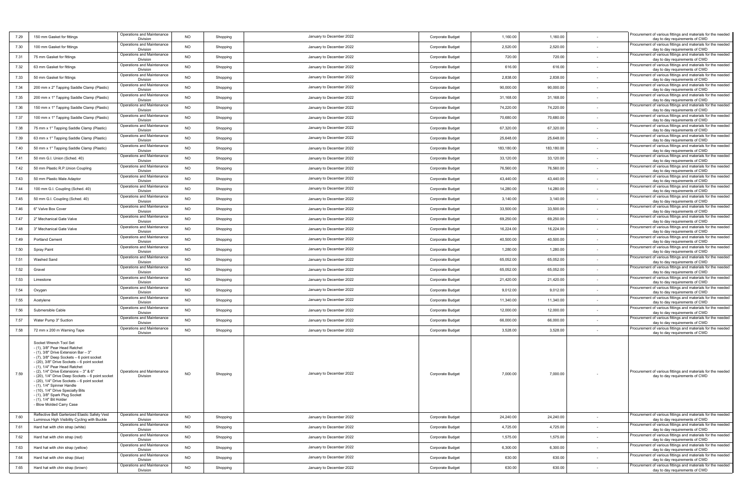| 7.29 | 150 mm Gasket for fittings                                                                                                                                                                                                                                                                                                                                                                                                                                                                                                     | Operations and Maintenance<br>Division | <b>NO</b> | Shopping | January to December 2022 | Corporate Budget | 1,160.00   | 1,160.00   |        | Procurement of various fittings and materials for the needed<br>day to day requirements of CWD |
|------|--------------------------------------------------------------------------------------------------------------------------------------------------------------------------------------------------------------------------------------------------------------------------------------------------------------------------------------------------------------------------------------------------------------------------------------------------------------------------------------------------------------------------------|----------------------------------------|-----------|----------|--------------------------|------------------|------------|------------|--------|------------------------------------------------------------------------------------------------|
| 7.30 | 100 mm Gasket for fittings                                                                                                                                                                                                                                                                                                                                                                                                                                                                                                     | Operations and Maintenance<br>Division | <b>NO</b> | Shopping | January to December 2022 | Corporate Budget | 2,520.00   | 2,520.00   |        | Procurement of various fittings and materials for the needed<br>day to day requirements of CWD |
| 7.31 | 75 mm Gasket for fittings                                                                                                                                                                                                                                                                                                                                                                                                                                                                                                      | Operations and Maintenance<br>Division | <b>NO</b> | Shopping | January to December 2022 | Corporate Budget | 720.00     | 720.00     |        | Procurement of various fittings and materials for the needed<br>day to day requirements of CWD |
| 7.32 | 63 mm Gasket for fittings                                                                                                                                                                                                                                                                                                                                                                                                                                                                                                      | Operations and Maintenance<br>Division | <b>NO</b> | Shopping | January to December 2022 | Corporate Budget | 616.00     | 616.00     | $\sim$ | Procurement of various fittings and materials for the needed<br>day to day requirements of CWD |
| 7.33 | 50 mm Gasket for fittings                                                                                                                                                                                                                                                                                                                                                                                                                                                                                                      | Operations and Maintenance<br>Division | <b>NO</b> | Shopping | January to December 2022 | Corporate Budget | 2,838.00   | 2,838.00   |        | Procurement of various fittings and materials for the needed<br>day to day requirements of CWD |
| 7.34 | 200 mm x 2" Tapping Saddle Clamp (Plastic)                                                                                                                                                                                                                                                                                                                                                                                                                                                                                     | Operations and Maintenance<br>Division | <b>NO</b> | Shopping | January to December 2022 | Corporate Budget | 90,000.00  | 90,000.00  |        | rocurement of various fittings and materials for the needed<br>day to day requirements of CWD  |
| 7.35 | 200 mm x 1" Tapping Saddle Clamp (Plastic)                                                                                                                                                                                                                                                                                                                                                                                                                                                                                     | Operations and Maintenance<br>Division | <b>NO</b> | Shopping | January to December 2022 | Corporate Budget | 31,168.00  | 31,168.00  |        | Procurement of various fittings and materials for the needed<br>day to day requirements of CWD |
| 7.36 | 150 mm x 1" Tapping Saddle Clamp (Plastic)                                                                                                                                                                                                                                                                                                                                                                                                                                                                                     | Operations and Maintenance<br>Division | <b>NO</b> | Shopping | January to December 2022 | Corporate Budget | 74,220.00  | 74,220.00  |        | Procurement of various fittings and materials for the needed<br>day to day requirements of CWD |
| 7.37 | 100 mm x 1" Tapping Saddle Clamp (Plastic)                                                                                                                                                                                                                                                                                                                                                                                                                                                                                     | Operations and Maintenance<br>Division | <b>NO</b> | Shopping | January to December 2022 | Corporate Budget | 70,680.00  | 70,680.00  |        | Procurement of various fittings and materials for the needed<br>day to day requirements of CWD |
| 7.38 | 75 mm x 1" Tapping Saddle Clamp (Plastic)                                                                                                                                                                                                                                                                                                                                                                                                                                                                                      | Operations and Maintenance<br>Division | <b>NO</b> | Shopping | January to December 2022 | Corporate Budget | 67,320.00  | 67,320.00  |        | Procurement of various fittings and materials for the needed<br>day to day requirements of CWD |
| 7.39 | 63 mm x 1" Tapping Saddle Clamp (Plastic)                                                                                                                                                                                                                                                                                                                                                                                                                                                                                      | Operations and Maintenance<br>Division | <b>NO</b> | Shopping | January to December 2022 | Corporate Budget | 25,648.00  | 25,648.00  |        | rocurement of various fittings and materials for the needed<br>day to day requirements of CWD  |
| 7.40 | 50 mm x 1" Tapping Saddle Clamp (Plastic)                                                                                                                                                                                                                                                                                                                                                                                                                                                                                      | Operations and Maintenance<br>Division | <b>NO</b> | Shopping | January to December 2022 | Corporate Budget | 183,180.00 | 183,180.00 |        | Procurement of various fittings and materials for the needed<br>day to day requirements of CWD |
| 7.41 | 50 mm G.I. Union (Sched. 40)                                                                                                                                                                                                                                                                                                                                                                                                                                                                                                   | Operations and Maintenance<br>Division | <b>NO</b> | Shopping | January to December 2022 | Corporate Budget | 33,120.00  | 33,120.00  |        | Procurement of various fittings and materials for the needed<br>day to day requirements of CWD |
| 7.42 | 50 mm Plastic R.P.Union Coupling                                                                                                                                                                                                                                                                                                                                                                                                                                                                                               | Operations and Maintenance<br>Division | <b>NO</b> | Shopping | January to December 2022 | Corporate Budget | 76,560.00  | 76,560.00  |        | Procurement of various fittings and materials for the needed<br>day to day requirements of CWD |
| 7.43 | 50 mm Plastic Male Adaptor                                                                                                                                                                                                                                                                                                                                                                                                                                                                                                     | Operations and Maintenance<br>Division | <b>NO</b> | Shopping | January to December 2022 | Corporate Budget | 43,440.00  | 43,440.00  |        | Procurement of various fittings and materials for the needed<br>day to day requirements of CWD |
| 7.44 | 100 mm G.I. Coupling (Sched. 40)                                                                                                                                                                                                                                                                                                                                                                                                                                                                                               | Operations and Maintenance<br>Division | <b>NO</b> | Shopping | January to December 2022 | Corporate Budget | 14,280.00  | 14,280.00  |        | Procurement of various fittings and materials for the needed<br>day to day requirements of CWD |
| 7.45 | 50 mm G.I. Coupling (Sched. 40)                                                                                                                                                                                                                                                                                                                                                                                                                                                                                                | Operations and Maintenance             | <b>NO</b> | Shopping | January to December 2022 | Corporate Budget | 3,140.00   | 3,140.00   |        | Procurement of various fittings and materials for the needed                                   |
| 7.46 | 6" Valve Box Cover                                                                                                                                                                                                                                                                                                                                                                                                                                                                                                             | Division<br>Operations and Maintenance | <b>NO</b> | Shopping | January to December 2022 | Corporate Budget | 33,500.00  | 33,500.00  |        | day to day requirements of CWD<br>Procurement of various fittings and materials for the needed |
| 7.47 | 2" Mechanical Gate Valve                                                                                                                                                                                                                                                                                                                                                                                                                                                                                                       | Division<br>Operations and Maintenance | <b>NO</b> | Shopping | January to December 2022 | Corporate Budget | 69,250.00  | 69,250.00  |        | day to day requirements of CWD<br>Procurement of various fittings and materials for the needed |
| 7.48 | 3" Mechanical Gate Valve                                                                                                                                                                                                                                                                                                                                                                                                                                                                                                       | Division<br>Operations and Maintenance | <b>NO</b> | Shopping | January to December 2022 | Corporate Budget | 16,224.00  | 16,224.00  |        | day to day requirements of CWD<br>Procurement of various fittings and materials for the needed |
| 7.49 | Portland Cement                                                                                                                                                                                                                                                                                                                                                                                                                                                                                                                | Division<br>Operations and Maintenance | <b>NO</b> | Shopping | January to December 2022 | Corporate Budget | 40,500.00  | 40,500.00  |        | day to day requirements of CWD<br>rocurement of various fittings and materials for the needed  |
| 7.50 | <b>Spray Paint</b>                                                                                                                                                                                                                                                                                                                                                                                                                                                                                                             | Division<br>Operations and Maintenance | <b>NO</b> | Shopping | January to December 2022 | Corporate Budget | 1,280.00   | 1,280.00   |        | day to day requirements of CWD<br>Procurement of various fittings and materials for the needed |
| 7.51 | Washed Sand                                                                                                                                                                                                                                                                                                                                                                                                                                                                                                                    | Division<br>Operations and Maintenance | <b>NO</b> | Shopping | January to December 2022 | Corporate Budget | 65,052.00  | 65,052.00  |        | day to day requirements of CWD<br>Procurement of various fittings and materials for the needed |
| 7.52 | Gravel                                                                                                                                                                                                                                                                                                                                                                                                                                                                                                                         | Division<br>Operations and Maintenance | <b>NO</b> | Shopping | January to December 2022 | Corporate Budget | 65,052.00  | 65,052.00  |        | day to day requirements of CWD<br>Procurement of various fittings and materials for the needed |
| 7.53 | Limestone                                                                                                                                                                                                                                                                                                                                                                                                                                                                                                                      | Division<br>Operations and Maintenance | <b>NO</b> | Shopping | January to December 2022 | Corporate Budget | 21,420.00  | 21,420.00  |        | day to day requirements of CWD<br>Procurement of various fittings and materials for the needed |
| 7.54 | Oxygen                                                                                                                                                                                                                                                                                                                                                                                                                                                                                                                         | Division<br>Operations and Maintenance | <b>NO</b> | Shopping | January to December 2022 | Corporate Budget | 9,012.00   | 9,012.00   |        | day to day requirements of CWD<br>rocurement of various fittings and materials for the needed  |
| 7.55 | Acetylene                                                                                                                                                                                                                                                                                                                                                                                                                                                                                                                      | Division<br>Operations and Maintenance | <b>NO</b> | Shopping | January to December 2022 | Corporate Budget | 11,340.00  | 11,340.00  |        | day to day requirements of CWD<br>Procurement of various fittings and materials for the needed |
| 7.56 | Submersible Cable                                                                                                                                                                                                                                                                                                                                                                                                                                                                                                              | Division<br>Operations and Maintenance | <b>NO</b> | Shopping | January to December 2022 | Corporate Budget | 12,000.00  | 12,000.00  |        | day to day requirements of CWD<br>Procurement of various fittings and materials for the needed |
| 7.57 | Water Pump 3" Suction                                                                                                                                                                                                                                                                                                                                                                                                                                                                                                          | Division<br>Operations and Maintenance | <b>NO</b> | Shopping | January to December 2022 | Corporate Budget | 66,000.00  | 66,000.00  |        | day to day requirements of CWD<br>rocurement of various fittings and materials for the needed  |
| 7.58 | 72 mm x 200 m Warning Tape                                                                                                                                                                                                                                                                                                                                                                                                                                                                                                     | Division<br>Operations and Maintenance | <b>NO</b> | Shopping | January to December 2022 | Corporate Budget | 3,528.00   | 3,528.00   |        | day to day requirements of CWD<br>Procurement of various fittings and materials for the needed |
|      |                                                                                                                                                                                                                                                                                                                                                                                                                                                                                                                                | Division                               |           |          |                          |                  |            |            |        | day to day requirements of CWD                                                                 |
| 7.59 | Socket Wrench Tool Set<br>- (1), 3/8" Pear Head Ratchet<br>(1), 3/8" Drive Extension Bar - 3"<br>- (7), 3/8" Deep Sockets - 6 point socket<br>- (20), 3/8" Drive Sockets - 6 point socket<br>- (1), 1/4" Pear Head Ratchet<br>- (2), 1/4" Drive Extensions – 3" & 6"<br>- (20), 1/4" Drive Deep Sockets - 6 point socket<br>- (20), 1/4" Drive Sockets – 6 point socket<br>- (1), 1/4" Spinner Handle<br>(10), 1/4" Drive Specialty Bit<br>- (1), 3/8" Spark Plug Socket<br>- (1), 1/4" Bit Holder<br>- Blow Molded Carry Case | Operations and Maintenance<br>Division | <b>NO</b> | Shopping | January to December 2022 | Corporate Budget | 7,000.00   | 7,000.00   |        | Procurement of various fittings and materials for the needed<br>day to day requirements of CWD |
| 7.60 | Reflective Belt Garterized Elastic Safety Vest<br>Luminous High Visibility Cycling with Buckle                                                                                                                                                                                                                                                                                                                                                                                                                                 | Operations and Maintenance<br>Division | <b>NO</b> | Shopping | January to December 2022 | Corporate Budget | 24,240.00  | 24,240.00  |        | Procurement of various fittings and materials for the needed<br>day to day requirements of CWD |
| 7.61 | Hard hat with chin strap (white)                                                                                                                                                                                                                                                                                                                                                                                                                                                                                               | Operations and Maintenance<br>Division | <b>NO</b> | Shopping | January to December 2022 | Corporate Budget | 4,725.00   | 4,725.00   |        | Procurement of various fittings and materials for the needed<br>day to day requirements of CWD |
| 7.62 | Hard hat with chin strap (red)                                                                                                                                                                                                                                                                                                                                                                                                                                                                                                 | Operations and Maintenance<br>Division | <b>NO</b> | Shopping | January to December 2022 | Corporate Budget | 1,575.00   | 1,575.00   | $\sim$ | Procurement of various fittings and materials for the needed<br>day to day requirements of CWD |
| 7.63 | Hard hat with chin strap (yellow)                                                                                                                                                                                                                                                                                                                                                                                                                                                                                              | Operations and Maintenance<br>Division | <b>NO</b> | Shopping | January to December 2022 | Corporate Budget | 6,300.00   | 6,300.00   |        | Procurement of various fittings and materials for the needed<br>day to day requirements of CWD |
| 7.64 | Hard hat with chin strap (blue)                                                                                                                                                                                                                                                                                                                                                                                                                                                                                                | Operations and Maintenance<br>Division | <b>NO</b> | Shopping | January to December 2022 | Corporate Budget | 630.00     | 630.00     |        | Procurement of various fittings and materials for the needed<br>day to day requirements of CWD |
| 7.65 | Hard hat with chin strap (brown)                                                                                                                                                                                                                                                                                                                                                                                                                                                                                               | Operations and Maintenance<br>Division | <b>NO</b> | Shopping | January to December 2022 | Corporate Budget | 630.00     | 630.00     |        | Procurement of various fittings and materials for the needed<br>day to day requirements of CWD |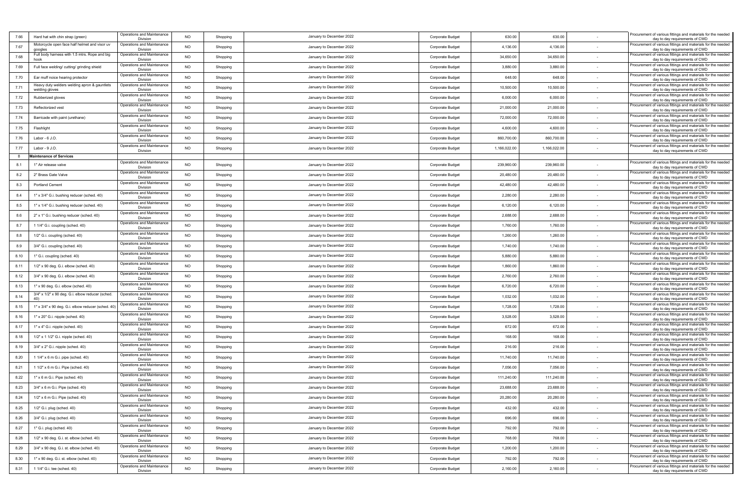| 7.66 | Hard hat with chin strap (green)                               | Operations and Maintenance<br>Division | <b>NO</b> | Shopping | January to December 2022 | Corporate Budget        | 630.00       | 630.00       |        | Procurement of various fittings and materials for the needed<br>day to day requirements of CWD |
|------|----------------------------------------------------------------|----------------------------------------|-----------|----------|--------------------------|-------------------------|--------------|--------------|--------|------------------------------------------------------------------------------------------------|
| 7.67 | Motorcycle open face half helmet and visor uv<br>googles       | Operations and Maintenance<br>Division | <b>NO</b> | Shopping | January to December 2022 | Corporate Budget        | 4,136.00     | 4,136.00     | $\sim$ | Procurement of various fittings and materials for the needed<br>day to day requirements of CWD |
| 7.68 | Full body harness with 1.5 mtrs. Rope and big<br>hook          | Operations and Maintenance<br>Division | <b>NO</b> | Shopping | January to December 2022 | Corporate Budget        | 34,650.00    | 34,650.00    |        | Procurement of various fittings and materials for the needed<br>day to day requirements of CWD |
| 7.69 | Full face welding/ cutting/ grinding shield                    | Operations and Maintenance<br>Division | <b>NO</b> | Shopping | January to December 2022 | Corporate Budget        | 3,880.00     | 3,880.00     |        | Procurement of various fittings and materials for the needed<br>day to day requirements of CWD |
| 7.70 | Ear muff noice hearing protector                               | Operations and Maintenance<br>Division | NO        | Shopping | January to December 2022 | Corporate Budget        | 648.00       | 648.00       | $\sim$ | Procurement of various fittings and materials for the needed<br>day to day requirements of CWD |
| 7.71 | Heavy duty welders welding apron & gauntlets<br>welding gloves | Operations and Maintenance<br>Division | <b>NO</b> | Shopping | January to December 2022 | Corporate Budget        | 10,500.00    | 10,500.00    |        | Procurement of various fittings and materials for the needed<br>day to day requirements of CWD |
| 7.72 | Rubberized gloves                                              | Operations and Maintenance<br>Division | <b>NO</b> | Shopping | January to December 2022 | Corporate Budget        | 6,000.00     | 6,000.00     |        | Procurement of various fittings and materials for the needed<br>day to day requirements of CWD |
| 7.73 | Reflectorized vest                                             | Operations and Maintenance<br>Division | <b>NO</b> | Shopping | January to December 2022 | Corporate Budget        | 21,000.00    | 21,000.00    |        | Procurement of various fittings and materials for the needed<br>day to day requirements of CWD |
| 7.74 | Barricade with paint (urethane)                                | Operations and Maintenance<br>Division | <b>NO</b> | Shopping | January to December 2022 | Corporate Budget        | 72,000.00    | 72,000.00    |        | Procurement of various fittings and materials for the needed<br>day to day requirements of CWD |
| 7.75 | Flashlight                                                     | Operations and Maintenance<br>Division | <b>NO</b> | Shopping | January to December 2022 | Corporate Budget        | 4,600.00     | 4,600.00     |        | Procurement of various fittings and materials for the needed<br>day to day requirements of CWD |
| 7.76 | Labor - 6 J.O.                                                 | Operations and Maintenance<br>Division | <b>NO</b> | Shopping | January to December 2022 | Corporate Budget        | 860,700.00   | 860,700.00   |        | Procurement of various fittings and materials for the needed<br>day to day requirements of CWD |
| 7.77 | Labor - 9 J.O.                                                 | Operations and Maintenance<br>Division | NO        | Shopping | January to December 2022 | Corporate Budget        | 1,166,022.00 | 1,166,022.00 | $\sim$ | Procurement of various fittings and materials for the needed<br>day to day requirements of CWD |
| 8    | <b>Maintenance of Services</b>                                 |                                        |           |          |                          |                         |              |              |        |                                                                                                |
| 8.1  | 1" Air release valve                                           | Operations and Maintenance<br>Division | <b>NO</b> | Shopping | January to December 2022 | Corporate Budget        | 239,960.00   | 239,960.00   |        | rocurement of various fittings and materials for the needed<br>day to day requirements of CWD  |
| 8.2  | 2" Brass Gate Valve                                            | Operations and Maintenance<br>Division | <b>NO</b> | Shopping | January to December 2022 | Corporate Budget        | 20,480.00    | 20,480.00    |        | Procurement of various fittings and materials for the needed<br>day to day requirements of CWD |
| 8.3  | <b>Portland Cement</b>                                         | Operations and Maintenance<br>Division | <b>NO</b> | Shopping | January to December 2022 | Corporate Budget        | 42,480.00    | 42,480.00    |        | Procurement of various fittings and materials for the needed<br>day to day requirements of CWD |
| 8.4  | 1" x 3/4" G.i. bushing reducer (sched. 40)                     | Operations and Maintenance<br>Division | <b>NO</b> | Shopping | January to December 2022 | Corporate Budget        | 2,280.00     | 2,280.00     |        | Procurement of various fittings and materials for the needed<br>day to day requirements of CWD |
| 8.5  | 1" x 1/4" G.i. bushing reducer (sched. 40)                     | Operations and Maintenance<br>Division | NO        | Shopping | January to December 2022 | Corporate Budget        | 6,120.00     | 6,120.00     |        | rocurement of various fittings and materials for the needed<br>day to day requirements of CWD  |
| 8.6  | 2" x 1" G.i. bushing reducer (sched. 40)                       | Operations and Maintenance<br>Division | <b>NO</b> | Shopping | January to December 2022 | Corporate Budget        | 2,688.00     | 2,688.00     |        | rocurement of various fittings and materials for the needed<br>day to day requirements of CWD  |
| 8.7  | 1 1/4" G.i. coupling (sched. 40)                               | Operations and Maintenance<br>Division | <b>NO</b> | Shopping | January to December 2022 | Corporate Budget        | 1,760.00     | 1,760.00     |        | Procurement of various fittings and materials for the needed<br>day to day requirements of CWD |
| 8.8  | 1/2" G.i. coupling (sched. 40)                                 | Operations and Maintenance<br>Division | NO        | Shopping | January to December 2022 | Corporate Budget        | 1,260.00     | 1,260.00     |        | Procurement of various fittings and materials for the needed<br>day to day requirements of CWD |
| 8.9  | 3/4" G.i. coupling (sched. 40)                                 | Operations and Maintenance<br>Division | <b>NO</b> | Shopping | January to December 2022 | Corporate Budget        | 1,740.00     | 1,740.00     |        | Procurement of various fittings and materials for the needed<br>day to day requirements of CWD |
| 8.10 | 1" G.i. coupling (sched. 40)                                   | Operations and Maintenance<br>Division | <b>NO</b> | Shopping | January to December 2022 | <b>Corporate Budget</b> | 5,880.00     | 5,880.00     |        | Procurement of various fittings and materials for the needed<br>day to day requirements of CWD |
| 8.11 | 1/2" x 90 deg. G.i. elbow (sched. 40)                          | Operations and Maintenance<br>Division | <b>NO</b> | Shopping | January to December 2022 | Corporate Budget        | 1,860.00     | 1,860.00     |        | Procurement of various fittings and materials for the needed<br>day to day requirements of CWD |
| 8.12 | 3/4" x 90 deg. G.i. elbow (sched. 40)                          | Operations and Maintenance<br>Division | <b>NO</b> | Shopping | January to December 2022 | Corporate Budget        | 2,760.00     | 2,760.00     |        | Procurement of various fittings and materials for the needed<br>day to day requirements of CWD |
| 8.13 | 1" x 90 deg. G.i. elbow (sched. 40)                            | Operations and Maintenance<br>Division | NO        | Shopping | January to December 2022 | Corporate Budget        | 6,720.00     | 6,720.00     |        | Procurement of various fittings and materials for the needed<br>day to day requirements of CWD |
| 8.14 | 3/4" x 1/2" x 90 deg. G.i. elbow reducer (sched.               | Operations and Maintenance<br>Division | <b>NO</b> | Shopping | January to December 2022 | Corporate Budget        | 1,032.00     | 1,032.00     |        | Procurement of various fittings and materials for the needed<br>day to day requirements of CWD |
| 8.15 | 1" x 3/4" x 90 deg. G.i. elbow reducer (sched. 40)             | Operations and Maintenance<br>Division | <b>NO</b> | Shopping | January to December 2022 | Corporate Budget        | 1,728.00     | 1,728.00     | $\sim$ | Procurement of various fittings and materials for the needed<br>day to day requirements of CWD |
| 8.16 | 1" x 20" G.i. nipple (sched. 40)                               | Operations and Maintenance<br>Division | <b>NO</b> | Shopping | January to December 2022 | Corporate Budget        | 3,528.00     | 3,528.00     | $\sim$ | Procurement of various fittings and materials for the needed<br>day to day requirements of CWD |
| 8.17 | 1" x 4" G.i. nipple (sched. 40)                                | Operations and Maintenance<br>Division | <b>NO</b> | Shopping | January to December 2022 | Corporate Budget        | 672.00       | 672.00       | $\sim$ | Procurement of various fittings and materials for the needed<br>day to day requirements of CWD |
| 8.18 | 1/2" x 1 1/2" G.i. nipple (sched. 40)                          | Operations and Maintenance<br>Division | NO        | Shopping | January to December 2022 | Corporate Budget        | 168.00       | 168.00       |        | Procurement of various fittings and materials for the needed<br>day to day requirements of CWD |
| 8.19 | 3/4" x 2" G.i. nipple (sched. 40)                              | Operations and Maintenance<br>Division | <b>NO</b> | Shopping | January to December 2022 | Corporate Budget        | 216.00       | 216.00       | $\sim$ | Procurement of various fittings and materials for the needed<br>day to day requirements of CWD |
| 8.20 | 1 1/4" x 6 m G.i. pipe (sched. 40)                             | Operations and Maintenance<br>Division | <b>NO</b> | Shopping | January to December 2022 | Corporate Budget        | 11,740.00    | 11,740.00    |        | Procurement of various fittings and materials for the needed<br>day to day requirements of CWD |
| 8.21 | 1 1/2" x 6 m G.i. Pipe (sched. 40)                             | Operations and Maintenance<br>Division | <b>NO</b> | Shopping | January to December 2022 | Corporate Budget        | 7,056.00     | 7,056.00     |        | Procurement of various fittings and materials for the needed<br>day to day requirements of CWD |
| 8.22 | 1" x 6 m G.i. Pipe (sched. 40)                                 | Operations and Maintenance<br>Division | <b>NO</b> | Shopping | January to December 2022 | Corporate Budget        | 111,240.00   | 111,240.00   |        | Procurement of various fittings and materials for the needed<br>day to day requirements of CWD |
| 8.23 | 3/4" x 6 m G.i. Pipe (sched. 40)                               | Operations and Maintenance<br>Division | <b>NO</b> | Shopping | January to December 2022 | Corporate Budget        | 23,688.00    | 23,688.00    |        | Procurement of various fittings and materials for the needed<br>day to day requirements of CWD |
| 8.24 | 1/2" x 6 m G.i. Pipe (sched. 40)                               | Operations and Maintenance<br>Division | <b>NO</b> | Shopping | January to December 2022 | Corporate Budget        | 20,280.00    | 20,280.00    |        | Procurement of various fittings and materials for the needed<br>day to day requirements of CWD |
| 8.25 | 1/2" G.i. plug (sched. 40)                                     | Operations and Maintenance<br>Division | <b>NO</b> | Shopping | January to December 2022 | Corporate Budget        | 432.00       | 432.00       |        | Procurement of various fittings and materials for the needed<br>day to day requirements of CWD |
| 8.26 | 3/4" G.i. plug (sched. 40)                                     | Operations and Maintenance<br>Division | <b>NO</b> | Shopping | January to December 2022 | Corporate Budget        | 696.00       | 696.00       | $\sim$ | Procurement of various fittings and materials for the needed<br>day to day requirements of CWD |
| 8.27 | 1" G.i. plug (sched. 40)                                       | Operations and Maintenance<br>Division | <b>NO</b> | Shopping | January to December 2022 | Corporate Budget        | 792.00       | 792.00       | $\sim$ | Procurement of various fittings and materials for the needed<br>day to day requirements of CWD |
| 8.28 | 1/2" x 90 deg. G.i. st. elbow (sched. 40)                      | Operations and Maintenance<br>Division | <b>NO</b> | Shopping | January to December 2022 | Corporate Budget        | 768.00       | 768.00       |        | Procurement of various fittings and materials for the needed<br>day to day requirements of CWD |
| 8.29 | 3/4" x 90 deg. G.i. st. elbow (sched. 40)                      | Operations and Maintenance<br>Division | <b>NO</b> | Shopping | January to December 2022 | Corporate Budget        | 1,200.00     | 1,200.00     | $\sim$ | Procurement of various fittings and materials for the needed<br>day to day requirements of CWD |
| 8.30 | 1" x 90 deg. G.i. st. elbow (sched. 40)                        | Operations and Maintenance<br>Division | <b>NO</b> | Shopping | January to December 2022 | Corporate Budget        | 792.00       | 792.00       |        | Procurement of various fittings and materials for the needed<br>day to day requirements of CWD |
| 8.31 | 1 1/4" G.i. tee (sched. 40)                                    | Operations and Maintenance<br>Division | <b>NO</b> | Shopping | January to December 2022 | Corporate Budget        | 2,160.00     | 2,160.00     |        | Procurement of various fittings and materials for the needed<br>day to day requirements of CWD |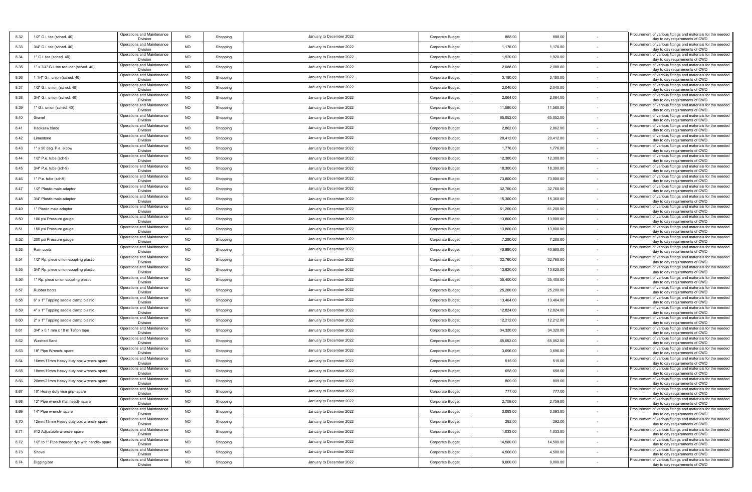| 8.32 | 1/2" G.i. tee (sched. 40)                       | Operations and Maintenance<br>Division | <b>NO</b> | Shopping | January to December 2022 | Corporate Budget        | 888.00    | 888.00    |        | rocurement of various fittings and materials for the needed<br>day to day requirements of CWD  |
|------|-------------------------------------------------|----------------------------------------|-----------|----------|--------------------------|-------------------------|-----------|-----------|--------|------------------------------------------------------------------------------------------------|
| 8.33 | 3/4" G.i. tee (sched. 40)                       | Operations and Maintenance<br>Division | <b>NO</b> | Shopping | January to December 2022 | Corporate Budget        | 1,176.00  | 1,176.00  |        | Procurement of various fittings and materials for the needed<br>day to day requirements of CWD |
| 8.34 | 1" G.i. tee (sched. 40)                         | Operations and Maintenance<br>Division | NO        | Shopping | January to December 2022 | Corporate Budget        | 1,920.00  | 1,920.00  |        | Procurement of various fittings and materials for the needed<br>day to day requirements of CWD |
| 8.35 | 1" x 3/4" G.i. tee reducer (sched. 40)          | Operations and Maintenance<br>Division | <b>NO</b> | Shopping | January to December 2022 | <b>Corporate Budget</b> | 2,088.00  | 2,088.00  |        | Procurement of various fittings and materials for the needed<br>day to day requirements of CWD |
| 8.36 | 1 1/4" G.i. union (sched. 40)                   | Operations and Maintenance<br>Division | <b>NO</b> | Shopping | January to December 2022 | Corporate Budget        | 3,180.00  | 3,180.00  |        | rocurement of various fittings and materials for the needed<br>day to day requirements of CWD  |
| 8.37 | 1/2" G.i. union (sched. 40)                     | Operations and Maintenance<br>Division | <b>NO</b> | Shopping | January to December 2022 | <b>Corporate Budget</b> | 2,040.00  | 2,040.00  |        | rocurement of various fittings and materials for the needed<br>day to day requirements of CWD  |
| 8.38 | 3/4" G.i. union (sched. 40)                     | Operations and Maintenance<br>Division | <b>NO</b> | Shopping | January to December 2022 | <b>Corporate Budget</b> | 2,064.00  | 2,064.00  |        | rocurement of various fittings and materials for the needed<br>day to day requirements of CWD  |
| 8.39 | 1" G.i. union (sched. 40)                       | Operations and Maintenance<br>Division | <b>NO</b> | Shopping | January to December 2022 | Corporate Budget        | 11,580.00 | 11,580.00 |        | Procurement of various fittings and materials for the needed<br>day to day requirements of CWD |
| 8.40 | Gravel                                          | Operations and Maintenance<br>Division | <b>NO</b> | Shopping | January to December 2022 | Corporate Budget        | 65,052.00 | 65,052.00 |        | Procurement of various fittings and materials for the needed<br>day to day requirements of CWD |
| 8.41 | Hacksaw blade                                   | Operations and Maintenance<br>Division | <b>NO</b> | Shopping | January to December 2022 | Corporate Budget        | 2,862.00  | 2,862.00  |        | rocurement of various fittings and materials for the needed<br>day to day requirements of CWD  |
| 8.42 | Limestone                                       | Operations and Maintenance<br>Division | <b>NO</b> | Shopping | January to December 2022 | <b>Corporate Budget</b> | 20,412.00 | 20,412.00 |        | Procurement of various fittings and materials for the needed<br>day to day requirements of CWD |
| 8.43 | 1" x 90 deg. P.e. elbow                         | Operations and Maintenance<br>Division | <b>NO</b> | Shopping | January to December 2022 | Corporate Budget        | 1,776.00  | 1,776.00  |        | rocurement of various fittings and materials for the needed<br>day to day requirements of CWD  |
| 8.44 | 1/2" P.e. tube (sdr-9)                          | Operations and Maintenance<br>Division | NO        | Shopping | January to December 2022 | Corporate Budget        | 12,300.00 | 12,300.00 |        | Procurement of various fittings and materials for the needed<br>day to day requirements of CWD |
| 8.45 | 3/4" P.e. tube (sdr-9)                          | Operations and Maintenance<br>Division | <b>NO</b> | Shopping | January to December 2022 | <b>Corporate Budget</b> | 18,300.00 | 18,300.00 |        | Procurement of various fittings and materials for the needed<br>day to day requirements of CWD |
| 8.46 | 1" P.e. tube (sdr-9)                            | Operations and Maintenance<br>Division | <b>NO</b> | Shopping | January to December 2022 | Corporate Budget        | 73,800.00 | 73,800.00 |        | Procurement of various fittings and materials for the needed<br>day to day requirements of CWD |
| 8.47 | 1/2" Plastic male adaptor                       | Operations and Maintenance<br>Division | <b>NO</b> | Shopping | January to December 2022 | <b>Corporate Budget</b> | 32,760.00 | 32,760.00 |        | Procurement of various fittings and materials for the needed<br>day to day requirements of CWD |
| 8.48 | 3/4" Plastic male adaptor                       | Operations and Maintenance<br>Division | <b>NO</b> | Shopping | January to December 2022 | Corporate Budget        | 15,360.00 | 15,360.00 |        | rocurement of various fittings and materials for the needed<br>day to day requirements of CWD  |
| 8.49 | 1" Plastic male adaptor                         | Operations and Maintenance<br>Division | <b>NO</b> | Shopping | January to December 2022 | <b>Corporate Budget</b> | 61,200.00 | 61,200.00 |        | Procurement of various fittings and materials for the needed<br>day to day requirements of CWD |
| 8.50 | 100 psi Pressure gauge                          | Operations and Maintenance<br>Division | <b>NO</b> | Shopping | January to December 2022 | Corporate Budget        | 13,800.00 | 13,800.00 |        | Procurement of various fittings and materials for the needed<br>day to day requirements of CWD |
| 8.51 | 150 psi Pressure gauge                          | Operations and Maintenance<br>Division | <b>NO</b> | Shopping | January to December 2022 | Corporate Budget        | 13,800.00 | 13,800.00 |        | Procurement of various fittings and materials for the needed<br>day to day requirements of CWD |
| 8.52 | 200 psi Pressure gauge                          | Operations and Maintenance<br>Division | <b>NO</b> | Shopping | January to December 2022 | Corporate Budget        | 7,280.00  | 7,280.00  |        | Procurement of various fittings and materials for the needed<br>day to day requirements of CWD |
| 8.53 | Rain coats                                      | Operations and Maintenance<br>Division | <b>NO</b> | Shopping | January to December 2022 | Corporate Budget        | 40,980.00 | 40,980.00 |        | Procurement of various fittings and materials for the needed<br>day to day requirements of CWD |
| 8.54 | 1/2" Rp. piece union-coupling plastic           | Operations and Maintenance<br>Division | <b>NO</b> | Shopping | January to December 2022 | Corporate Budget        | 32,760.00 | 32,760.00 |        | rocurement of various fittings and materials for the needed<br>day to day requirements of CWD  |
| 8.55 | 3/4" Rp. piece union-coupling plastic           | Operations and Maintenance<br>Division | NO        | Shopping | January to December 2022 | <b>Corporate Budget</b> | 13,620.00 | 13,620.00 |        | Procurement of various fittings and materials for the needed<br>day to day requirements of CWD |
| 8.56 | 1" Rp. piece union-coupling plastic             | Operations and Maintenance<br>Division | <b>NO</b> | Shopping | January to December 2022 | Corporate Budget        | 35,400.00 | 35,400.00 |        | Procurement of various fittings and materials for the needed<br>day to day requirements of CWD |
| 8.57 | Rubber boots                                    | Operations and Maintenance<br>Division | <b>NO</b> | Shopping | January to December 2022 | <b>Corporate Budget</b> | 25,200.00 | 25,200.00 |        | Procurement of various fittings and materials for the needed<br>day to day requirements of CWD |
| 8.58 | 6" x 1" Tapping saddle clamp plastic            | Operations and Maintenance<br>Division | <b>NO</b> | Shopping | January to December 2022 | Corporate Budget        | 13,464.00 | 13,464.00 |        | Procurement of various fittings and materials for the needed<br>day to day requirements of CWD |
| 8.59 | 4" x 1" Tapping saddle clamp plastic            | Operations and Maintenance<br>Division | <b>NO</b> | Shopping | January to December 2022 | <b>Corporate Budget</b> | 12,824.00 | 12,824.00 |        | Procurement of various fittings and materials for the needed<br>day to day requirements of CWD |
| 8.60 | 2" x 1" Tapping saddle clamp plastic            | Operations and Maintenance<br>Division | <b>NO</b> | Shopping | January to December 2022 | Corporate Budget        | 12,212.00 | 12,212.00 |        | Procurement of various fittings and materials for the needed<br>day to day requirements of CWD |
| 8.61 | 3/4" x 0.1 mm x 10 m Teflon tape                | Operations and Maintenance<br>Division | <b>NO</b> | Shopping | January to December 2022 | Corporate Budget        | 34,320.00 | 34,320.00 |        | Procurement of various fittings and materials for the needed<br>day to day requirements of CWD |
| 8.62 | Washed Sand                                     | Operations and Maintenance<br>Division | <b>NO</b> | Shopping | January to December 2022 | <b>Corporate Budget</b> | 65,052.00 | 65,052.00 |        | Procurement of various fittings and materials for the needed<br>day to day requirements of CWD |
| 8.63 | 18" Pipe Wrench- spare                          | Operations and Maintenance<br>Division | <b>NO</b> | Shopping | January to December 2022 | Corporate Budget        | 3,696.00  | 3,696.00  |        | Procurement of various fittings and materials for the needed<br>day to day requirements of CWD |
| 8.64 | 16mm/17mm Heavy duty box wrench- spare          | Operations and Maintenance<br>Division | NO        | Shopping | January to December 2022 | Corporate Budget        | 515.00    | 515.00    |        | rocurement of various fittings and materials for the needed<br>day to day requirements of CWD  |
| 8.65 | 18mm/19mm Heavy duty box wrench- spare          | Operations and Maintenance<br>Division | <b>NO</b> | Shopping | January to December 2022 | <b>Corporate Budget</b> | 658.00    | 658.00    |        | Procurement of various fittings and materials for the needed<br>day to day requirements of CWD |
| 8.66 | 20mm/21mm Heavy duty box wrench- spare          | Operations and Maintenance<br>Division | <b>NO</b> | Shopping | January to December 2022 | Corporate Budget        | 809.00    | 809.00    |        | Procurement of various fittings and materials for the needed<br>day to day requirements of CWD |
| 8.67 | 10" Heavy duty vise grip- spare                 | Operations and Maintenance<br>Division | <b>NO</b> | Shopping | January to December 2022 | Corporate Budget        | 777.00    | 777.00    |        | Procurement of various fittings and materials for the needed<br>day to day requirements of CWD |
| 8.68 | 12" Pipe wrench (flat head)- spare              | Operations and Maintenance<br>Division | <b>NO</b> | Shopping | January to December 2022 | Corporate Budget        | 2,759.00  | 2,759.00  |        | Procurement of various fittings and materials for the needed<br>day to day requirements of CWD |
| 8.69 | 14" Pipe wrench- spare                          | Operations and Maintenance<br>Division | <b>NO</b> | Shopping | January to December 2022 | Corporate Budget        | 3,093.00  | 3,093.00  |        | Procurement of various fittings and materials for the needed<br>day to day requirements of CWD |
| 8.70 | 12mm/13mm Heavy duty box wrench- spare          | Operations and Maintenance<br>Division | <b>NO</b> | Shopping | January to December 2022 | Corporate Budget        | 292.00    | 292.00    |        | Procurement of various fittings and materials for the needed<br>day to day requirements of CWD |
| 8.71 | #12 Adjustable wrench- spare                    | Operations and Maintenance<br>Division | <b>NO</b> | Shopping | January to December 2022 | Corporate Budget        | 1,033.00  | 1,033.00  | $\sim$ | Procurement of various fittings and materials for the needed<br>day to day requirements of CWD |
| 8.72 | 1/2" to 1" Pipe threader dye with handle- spare | Operations and Maintenance<br>Division | <b>NO</b> | Shopping | January to December 2022 | Corporate Budget        | 14,500.00 | 14,500.00 | $\sim$ | Procurement of various fittings and materials for the needed<br>day to day requirements of CWD |
| 8.73 | Shovel                                          | Operations and Maintenance<br>Division | <b>NO</b> | Shopping | January to December 2022 | Corporate Budget        | 4,500.00  | 4,500.00  | $\sim$ | Procurement of various fittings and materials for the needed<br>day to day requirements of CWD |
| 8.74 | Digging bar                                     | Operations and Maintenance<br>Division | <b>NO</b> | Shopping | January to December 2022 | Corporate Budget        | 9,000.00  | 9,000.00  |        | Procurement of various fittings and materials for the needed<br>day to day requirements of CWD |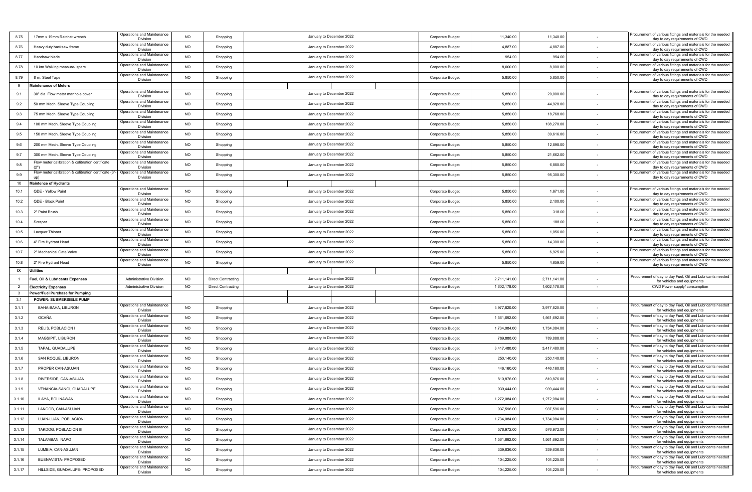| 8.75           | 17mm x 19mm Ratchet wrench                                                            | Operations and Maintenance<br>Division | <b>NO</b> | Shopping                  | January to December 2022 | Corporate Budget        | 11,340.00    | 11,340.00    |        | Procurement of various fittings and materials for the needed<br>day to day requirements of CWD |
|----------------|---------------------------------------------------------------------------------------|----------------------------------------|-----------|---------------------------|--------------------------|-------------------------|--------------|--------------|--------|------------------------------------------------------------------------------------------------|
| 8.76           | Heavy duty hacksaw frame                                                              | Operations and Maintenance<br>Division | NO        | Shopping                  | January to December 2022 | Corporate Budget        | 4,887.00     | 4,887.00     | $\sim$ | Procurement of various fittings and materials for the needed<br>day to day requirements of CWD |
| 8.77           | Handsaw blade                                                                         | Operations and Maintenance<br>Division | <b>NO</b> | Shopping                  | January to December 2022 | Corporate Budget        | 954.00       | 954.00       |        | Procurement of various fittings and materials for the needed<br>day to day requirements of CWD |
| 8.78           | 10 km Walking measure- spare                                                          | Operations and Maintenance             | <b>NO</b> | Shopping                  | January to December 2022 | Corporate Budget        | 8,000.00     | 8,000.00     |        | Procurement of various fittings and materials for the needed                                   |
| 8.79           | 8 m. Steel Tape                                                                       | Division<br>Operations and Maintenance | <b>NO</b> | Shopping                  | January to December 2022 | Corporate Budget        | 5,850.00     | 5,850.00     | $\sim$ | day to day requirements of CWD<br>Procurement of various fittings and materials for the needed |
| 9              | <b>Maintenance of Meters</b>                                                          | Division                               |           |                           |                          |                         |              |              |        | day to day requirements of CWD                                                                 |
| 9.1            | 30" dia. Flow meter manhole cover                                                     | Operations and Maintenance<br>Division | <b>NO</b> | Shopping                  | January to December 2022 | Corporate Budget        | 5,850.00     | 20,000.00    |        | Procurement of various fittings and materials for the needed<br>day to day requirements of CWD |
| 9.2            | 50 mm Mech. Sleeve Type Coupling                                                      | Operations and Maintenance             | <b>NO</b> | Shopping                  | January to December 2022 | Corporate Budget        | 5,850.00     | 44,928.00    |        | rocurement of various fittings and materials for the needed                                    |
| 9.3            | 75 mm Mech. Sleeve Type Coupling                                                      | Division<br>Operations and Maintenance | <b>NO</b> | Shopping                  | January to December 2022 | Corporate Budget        | 5,850.00     | 18,768.00    |        | day to day requirements of CWD<br>Procurement of various fittings and materials for the needed |
| 9.4            | 100 mm Mech. Sleeve Type Coupling                                                     | Division<br>Operations and Maintenance | NO        | Shopping                  | January to December 2022 | Corporate Budget        | 5,850.00     | 108,270.00   | $\sim$ | day to day requirements of CWD<br>Procurement of various fittings and materials for the needed |
| 9.5            | 150 mm Mech. Sleeve Type Coupling                                                     | Division<br>Operations and Maintenance | <b>NO</b> | Shopping                  | January to December 2022 | Corporate Budget        | 5,850.00     | 39,616.00    |        | day to day requirements of CWD<br>Procurement of various fittings and materials for the needed |
|                | 200 mm Mech. Sleeve Type Coupling                                                     | Division<br>Operations and Maintenance | NO        |                           | January to December 2022 |                         | 5,850.00     | 12,898.00    |        | day to day requirements of CWD<br>Procurement of various fittings and materials for the needed |
| 9.6            |                                                                                       | Division<br>Operations and Maintenance |           | Shopping                  |                          | Corporate Budget        |              |              |        | day to day requirements of CWD<br>Procurement of various fittings and materials for the needed |
| 9.7            | 300 mm Mech. Sleeve Type Coupling<br>Flow meter calibration & calibration certificate | Division<br>Operations and Maintenance | <b>NO</b> | Shopping                  | January to December 2022 | Corporate Budget        | 5,850.00     | 21,662.00    |        | day to day requirements of CWD<br>rocurement of various fittings and materials for the needed  |
| 9.8            | (2")<br>Flow meter calibration & calibration certificate (3"                          | Division                               | <b>NO</b> | Shopping                  | January to December 2022 | <b>Corporate Budget</b> | 5,850.00     | 6,880.00     |        | day to day requirements of CWD<br>Procurement of various fittings and materials for the needed |
| 9.9            | up)                                                                                   | Operations and Maintenance<br>Division | <b>NO</b> | Shopping                  | January to December 2022 | Corporate Budget        | 5,850.00     | 95,300.00    |        | day to day requirements of CWD                                                                 |
| 10             | <b>Maintence of Hydrants</b>                                                          | Operations and Maintenance             |           |                           |                          |                         |              |              |        | Procurement of various fittings and materials for the needed                                   |
| 10.1           | QDE - Yellow Paint                                                                    | Division<br>Operations and Maintenance | <b>NO</b> | Shopping                  | January to December 2022 | Corporate Budget        | 5,850.00     | 1,671.00     |        | day to day requirements of CWD<br>Procurement of various fittings and materials for the needed |
| 10.2           | QDE - Black Paint                                                                     | Division<br>Operations and Maintenance | <b>NO</b> | Shopping                  | January to December 2022 | <b>Corporate Budget</b> | 5,850.00     | 2,100.00     |        | day to day requirements of CWD<br>Procurement of various fittings and materials for the needed |
| 10.3           | 2" Paint Brush                                                                        | Division                               | <b>NO</b> | Shopping                  | January to December 2022 | Corporate Budget        | 5,850.00     | 318.00       |        | day to day requirements of CWD                                                                 |
| 10.4           | Scraper                                                                               | Operations and Maintenance<br>Division | <b>NO</b> | Shopping                  | January to December 2022 | Corporate Budget        | 5,850.00     | 188.00       | $\sim$ | Procurement of various fittings and materials for the needed<br>day to day requirements of CWD |
| 10.5           | Lacquer Thinner                                                                       | Operations and Maintenance<br>Division | <b>NO</b> | Shopping                  | January to December 2022 | Corporate Budget        | 5,850.00     | 1,056.00     |        | Procurement of various fittings and materials for the needed<br>day to day requirements of CWD |
| 10.6           | 4" Fire Hydrant Head                                                                  | Operations and Maintenance<br>Division | <b>NO</b> | Shopping                  | January to December 2022 | Corporate Budget        | 5,850.00     | 14,300.00    |        | Procurement of various fittings and materials for the needed<br>day to day requirements of CWD |
| 10.7           | 2" Mechanical Gate Valve                                                              | Operations and Maintenance<br>Division | NO        | Shopping                  | January to December 2022 | Corporate Budget        | 5,850.00     | 6,925.00     |        | Procurement of various fittings and materials for the needed<br>day to day requirements of CWD |
| 10.8           | 2" Fire Hydrant Head                                                                  | Operations and Maintenance<br>Division | <b>NO</b> | Shopping                  | January to December 2022 | Corporate Budget        | 5,850.00     | 4,659.00     |        | Procurement of various fittings and materials for the needed<br>day to day requirements of CWD |
| IX             | Utilities                                                                             |                                        |           |                           |                          |                         |              |              |        |                                                                                                |
|                | uel, Oil & Lubricants Expenses                                                        | <b>Administrative Division</b>         | <b>NO</b> | <b>Direct Contracting</b> | January to December 2022 | Corporate Budget        | 2,711,141.00 | 2,711,141.00 |        | Procurement of day to day Fuel, Oil and Lubricants needed<br>for vehicles and equipments       |
| $\overline{2}$ | <b>Electricity Expenses</b><br>Power/Fuel Purchase for Pumping                        | <b>Administrative Division</b>         | <b>NO</b> | <b>Direct Contracting</b> | January to December 2022 | Corporate Budget        | 1,602,178.00 | 1,602,178.00 |        | CWD Power supply/ consumption                                                                  |
| - 3<br>3.1     | <b>POWER: SUBMERSIBLE PUMP</b>                                                        |                                        |           |                           |                          |                         |              |              |        |                                                                                                |
| 3.1.1          | BAHA-BAHA, LIBURON                                                                    | Operations and Maintenance<br>Division | <b>NO</b> | Shopping                  | January to December 2022 | <b>Corporate Budget</b> | 3,977,820.00 | 3,977,820.00 |        | Procurement of day to day Fuel, Oil and Lubricants needed<br>for vehicles and equipments       |
| 3.1.2          | <b>OCAÑA</b>                                                                          | Operations and Maintenance             | <b>NO</b> | Shopping                  | January to December 2022 | Corporate Budget        | 1,561,692.00 | 1,561,692.00 | $\sim$ | Procurement of day to day Fuel, Oil and Lubricants needed                                      |
| 3.1.3          | RELIS, POBLACION I                                                                    | Division<br>Operations and Maintenance | <b>NO</b> | Shopping                  | January to December 2022 | Corporate Budget        | 1,734,084.00 | 1,734,084.00 | $\sim$ | for vehicles and equipments<br>Procurement of day to day Fuel, Oil and Lubricants needed       |
| 3.1.4          | MAGSIPIT, LIBURON                                                                     | Division<br>Operations and Maintenance | <b>NO</b> | Shopping                  | January to December 2022 | Corporate Budget        | 789,888.00   | 789,888.00   |        | for vehicles and equipments<br>Procurement of day to day Fuel, Oil and Lubricants needed       |
| 3.1.5          | TAPAL, GUADALUPE                                                                      | Division<br>Operations and Maintenance | <b>NO</b> |                           | January to December 2022 |                         |              |              |        | for vehicles and equipments<br>Procurement of day to day Fuel, Oil and Lubricants needed       |
|                |                                                                                       | Division<br>Operations and Maintenance |           | Shopping                  |                          | Corporate Budget        | 3,417,480.00 | 3,417,480.00 |        | for vehicles and equipments<br>Procurement of day to day Fuel, Oil and Lubricants needed       |
| 3.1.6          | SAN ROQUE, LIBURON                                                                    | Division<br>Operations and Maintenance | <b>NO</b> | Shopping                  | January to December 2022 | Corporate Budget        | 250,140.00   | 250,140.00   |        | for vehicles and equipments<br>Procurement of day to day Fuel, Oil and Lubricants needed       |
| 3.1.7          | PROPER CAN-ASUJAN                                                                     | Division<br>Operations and Maintenance | <b>NO</b> | Shopping                  | January to December 2022 | Corporate Budget        | 446,160.00   | 446,160.00   |        | for vehicles and equipments<br>Procurement of day to day Fuel, Oil and Lubricants needed       |
| 3.1.8          | RIVERSIDE, CAN-ASUJAN                                                                 | Division                               | <b>NO</b> | Shopping                  | January to December 2022 | Corporate Budget        | 810,876.00   | 810,876.00   |        | for vehicles and equipments                                                                    |
| 3.1.9          | VENANCIA-SANGI, GUADALUPE                                                             | Operations and Maintenance<br>Divisior | NO.       | Shopping                  | January to December 2022 | Corporate Budget        | 939,444.00   | 939,444.00   |        | Procurement of day to day Fuel, Oil and Lubricants needed<br>for vehicles and equipments       |
| 3.1.10         | ILAYA, BOLINAWAN                                                                      | Operations and Maintenance<br>Division | <b>NO</b> | Shopping                  | January to December 2022 | Corporate Budget        | 1,272,084.00 | 1,272,084.00 | $\sim$ | Procurement of day to day Fuel, Oil and Lubricants needed<br>for vehicles and equipments       |
| 3.1.11         | LANGOB, CAN-ASUJAN                                                                    | Operations and Maintenance<br>Division | <b>NO</b> | Shopping                  | January to December 2022 | Corporate Budget        | 937,596.00   | 937,596.00   |        | Procurement of day to day Fuel, Oil and Lubricants needed<br>for vehicles and equipments       |
| 3.1.12         | LUAN-LUAN, POBLACION I                                                                | Operations and Maintenance<br>Division | <b>NO</b> | Shopping                  | January to December 2022 | Corporate Budget        | 1,734,084.00 | 1,734,084.00 |        | Procurement of day to day Fuel, Oil and Lubricants needed<br>for vehicles and equipments       |
| 3.1.13         | TAKDOG, POBLACION III                                                                 | Operations and Maintenance<br>Division | <b>NO</b> | Shopping                  | January to December 2022 | Corporate Budget        | 576,972.00   | 576,972.00   | $\sim$ | Procurement of day to day Fuel, Oil and Lubricants needed<br>for vehicles and equipments       |
| 3.1.14         | TALAMBAN, NAPO                                                                        | Operations and Maintenance<br>Division | <b>NO</b> | Shopping                  | January to December 2022 | Corporate Budget        | 1,561,692.00 | 1,561,692.00 |        | Procurement of day to day Fuel, Oil and Lubricants needed<br>for vehicles and equipments       |
| 3.1.15         | LUMBIA, CAN-ASUJAN                                                                    | Operations and Maintenance             | <b>NO</b> | Shopping                  | January to December 2022 | Corporate Budget        | 339,636.00   | 339,636.00   | $\sim$ | Procurement of day to day Fuel, Oil and Lubricants needed                                      |
| 3.1.16         | BUENAVISTA- PROPOSED                                                                  | Division<br>Operations and Maintenance | NO        | Shopping                  | January to December 2022 | Corporate Budget        | 104,225.00   | 104,225.00   |        | for vehicles and equipments<br>Procurement of day to day Fuel, Oil and Lubricants needed       |
| 3.1.17         | HILLSIDE, GUADALUPE- PROPOSED                                                         | Division<br>Operations and Maintenance | <b>NO</b> | Shopping                  | January to December 2022 | Corporate Budget        | 104,225.00   | 104,225.00   |        | for vehicles and equipments<br>Procurement of day to day Fuel, Oil and Lubricants needed       |
|                |                                                                                       | Division                               |           |                           |                          |                         |              |              |        | for vehicles and equipments                                                                    |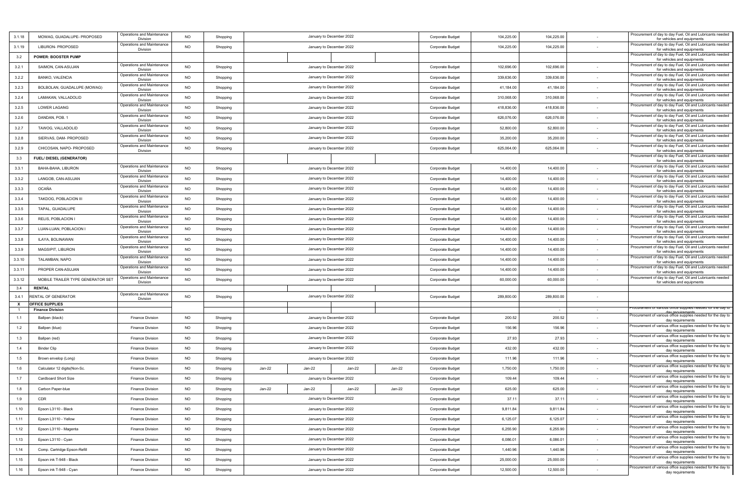| 3.1.18 | MOWAG, GUADALUPE- PROPOSED                 | Operations and Maintenance<br>Division | <b>NO</b> | Shopping |                          | January to December 2022 |        | Corporate Budget        | 104,225.00 | 104,225.00 |        | Procurement of day to day Fuel, Oil and Lubricants needed<br>for vehicles and equipments |
|--------|--------------------------------------------|----------------------------------------|-----------|----------|--------------------------|--------------------------|--------|-------------------------|------------|------------|--------|------------------------------------------------------------------------------------------|
| 3.1.19 | LIBURON- PROPOSED                          | Operations and Maintenance<br>Division | <b>NO</b> | Shopping |                          | January to December 2022 |        | Corporate Budget        | 104,225.00 | 104,225.00 |        | Procurement of day to day Fuel, Oil and Lubricants needed<br>for vehicles and equipments |
| 3.2    | <b>POWER: BOOSTER PUMP</b>                 |                                        |           |          |                          |                          |        |                         |            |            |        | Procurement of day to day Fuel, Oil and Lubricants needed<br>for vehicles and equipments |
| 3.2.1  | SAIMON, CAN-ASUJAN                         | Operations and Maintenance<br>Division | <b>NO</b> | Shopping |                          | January to December 2022 |        | Corporate Budget        | 102,696.00 | 102,696.00 |        | Procurement of day to day Fuel, Oil and Lubricants needed<br>for vehicles and equipments |
| 3.2.2  | BANKO, VALENCIA                            | Operations and Maintenance<br>Division | <b>NO</b> | Shopping |                          | January to December 2022 |        | Corporate Budget        | 339,636.00 | 339,636.00 | $\sim$ | Procurement of day to day Fuel, Oil and Lubricants needed<br>for vehicles and equipments |
| 3.2.3  | BOLBOLAN, GUADALUPE (MOWAG)                | Operations and Maintenance<br>Division | <b>NO</b> | Shopping |                          | January to December 2022 |        | <b>Corporate Budget</b> | 41,184.00  | 41,184.00  |        | Procurement of day to day Fuel, Oil and Lubricants needed<br>for vehicles and equipments |
| 3.2.4  | LAMAKAN, VALLADOLID                        | Operations and Maintenance<br>Division | <b>NO</b> | Shopping |                          | January to December 2022 |        | Corporate Budget        | 310,068.00 | 310,068.00 |        | Procurement of day to day Fuel, Oil and Lubricants needed<br>for vehicles and equipments |
| 3.2.5  | LOWER LAGANG                               | Operations and Maintenance<br>Division | <b>NO</b> | Shopping |                          | January to December 2022 |        | Corporate Budget        | 418,836.00 | 418,836.00 |        | Procurement of day to day Fuel, Oil and Lubricants needed<br>for vehicles and equipments |
| 3.2.6  | DANDAN, POB, 1                             | Operations and Maintenance<br>Division | <b>NO</b> | Shopping |                          | January to December 2022 |        | Corporate Budget        | 626,076.00 | 626,076.00 |        | Procurement of day to day Fuel, Oil and Lubricants needed<br>for vehicles and equipments |
| 3.2.7  | TAWOG, VALLADOLID                          | Operations and Maintenance<br>Division | <b>NO</b> | Shopping |                          | January to December 2022 |        | Corporate Budget        | 52,800.00  | 52,800.00  |        | Procurement of day to day Fuel, Oil and Lubricants needed<br>for vehicles and equipments |
| 3.2.8  | SIERVAS, DAM- PROPOSED                     | Operations and Maintenance<br>Division | <b>NO</b> | Shopping |                          | January to December 2022 |        | Corporate Budget        | 35,200.00  | 35,200.00  |        | Procurement of day to day Fuel, Oil and Lubricants needed<br>for vehicles and equipments |
| 3.2.9  | CHICOSAN, NAPO- PROPOSED                   | Operations and Maintenance<br>Division | <b>NO</b> | Shopping |                          | January to December 2022 |        | Corporate Budget        | 625,064.00 | 625,064.00 |        | Procurement of day to day Fuel, Oil and Lubricants needed<br>for vehicles and equipments |
| 3.3    | FUEL/ DIESEL (GENERATOR)                   |                                        |           |          |                          |                          |        |                         |            |            |        | Procurement of day to day Fuel, Oil and Lubricants needed<br>for vehicles and equipments |
| 3.3.1  | BAHA-BAHA, LIBURON                         | Operations and Maintenance<br>Division | <b>NO</b> | Shopping |                          | January to December 2022 |        | Corporate Budget        | 14,400.00  | 14,400.00  |        | Procurement of day to day Fuel, Oil and Lubricants needed<br>for vehicles and equipments |
| 3.3.2  | LANGOB, CAN-ASUJAN                         | Operations and Maintenance<br>Division | <b>NO</b> | Shopping |                          | January to December 2022 |        | Corporate Budget        | 14,400.00  | 14,400.00  | $\sim$ | Procurement of day to day Fuel, Oil and Lubricants needed<br>for vehicles and equipments |
| 3.3.3  | <b>OCAÑA</b>                               | Operations and Maintenance<br>Division | <b>NO</b> | Shopping |                          | January to December 2022 |        | Corporate Budget        | 14,400.00  | 14,400.00  |        | Procurement of day to day Fuel, Oil and Lubricants needed<br>for vehicles and equipments |
| 3.3.4  | TAKDOG, POBLACION III                      | Operations and Maintenance<br>Division | <b>NO</b> | Shopping |                          | January to December 2022 |        | Corporate Budget        | 14,400.00  | 14,400.00  |        | Procurement of day to day Fuel, Oil and Lubricants needed<br>for vehicles and equipments |
| 3.3.5  | TAPAL, GUADALUPE                           | Operations and Maintenance<br>Division | NO        | Shopping |                          | January to December 2022 |        | Corporate Budget        | 14,400.00  | 14,400.00  |        | Procurement of day to day Fuel, Oil and Lubricants needed<br>for vehicles and equipments |
| 3.3.6  | RELIS, POBLACION I                         | Operations and Maintenance<br>Division | <b>NO</b> | Shopping |                          | January to December 2022 |        | Corporate Budget        | 14,400.00  | 14,400.00  |        | Procurement of day to day Fuel, Oil and Lubricants needed<br>for vehicles and equipments |
| 3.3.7  | LUAN-LUAN, POBLACION I                     | Operations and Maintenance<br>Division | <b>NO</b> | Shopping |                          | January to December 2022 |        | Corporate Budget        | 14,400.00  | 14,400.00  |        | Procurement of day to day Fuel, Oil and Lubricants needed<br>for vehicles and equipments |
| 3.3.8  | ILAYA, BOLINAWAN                           | Operations and Maintenance<br>Division | <b>NO</b> | Shopping |                          | January to December 2022 |        | Corporate Budget        | 14,400.00  | 14,400.00  |        | Procurement of day to day Fuel, Oil and Lubricants needed<br>for vehicles and equipments |
| 3.3.9  | MAGSIPIT, LIBURON                          | Operations and Maintenance<br>Division | <b>NO</b> | Shopping |                          | January to December 2022 |        | Corporate Budget        | 14,400.00  | 14,400.00  |        | Procurement of day to day Fuel, Oil and Lubricants needed<br>for vehicles and equipments |
| 3.3.10 | TALAMBAN, NAPO                             | Operations and Maintenance<br>Division | <b>NO</b> | Shopping |                          | January to December 2022 |        | <b>Corporate Budget</b> | 14,400.00  | 14,400.00  |        | Procurement of day to day Fuel, Oil and Lubricants needed<br>for vehicles and equipments |
| 3.3.11 | PROPER CAN-ASUJAN                          | Operations and Maintenance<br>Division | <b>NO</b> | Shopping |                          | January to December 2022 |        | Corporate Budget        | 14,400.00  | 14,400.00  |        | Procurement of day to day Fuel, Oil and Lubricants needed<br>for vehicles and equipments |
| 3.3.12 | MOBILE TRAILER TYPE GENERATOR SET          | Operations and Maintenance<br>Division | <b>NO</b> | Shopping |                          | January to December 2022 |        | Corporate Budget        | 60,000.00  | 60,000.00  |        | Procurement of day to day Fuel, Oil and Lubricants needed<br>for vehicles and equipments |
| 3.4    | <b>RENTAL</b>                              |                                        |           |          |                          |                          |        |                         |            |            |        |                                                                                          |
| 3.4.1  | <b>ENTAL OF GENERATOR</b>                  | Operations and Maintenance<br>Division | <b>NO</b> | Shopping |                          | January to December 2022 |        | Corporate Budget        | 289,800.00 | 289,800.00 |        |                                                                                          |
| X      | OFFICE SUPPLIES<br><b>Finance Division</b> |                                        |           |          |                          |                          |        |                         |            |            | $\sim$ | curement or various onnce supplies needed for the day to                                 |
| 1.1    | Ballpen (black)                            | <b>Finance Division</b>                | <b>NO</b> | Shopping |                          | January to December 2022 |        | Corporate Budget        | 200.52     | 200.52     |        | Procurement of various office supplies needed for the day to<br>day requirements         |
| 1.2    | Ballpen (blue)                             | <b>Finance Division</b>                | <b>NO</b> | Shopping |                          | January to December 2022 |        | Corporate Budget        | 156.96     | 156.96     |        | Procurement of various office supplies needed for the day to<br>day requirements         |
| 1.3    | Ballpen (red)                              | <b>Finance Division</b>                | <b>NO</b> | Shopping |                          | January to December 2022 |        | Corporate Budget        | 27.93      | 27.93      |        | Procurement of various office supplies needed for the day to<br>day requirements         |
| 1.4    | <b>Binder Clip</b>                         | <b>Finance Division</b>                | <b>NO</b> | Shopping |                          | January to December 2022 |        | Corporate Budget        | 432.00     | 432.00     |        | Procurement of various office supplies needed for the day to<br>day requirements         |
| 1.5    | Brown envelop (Long)                       | <b>Finance Division</b>                | <b>NO</b> | Shopping |                          | January to December 2022 |        | Corporate Budget        | 111.96     | 111.96     |        | Procurement of various office supplies needed for the day to<br>day requirements         |
| 1.6    | Calculator 12 digits (Non-Sc.              | <b>Finance Division</b>                | NO        | Shopping | Jan-22<br>Jan-22         | Jan-22                   | Jan-22 | Corporate Budget        | 1,750.00   | 1,750.00   |        | Procurement of various office supplies needed for the day to<br>day requirements         |
| 1.7    | Cardboard Short Size                       | <b>Finance Division</b>                | <b>NO</b> | Shopping |                          | January to December 2022 |        | Corporate Budget        | 109.44     | 109.44     |        | Procurement of various office supplies needed for the day to<br>day requirements         |
| 1.8    | Carbon Paper-blue                          | Finance Division                       | NO        | Shopping | $Jan-22$<br>Jan-22       | $Jan-22$                 | Jan-22 | Corporate Budget        | 625.00     | 625.00     |        | Procurement of various office supplies needed for the day to                             |
| 1.9    | CDR                                        | <b>Finance Division</b>                | <b>NO</b> | Shopping |                          | January to December 2022 |        | Corporate Budget        | 37.11      | 37.11      |        | Procurement of various office supplies needed for the day to<br>day requirements         |
| 1.10   | Epson L3110 - Black                        | <b>Finance Division</b>                | NO        | Shopping |                          | January to December 2022 |        | Corporate Budget        | 9,811.84   | 9,811.84   |        | Procurement of various office supplies needed for the day to<br>day requirements         |
| 1.11   | Epson L3110 - Yellow                       | <b>Finance Division</b>                | <b>NO</b> | Shopping |                          | January to December 2022 |        | Corporate Budget        | 6,125.07   | 6,125.07   |        | Procurement of various office supplies needed for the day to<br>day requirements         |
| 1.12   | Epson L3110 - Magenta                      | <b>Finance Division</b>                | <b>NO</b> | Shopping |                          | January to December 2022 |        | Corporate Budget        | 6,255.90   | 6,255.90   | $\sim$ | Procurement of various office supplies needed for the day to<br>day requirements         |
| 1.13   | Epson L3110 - Cyan                         | <b>Finance Division</b>                | <b>NO</b> | Shopping | January to December 2022 |                          |        | Corporate Budget        | 6,086.01   | 6,086.01   | $\sim$ | Procurement of various office supplies needed for the day to<br>day requirements         |
| 1.14   | Comp. Cartridge Epson-Refill               | <b>Finance Division</b>                | <b>NO</b> | Shopping | January to December 2022 |                          |        | Corporate Budget        | 1,440.96   | 1,440.96   |        | Procurement of various office supplies needed for the day to<br>day requirements         |
| 1.15   | Epson ink T-948 - Black                    | <b>Finance Division</b>                | NO        | Shopping | January to December 2022 |                          |        | Corporate Budget        | 25,000.00  | 25,000.00  |        | Procurement of various office supplies needed for the day to<br>day requirements         |
| 1.16   | Epson ink T-948 - Cyan                     | <b>Finance Division</b>                | NO        | Shopping | January to December 2022 |                          |        | Corporate Budget        | 12,500.00  | 12,500.00  |        | Procurement of various office supplies needed for the day to<br>day requirements         |
|        |                                            |                                        |           |          |                          |                          |        |                         |            |            |        |                                                                                          |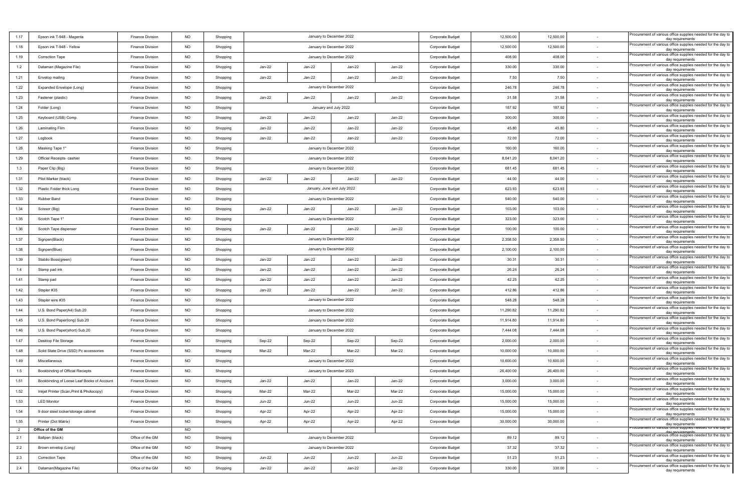| 1.17           | Epson ink T-948 - Magenta                  | <b>Finance Division</b> | <b>NO</b> | Shopping | January to December 2022                                  |                                              |                             |                  | Corporate Budget        | 12,500.00 | 12,500.00 |                                                                                                                           | Procurement of various office supplies needed for the day to<br>day requirements |
|----------------|--------------------------------------------|-------------------------|-----------|----------|-----------------------------------------------------------|----------------------------------------------|-----------------------------|------------------|-------------------------|-----------|-----------|---------------------------------------------------------------------------------------------------------------------------|----------------------------------------------------------------------------------|
| 1.18           | Epson ink T-948 - Yellow                   | <b>Finance Division</b> | <b>NO</b> | Shopping |                                                           |                                              | January to December 2022    |                  | Corporate Budget        | 12,500.00 | 12,500.00 |                                                                                                                           | Procurement of various office supplies needed for the day to<br>day requirements |
| 1.19           | Correction Tape                            | <b>Finance Division</b> | <b>NO</b> | Shopping |                                                           |                                              | January to December 2022    |                  | Corporate Budget        | 408.00    | 408.00    |                                                                                                                           | Procurement of various office supplies needed for the day to<br>day requirements |
| 1.2            | Dataman (Magazine File)                    | <b>Finance Division</b> | <b>NO</b> | Shopping | Jan-22                                                    | Jan-22                                       | Jan-22                      | Jan-22           | Corporate Budget        | 330.00    | 330.00    | $\sim$                                                                                                                    | Procurement of various office supplies needed for the day to<br>day requirements |
| 1.21           | Envelop mailing                            | <b>Finance Division</b> | <b>NO</b> | Shopping | Jan-22                                                    | Jan-22                                       | Jan-22                      | Jan-22           | Corporate Budget        | 7.50      | 7.50      |                                                                                                                           | Procurement of various office supplies needed for the day to<br>day requirements |
| 1.22           | Expanded Envelope (Long)                   | <b>Finance Division</b> | <b>NO</b> | Shopping |                                                           |                                              | January to December 2022    |                  | Corporate Budget        | 246.78    | 246.78    |                                                                                                                           | Procurement of various office supplies needed for the day to<br>day requirements |
| 1.23           | Fastener (plastic)                         | <b>Finance Division</b> | <b>NO</b> | Shopping | Jan-22                                                    | Jan-22                                       | Jan-22                      | Jan-22           | Corporate Budget        | 31.58     | 31.58     |                                                                                                                           | Procurement of various office supplies needed for the day to<br>day requirements |
| 1.24           | Folder (Long)                              | <b>Finance Division</b> | <b>NO</b> | Shopping |                                                           |                                              | January and July 2022       |                  | Corporate Budget        | 187.92    | 187.92    |                                                                                                                           | Procurement of various office supplies needed for the day to<br>day requirements |
| 1.25           | Keyboard (USB) Comp.                       | <b>Finance Division</b> | <b>NO</b> | Shopping | Jan-22                                                    | Jan-22                                       | Jan-22                      | Jan-22           | Corporate Budget        | 300.00    | 300.00    |                                                                                                                           | Procurement of various office supplies needed for the day to<br>day requirements |
| 1.26           | <b>Laminating Film</b>                     | <b>Finance Division</b> | <b>NO</b> | Shopping | Jan-22                                                    | Jan-22                                       | Jan-22                      | Jan-22           | Corporate Budget        | 45.80     | 45.80     |                                                                                                                           | Procurement of various office supplies needed for the day to<br>day requirements |
| 1.27           | Logbook                                    | <b>Finance Division</b> | <b>NO</b> | Shopping | Jan-22                                                    | Jan-22                                       | Jan-22                      | Jan-22           | Corporate Budget        | 72.00     | 72.00     |                                                                                                                           | Procurement of various office supplies needed for the day to<br>day requirements |
| 1.28           | Masking Tape 1"                            | <b>Finance Division</b> | <b>NO</b> | Shopping |                                                           |                                              | January to December 2022    |                  | Corporate Budget        | 160.00    | 160.00    |                                                                                                                           | Procurement of various office supplies needed for the day to<br>day requirements |
| 1.29           | Official Receipts- cashier                 | <b>Finance Division</b> | <b>NO</b> | Shopping |                                                           |                                              | January to December 2022    |                  | Corporate Budget        | 8,041.20  | 8,041.20  |                                                                                                                           | Procurement of various office supplies needed for the day to<br>day requirements |
| 1.3            | Paper Clip (Big)                           | <b>Finance Division</b> | <b>NO</b> | Shopping |                                                           |                                              | January to December 2022    |                  | Corporate Budget        | 681.45    | 681.45    | $\sim$                                                                                                                    | Procurement of various office supplies needed for the day to<br>day requirements |
| 1.31           | Pilot Marker (black)                       | <b>Finance Division</b> | <b>NO</b> | Shopping | Jan-22                                                    | Jan-22                                       | Jan-22                      | Jan-22           | Corporate Budget        | 44.00     | 44.00     |                                                                                                                           | Procurement of various office supplies needed for the day to<br>day requirements |
| 1.32           | Plastic Folder thick Long                  | <b>Finance Division</b> | <b>NO</b> | Shopping |                                                           |                                              | January, June and July 2022 |                  | Corporate Budget        | 623.93    | 623.93    |                                                                                                                           | Procurement of various office supplies needed for the day to<br>day requirements |
| 1.33           | Rubber Band                                | <b>Finance Division</b> | <b>NO</b> | Shopping |                                                           |                                              | January to December 2022    |                  | Corporate Budget        | 540.00    | 540.00    |                                                                                                                           | Procurement of various office supplies needed for the day to<br>day requirements |
| 1.34           | Scissor (Big)                              | <b>Finance Division</b> | <b>NO</b> | Shopping | Jan-22                                                    | Jan-22                                       | Jan-22                      | Jan-22           | Corporate Budget        | 103.00    | 103.00    |                                                                                                                           | Procurement of various office supplies needed for the day to<br>day requirements |
| 1.35           | Scotch Tape 1"                             | <b>Finance Division</b> | <b>NO</b> | Shopping |                                                           | January to December 2022<br>Corporate Budget |                             |                  |                         | 323.00    | 323.00    |                                                                                                                           | Procurement of various office supplies needed for the day to<br>day requirements |
| 1.36           | Scotch Tape dispenser                      | <b>Finance Division</b> | <b>NO</b> | Shopping | Jan-22                                                    | Jan-22                                       | Jan-22                      | Jan-22           | Corporate Budget        | 100.00    | 100.00    |                                                                                                                           | Procurement of various office supplies needed for the day to<br>day requirements |
| 1.37           | Signpen(Black)                             | <b>Finance Division</b> | <b>NO</b> | Shopping |                                                           |                                              | January to December 2022    |                  | Corporate Budget        | 2,358.50  | 2,358.50  |                                                                                                                           | Procurement of various office supplies needed for the day to<br>day requirements |
| 1.38           | Signpen(Blue)                              | <b>Finance Division</b> | <b>NO</b> | Shopping |                                                           |                                              | January to December 2022    |                  | <b>Corporate Budget</b> | 2,100.00  | 2,100.00  |                                                                                                                           | Procurement of various office supplies needed for the day to<br>day requirements |
| 1.39           | Stabilo Boss(green)                        | <b>Finance Division</b> | <b>NO</b> | Shopping | Jan-22                                                    | Jan-22                                       | Jan-22                      | Jan-22           | Corporate Budget        | 30.31     | 30.31     |                                                                                                                           | Procurement of various office supplies needed for the day to<br>day requirements |
| 1.4            | Stamp pad ink                              | <b>Finance Division</b> | <b>NO</b> | Shopping | Jan-22                                                    | Jan-22                                       | Jan-22                      | Jan-22           | Corporate Budget        | 26.24     | 26.24     |                                                                                                                           | Procurement of various office supplies needed for the day to<br>day requirements |
| 1.41           | Stamp pad                                  | <b>Finance Division</b> | <b>NO</b> | Shopping | Jan-22                                                    | Jan-22                                       | Jan-22                      | Jan-22           | Corporate Budget        | 42.25     | 42.25     | $\sim$                                                                                                                    | Procurement of various office supplies needed for the day to<br>day requirements |
| 1.42           | Stapler #35                                | <b>Finance Division</b> | <b>NO</b> | Shopping | Jan-22                                                    | Jan-22                                       | Jan-22                      | $Jan-22$         | Corporate Budget        | 412.86    | 412.86    |                                                                                                                           | Procurement of various office supplies needed for the day to<br>day requirements |
| 1.43           | Stapler wire #35                           | <b>Finance Division</b> | <b>NO</b> | Shopping |                                                           |                                              | January to December 2022    |                  | Corporate Budget        | 548.28    | 548.28    |                                                                                                                           | Procurement of various office supplies needed for the day to<br>day requirements |
| 1.44           | U.S. Bond Paper(A4) Sub.20                 | <b>Finance Division</b> | <b>NO</b> | Shopping |                                                           |                                              | January to December 2022    |                  | Corporate Budget        | 11,290.82 | 11,290.82 |                                                                                                                           | Procurement of various office supplies needed for the day to<br>day requirements |
| 1.45           | U.S. Bond Paper(long) Sub.20               | <b>Finance Division</b> | <b>NO</b> | Shopping |                                                           |                                              | January to December 2022    |                  | Corporate Budget        | 11,914.80 | 11,914.80 |                                                                                                                           | Procurement of various office supplies needed for the day to<br>day requirements |
| 1.46           | U.S. Bond Paper(short) Sub.20              | <b>Finance Division</b> | <b>NO</b> | Shopping |                                                           |                                              | January to December 2022    |                  | Corporate Budget        | 7,444.08  | 7,444.08  |                                                                                                                           | Procurement of various office supplies needed for the day to<br>day requirements |
| 1.47           | Desktop File Storage                       | <b>Finance Division</b> | <b>NO</b> | Shopping | Sep-22                                                    | Sep-22                                       | Sep-22                      | Sep-22           | Corporate Budget        | 2,000.00  | 2,000.00  |                                                                                                                           | Procurement of various office supplies needed for the day to<br>day requirements |
| 1.48           | Solid State Drive (SSD) Pc accessories     | <b>Finance Division</b> | <b>NO</b> | Shopping | Mar-22                                                    | Mar-22                                       | Mar-22                      | Mar-22           | Corporate Budget        | 10,000.00 | 10,000.00 |                                                                                                                           | Procurement of various office supplies needed for the day to<br>day requirements |
| 1.49           | Miscellaneous                              | <b>Finance Division</b> | <b>NO</b> | Shopping |                                                           |                                              | January to December 2022    |                  | Corporate Budget        | 10,600.00 | 10,600.00 |                                                                                                                           | Procurement of various office supplies needed for the day to<br>day requirements |
| 1.5            | Bookbinding of Official Reciepts           | <b>Finance Division</b> | <b>NO</b> | Shopping |                                                           |                                              | January to December 2023    |                  | Corporate Budget        | 26,400.00 | 26,400.00 |                                                                                                                           | Procurement of various office supplies needed for the day to<br>day requirements |
| 1.51           | Bookbinding of Loose Leaf Books of Account | <b>Finance Division</b> | <b>NO</b> | Shopping | Jan-22                                                    | Jan-22                                       | Jan-22                      | Jan-22           | Corporate Budget        | 3,000.00  | 3,000.00  |                                                                                                                           | Procurement of various office supplies needed for the day to<br>day requirements |
| 1.52           | Inkjet Printer (Scan, Print & Photocopy)   | Finance Division        | <b>NO</b> | Shopping | Mar-22                                                    | Mar-22                                       | Mar-22                      | Mar-22           | Corporate Budget        | 15,000.00 | 15,000.00 |                                                                                                                           | Procurement of various office supplies needed for the day to<br>day requirements |
| 1.53           | <b>LED Monitor</b>                         | <b>Finance Division</b> | <b>NO</b> | Shopping | <b>Jun-22</b>                                             | <b>Jun-22</b>                                | <b>Jun-22</b>               | <b>Jun-22</b>    | Corporate Budget        | 15,000.00 | 15,000.00 |                                                                                                                           | Procurement of various office supplies needed for the day to<br>day requirements |
| 1.54           | 9 door steel locker/storage cabinet        | <b>Finance Division</b> | <b>NO</b> | Shopping | Apr-22                                                    | Apr-22                                       | Apr-22                      | Apr-22           | Corporate Budget        | 15,000.00 | 15,000.00 |                                                                                                                           | Procurement of various office supplies needed for the day to<br>day requirements |
| 1.55           | Printer (Dot Matrix)                       | Finance Division        | <b>NO</b> | Shopping | Apr-22<br>Apr-22<br>Apr-22<br>Apr-22                      |                                              |                             | Corporate Budget | 30,000.00               | 30,000.00 |           | Procurement of various office supplies needed for the day to<br>day requirements                                          |                                                                                  |
| $\overline{2}$ | Office of the GM                           |                         | <b>NO</b> |          |                                                           |                                              |                             |                  |                         |           |           | rocurement or various ômcé supplies needed for the day to<br>Procurement of various office supplies needed for the day to |                                                                                  |
| 2.1            | Ballpen (black)                            | Office of the GM        | <b>NO</b> | Shopping | January to December 2022                                  |                                              |                             | Corporate Budget | 89.12                   | 89.12     |           | day requirements<br>Procurement of various office supplies needed for the day to                                          |                                                                                  |
| 2.2            | Brown envelop (Long)                       | Office of the GM        | NO        | Shopping | January to December 2022                                  |                                              |                             | Corporate Budget | 37.32                   | 37.32     |           | day requirements<br>Procurement of various office supplies needed for the day to                                          |                                                                                  |
| 2.3            | Correction Tape                            | Office of the GM        | <b>NO</b> | Shopping | <b>Jun-22</b><br><b>Jun-22</b><br>Jun-22<br><b>Jun-22</b> |                                              |                             | Corporate Budget | 51.23                   | 51.23     | $\sim$    | day requirements<br>Procurement of various office supplies needed for the day to                                          |                                                                                  |
| 2.4            | Dataman(Magazine File)                     | Office of the GM        | <b>NO</b> | Shopping | Jan-22                                                    | Jan-22                                       | Jan-22                      | Jan-22           | Corporate Budget        | 330.00    | 330.00    |                                                                                                                           | day requirements                                                                 |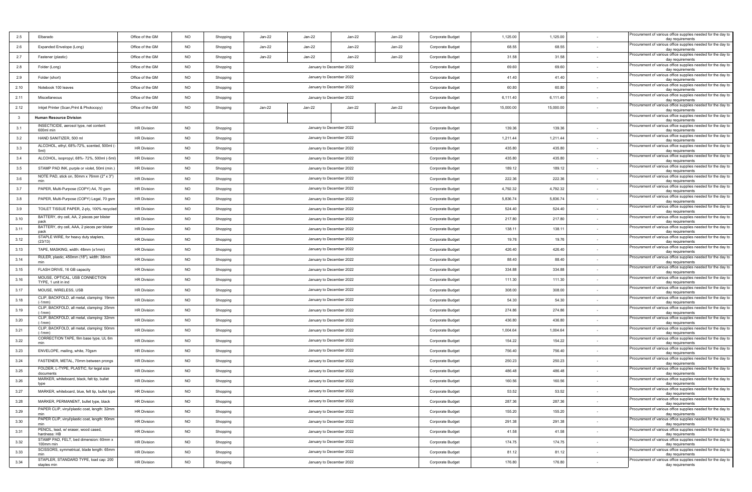| 2.5                     | Elbarado                                              | Office of the GM   | <b>NO</b> | Shopping | Jan-22                   | Jan-22                                       | Jan-22                   | Jan-22           | Corporate Budget | 1,125.00  | 1,125.00                                                                         |                                                                                  | Procurement of various office supplies needed for the day to<br>day requirements |
|-------------------------|-------------------------------------------------------|--------------------|-----------|----------|--------------------------|----------------------------------------------|--------------------------|------------------|------------------|-----------|----------------------------------------------------------------------------------|----------------------------------------------------------------------------------|----------------------------------------------------------------------------------|
| 2.6                     | Expanded Envelope (Long)                              | Office of the GM   | <b>NO</b> | Shopping | Jan-22                   | Jan-22                                       | Jan-22                   | Jan-22           | Corporate Budget | 68.55     | 68.55                                                                            |                                                                                  | Procurement of various office supplies needed for the day to<br>day requirements |
| 2.7                     | Fastener (plastic)                                    | Office of the GM   | <b>NO</b> | Shopping | Jan-22                   | Jan-22                                       | Jan-22                   | Jan-22           | Corporate Budget | 31.58     | 31.58                                                                            |                                                                                  | Procurement of various office supplies needed for the day to<br>day requirements |
| 2.8                     | Folder (Long)                                         | Office of the GM   | <b>NO</b> | Shopping |                          |                                              | January to December 2022 |                  | Corporate Budget | 69.60     | 69.60                                                                            |                                                                                  | Procurement of various office supplies needed for the day to<br>day requirements |
| 2.9                     | Folder (short)                                        | Office of the GM   | <b>NO</b> | Shopping |                          |                                              | January to December 2022 |                  | Corporate Budget | 41.40     | 41.40                                                                            |                                                                                  | Procurement of various office supplies needed for the day to<br>day requirements |
| 2.10                    | Notebook 100 leaves                                   | Office of the GM   | <b>NO</b> | Shopping |                          |                                              | January to December 2022 |                  | Corporate Budget | 60.80     | 60.80                                                                            |                                                                                  | Procurement of various office supplies needed for the day to<br>day requirements |
| 2.11                    | Miscellaneous                                         | Office of the GM   | <b>NO</b> | Shopping |                          |                                              | January to December 2022 |                  | Corporate Budget | 6,111.40  | 6,111.40                                                                         |                                                                                  | Procurement of various office supplies needed for the day to<br>day requirements |
| 2.12                    | Inkjet Printer (Scan, Print & Photocopy)              | Office of the GM   | <b>NO</b> | Shopping | Jan-22                   | $Jan-22$                                     | Jan-22                   | Jan-22           | Corporate Budget | 15,000.00 | 15,000.00                                                                        | $\sim$                                                                           | Procurement of various office supplies needed for the day to<br>day requirements |
| $\overline{\mathbf{3}}$ | <b>Human Resource Division</b>                        |                    |           |          |                          |                                              |                          |                  |                  |           |                                                                                  |                                                                                  | Procurement of various office supplies needed for the day to<br>day requirements |
| 3.1                     | INSECTICIDE, aerosol type, net content:<br>600ml min  | <b>HR Division</b> | <b>NO</b> | Shopping |                          |                                              | January to December 2022 |                  | Corporate Budget | 139.36    | 139.36                                                                           |                                                                                  | Procurement of various office supplies needed for the day to<br>day requirements |
| 3.2                     | HAND SANITIZER, 500 ml                                | <b>HR Division</b> | <b>NO</b> | Shopping |                          |                                              | January to December 2022 |                  | Corporate Budget | 1,211.44  | 1,211.44                                                                         |                                                                                  | Procurement of various office supplies needed for the day to<br>day requirements |
| 3.3                     | ALCOHOL, ethyl, 68%-72%, scented, 500ml (<br>5ml)     | <b>HR Division</b> | <b>NO</b> | Shopping |                          |                                              | January to December 2022 |                  | Corporate Budget | 435.80    | 435.80                                                                           |                                                                                  | Procurement of various office supplies needed for the day to<br>day requirements |
| 3.4                     | ALCOHOL, isopropyl, 68%- 72%, 500ml (-5ml)            | <b>HR Division</b> | <b>NO</b> | Shopping |                          |                                              | January to December 2022 |                  | Corporate Budget | 435.80    | 435.80                                                                           |                                                                                  | Procurement of various office supplies needed for the day to<br>day requirements |
| 3.5                     | STAMP PAD INK, purple or violet, 50ml (min.           | <b>HR Division</b> | <b>NO</b> | Shopping |                          |                                              | January to December 2022 |                  | Corporate Budget | 189.12    | 189.12                                                                           |                                                                                  | Procurement of various office supplies needed for the day to<br>day requirements |
| 3.6                     | NOTE PAD, stick on, 50mm x 76mm (2" x 3")<br>min      | <b>HR Division</b> | <b>NO</b> | Shopping |                          |                                              | January to December 2022 |                  | Corporate Budget | 222.36    | 222.36                                                                           |                                                                                  | Procurement of various office supplies needed for the day to<br>day requirements |
| 3.7                     | PAPER, Multi-Purpose (COPY) A4, 70 gsm                | <b>HR Division</b> | <b>NO</b> | Shopping |                          |                                              | January to December 2022 |                  | Corporate Budget | 4,792.32  | 4,792.32                                                                         |                                                                                  | Procurement of various office supplies needed for the day to<br>day requirements |
| 3.8                     | PAPER, Multi-Purpose (COPY) Legal, 70 gsm             | <b>HR Division</b> | <b>NO</b> | Shopping |                          |                                              | January to December 2022 |                  | Corporate Budget | 5,836.74  | 5,836.74                                                                         |                                                                                  | Procurement of various office supplies needed for the day to<br>day requirements |
| 3.9                     | TOILET TISSUE PAPER, 2-ply, 100% recycled             | <b>HR Division</b> | <b>NO</b> | Shopping |                          |                                              | January to December 2022 |                  | Corporate Budget | 524.40    | 524.40                                                                           |                                                                                  | Procurement of various office supplies needed for the day to<br>day requirements |
| 3.10                    | BATTERY, dry cell, AA, 2 pieces per blister<br>pack   | <b>HR Division</b> | <b>NO</b> | Shopping |                          | January to December 2022<br>Corporate Budget |                          |                  |                  | 217.80    | 217.80                                                                           |                                                                                  | Procurement of various office supplies needed for the day to<br>day requirements |
| 3.11                    | BATTERY, dry cell, AAA, 2 pieces per blister<br>pack  | <b>HR Division</b> | <b>NO</b> | Shopping |                          | January to December 2022<br>Corporate Budget |                          |                  |                  | 138.11    | 138.11                                                                           |                                                                                  | Procurement of various office supplies needed for the day to<br>day requirements |
| 3.12                    | STAPLE WIRE, for heavy duty staplers,<br>(23/13)      | HR Division        | <b>NO</b> | Shopping |                          |                                              | January to December 2022 |                  | Corporate Budget | 19.76     | 19.76                                                                            |                                                                                  | Procurement of various office supplies needed for the day to<br>day requirements |
| 3.13                    | TAPE, MASKING, width: 48mm (±1mm)                     | <b>HR Division</b> | <b>NO</b> | Shopping |                          |                                              | January to December 2022 |                  | Corporate Budget | 426.40    | 426.40                                                                           | $\sim$                                                                           | Procurement of various office supplies needed for the day to<br>day requirements |
| 3.14                    | RULER, plastic, 450mm (18"), width: 38mm<br>min       | <b>HR Division</b> | <b>NO</b> | Shopping |                          |                                              | January to December 2022 |                  | Corporate Budget | 88.40     | 88.40                                                                            | $\sim$                                                                           | Procurement of various office supplies needed for the day to<br>day requirements |
| 3.15                    | FLASH DRIVE, 16 GB capacity                           | <b>HR Division</b> | <b>NO</b> | Shopping |                          |                                              | January to December 2022 |                  | Corporate Budget | 334.88    | 334.88                                                                           |                                                                                  | Procurement of various office supplies needed for the day to<br>day requirements |
| 3.16                    | MOUSE, OPTICAL, USB CONNECTION<br>TYPE, 1 unit in ind | <b>HR Division</b> | <b>NO</b> | Shopping |                          |                                              | January to December 2022 |                  | Corporate Budget | 111.30    | 111.30                                                                           |                                                                                  | Procurement of various office supplies needed for the day to<br>day requirements |
| 3.17                    | MOUSE, WIRELESS, USB                                  | <b>HR Division</b> | <b>NO</b> | Shopping |                          |                                              | January to December 2022 |                  | Corporate Budget | 308.00    | 308.00                                                                           | $\sim$                                                                           | Procurement of various office supplies needed for the day to<br>day requirements |
| 3.18                    | CLIP, BACKFOLD, all metal, clamping: 19mm<br>$(-1mm)$ | <b>HR Division</b> | <b>NO</b> | Shopping |                          |                                              | January to December 2022 |                  | Corporate Budget | 54.30     | 54.30                                                                            | $\sim$                                                                           | Procurement of various office supplies needed for the day to<br>day requirements |
| 3.19                    | CLIP, BACKFOLD, all metal, clamping: 25mm<br>$(-1mm)$ | <b>HR Division</b> | <b>NO</b> | Shopping |                          |                                              | January to December 2022 |                  | Corporate Budget | 274.86    | 274.86                                                                           |                                                                                  | Procurement of various office supplies needed for the day to<br>day requirements |
| 3.20                    | CLIP, BACKFOLD, all metal, clamping: 32mm<br>$(-1mm)$ | <b>HR Division</b> | <b>NO</b> | Shopping |                          |                                              | January to December 2022 |                  | Corporate Budget | 436.80    | 436.80                                                                           |                                                                                  | Procurement of various office supplies needed for the day to<br>day requirements |
| 3.21                    | CLIP, BACKFOLD, all metal, clamping: 50mm<br>$(-1mm)$ | <b>HR Division</b> | <b>NO</b> | Shopping |                          |                                              | January to December 2022 |                  | Corporate Budget | 1,004.64  | 1,004.64                                                                         |                                                                                  | Procurement of various office supplies needed for the day to<br>day requirements |
| 3.22                    | CORRECTION TAPE, film base type, UL 6m<br>min         | <b>HR Division</b> | <b>NO</b> | Shopping |                          |                                              | January to December 2022 |                  | Corporate Budget | 154.22    | 154.22                                                                           |                                                                                  | Procurement of various office supplies needed for the day to<br>day requirements |
| 3.23                    | ENVELOPE, mailing, white, 70gsm                       | <b>HR Division</b> | <b>NO</b> | Shopping |                          |                                              | January to December 2022 |                  | Corporate Budget | 756.40    | 756.40                                                                           | $\sim$                                                                           | Procurement of various office supplies needed for the day to<br>day requirements |
| 3.24                    | FASTENER, METAL, 70mm between prongs                  | <b>HR Division</b> | <b>NO</b> | Shopping |                          |                                              | January to December 2022 |                  | Corporate Budget | 250.23    | 250.23                                                                           |                                                                                  | Procurement of various office supplies needed for the day to<br>day requirements |
| 3.25                    | FOLDER, L-TYPE, PLASTIC, for legal size<br>documents  | <b>HR Division</b> | <b>NO</b> | Shopping |                          |                                              | January to December 2022 |                  | Corporate Budget | 486.48    | 486.48                                                                           |                                                                                  | Procurement of various office supplies needed for the day to<br>day requirements |
| 3.26                    | MARKER, whiteboard, black, felt tip, bullet<br>type   | <b>HR Division</b> | <b>NO</b> | Shopping |                          |                                              | January to December 2022 |                  | Corporate Budget | 160.56    | 160.56                                                                           |                                                                                  | Procurement of various office supplies needed for the day to<br>day requirements |
| 3.27                    | MARKER, whiteboard, blue, felt tip, bullet type       | <b>HR Division</b> | <b>NO</b> | Shopping |                          |                                              | January to December 2022 |                  | Corporate Budget | 53.52     | 53.52                                                                            |                                                                                  | Procurement of various office supplies needed for the day to<br>day requirements |
| 3.28                    | MARKER, PERMANENT, bullet type, black                 | <b>HR Division</b> | <b>NO</b> | Shopping |                          |                                              | January to December 2022 |                  | Corporate Budget | 287.36    | 287.36                                                                           |                                                                                  | Procurement of various office supplies needed for the day to<br>day requirements |
| 3.29                    | PAPER CLIP, vinyl/plastic coat, length: 32mm<br>min   | <b>HR Division</b> | <b>NO</b> | Shopping |                          |                                              | January to December 2022 |                  | Corporate Budget | 155.20    | 155.20                                                                           | $\sim$                                                                           | Procurement of various office supplies needed for the day to<br>day requirements |
| 3.30                    | PAPER CLIP, vinyl/plastic coat, length: 50mm          | <b>HR Division</b> | <b>NO</b> | Shopping |                          |                                              | January to December 2022 |                  | Corporate Budget | 291.38    | 291.38                                                                           |                                                                                  | Procurement of various office supplies needed for the day to<br>day requirements |
| 3.31                    | PENCIL, lead, w/ eraser, wood cased,<br>hardness: HB  | <b>HR Division</b> | <b>NO</b> | Shopping | January to December 2022 |                                              |                          | Corporate Budget | 41.58            | 41.58     |                                                                                  | Procurement of various office supplies needed for the day to<br>day requirements |                                                                                  |
| 3.32                    | STAMP PAD, FELT, bed dimension: 60mm x<br>100mm min   | HR Division        | <b>NO</b> | Shopping | January to December 2022 |                                              | Corporate Budget         | 174.75           | 174.75           |           | Procurement of various office supplies needed for the day to<br>day requirements |                                                                                  |                                                                                  |
| 3.33                    | SCISSORS, symmetrical, blade length: 65mm             | HR Division        | <b>NO</b> | Shopping | January to December 2022 |                                              |                          | Corporate Budget | 81.12            | 81.12     | $\sim$                                                                           | Procurement of various office supplies needed for the day to<br>day requirements |                                                                                  |
| 3.34                    | STAPLER, STANDARD TYPE, load cap: 200<br>staples min  | <b>HR Division</b> | <b>NO</b> | Shopping |                          |                                              | January to December 2022 |                  | Corporate Budget | 176.80    | 176.80                                                                           |                                                                                  | Procurement of various office supplies needed for the day to                     |
|                         |                                                       |                    |           |          |                          |                                              |                          |                  |                  |           |                                                                                  |                                                                                  | day requirements                                                                 |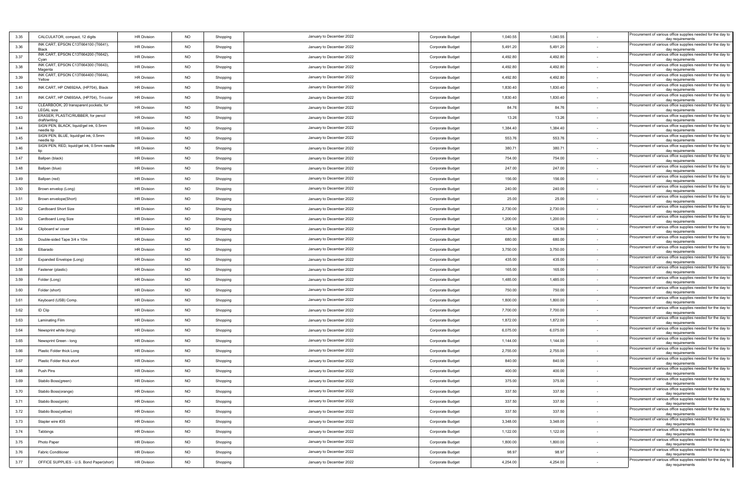| 3.35 | CALCULATOR, compact, 12 digits                              | <b>HR Division</b> | <b>NO</b> | Shopping | January to December 2022 | Corporate Budget | 1,040.55 | 1,040.55 |        | Procurement of various office supplies needed for the day to<br>day requirements                     |
|------|-------------------------------------------------------------|--------------------|-----------|----------|--------------------------|------------------|----------|----------|--------|------------------------------------------------------------------------------------------------------|
| 3.36 | INK CART, EPSON C13T664100 (T6641)<br><b>Black</b>          | <b>HR Division</b> | <b>NO</b> | Shopping | January to December 2022 | Corporate Budget | 5,491.20 | 5,491.20 |        | Procurement of various office supplies needed for the day to<br>day requirements                     |
| 3.37 | INK CART, EPSON C13T664200 (T6642),<br>Cvar                 | <b>HR Division</b> | <b>NO</b> | Shopping | January to December 2022 | Corporate Budget | 4,492.80 | 4,492.80 |        | Procurement of various office supplies needed for the day to<br>day requirements                     |
| 3.38 | INK CART, EPSON C13T664300 (T6643),<br>Magenta              | <b>HR Division</b> | NO        | Shopping | January to December 2022 | Corporate Budget | 4,492.80 | 4,492.80 | $\sim$ | Procurement of various office supplies needed for the day to<br>day requirements                     |
| 3.39 | INK CART, EPSON C13T664400 (T6644)<br>Yellow                | <b>HR Division</b> | <b>NO</b> | Shopping | January to December 2022 | Corporate Budget | 4,492.80 | 4,492.80 |        | Procurement of various office supplies needed for the day to<br>day requirements                     |
| 3.40 | INK CART, HP CN692AA, (HP704), Black                        | <b>HR Division</b> | NO        | Shopping | January to December 2022 | Corporate Budget | 1,830.40 | 1,830.40 |        | Procurement of various office supplies needed for the day to<br>day requirements                     |
| 3.41 | INK CART, HP CN693AA, (HP704), Tri-color                    | <b>HR Division</b> | <b>NO</b> | Shopping | January to December 2022 | Corporate Budget | 1,830.40 | 1,830.40 |        | Procurement of various office supplies needed for the day to<br>day requirements                     |
| 3.42 | CLEARBOOK, 20 transparent pockets, for<br><b>LEGAL</b> size | <b>HR Division</b> | <b>NO</b> | Shopping | January to December 2022 | Corporate Budget | 84.76    | 84.76    |        | Procurement of various office supplies needed for the day to<br>day requirements                     |
| 3.43 | ERASER, PLASTIC/RUBBER, for pencil<br>draft/writing         | <b>HR Division</b> | <b>NO</b> | Shopping | January to December 2022 | Corporate Budget | 13.26    | 13.26    | $\sim$ | Procurement of various office supplies needed for the day to<br>day requirements                     |
| 3.44 | SIGN PEN, BLACK, liquid/gel ink, 0.5mm<br>needle tip        | <b>HR Division</b> | <b>NO</b> | Shopping | January to December 2022 | Corporate Budget | 1,384.40 | 1,384.40 |        | Procurement of various office supplies needed for the day to<br>day requirements                     |
| 3.45 | SIGN PEN, BLUE, liquid/gel ink, 0.5mm<br>needle tip         | <b>HR Division</b> | <b>NO</b> | Shopping | January to December 2022 | Corporate Budget | 553.76   | 553.76   |        | Procurement of various office supplies needed for the day to<br>day requirements                     |
| 3.46 | SIGN PEN, RED, liquid/gel ink, 0.5mm needle                 | <b>HR Division</b> | NO        | Shopping | January to December 2022 | Corporate Budget | 380.71   | 380.71   |        | Procurement of various office supplies needed for the day to<br>day requirements                     |
| 3.47 | Ballpen (black)                                             | <b>HR Division</b> | <b>NO</b> | Shopping | January to December 2022 | Corporate Budget | 754.00   | 754.00   |        | Procurement of various office supplies needed for the day to<br>day requirements                     |
| 3.48 | Ballpen (blue)                                              | <b>HR Division</b> | <b>NO</b> | Shopping | January to December 2022 | Corporate Budget | 247.00   | 247.00   | $\sim$ | Procurement of various office supplies needed for the day to<br>day requirements                     |
| 3.49 | Ballpen (red)                                               | <b>HR Division</b> | NO        | Shopping | January to December 2022 | Corporate Budget | 156.00   | 156.00   |        | Procurement of various office supplies needed for the day to<br>day requirements                     |
| 3.50 | Brown envelop (Long)                                        | <b>HR Division</b> | <b>NO</b> | Shopping | January to December 2022 | Corporate Budget | 240.00   | 240.00   |        | Procurement of various office supplies needed for the day to<br>day requirements                     |
| 3.51 | Brown envelope(Short)                                       | <b>HR Division</b> | NO        | Shopping | January to December 2022 | Corporate Budget | 25.00    | 25.00    |        | Procurement of various office supplies needed for the day to<br>day requirements                     |
| 3.52 | Cardboard Short Size                                        | <b>HR Division</b> | <b>NO</b> | Shopping | January to December 2022 | Corporate Budget | 2,730.00 | 2,730.00 |        | Procurement of various office supplies needed for the day to                                         |
| 3.53 | Cardboard Long Size                                         | <b>HR Division</b> | <b>NO</b> | Shopping | January to December 2022 | Corporate Budget | 1,200.00 | 1,200.00 |        | day requirements<br>Procurement of various office supplies needed for the day to                     |
| 3.54 | Clipboard w/ cover                                          | <b>HR Division</b> | NO        | Shopping | January to December 2022 | Corporate Budget | 126.50   | 126.50   |        | day requirements<br>Procurement of various office supplies needed for the day to                     |
| 3.55 | Double-sided Tape 3/4 x 10m                                 | <b>HR Division</b> | <b>NO</b> | Shopping | January to December 2022 | Corporate Budget | 680.00   | 680.00   |        | day requirements<br>Procurement of various office supplies needed for the day to                     |
| 3.56 | Elbarado                                                    | <b>HR Division</b> | <b>NO</b> | Shopping | January to December 2022 | Corporate Budget | 3,750.00 | 3,750.00 |        | day requirements<br>Procurement of various office supplies needed for the day to                     |
| 3.57 | Expanded Envelope (Long)                                    | <b>HR Division</b> | <b>NO</b> | Shopping | January to December 2022 | Corporate Budget | 435.00   | 435.00   |        | day requirements<br>Procurement of various office supplies needed for the day to                     |
| 3.58 | Fastener (plastic)                                          | <b>HR Division</b> | <b>NO</b> | Shopping | January to December 2022 | Corporate Budget | 165.00   | 165.00   |        | day requirements<br>Procurement of various office supplies needed for the day to                     |
| 3.59 | Folder (Long)                                               | <b>HR Division</b> | <b>NO</b> | Shopping | January to December 2022 | Corporate Budget | 1,485.00 | 1,485.00 |        | day requirements<br>Procurement of various office supplies needed for the day to                     |
| 3.60 | Folder (short)                                              | <b>HR Division</b> | <b>NO</b> | Shopping | January to December 2022 | Corporate Budget | 750.00   | 750.00   |        | day requirements<br>Procurement of various office supplies needed for the day to                     |
| 3.61 | Keyboard (USB) Comp.                                        | <b>HR Division</b> | NO        | Shopping | January to December 2022 | Corporate Budget | 1,800.00 | 1,800.00 |        | day requirements<br>Procurement of various office supplies needed for the day to                     |
| 3.62 | ID Clip                                                     | <b>HR Division</b> | <b>NO</b> | Shopping | January to December 2022 | Corporate Budget | 7,700.00 | 7,700.00 |        | day requirements<br>Procurement of various office supplies needed for the day to                     |
| 3.63 | Laminating Film                                             | <b>HR Division</b> | NO        | Shopping | January to December 2022 | Corporate Budget | 1,872.00 | 1,872.00 |        | day requirements<br>Procurement of various office supplies needed for the day to                     |
| 3.64 | Newsprint white (long)                                      | <b>HR Division</b> | <b>NO</b> | Shopping | January to December 2022 | Corporate Budget | 6,075.00 | 6,075.00 |        | day requirements<br>Procurement of various office supplies needed for the day to                     |
| 3.65 | Newsprint Green - long                                      | <b>HR Division</b> | <b>NO</b> | Shopping | January to December 2022 | Corporate Budget | 1,144.00 | 1,144.00 |        | day requirements<br>Procurement of various office supplies needed for the day to                     |
| 3.66 | Plastic Folder thick Long                                   | <b>HR Division</b> | <b>NO</b> | Shopping | January to December 2022 | Corporate Budget | 2,755.00 | 2,755.00 |        | day requirements<br>Procurement of various office supplies needed for the day to                     |
| 3.67 | Plastic Folder thick short                                  | <b>HR Division</b> | <b>NO</b> | Shopping | January to December 2022 | Corporate Budget | 840.00   | 840.00   |        | day requirements<br>Procurement of various office supplies needed for the day to                     |
| 3.68 | Push Pins                                                   | <b>HR Division</b> | NO        | Shopping | January to December 2022 | Corporate Budget | 400.00   | 400.00   |        | day requirements<br>Procurement of various office supplies needed for the day to                     |
| 3.69 | Stabilo Boss(green)                                         | <b>HR Division</b> | <b>NO</b> | Shopping | January to December 2022 | Corporate Budget | 375.00   | 375.00   |        | day requirements<br>Procurement of various office supplies needed for the day to                     |
| 3.70 | Stabilo Boss(orange)                                        | <b>HR Division</b> | NO.       | Shopping | January to December 2022 | Corporate Budget | 337.50   | 337.50   |        | day requirements<br>Procurement of various office supplies needed for the day to                     |
| 3.71 | Stabilo Boss(pink)                                          | <b>HR Division</b> | <b>NO</b> | Shopping | January to December 2022 | Corporate Budget | 337.50   | 337.50   |        | day requirements<br>Procurement of various office supplies needed for the day to                     |
| 3.72 | Stabilo Boss(yellow)                                        | HR Division        | <b>NO</b> | Shopping | January to December 2022 | Corporate Budget | 337.50   | 337.50   |        | day requirements<br>Procurement of various office supplies needed for the day to<br>day requirements |
| 3.73 | Stapler wire #35                                            | <b>HR Division</b> | NO        | Shopping | January to December 2022 | Corporate Budget | 3,348.00 | 3,348.00 | $\sim$ | Procurement of various office supplies needed for the day to                                         |
| 3.74 | Tabbings                                                    | <b>HR Division</b> | <b>NO</b> | Shopping | January to December 2022 | Corporate Budget | 1,122.00 | 1,122.00 |        | day requirements<br>Procurement of various office supplies needed for the day to                     |
| 3.75 | Photo Paper                                                 | <b>HR Division</b> | <b>NO</b> | Shopping | January to December 2022 | Corporate Budget | 1,800.00 | 1,800.00 | $\sim$ | day requirements<br>Procurement of various office supplies needed for the day to                     |
| 3.76 | <b>Fabric Conditioner</b>                                   | <b>HR Division</b> | NO        | Shopping | January to December 2022 | Corporate Budget | 98.97    | 98.97    |        | day requirements<br>Procurement of various office supplies needed for the day to                     |
| 3.77 | OFFICE SUPPLIES - U.S. Bond Paper(short)                    | <b>HR Division</b> | <b>NO</b> | Shopping | January to December 2022 | Corporate Budget | 4,254.00 | 4,254.00 |        | day requirements<br>Procurement of various office supplies needed for the day to                     |
|      |                                                             |                    |           |          |                          |                  |          |          |        | day requirements                                                                                     |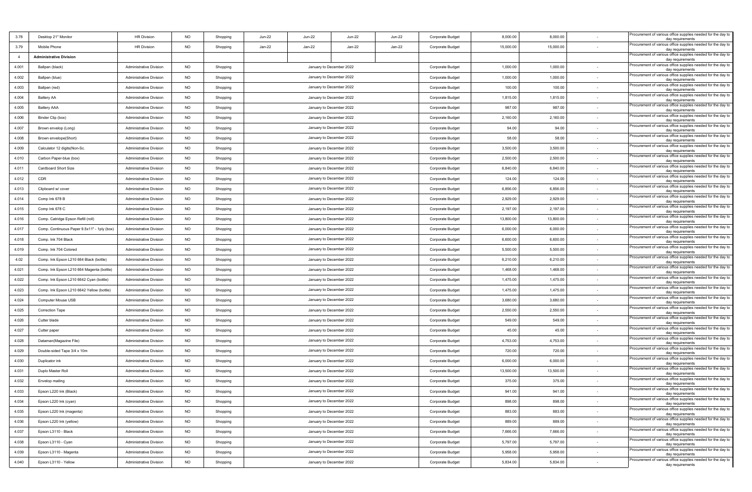| 3.78           | Desktop 21" Monitor                         | <b>HR Division</b>             | <b>NO</b> | Shopping | <b>Jun-22</b>            | Jun-22                   | <b>Jun-22</b>            | <b>Jun-22</b> | Corporate Budget | 8,000.00  | 8,000.00  |        | Procurement of various office supplies needed for the day to<br>day requirements |
|----------------|---------------------------------------------|--------------------------------|-----------|----------|--------------------------|--------------------------|--------------------------|---------------|------------------|-----------|-----------|--------|----------------------------------------------------------------------------------|
| 3.79           | Mobile Phone                                | <b>HR Division</b>             | <b>NO</b> | Shopping | Jan-22                   | Jan-22                   | Jan-22                   | Jan-22        | Corporate Budget | 15,000.00 | 15,000.00 |        | Procurement of various office supplies needed for the day to<br>day requirements |
| $\overline{4}$ | <b>Administrative Division</b>              |                                |           |          |                          |                          |                          |               |                  |           |           |        | Procurement of various office supplies needed for the day to<br>day requirements |
| 4.001          | Ballpen (black)                             | <b>Administrative Division</b> | <b>NO</b> | Shopping |                          |                          | January to December 2022 |               | Corporate Budget | 1,000.00  | 1,000.00  |        | Procurement of various office supplies needed for the day to<br>day requirements |
| 4.002          | Ballpen (blue)                              | <b>Administrative Division</b> | <b>NO</b> | Shopping |                          | January to December 2022 |                          |               | Corporate Budget | 1,000.00  | 1,000.00  |        | Procurement of various office supplies needed for the day to<br>day requirements |
| 4.003          | Ballpen (red)                               | <b>Administrative Division</b> | <b>NO</b> | Shopping |                          | January to December 2022 |                          |               | Corporate Budget | 100.00    | 100.00    | $\sim$ | Procurement of various office supplies needed for the day to<br>day requirements |
| 4.004          | <b>Battery AA</b>                           | <b>Administrative Division</b> | <b>NO</b> | Shopping |                          |                          | January to December 2022 |               | Corporate Budget | 1,815.00  | 1,815.00  |        | Procurement of various office supplies needed for the day to<br>day requirements |
| 4.005          | <b>Battery AAA</b>                          | <b>Administrative Division</b> | <b>NO</b> | Shopping |                          |                          | January to December 2022 |               | Corporate Budget | 987.00    | 987.00    |        | Procurement of various office supplies needed for the day to<br>day requirements |
| 4.006          | Binder Clip (box)                           | <b>Administrative Division</b> | NO        | Shopping |                          |                          | January to December 2022 |               | Corporate Budget | 2,160.00  | 2,160.00  |        | Procurement of various office supplies needed for the day to<br>day requirements |
| 4.007          | Brown envelop (Long)                        | <b>Administrative Division</b> | NO        | Shopping |                          |                          | January to December 2022 |               | Corporate Budget | 94.00     | 94.00     |        | Procurement of various office supplies needed for the day to<br>day requirements |
| 4.008          | Brown envelope(Short)                       | Administrative Division        | <b>NO</b> | Shopping |                          |                          | January to December 2022 |               | Corporate Budget | 58.00     | 58.00     |        | Procurement of various office supplies needed for the day to<br>day requirements |
| 4.009          | Calculator 12 digits (Non-Sc.               | <b>Administrative Division</b> | <b>NO</b> | Shopping |                          |                          | January to December 2022 |               | Corporate Budget | 3,500.00  | 3,500.00  |        | Procurement of various office supplies needed for the day to<br>day requirements |
| 4.010          | Carbon Paper-blue (box)                     | <b>Administrative Division</b> | <b>NO</b> | Shopping |                          |                          | January to December 2022 |               | Corporate Budget | 2,500.00  | 2,500.00  |        | Procurement of various office supplies needed for the day to<br>day requirements |
| 4.011          | Cardboard Short Size                        | <b>Administrative Division</b> | <b>NO</b> | Shopping |                          |                          | January to December 2022 |               | Corporate Budget | 6,840.00  | 6,840.00  |        | Procurement of various office supplies needed for the day to<br>day requirements |
| 4.012          | CDR                                         | <b>Administrative Division</b> | NO        | Shopping |                          |                          | January to December 2022 |               | Corporate Budget | 124.00    | 124.00    |        | Procurement of various office supplies needed for the day to<br>day requirements |
| 4.013          | Clipboard w/ cover                          | <b>Administrative Division</b> | <b>NO</b> | Shopping |                          |                          | January to December 2022 |               | Corporate Budget | 6,856.00  | 6,856.00  |        | Procurement of various office supplies needed for the day to<br>day requirements |
| 4.014          | Comp Ink 678 B                              | <b>Administrative Division</b> | <b>NO</b> | Shopping |                          |                          | January to December 2022 |               | Corporate Budget | 2,929.00  | 2,929.00  |        | Procurement of various office supplies needed for the day to<br>day requirements |
| 4.015          | Comp Ink 678 C                              | <b>Administrative Division</b> | <b>NO</b> | Shopping |                          |                          | January to December 2022 |               | Corporate Budget | 2,197.00  | 2,197.00  |        | Procurement of various office supplies needed for the day to<br>day requirements |
| 4.016          | Comp. Catridge Epson Refill (roll)          | <b>Administrative Division</b> | <b>NO</b> | Shopping |                          |                          | January to December 2022 |               | Corporate Budget | 13,800.00 | 13,800.00 |        | Procurement of various office supplies needed for the day to<br>day requirements |
| 4.017          | Comp. Continuous Paper 9.5x11" - 1ply (box) | <b>Administrative Division</b> | <b>NO</b> | Shopping |                          |                          | January to December 2022 |               | Corporate Budget | 6,000.00  | 6,000.00  |        | Procurement of various office supplies needed for the day to<br>day requirements |
| 4.018          | Comp. Ink 704 Black                         | <b>Administrative Division</b> | <b>NO</b> | Shopping |                          |                          | January to December 2022 |               | Corporate Budget | 6,600.00  | 6,600.00  |        | Procurement of various office supplies needed for the day to<br>day requirements |
| 4.019          | Comp. Ink 704 Colored                       | <b>Administrative Division</b> | <b>NO</b> | Shopping |                          |                          | January to December 2022 |               | Corporate Budget | 5,500.00  | 5,500.00  |        | Procurement of various office supplies needed for the day to<br>day requirements |
| 4.02           | Comp. Ink Epson L210 664 Black (bottle)     | <b>Administrative Division</b> | <b>NO</b> | Shopping |                          |                          | January to December 2022 |               | Corporate Budget | 6,210.00  | 6,210.00  |        | Procurement of various office supplies needed for the day to<br>day requirements |
| 4.021          | Comp. Ink Epson L210 664 Magenta (bottle)   | <b>Administrative Division</b> | <b>NO</b> | Shopping |                          |                          | January to December 2022 |               | Corporate Budget | 1,468.00  | 1,468.00  |        | Procurement of various office supplies needed for the day to<br>day requirements |
| 4.022          | Comp. Ink Epson L210 6642 Cyan (bottle)     | <b>Administrative Division</b> | <b>NO</b> | Shopping |                          |                          | January to December 2022 |               | Corporate Budget | 1,475.00  | 1,475.00  |        | Procurement of various office supplies needed for the day to<br>day requirements |
| 4.023          | Comp. Ink Epson L210 6642 Yellow (bottle)   | <b>Administrative Division</b> | <b>NO</b> | Shopping |                          |                          | January to December 2022 |               | Corporate Budget | 1,475.00  | 1,475.00  | $\sim$ | Procurement of various office supplies needed for the day to<br>day requirements |
| 4.024          | Computer Mouse USB                          | <b>Administrative Division</b> | <b>NO</b> | Shopping |                          |                          | January to December 2022 |               | Corporate Budget | 3,680.00  | 3,680.00  |        | Procurement of various office supplies needed for the day to<br>day requirements |
| 4.025          | <b>Correction Tape</b>                      | <b>Administrative Division</b> | <b>NO</b> | Shopping |                          |                          | January to December 2022 |               | Corporate Budget | 2,550.00  | 2,550.00  |        | Procurement of various office supplies needed for the day to<br>day requirements |
| 4.026          | Cutter blade                                | <b>Administrative Division</b> | <b>NO</b> | Shopping |                          |                          | January to December 2022 |               | Corporate Budget | 549.00    | 549.00    |        | Procurement of various office supplies needed for the day to<br>day requirements |
| 4.027          | Cutter paper                                | <b>Administrative Division</b> | NO        | Shopping |                          |                          | January to December 2022 |               | Corporate Budget | 45.00     | 45.00     |        | Procurement of various office supplies needed for the day to<br>day requirements |
| 4.028          | Dataman(Magazine File)                      | <b>Administrative Division</b> | <b>NO</b> | Shopping |                          |                          | January to December 2022 |               | Corporate Budget | 4,753.00  | 4,753.00  |        | Procurement of various office supplies needed for the day to<br>day requirements |
| 4.029          | Double-sided Tape 3/4 x 10m                 | <b>Administrative Division</b> | <b>NO</b> | Shopping |                          |                          | January to December 2022 |               | Corporate Budget | 720.00    | 720.00    |        | Procurement of various office supplies needed for the day to<br>day requirements |
| 4.030          | Duplicator ink                              | <b>Administrative Division</b> | <b>NO</b> | Shopping |                          |                          | January to December 2022 |               | Corporate Budget | 6,000.00  | 6,000.00  |        | Procurement of various office supplies needed for the day to<br>day requirements |
| 4.031          | Duplo Master Roll                           | <b>Administrative Division</b> | <b>NO</b> | Shopping |                          |                          | January to December 2022 |               | Corporate Budget | 13,500.00 | 13,500.00 |        | Procurement of various office supplies needed for the day to<br>day requirements |
| 4.032          | Envelop mailing                             | <b>Administrative Division</b> | NO        | Shopping |                          |                          | January to December 2022 |               | Corporate Budget | 375.00    | 375.00    |        | Procurement of various office supplies needed for the day to<br>day requirements |
| 4.033          | Epson L220 Ink (Black)                      | Administrative Division        | NO        | Shopping |                          |                          | January to December 2022 |               | Corporate Budget | 941.00    | 941.00    |        | Procurement of various office supplies needed for the day to<br>day requirements |
| 4.034          | Epson L220 Ink (cyan)                       | <b>Administrative Division</b> | <b>NO</b> | Shopping |                          |                          | January to December 2022 |               | Corporate Budget | 898.00    | 898.00    |        | Procurement of various office supplies needed for the day to<br>day requirements |
| 4.035          | Epson L220 Ink (magenta)                    | <b>Administrative Division</b> | <b>NO</b> | Shopping |                          |                          | January to December 2022 |               | Corporate Budget | 883.00    | 883.00    | $\sim$ | Procurement of various office supplies needed for the day to<br>day requirements |
| 4.036          | Epson L220 Ink (yellow)                     | Administrative Division        | NO        | Shopping |                          |                          | January to December 2022 |               | Corporate Budget | 889.00    | 889.00    |        | Procurement of various office supplies needed for the day to<br>day requirements |
| 4.037          | Epson L3110 - Black                         | Administrative Division        | <b>NO</b> | Shopping |                          |                          | January to December 2022 |               | Corporate Budget | 7,666.00  | 7,666.00  |        | Procurement of various office supplies needed for the day to<br>day requirements |
| 4.038          | Epson L3110 - Cyan                          | <b>Administrative Division</b> | <b>NO</b> | Shopping | January to December 2022 |                          |                          |               | Corporate Budget | 5,797.00  | 5,797.00  | $\sim$ | Procurement of various office supplies needed for the day to<br>day requirements |
| 4.039          | Epson L3110 - Magenta                       | <b>Administrative Division</b> | <b>NO</b> | Shopping |                          |                          | January to December 2022 |               | Corporate Budget | 5,958.00  | 5,958.00  | $\sim$ | Procurement of various office supplies needed for the day to<br>day requirements |
| 4.040          | Epson L3110 - Yellow                        | Administrative Division        | <b>NO</b> | Shopping |                          |                          | January to December 2022 |               | Corporate Budget | 5,834.00  | 5,834.00  |        | Procurement of various office supplies needed for the day to<br>day requirements |
|                |                                             |                                |           |          |                          |                          |                          |               |                  |           |           |        |                                                                                  |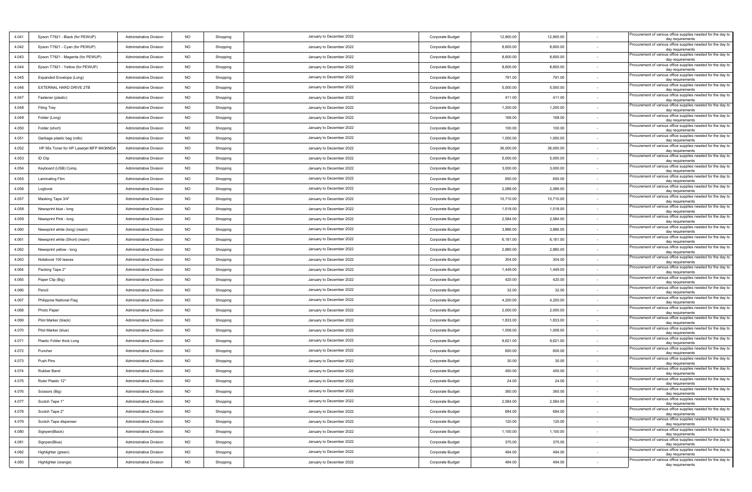| 4.041 | Epson T7921 - Black (for PEWUP)          | <b>Administrative Division</b> | <b>NO</b> | Shopping | January to December 2022 | Corporate Budget | 12,900.00 | 12,900.00 |        | Procurement of various office supplies needed for the day to<br>day requirements |
|-------|------------------------------------------|--------------------------------|-----------|----------|--------------------------|------------------|-----------|-----------|--------|----------------------------------------------------------------------------------|
| 4.042 | Epson T7921 - Cyan (for PEWUP)           | Administrative Division        | <b>NO</b> | Shopping | January to December 2022 | Corporate Budget | 8,600.00  | 8,600.00  |        | Procurement of various office supplies needed for the day to<br>day requirements |
| 4.043 | Epson T7921 - Magenta (for PEWUP)        | <b>Administrative Division</b> | <b>NO</b> | Shopping | January to December 2022 | Corporate Budget | 8,600.00  | 8,600.00  |        | Procurement of various office supplies needed for the day to<br>day requirements |
| 4.044 | Epson T7921 - Yellow (for PEWUP)         | <b>Administrative Division</b> | <b>NO</b> | Shopping | January to December 2022 | Corporate Budget | 8,600.00  | 8,600.00  | $\sim$ | Procurement of various office supplies needed for the day to<br>day requirements |
| 4.045 | Expanded Envelope (Long)                 | <b>Administrative Division</b> | <b>NO</b> | Shopping | January to December 2022 | Corporate Budget | 791.00    | 791.00    |        | Procurement of various office supplies needed for the day to<br>day requirements |
| 4.046 | EXTERNAL HARD DRIVE 2TB                  | <b>Administrative Division</b> | <b>NO</b> | Shopping | January to December 2022 | Corporate Budget | 5,000.00  | 5,000.00  |        | Procurement of various office supplies needed for the day to<br>day requirements |
| 4.047 | Fastener (plastic)                       | <b>Administrative Division</b> | <b>NO</b> | Shopping | January to December 2022 | Corporate Budget | 411.00    | 411.00    |        | Procurement of various office supplies needed for the day to<br>day requirements |
| 4.048 | Filing Tray                              | <b>Administrative Division</b> | <b>NO</b> | Shopping | January to December 2022 | Corporate Budget | 1,200.00  | 1,200.00  |        | Procurement of various office supplies needed for the day to<br>day requirements |
| 4.049 | Folder (Long)                            | <b>Administrative Division</b> | <b>NO</b> | Shopping | January to December 2022 | Corporate Budget | 168.00    | 168.00    |        | Procurement of various office supplies needed for the day to<br>day requirements |
| 4.050 | Folder (short)                           | <b>Administrative Division</b> | NO        | Shopping | January to December 2022 | Corporate Budget | 100.00    | 100.00    |        | Procurement of various office supplies needed for the day to<br>day requirements |
| 4.051 | Garbage plastic bag (rolls)              | <b>Administrative Division</b> | <b>NO</b> | Shopping | January to December 2022 | Corporate Budget | 1,000.00  | 1,000.00  |        | Procurement of various office supplies needed for the day to<br>day requirements |
| 4.052 | HP 56x Toner for HP Laserjet MFP M436NDA | <b>Administrative Division</b> | <b>NO</b> | Shopping | January to December 2022 | Corporate Budget | 36,000.00 | 36,000.00 |        | Procurement of various office supplies needed for the day to<br>day requirements |
| 4.053 | ID Clip                                  | <b>Administrative Division</b> | <b>NO</b> | Shopping | January to December 2022 | Corporate Budget | 5,000.00  | 5,000.00  |        | Procurement of various office supplies needed for the day to<br>day requirements |
| 4.054 | Keyboard (USB) Comp.                     | Administrative Division        | NO        | Shopping | January to December 2022 | Corporate Budget | 3,000.00  | 3,000.00  |        | Procurement of various office supplies needed for the day to<br>day requirements |
| 4.055 | <b>Laminating Film</b>                   | <b>Administrative Division</b> | <b>NO</b> | Shopping | January to December 2022 | Corporate Budget | 650.00    | 650.00    |        | Procurement of various office supplies needed for the day to<br>day requirements |
| 4.056 | Logbook                                  | <b>Administrative Division</b> | <b>NO</b> | Shopping | January to December 2022 | Corporate Budget | 2,088.00  | 2,088.00  |        | Procurement of various office supplies needed for the day to<br>day requirements |
| 4.057 | Masking Tape 3/4"                        | <b>Administrative Division</b> | <b>NO</b> | Shopping | January to December 2022 | Corporate Budget | 10,710.00 | 10,710.00 |        | Procurement of various office supplies needed for the day to<br>day requirements |
| 4.058 | Newsprint blue - long                    | <b>Administrative Division</b> | <b>NO</b> | Shopping | January to December 2022 | Corporate Budget | 1,518.00  | 1,518.00  |        | Procurement of various office supplies needed for the day to<br>day requirements |
| 4.059 | Newsprint Pink - long                    | <b>Administrative Division</b> | <b>NO</b> | Shopping | January to December 2022 | Corporate Budget | 2,584.00  | 2,584.00  |        | Procurement of various office supplies needed for the day to<br>day requirements |
| 4.060 | Newsprint white (long) (ream)            | Administrative Division        | <b>NO</b> | Shopping | January to December 2022 | Corporate Budget | 3,886.00  | 3,886.00  |        | Procurement of various office supplies needed for the day to<br>day requirements |
| 4.061 | Newsprint white (Short) (ream)           | <b>Administrative Division</b> | <b>NO</b> | Shopping | January to December 2022 | Corporate Budget | 6,181.00  | 6,181.00  |        | Procurement of various office supplies needed for the day to<br>day requirements |
| 4.062 | Newsprint yellow - long                  | <b>Administrative Division</b> | <b>NO</b> | Shopping | January to December 2022 | Corporate Budget | 2,880.00  | 2,880.00  |        | Procurement of various office supplies needed for the day to<br>day requirements |
| 4.063 | Notebook 100 leaves                      | <b>Administrative Division</b> | <b>NO</b> | Shopping | January to December 2022 | Corporate Budget | 304.00    | 304.00    |        | Procurement of various office supplies needed for the day to<br>day requirements |
| 4.064 | Packing Tape 2"                          | <b>Administrative Division</b> | <b>NO</b> | Shopping | January to December 2022 | Corporate Budget | 1,449.00  | 1,449.00  | $\sim$ | Procurement of various office supplies needed for the day to<br>day requirements |
| 4.065 | Paper Clip (Big)                         | <b>Administrative Division</b> | NO        | Shopping | January to December 2022 | Corporate Budget | 420.00    | 420.00    |        | Procurement of various office supplies needed for the day to<br>day requirements |
| 4.066 | Pencil                                   | <b>Administrative Division</b> | <b>NO</b> | Shopping | January to December 2022 | Corporate Budget | 32.00     | 32.00     |        | Procurement of various office supplies needed for the day to<br>day requirements |
| 4.067 | Philippine National Flag                 | <b>Administrative Division</b> | <b>NO</b> | Shopping | January to December 2022 | Corporate Budget | 4,200.00  | 4,200.00  |        | Procurement of various office supplies needed for the day to<br>day requirements |
| 4.068 | Photo Paper                              | <b>Administrative Division</b> | <b>NO</b> | Shopping | January to December 2022 | Corporate Budget | 2,000.00  | 2,000.00  |        | Procurement of various office supplies needed for the day to<br>day requirements |
| 4.069 | Pilot Marker (black)                     | <b>Administrative Division</b> | <b>NO</b> | Shopping | January to December 2022 | Corporate Budget | 1,833.00  | 1,833.00  |        | Procurement of various office supplies needed for the day to<br>day requirements |
| 4.070 | Pilot Marker (blue)                      | <b>Administrative Division</b> | NO        | Shopping | January to December 2022 | Corporate Budget | 1,008.00  | 1,008.00  |        | Procurement of various office supplies needed for the day to<br>day requirements |
| 4.071 | Plastic Folder thick Long                | <b>Administrative Division</b> | <b>NO</b> | Shopping | January to December 2022 | Corporate Budget | 9,621.00  | 9,621.00  |        | Procurement of various office supplies needed for the day to<br>day requirements |
| 4.072 | Puncher                                  | <b>Administrative Division</b> | <b>NO</b> | Shopping | January to December 2022 | Corporate Budget | 600.00    | 600.00    |        | Procurement of various office supplies needed for the day to<br>day requirements |
| 4.073 | Push Pins                                | <b>Administrative Division</b> | <b>NO</b> | Shopping | January to December 2022 | Corporate Budget | 30.00     | 30.00     |        | Procurement of various office supplies needed for the day to<br>day requirements |
| 4.074 | Rubber Band                              | <b>Administrative Division</b> | NO        | Shopping | January to December 2022 | Corporate Budget | 450.00    | 450.00    |        | Procurement of various office supplies needed for the day to<br>day requirements |
| 4.075 | Ruler Plastic 12"                        | <b>Administrative Division</b> | <b>NO</b> | Shopping | January to December 2022 | Corporate Budget | 24.00     | 24.00     |        | Procurement of various office supplies needed for the day to<br>day requirements |
| 4.076 | Scissors (Big)                           | Administrative Division        | <b>NO</b> | Shopping | January to December 2022 | Corporate Budget | 360.00    | 360.00    |        | Procurement of various office supplies needed for the day to<br>day requirements |
| 4.077 | Scotch Tape 1"                           | <b>Administrative Division</b> | <b>NO</b> | Shopping | January to December 2022 | Corporate Budget | 2,584.00  | 2,584.00  |        | Procurement of various office supplies needed for the day to<br>day requirements |
| 4.078 | Scotch Tape 2"                           | <b>Administrative Division</b> | <b>NO</b> | Shopping | January to December 2022 | Corporate Budget | 684.00    | 684.00    |        | Procurement of various office supplies needed for the day to<br>day requirements |
| 4.079 | Scotch Tape dispenser                    | <b>Administrative Division</b> | NO        | Shopping | January to December 2022 | Corporate Budget | 120.00    | 120.00    | $\sim$ | Procurement of various office supplies needed for the day to<br>day requirements |
| 4.080 | Signpen(Black)                           | <b>Administrative Division</b> | NO        | Shopping | January to December 2022 | Corporate Budget | 1,100.00  | 1,100.00  |        | Procurement of various office supplies needed for the day to<br>day requirements |
| 4.081 | Signpen(Blue)                            | <b>Administrative Division</b> | <b>NO</b> | Shopping | January to December 2022 | Corporate Budget | 375.00    | 375.00    |        | Procurement of various office supplies needed for the day to<br>day requirements |
| 4.082 | Highlighter (green)                      | <b>Administrative Division</b> | <b>NO</b> | Shopping | January to December 2022 | Corporate Budget | 494.00    | 494.00    |        | Procurement of various office supplies needed for the day to<br>day requirements |
| 4.083 | Highlighter (orange)                     | <b>Administrative Division</b> | <b>NO</b> | Shopping | January to December 2022 | Corporate Budget | 494.00    | 494.00    |        | Procurement of various office supplies needed for the day to<br>day requirements |
|       |                                          |                                |           |          |                          |                  |           |           |        |                                                                                  |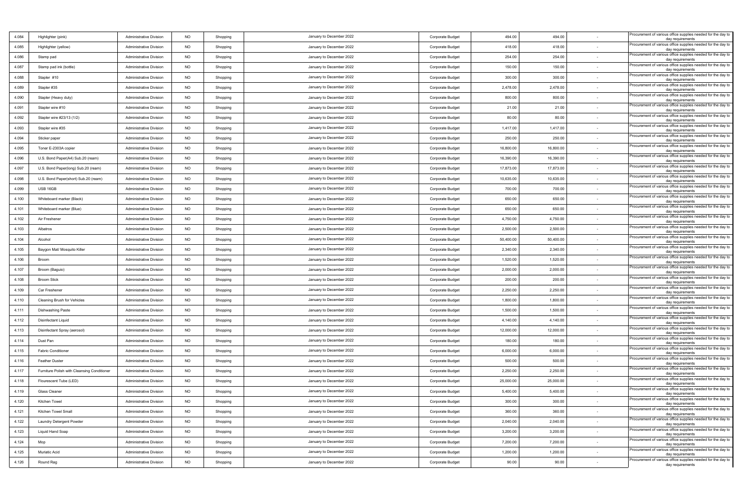| 4.084 | Highlighter (pink)                          | <b>Administrative Division</b> | <b>NO</b>   | Shopping | January to December 2022 | Corporate Budget | 494.00    | 494.00    |        | Procurement of various office supplies needed for the day to<br>day requirements |
|-------|---------------------------------------------|--------------------------------|-------------|----------|--------------------------|------------------|-----------|-----------|--------|----------------------------------------------------------------------------------|
| 4.085 | Highlighter (yellow)                        | <b>Administrative Division</b> | <b>NO</b>   | Shopping | January to December 2022 | Corporate Budget | 418.00    | 418.00    |        | Procurement of various office supplies needed for the day to<br>day requirements |
| 4.086 | Stamp pad                                   | <b>Administrative Division</b> | <b>NO</b>   | Shopping | January to December 2022 | Corporate Budget | 254.00    | 254.00    |        | Procurement of various office supplies needed for the day to<br>day requirements |
| 4.087 | Stamp pad ink (bottle)                      | <b>Administrative Division</b> | <b>NO</b>   | Shopping | January to December 2022 | Corporate Budget | 150.00    | 150.00    |        | Procurement of various office supplies needed for the day to<br>day requirements |
| 4.088 | Stapler #10                                 | <b>Administrative Division</b> | <b>NO</b>   | Shopping | January to December 2022 | Corporate Budget | 300.00    | 300.00    |        | Procurement of various office supplies needed for the day to<br>day requirements |
| 4.089 | Stapler #35                                 | <b>Administrative Division</b> | <b>NO</b>   | Shopping | January to December 2022 | Corporate Budget | 2,478.00  | 2,478.00  | $\sim$ | Procurement of various office supplies needed for the day to<br>day requirements |
| 4.090 | Stapler (Heavy duty)                        | <b>Administrative Division</b> | <b>NO</b>   | Shopping | January to December 2022 | Corporate Budget | 800.00    | 800.00    |        | Procurement of various office supplies needed for the day to<br>day requirements |
| 4.091 | Stapler wire #10                            | <b>Administrative Division</b> | <b>NO</b>   | Shopping | January to December 2022 | Corporate Budget | 21.00     | 21.00     |        | Procurement of various office supplies needed for the day to<br>day requirements |
| 4.092 | Stapler wire #23/13 (1/2)                   | <b>Administrative Division</b> | <b>NO</b>   | Shopping | January to December 2022 | Corporate Budget | 80.00     | 80.00     |        | Procurement of various office supplies needed for the day to<br>day requirements |
| 4.093 | Stapler wire #35                            | <b>Administrative Division</b> | NO          | Shopping | January to December 2022 | Corporate Budget | 1,417.00  | 1,417.00  |        | Procurement of various office supplies needed for the day to<br>day requirements |
| 4.094 | Sticker paper                               | <b>Administrative Division</b> | <b>NO</b>   | Shopping | January to December 2022 | Corporate Budget | 250.00    | 250.00    |        | Procurement of various office supplies needed for the day to<br>day requirements |
| 4.095 | Toner E-2303A copier                        | <b>Administrative Division</b> | <b>NO</b>   | Shopping | January to December 2022 | Corporate Budget | 16,800.00 | 16,800.00 |        | Procurement of various office supplies needed for the day to<br>day requirements |
| 4.096 | U.S. Bond Paper(A4) Sub.20 (ream)           | <b>Administrative Division</b> | <b>NO</b>   | Shopping | January to December 2022 | Corporate Budget | 16,390.00 | 16,390.00 |        | Procurement of various office supplies needed for the day to<br>day requirements |
| 4.097 | U.S. Bond Paper(long) Sub.20 (ream)         | <b>Administrative Division</b> | <b>NO</b>   | Shopping | January to December 2022 | Corporate Budget | 17,873.00 | 17,873.00 |        | Procurement of various office supplies needed for the day to<br>day requirements |
| 4.098 | U.S. Bond Paper(short) Sub.20 (ream)        | <b>Administrative Division</b> | <b>NO</b>   | Shopping | January to December 2022 | Corporate Budget | 10,635.00 | 10,635.00 |        | Procurement of various office supplies needed for the day to<br>day requirements |
| 4.099 | USB 16GB                                    | <b>Administrative Division</b> | <b>NO</b>   | Shopping | January to December 2022 | Corporate Budget | 700.00    | 700.00    | $\sim$ | Procurement of various office supplies needed for the day to<br>day requirements |
| 4.100 | Whiteboard marker (Black)                   | <b>Administrative Division</b> | <b>NO</b>   | Shopping | January to December 2022 | Corporate Budget | 650.00    | 650.00    |        | Procurement of various office supplies needed for the day to<br>day requirements |
| 4.101 | Whiteboard marker (Blue)                    | <b>Administrative Division</b> | <b>NO</b>   | Shopping | January to December 2022 | Corporate Budget | 650.00    | 650.00    |        | Procurement of various office supplies needed for the day to<br>day requirements |
| 4.102 | Air Freshener                               | <b>Administrative Division</b> | <b>NO</b>   | Shopping | January to December 2022 | Corporate Budget | 4,750.00  | 4,750.00  |        | Procurement of various office supplies needed for the day to<br>day requirements |
| 4.103 | Albatros                                    | <b>Administrative Division</b> | <b>NO</b>   | Shopping | January to December 2022 | Corporate Budget | 2,500.00  | 2,500.00  |        | Procurement of various office supplies needed for the day to<br>day requirements |
| 4.104 | Alcohol                                     | Administrative Division        | <b>NO</b>   | Shopping | January to December 2022 | Corporate Budget | 50,400.00 | 50,400.00 |        | Procurement of various office supplies needed for the day to<br>day requirements |
| 4.105 | Baygon Mat/ Mosquito Killer                 | <b>Administrative Division</b> | <b>NO</b>   | Shopping | January to December 2022 | Corporate Budget | 2,340.00  | 2,340.00  |        | Procurement of various office supplies needed for the day to<br>day requirements |
| 4.106 | Broom                                       | <b>Administrative Division</b> | <b>NO</b>   | Shopping | January to December 2022 | Corporate Budget | 1,520.00  | 1,520.00  |        | Procurement of various office supplies needed for the day to<br>day requirements |
| 4.107 | Broom (Baguio)                              | <b>Administrative Division</b> | <b>NO</b>   | Shopping | January to December 2022 | Corporate Budget | 2,000.00  | 2,000.00  |        | Procurement of various office supplies needed for the day to<br>day requirements |
| 4.108 | <b>Broom Stick</b>                          | <b>Administrative Division</b> | <b>NO</b>   | Shopping | January to December 2022 | Corporate Budget | 200.00    | 200.00    |        | Procurement of various office supplies needed for the day to<br>day requirements |
| 4.109 | Car Freshener                               | <b>Administrative Division</b> | <b>NO</b>   | Shopping | January to December 2022 | Corporate Budget | 2,250.00  | 2,250.00  |        | Procurement of various office supplies needed for the day to<br>day requirements |
| 4.110 | Cleaning Brush for Vehicles                 | <b>Administrative Division</b> | <b>NO</b>   | Shopping | January to December 2022 | Corporate Budget | 1,800.00  | 1,800.00  |        | Procurement of various office supplies needed for the day to<br>day requirements |
| 4.111 | <b>Dishwashing Paste</b>                    | <b>Administrative Division</b> | <b>NO</b>   | Shopping | January to December 2022 | Corporate Budget | 1,500.00  | 1,500.00  |        | Procurement of various office supplies needed for the day to<br>day requirements |
| 4.112 | <b>Disinfectant Liquid</b>                  | <b>Administrative Division</b> | <b>NO</b>   | Shopping | January to December 2022 | Corporate Budget | 4,140.00  | 4,140.00  |        | Procurement of various office supplies needed for the day to<br>day requirements |
| 4.113 | Disinfectant Spray (aerosol)                | <b>Administrative Division</b> | NO          | Shopping | January to December 2022 | Corporate Budget | 12,000.00 | 12,000.00 |        | Procurement of various office supplies needed for the day to<br>day requirements |
| 4.114 | Dust Pan                                    | <b>Administrative Division</b> | <b>NO</b>   | Shopping | January to December 2022 | Corporate Budget | 180.00    | 180.00    |        | Procurement of various office supplies needed for the day to<br>day requirements |
| 4.115 | <b>Fabric Conditioner</b>                   | <b>Administrative Division</b> | <b>NO</b>   | Shopping | January to December 2022 | Corporate Budget | 6,000.00  | 6,000.00  |        | Procurement of various office supplies needed for the day to<br>day requirements |
| 4.116 | Feather Duster                              | <b>Administrative Division</b> | <b>NO</b>   | Shopping | January to December 2022 | Corporate Budget | 500.00    | 500.00    |        | Procurement of various office supplies needed for the day to<br>day requirements |
| 4.117 | Furniture Polish with Cleansing Conditioner | <b>Administrative Division</b> | <b>NO</b>   | Shopping | January to December 2022 | Corporate Budget | 2,250.00  | 2,250.00  |        | Procurement of various office supplies needed for the day to<br>day requirements |
| 4.118 | Flourescent Tube (LED)                      | <b>Administrative Division</b> | <b>NO</b>   | Shopping | January to December 2022 | Corporate Budget | 25,000.00 | 25,000.00 |        | Procurement of various office supplies needed for the day to<br>day requirements |
| 4.119 | Glass Cleaner                               | <b>Administrative Division</b> | $_{\sf NO}$ | Shopping | January to December 2022 | Corporate Budget | 5,400.00  | 5,400.00  |        | Procurement of various office supplies needed for the day to<br>day requirements |
| 4.120 | Kitchen Towel                               | <b>Administrative Division</b> | <b>NO</b>   | Shopping | January to December 2022 | Corporate Budget | 300.00    | 300.00    |        | Procurement of various office supplies needed for the day to<br>day requirements |
| 4.121 | Kitchen Towel Small                         | <b>Administrative Division</b> | <b>NO</b>   | Shopping | January to December 2022 | Corporate Budget | 360.00    | 360.00    | $\sim$ | Procurement of various office supplies needed for the day to<br>day requirements |
| 4.122 | Laundry Detergent Powder                    | <b>Administrative Division</b> | <b>NO</b>   | Shopping | January to December 2022 | Corporate Budget | 2,040.00  | 2,040.00  |        | Procurement of various office supplies needed for the day to<br>day requirements |
| 4.123 | Liquid Hand Soap                            | <b>Administrative Division</b> | <b>NO</b>   | Shopping | January to December 2022 | Corporate Budget | 3,200.00  | 3,200.00  |        | Procurement of various office supplies needed for the day to<br>day requirements |
| 4.124 | Mop                                         | <b>Administrative Division</b> | <b>NO</b>   | Shopping | January to December 2022 | Corporate Budget | 7,200.00  | 7,200.00  |        | Procurement of various office supplies needed for the day to<br>day requirements |
| 4.125 | Muriatic Acid                               | <b>Administrative Division</b> | <b>NO</b>   | Shopping | January to December 2022 | Corporate Budget | 1,200.00  | 1,200.00  | $\sim$ | Procurement of various office supplies needed for the day to<br>day requirements |
| 4.126 | Round Rag                                   | <b>Administrative Division</b> | <b>NO</b>   | Shopping | January to December 2022 | Corporate Budget | 90.00     | 90.00     |        | Procurement of various office supplies needed for the day to<br>day requirements |
|       |                                             |                                |             |          |                          |                  |           |           |        |                                                                                  |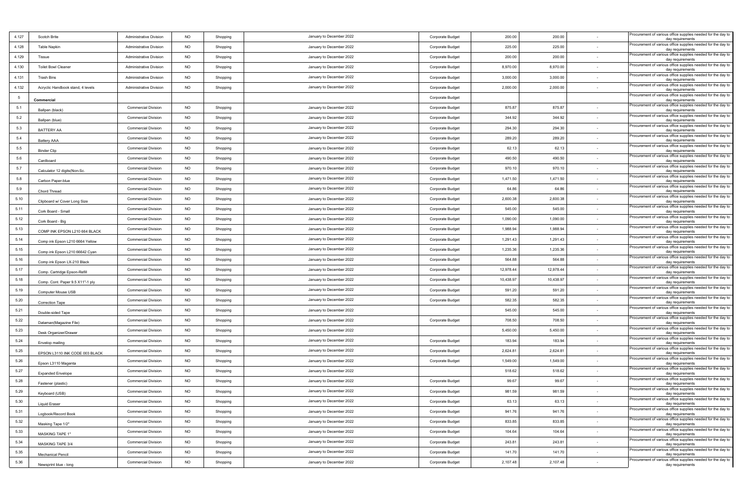| 4.127           | Scotch Brite                                                      | <b>Administrative Division</b> | <b>NO</b>   | Shopping | January to December 2022 | Corporate Budget | 200.00    | 200.00    |        | Procurement of various office supplies needed for the day to<br>day requirements                     |
|-----------------|-------------------------------------------------------------------|--------------------------------|-------------|----------|--------------------------|------------------|-----------|-----------|--------|------------------------------------------------------------------------------------------------------|
| 4.128           | Table Napkin                                                      | <b>Administrative Division</b> | <b>NO</b>   | Shopping | January to December 2022 | Corporate Budget | 225.00    | 225.00    | $\sim$ | Procurement of various office supplies needed for the day to<br>day requirements                     |
| 4.129           | Tissue                                                            | <b>Administrative Division</b> | <b>NO</b>   | Shopping | January to December 2022 | Corporate Budget | 200.00    | 200.00    | $\sim$ | Procurement of various office supplies needed for the day to<br>day requirements                     |
| 4.130           | <b>Toilet Bowl Cleaner</b>                                        | <b>Administrative Division</b> | <b>NO</b>   | Shopping | January to December 2022 | Corporate Budget | 8,970.00  | 8,970.00  |        | Procurement of various office supplies needed for the day to<br>day requirements                     |
| 4.131           | <b>Trash Bins</b>                                                 | <b>Administrative Division</b> | <b>NO</b>   | Shopping | January to December 2022 | Corporate Budget | 3,000.00  | 3,000.00  |        | Procurement of various office supplies needed for the day to<br>day requirements                     |
| 4.132           | Acryclic Handbook stand, 4 levels                                 | <b>Administrative Division</b> | <b>NO</b>   | Shopping | January to December 2022 | Corporate Budget | 2,000.00  | 2,000.00  | $\sim$ | Procurement of various office supplies needed for the day to<br>day requirements                     |
| $5\overline{5}$ | Commercial                                                        |                                |             |          |                          | Corporate Budget |           |           |        | Procurement of various office supplies needed for the day to<br>day requirements                     |
| 5.1             | Ballpen (black)                                                   | <b>Commercial Division</b>     | <b>NO</b>   | Shopping | January to December 2022 | Corporate Budget | 875.87    | 875.87    |        | Procurement of various office supplies needed for the day to<br>day requirements                     |
| 5.2             | Ballpen (blue)                                                    | <b>Commercial Division</b>     | <b>NO</b>   | Shopping | January to December 2022 | Corporate Budget | 344.92    | 344.92    |        | Procurement of various office supplies needed for the day to<br>day requirements                     |
| 5.3             | BATTERY AA                                                        | <b>Commercial Division</b>     | <b>NO</b>   | Shopping | January to December 2022 | Corporate Budget | 294.30    | 294.30    |        | Procurement of various office supplies needed for the day to<br>day requirements                     |
| 5.4             | Battery AAA                                                       | <b>Commercial Division</b>     | <b>NO</b>   | Shopping | January to December 2022 | Corporate Budget | 289.20    | 289.20    | $\sim$ | Procurement of various office supplies needed for the day to<br>day requirements                     |
| 5.5             | <b>Binder Clip</b>                                                | <b>Commercial Division</b>     | <b>NO</b>   | Shopping | January to December 2022 | Corporate Budget | 62.13     | 62.13     | $\sim$ | Procurement of various office supplies needed for the day to<br>day requirements                     |
| 5.6             | Cardboard                                                         | <b>Commercial Division</b>     | <b>NO</b>   | Shopping | January to December 2022 | Corporate Budget | 490.50    | 490.50    |        | Procurement of various office supplies needed for the day to<br>day requirements                     |
| 5.7             | Calculator 12 digits(Non-Sc.                                      | <b>Commercial Division</b>     | <b>NO</b>   | Shopping | January to December 2022 | Corporate Budget | 970.10    | 970.10    |        | Procurement of various office supplies needed for the day to<br>day requirements                     |
| $5.8\,$         | Carbon Paper-blue                                                 | <b>Commercial Division</b>     | <b>NO</b>   | Shopping | January to December 2022 | Corporate Budget | 1,471.50  | 1,471.50  |        | Procurement of various office supplies needed for the day to<br>day requirements                     |
| 5.9             | Chord Thread                                                      | <b>Commercial Division</b>     | <b>NO</b>   | Shopping | January to December 2022 | Corporate Budget | 64.86     | 64.86     | $\sim$ | Procurement of various office supplies needed for the day to<br>day requirements                     |
| 5.10            | Clipboard w/ Cover Long Size                                      | <b>Commercial Division</b>     | <b>NO</b>   | Shopping | January to December 2022 | Corporate Budget | 2,600.38  | 2,600.38  |        | Procurement of various office supplies needed for the day to<br>day requirements                     |
| 5.11            | Cork Board - Small                                                | <b>Commercial Division</b>     | <b>NO</b>   | Shopping | January to December 2022 | Corporate Budget | 545.00    | 545.00    |        | Procurement of various office supplies needed for the day to<br>day requirements                     |
| 5.12            | Cork Board - Big                                                  | <b>Commercial Division</b>     | <b>NO</b>   | Shopping | January to December 2022 | Corporate Budget | 1,090.00  | 1,090.00  |        | Procurement of various office supplies needed for the day to                                         |
| 5.13            | COMP INK EPSON L210 664 BLACK                                     | <b>Commercial Division</b>     | <b>NO</b>   | Shopping | January to December 2022 | Corporate Budget | 1,988.94  | 1,988.94  |        | day requirements<br>Procurement of various office supplies needed for the day to<br>day requirements |
| 5.14            |                                                                   | <b>Commercial Division</b>     | <b>NO</b>   | Shopping | January to December 2022 | Corporate Budget | 1,291.43  | 1,291.43  |        | Procurement of various office supplies needed for the day to                                         |
| 5.15            | Comp ink Epson L210 6664 Yellow<br>Comp ink Epson L210 66642 Cyan | <b>Commercial Division</b>     | <b>NO</b>   | Shopping | January to December 2022 | Corporate Budget | 1,235.36  | 1,235.36  | $\sim$ | day requirements<br>Procurement of various office supplies needed for the day to<br>day requirements |
| 5.16            | Comp ink Epson LX-210 Black                                       | <b>Commercial Division</b>     | <b>NO</b>   | Shopping | January to December 2022 | Corporate Budget | 564.88    | 564.88    |        | Procurement of various office supplies needed for the day to                                         |
| 5.17            |                                                                   | <b>Commercial Division</b>     | <b>NO</b>   | Shopping | January to December 2022 | Corporate Budget | 12,978.44 | 12,978.44 | $\sim$ | day requirements<br>Procurement of various office supplies needed for the day to                     |
| 5.18            | Comp. Cartridge Epson-Refill<br>Comp. Cont. Paper 9.5 X11"-1 ply  | <b>Commercial Division</b>     | <b>NO</b>   | Shopping | January to December 2022 | Corporate Budget | 10,438.97 | 10,438.97 |        | day requirements<br>Procurement of various office supplies needed for the day to                     |
| 5.19            |                                                                   | <b>Commercial Division</b>     | <b>NO</b>   | Shopping | January to December 2022 | Corporate Budget | 591.20    | 591.20    | $\sim$ | day requirements<br>Procurement of various office supplies needed for the day to                     |
| 5.20            | Computer Mouse USB                                                | <b>Commercial Division</b>     | <b>NO</b>   | Shopping | January to December 2022 | Corporate Budget | 582.35    | 582.35    | $\sim$ | day requirements<br>Procurement of various office supplies needed for the day to                     |
| 5.21            | Correction Tape                                                   | <b>Commercial Division</b>     | NO          | Shopping | January to December 2022 |                  | 545.00    | 545.00    | $\sim$ | day requirements<br>Procurement of various office supplies needed for the day to                     |
| 5.22            | Double-sided Tape                                                 | <b>Commercial Division</b>     | <b>NO</b>   | Shopping | January to December 2022 | Corporate Budget | 708.50    | 708.50    |        | day requirements<br>Procurement of various office supplies needed for the day to                     |
| 5.23            | Dataman(Magazine File)                                            | <b>Commercial Division</b>     | <b>NO</b>   | Shopping | January to December 2022 |                  | 5,450.00  | 5,450.00  |        | day requirements<br>Procurement of various office supplies needed for the day to                     |
| 5.24            | Desk Organizer/Drawer                                             | <b>Commercial Division</b>     | <b>NO</b>   | Shopping | January to December 2022 | Corporate Budget | 183.94    | 183.94    |        | day requirements<br>Procurement of various office supplies needed for the day to                     |
| 5.25            | Envelop mailing                                                   | <b>Commercial Division</b>     | <b>NO</b>   | Shopping | January to December 2022 | Corporate Budget | 2,624.81  | 2,624.81  |        | day requirements<br>Procurement of various office supplies needed for the day to                     |
| 5.26            | EPSON L3110 INK CODE 003 BLACK                                    | <b>Commercial Division</b>     | <b>NO</b>   | Shopping | January to December 2022 | Corporate Budget | 1,549.00  | 1,549.00  | $\sim$ | day requirements<br>Procurement of various office supplies needed for the day to                     |
| 5.27            | Epson L3110 Magenta                                               | <b>Commercial Division</b>     | <b>NO</b>   | Shopping | January to December 2022 |                  | 518.62    | 518.62    |        | day requirements<br>Procurement of various office supplies needed for the day to                     |
| 5.28            | <b>Expanded Envelope</b>                                          | <b>Commercial Division</b>     | <b>NO</b>   | Shopping | January to December 2022 | Corporate Budget | 99.67     | 99.67     |        | day requirements<br>Procurement of various office supplies needed for the day to                     |
| 5.29            | Fastener (plastic)                                                | <b>Commercial Division</b>     | $_{\sf NO}$ | Shopping | January to December 2022 | Corporate Budget | 981.59    | 981.59    |        | day requirements<br>Procurement of various office supplies needed for the day to                     |
| 5.30            | Keyboard (USB)                                                    | <b>Commercial Division</b>     | <b>NO</b>   | Shopping | January to December 2022 | Corporate Budget | 63.13     | 63.13     | $\sim$ | day requirements<br>Procurement of various office supplies needed for the day to                     |
| 5.31            | Liquid Eraser                                                     | <b>Commercial Division</b>     | NO          | Shopping | January to December 2022 | Corporate Budget | 941.76    | 941.76    | $\sim$ | day requirements<br>Procurement of various office supplies needed for the day to                     |
| 5.32            | Logbook/Record Book                                               | <b>Commercial Division</b>     | <b>NO</b>   | Shopping | January to December 2022 | Corporate Budget | 833.85    | 833.85    |        | day requirements<br>Procurement of various office supplies needed for the day to                     |
| 5.33            | Masking Tape 1/2"                                                 | <b>Commercial Division</b>     | <b>NO</b>   | Shopping | January to December 2022 | Corporate Budget | 104.64    | 104.64    |        | day requirements<br>Procurement of various office supplies needed for the day to                     |
| 5.34            | MASKING TAPE 1"                                                   | <b>Commercial Division</b>     | <b>NO</b>   | Shopping | January to December 2022 | Corporate Budget | 243.81    | 243.81    | $\sim$ | day requirements<br>Procurement of various office supplies needed for the day to                     |
| 5.35            | MASKING TAPE 3/4                                                  | <b>Commercial Division</b>     | <b>NO</b>   | Shopping | January to December 2022 | Corporate Budget | 141.70    | 141.70    | $\sim$ | day requirements<br>Procurement of various office supplies needed for the day to                     |
| 5.36            | Mechanical Pencil                                                 | <b>Commercial Division</b>     | <b>NO</b>   | Shopping | January to December 2022 | Corporate Budget | 2,107.48  | 2,107.48  |        | day requirements<br>Procurement of various office supplies needed for the day to                     |
|                 | Newsprint blue - long                                             |                                |             |          |                          |                  |           |           |        | day requirements                                                                                     |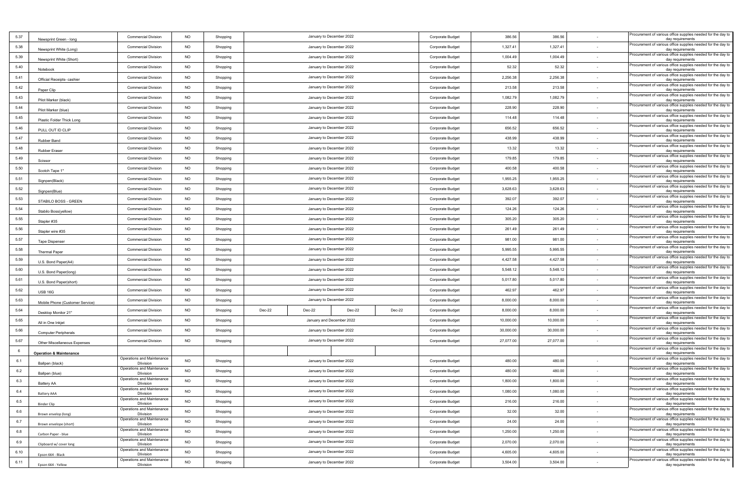| 5.37    | Newsprint Green - long             | <b>Commercial Division</b>                     | <b>NO</b> | Shopping             |                          |        | January to December 2022  |        | Corporate Budget | 386.56    | 386.56    |                          | Procurement of various office supplies needed for the day to<br>day requirements                     |
|---------|------------------------------------|------------------------------------------------|-----------|----------------------|--------------------------|--------|---------------------------|--------|------------------|-----------|-----------|--------------------------|------------------------------------------------------------------------------------------------------|
| 5.38    | Newsprint White (Long)             | <b>Commercial Division</b>                     | <b>NO</b> | Shopping             |                          |        | January to December 2022  |        | Corporate Budget | 1,327.41  | 1,327.41  |                          | Procurement of various office supplies needed for the day to<br>day requirements                     |
| 5.39    | Newsprint White (Short)            | <b>Commercial Division</b>                     | <b>NO</b> | Shopping             |                          |        | January to December 2022  |        | Corporate Budget | 1,004.49  | 1,004.49  | $\sim$                   | Procurement of various office supplies needed for the day to<br>day requirements                     |
| 5.40    | Notebook                           | <b>Commercial Division</b>                     | <b>NO</b> | Shopping             |                          |        | January to December 2022  |        | Corporate Budget | 52.32     | 52.32     |                          | Procurement of various office supplies needed for the day to<br>day requirements                     |
| 5.41    | Official Receipts- cashier         | <b>Commercial Division</b>                     | <b>NO</b> | Shopping             |                          |        | January to December 2022  |        | Corporate Budget | 2,256.38  | 2,256.38  |                          | Procurement of various office supplies needed for the day to<br>day requirements                     |
| 5.42    | Paper Clip                         | <b>Commercial Division</b>                     | <b>NO</b> | Shopping             |                          |        | January to December 2022  |        | Corporate Budget | 213.58    | 213.58    | $\sim$                   | Procurement of various office supplies needed for the day to<br>day requirements                     |
| 5.43    | Pilot Marker (black)               | <b>Commercial Division</b>                     | <b>NO</b> | Shopping             | January to December 2022 |        |                           |        |                  | 1,082.79  | 1,082.79  | $\sim$                   | Procurement of various office supplies needed for the day to<br>day requirements                     |
| 5.44    | Pilot Marker (blue)                | <b>Commercial Division</b>                     | <b>NO</b> | Shopping             |                          |        | January to December 2022  |        | Corporate Budget | 228.90    | 228.90    | $\sim$                   | Procurement of various office supplies needed for the day to<br>day requirements                     |
| 5.45    | Plastic Folder Thick Long          | <b>Commercial Division</b>                     | <b>NO</b> | Shopping             |                          |        | January to December 2022  |        | Corporate Budget | 114.48    | 114.48    |                          | Procurement of various office supplies needed for the day to<br>day requirements                     |
| 5.46    | PULL OUT ID CLIP                   | <b>Commercial Division</b>                     | NO        | Shopping             |                          |        | January to December 2022  |        | Corporate Budget | 656.52    | 656.52    |                          | Procurement of various office supplies needed for the day to<br>day requirements                     |
| 5.47    | Rubber Band                        | <b>Commercial Division</b>                     | <b>NO</b> | Shopping             |                          |        | January to December 2022  |        | Corporate Budget | 438.99    | 438.99    |                          | Procurement of various office supplies needed for the day to<br>day requirements                     |
| 5.48    | Rubber Eraser                      | <b>Commercial Division</b>                     | <b>NO</b> | Shopping             |                          |        | January to December 2022  |        | Corporate Budget | 13.32     | 13.32     | $\sim$                   | Procurement of various office supplies needed for the day to<br>day requirements                     |
| 5.49    | Scissor                            | <b>Commercial Division</b>                     | <b>NO</b> | Shopping             |                          |        | January to December 2022  |        | Corporate Budget | 179.85    | 179.85    | $\sim$                   | Procurement of various office supplies needed for the day to<br>day requirements                     |
| 5.50    | Scotch Tape 1"                     | <b>Commercial Division</b>                     | <b>NO</b> | Shopping             |                          |        | January to December 2022  |        | Corporate Budget | 400.58    | 400.58    |                          | Procurement of various office supplies needed for the day to<br>day requirements                     |
| 5.51    | Signpen(Black)                     | <b>Commercial Division</b>                     | NO        | Shopping             |                          |        | January to December 2022  |        | Corporate Budget | 1,955.25  | 1,955.25  |                          | Procurement of various office supplies needed for the day to<br>day requirements                     |
| 5.52    | Signpen(Blue)                      | <b>Commercial Division</b>                     | <b>NO</b> | Shopping             |                          |        | January to December 2022  |        | Corporate Budget | 3,628.63  | 3,628.63  | $\sim$                   | Procurement of various office supplies needed for the day to<br>day requirements                     |
| 5.53    | STABILO BOSS - GREEN               | <b>Commercial Division</b>                     | <b>NO</b> | Shopping             |                          |        | January to December 2022  |        | Corporate Budget | 392.07    | 392.07    |                          | Procurement of various office supplies needed for the day to<br>day requirements                     |
| 5.54    | Stabilo Boss(yellow)               | <b>Commercial Division</b>                     | <b>NO</b> | Shopping             |                          |        | January to December 2022  |        | Corporate Budget | 124.26    | 124.26    | $\sim$                   | Procurement of various office supplies needed for the day to<br>day requirements                     |
| 5.55    | Stapler #35                        | <b>Commercial Division</b>                     | <b>NO</b> | Shopping             |                          |        | January to December 2022  |        | Corporate Budget | 305.20    | 305.20    |                          | Procurement of various office supplies needed for the day to<br>day requirements                     |
| 5.56    | Stapler wire #35                   | <b>Commercial Division</b>                     | NO        | Shopping             |                          |        | January to December 2022  |        | Corporate Budget | 261.49    | 261.49    |                          | Procurement of various office supplies needed for the day to<br>day requirements                     |
| 5.57    | <b>Tape Dispenser</b>              | <b>Commercial Division</b>                     | <b>NO</b> | Shopping             | January to December 2022 |        |                           |        |                  | 981.00    | 981.00    |                          | Procurement of various office supplies needed for the day to                                         |
| 5.58    | <b>Thermal Paper</b>               | <b>Commercial Division</b>                     | <b>NO</b> | Shopping             | January to December 2022 |        |                           |        |                  | 5,995.55  | 5,995.55  | $\sim$                   | day requirements<br>Procurement of various office supplies needed for the day to<br>day requirements |
| 5.59    |                                    | <b>Commercial Division</b>                     | <b>NO</b> | Shopping             |                          |        | January to December 2022  |        | Corporate Budget | 4,427.58  | 4,427.58  | $\sim$                   | Procurement of various office supplies needed for the day to                                         |
| 5.60    | U.S. Bond Paper(A4)                | <b>Commercial Division</b>                     | <b>NO</b> | Shopping             |                          |        | January to December 2022  |        | Corporate Budget | 5,548.12  | 5,548.12  |                          | day requirements<br>Procurement of various office supplies needed for the day to                     |
| 5.61    | U.S. Bond Paper(long)              | <b>Commercial Division</b>                     | <b>NO</b> | Shopping             |                          |        | January to December 2022  |        | Corporate Budget | 5,017.80  | 5,017.80  |                          | day requirements<br>Procurement of various office supplies needed for the day to                     |
| 5.62    | U.S. Bond Paper(short)             | <b>Commercial Division</b>                     | <b>NO</b> | Shopping             |                          |        | January to December 2022  |        | Corporate Budget | 462.97    | 462.97    | $\sim$                   | day requirements<br>Procurement of various office supplies needed for the day to                     |
| 5.63    | <b>USB 16G</b>                     | <b>Commercial Division</b>                     | <b>NO</b> | Shopping             |                          |        | January to December 2022  |        | Corporate Budget | 8,000.00  | 8,000.00  | $\sim$                   | day requirements<br>Procurement of various office supplies needed for the day to                     |
| 5.64    | Mobile Phone (Customer Service)    | <b>Commercial Division</b>                     | <b>NO</b> | Shopping             | Dec-22                   | Dec-22 | Dec-22                    | Dec-22 | Corporate Budget | 8,000.00  | 8,000.00  | $\sim$                   | day requirements<br>Procurement of various office supplies needed for the day to                     |
| 5.65    | Desktop Monitor 21"                | <b>Commercial Division</b>                     | <b>NO</b> | Shopping             |                          |        | January and December 2022 |        | Corporate Budget | 10,000.00 | 10,000.00 |                          | day requirements<br>Procurement of various office supplies needed for the day to                     |
| 5.66    | All in One Inkjet                  | <b>Commercial Division</b>                     | NO        | Shopping             |                          |        | January to December 2022  |        | Corporate Budget | 30,000.00 | 30,000.00 |                          | day requirements<br>Procurement of various office supplies needed for the day to                     |
| 5.67    | <b>Computer Peripherals</b>        | <b>Commercial Division</b>                     | <b>NO</b> | Shopping             |                          |        | January to December 2022  |        | Corporate Budget | 27,077.00 | 27,077.00 |                          | day requirements<br>Procurement of various office supplies needed for the day to                     |
| 6       | Other Miscellaneous Expenses       |                                                |           |                      |                          |        |                           |        |                  |           |           |                          | day requirements<br>Procurement of various office supplies needed for the day to                     |
| 6.1     | <b>Operation &amp; Maintenance</b> | Operations and Maintenance                     | <b>NO</b> | Shopping             |                          |        | January to December 2022  |        | Corporate Budget | 480.00    | 480.00    | $\sim$                   | day requirements<br>Procurement of various office supplies needed for the day to                     |
| 6.2     | Ballpen (black)                    | <b>Dlivision</b><br>Operations and Maintenance | <b>NO</b> | Shopping             |                          |        | January to December 2022  |        | Corporate Budget | 480.00    | 480.00    |                          | day requirements<br>Procurement of various office supplies needed for the day to                     |
| 6.3     | Ballpen (blue)                     | <b>Dlivision</b><br>Operations and Maintenance | NO        | Shopping             |                          |        | January to December 2022  |        | Corporate Budget | 1,800.00  | 1,800.00  |                          | day requirements<br>Procurement of various office supplies needed for the day to                     |
| 6.4     | Battery AA                         | <b>Dlivision</b><br>Operations and Maintenance | <b>NO</b> | Shopping             |                          |        | January to December 2022  |        | Corporate Budget | 1,080.00  | 1,080.00  |                          | day requirements<br>Procurement of various office supplies needed for the day to                     |
| $6.5\,$ | <b>Battery AAA</b>                 | <b>Dlivision</b><br>Operations and Maintenance | <b>NO</b> | Shopping             |                          |        | January to December 2022  |        | Corporate Budget | 216.00    | 216.00    | $\sim$                   | day requirements<br>Procurement of various office supplies needed for the day to                     |
| 6.6     | Binder Clip                        | <b>Dlivision</b><br>Operations and Maintenance | <b>NO</b> | Shopping             |                          |        | January to December 2022  |        | Corporate Budget | 32.00     | 32.00     | $\sim$                   | day requirements<br>Procurement of various office supplies needed for the day to                     |
| 6.7     | Brown envelop (long)               | <b>Dlivision</b><br>Operations and Maintenance | NO        |                      |                          |        | January to December 2022  |        | Corporate Budget | 24.00     | 24.00     |                          | day requirements<br>Procurement of various office supplies needed for the day to                     |
| 6.8     | Brown envelope (short)             | <b>Dlivision</b><br>Operations and Maintenance | <b>NO</b> | Shopping<br>Shopping |                          |        |                           |        | Corporate Budget | 1,250.00  | 1,250.00  |                          | day requirements<br>Procurement of various office supplies needed for the day to                     |
| 6.9     | Carbon Paper - blue                | <b>Dlivision</b><br>Operations and Maintenance | <b>NO</b> |                      | January to December 2022 |        |                           |        |                  | 2,070.00  | 2,070.00  |                          | day requirements<br>Procurement of various office supplies needed for the day to                     |
|         | Clipboard w/ cover long            | <b>Dlivision</b><br>Operations and Maintenance | <b>NO</b> | Shopping             | January to December 2022 |        |                           |        | Corporate Budget |           |           | $\sim$                   | day requirements<br>Procurement of various office supplies needed for the day to                     |
| 6.10    | Epson 664 - Black                  | <b>Dlivision</b><br>Operations and Maintenance |           | Shopping             |                          |        | January to December 2022  |        | Corporate Budget | 4,605.00  | 4,605.00  | $\sim$                   | day requirements<br>Procurement of various office supplies needed for the day to                     |
| 6.11    | Epson 664 - Yellow                 | <b>Dlivision</b>                               | <b>NO</b> | Shopping             |                          |        | January to December 2022  |        | Corporate Budget | 3,504.00  | 3,504.00  | $\overline{\phantom{a}}$ | day requirements                                                                                     |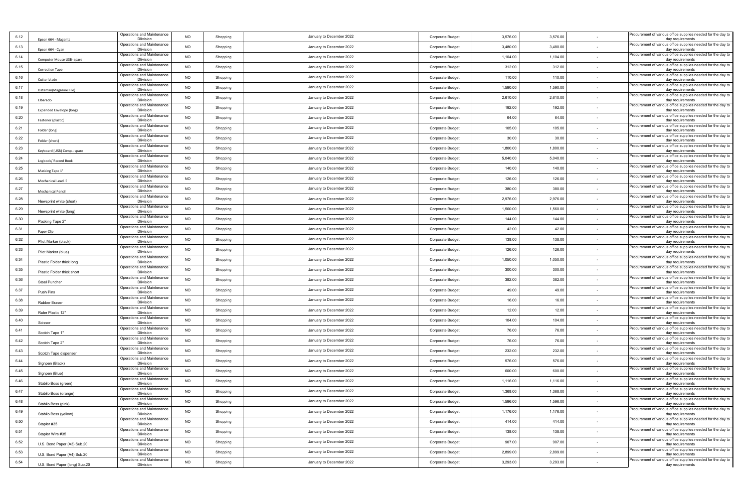| 6.12 | Epson 664 - Magenta           | Operations and Maintenance<br><b>Dlivision</b> | <b>NO</b> | Shopping | January to December 2022 | Corporate Budget | 3,576.00 | 3,576.00 |        | Procurement of various office supplies needed for the day to<br>day requirements |
|------|-------------------------------|------------------------------------------------|-----------|----------|--------------------------|------------------|----------|----------|--------|----------------------------------------------------------------------------------|
| 6.13 | Epson 664 - Cyan              | Operations and Maintenance<br><b>Dlivision</b> | <b>NO</b> | Shopping | January to December 2022 | Corporate Budget | 3,480.00 | 3,480.00 |        | Procurement of various office supplies needed for the day to<br>day requirements |
| 6.14 | Computer Mouse USB- spare     | Operations and Maintenance<br><b>Dlivision</b> | <b>NO</b> | Shopping | January to December 2022 | Corporate Budget | 1,104.00 | 1,104.00 |        | Procurement of various office supplies needed for the day to<br>day requirements |
| 6.15 | Correction Tape               | Operations and Maintenance<br><b>Dlivision</b> | NO        | Shopping | January to December 2022 | Corporate Budget | 312.00   | 312.00   |        | Procurement of various office supplies needed for the day to<br>day requirements |
| 6.16 | Cutter blade                  | Operations and Maintenance<br><b>Dlivision</b> | <b>NO</b> | Shopping | January to December 2022 | Corporate Budget | 110.00   | 110.00   |        | Procurement of various office supplies needed for the day to<br>day requirements |
| 6.17 | Dataman(Magazine File)        | Operations and Maintenance<br><b>Dlivision</b> | NO        | Shopping | January to December 2022 | Corporate Budget | 1,590.00 | 1,590.00 | $\sim$ | Procurement of various office supplies needed for the day to<br>day requirements |
| 6.18 | Elbarado                      | Operations and Maintenance<br><b>Dlivision</b> | <b>NO</b> | Shopping | January to December 2022 | Corporate Budget | 2,610.00 | 2,610.00 | $\sim$ | Procurement of various office supplies needed for the day to<br>day requirements |
| 6.19 | Expanded Envelope (long)      | Operations and Maintenance<br><b>Dlivision</b> | <b>NO</b> | Shopping | January to December 2022 | Corporate Budget | 192.00   | 192.00   | $\sim$ | Procurement of various office supplies needed for the day to<br>day requirements |
| 6.20 | Fastener (plastic)            | Operations and Maintenance<br><b>Dlivision</b> | NO        | Shopping | January to December 2022 | Corporate Budget | 64.00    | 64.00    |        | Procurement of various office supplies needed for the day to<br>day requirements |
| 6.21 | Folder (long)                 | Operations and Maintenance<br><b>Dlivision</b> | <b>NO</b> | Shopping | January to December 2022 | Corporate Budget | 105.00   | 105.00   |        | Procurement of various office supplies needed for the day to<br>day requirements |
| 6.22 | Folder (short)                | Operations and Maintenance<br><b>Dlivision</b> | <b>NO</b> | Shopping | January to December 2022 | Corporate Budget | 30.00    | 30.00    |        | Procurement of various office supplies needed for the day to<br>day requirements |
| 6.23 | Keyboard (USB) Comp.- spare   | Operations and Maintenance<br><b>Dlivision</b> | <b>NO</b> | Shopping | January to December 2022 | Corporate Budget | 1,800.00 | 1,800.00 |        | Procurement of various office supplies needed for the day to<br>day requirements |
| 6.24 | Logbook/ Record Book          | Operations and Maintenance<br><b>Dlivision</b> | <b>NO</b> | Shopping | January to December 2022 | Corporate Budget | 5,040.00 | 5,040.00 |        | Procurement of various office supplies needed for the day to<br>day requirements |
| 6.25 | Masking Tape 1"               | Operations and Maintenance<br><b>Dlivision</b> | NO        | Shopping | January to December 2022 | Corporate Budget | 140.00   | 140.00   |        | Procurement of various office supplies needed for the day to<br>day requirements |
| 6.26 | Mechanical Lead .5            | Operations and Maintenance<br><b>Dlivision</b> | NO        | Shopping | January to December 2022 | Corporate Budget | 126.00   | 126.00   |        | Procurement of various office supplies needed for the day to<br>day requirements |
| 6.27 | <b>Mechanical Pencil</b>      | Operations and Maintenance<br><b>Dlivision</b> | NO        | Shopping | January to December 2022 | Corporate Budget | 380.00   | 380.00   | $\sim$ | Procurement of various office supplies needed for the day to<br>day requirements |
| 6.28 | Newsprint white (short)       | Operations and Maintenance<br><b>Dlivision</b> | NO        | Shopping | January to December 2022 | Corporate Budget | 2,976.00 | 2,976.00 |        | Procurement of various office supplies needed for the day to<br>day requirements |
| 6.29 | Newsprint white (long)        | Operations and Maintenance<br><b>Dlivision</b> | <b>NO</b> | Shopping | January to December 2022 | Corporate Budget | 1,560.00 | 1,560.00 | $\sim$ | Procurement of various office supplies needed for the day to<br>day requirements |
| 6.30 | Packing Tape 2"               | Operations and Maintenance<br><b>Dlivision</b> | NO        | Shopping | January to December 2022 | Corporate Budget | 144.00   | 144.00   |        | Procurement of various office supplies needed for the day to<br>day requirements |
| 6.31 | Paper Clip                    | Operations and Maintenance<br><b>Dlivision</b> | <b>NO</b> | Shopping | January to December 2022 | Corporate Budget | 42.00    | 42.00    |        | Procurement of various office supplies needed for the day to<br>day requirements |
| 6.32 | Pilot Marker (black)          | Operations and Maintenance<br><b>Dlivision</b> | <b>NO</b> | Shopping | January to December 2022 | Corporate Budget | 138.00   | 138.00   |        | Procurement of various office supplies needed for the day to<br>day requirements |
| 6.33 | Pilot Marker (blue)           | Operations and Maintenance<br><b>Dlivision</b> | <b>NO</b> | Shopping | January to December 2022 | Corporate Budget | 126.00   | 126.00   |        | Procurement of various office supplies needed for the day to<br>day requirements |
| 6.34 | Plastic Folder thick long     | Operations and Maintenance<br><b>Dlivision</b> | <b>NO</b> | Shopping | January to December 2022 | Corporate Budget | 1,050.00 | 1,050.00 | $\sim$ | Procurement of various office supplies needed for the day to<br>day requirements |
| 6.35 | Plastic Folder thick short    | Operations and Maintenance<br><b>Dlivision</b> | NO        | Shopping | January to December 2022 | Corporate Budget | 300.00   | 300.00   |        | Procurement of various office supplies needed for the day to<br>day requirements |
| 6.36 | Steel Puncher                 | Operations and Maintenance<br><b>Dlivision</b> | <b>NO</b> | Shopping | January to December 2022 | Corporate Budget | 382.00   | 382.00   |        | Procurement of various office supplies needed for the day to<br>day requirements |
| 6.37 | Push Pins                     | Operations and Maintenance<br><b>Dlivision</b> | NO        | Shopping | January to December 2022 | Corporate Budget | 49.00    | 49.00    | $\sim$ | Procurement of various office supplies needed for the day to<br>day requirements |
| 6.38 | Rubber Eraser                 | Operations and Maintenance<br><b>Dlivision</b> | <b>NO</b> | Shopping | January to December 2022 | Corporate Budget | 16.00    | 16.00    |        | Procurement of various office supplies needed for the day to<br>day requirements |
| 6.39 | Ruler Plastic 12"             | Operations and Maintenance<br><b>Dlivision</b> | <b>NO</b> | Shopping | January to December 2022 | Corporate Budget | 12.00    | 12.00    | $\sim$ | Procurement of various office supplies needed for the day to<br>day requirements |
| 6.40 | Scissor                       | Operations and Maintenance<br><b>Dlivision</b> | NO        | Shopping | January to December 2022 | Corporate Budget | 104.00   | 104.00   |        | Procurement of various office supplies needed for the day to<br>day requirements |
| 6.41 | Scotch Tape 1"                | Operations and Maintenance<br><b>Dlivision</b> | <b>NO</b> | Shopping | January to December 2022 | Corporate Budget | 76.00    | 76.00    |        | Procurement of various office supplies needed for the day to<br>day requirements |
| 6.42 | Scotch Tape 2"                | Operations and Maintenance<br><b>Dlivision</b> | <b>NO</b> | Shopping | January to December 2022 | Corporate Budget | 76.00    | 76.00    |        | Procurement of various office supplies needed for the day to<br>day requirements |
| 6.43 | Scotch Tape dispenser         | Operations and Maintenance<br><b>Dlivision</b> | <b>NO</b> | Shopping | January to December 2022 | Corporate Budget | 232.00   | 232.00   |        | Procurement of various office supplies needed for the day to<br>day requirements |
| 6.44 | Signpen (Black)               | Operations and Maintenance<br><b>Dlivision</b> | <b>NO</b> | Shopping | January to December 2022 | Corporate Budget | 576.00   | 576.00   |        | Procurement of various office supplies needed for the day to<br>day requirements |
| 6.45 | Signpen (Blue)                | Operations and Maintenance<br><b>Dlivision</b> | NO        | Shopping | January to December 2022 | Corporate Budget | 600.00   | 600.00   |        | Procurement of various office supplies needed for the day to<br>day requirements |
| 6.46 | Stabilo Boss (green)          | Operations and Maintenance<br><b>Dlivision</b> | NO        | Shopping | January to December 2022 | Corporate Budget | 1,116.00 | 1,116.00 |        | Procurement of various office supplies needed for the day to<br>day requirements |
| 6.47 | Stabilo Boss (orange)         | Operations and Maintenance<br><b>Dlivision</b> | NO        | Shopping | January to December 2022 | Corporate Budget | 1,368.00 | 1,368.00 |        | Procurement of various office supplies needed for the day to<br>day requirements |
| 6.48 | Stabilo Boss (pink)           | Operations and Maintenance<br><b>Dlivision</b> | <b>NO</b> | Shopping | January to December 2022 | Corporate Budget | 1,596.00 | 1,596.00 | $\sim$ | Procurement of various office supplies needed for the day to<br>day requirements |
| 6.49 | Stabilo Boss (yellow)         | Operations and Maintenance<br><b>Dlivision</b> | <b>NO</b> | Shopping | January to December 2022 | Corporate Budget | 1,176.00 | 1,176.00 | $\sim$ | Procurement of various office supplies needed for the day to<br>day requirements |
| 6.50 | Stapler #35                   | Operations and Maintenance<br><b>Dlivision</b> | <b>NO</b> | Shopping | January to December 2022 | Corporate Budget | 414.00   | 414.00   |        | Procurement of various office supplies needed for the day to<br>day requirements |
| 6.51 | Stapler Wire #35              | Operations and Maintenance<br><b>Dlivision</b> | <b>NO</b> | Shopping | January to December 2022 | Corporate Budget | 138.00   | 138.00   |        | Procurement of various office supplies needed for the day to<br>day requirements |
| 6.52 | U.S. Bond Paper (A3) Sub.20   | Operations and Maintenance<br><b>Dlivision</b> | <b>NO</b> | Shopping | January to December 2022 | Corporate Budget | 907.00   | 907.00   | $\sim$ | Procurement of various office supplies needed for the day to<br>day requirements |
| 6.53 | U.S. Bond Paper (A4) Sub.20   | Operations and Maintenance<br><b>Dlivision</b> | <b>NO</b> | Shopping | January to December 2022 | Corporate Budget | 2,899.00 | 2,899.00 | $\sim$ | Procurement of various office supplies needed for the day to<br>day requirements |
| 6.54 | U.S. Bond Paper (long) Sub.20 | Operations and Maintenance<br><b>Dlivision</b> | NO        | Shopping | January to December 2022 | Corporate Budget | 3,293.00 | 3,293.00 |        | Procurement of various office supplies needed for the day to<br>day requirements |
|      |                               |                                                |           |          |                          |                  |          |          |        |                                                                                  |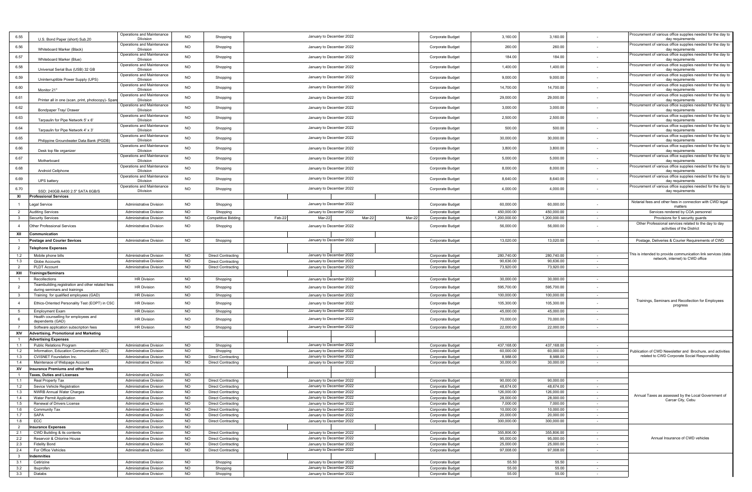| 6.55           | U.S. Bond Paper (short) Sub.20                                                          | Operations and Maintenance<br><b>Dlivision</b>                   | <b>NO</b>              | Shopping                                               | January to December 2022                             | Corporate Budget                     | 3,160.00               | 3,160.00               |                  | Procurement of various office supplies needed for the day to<br>day requirements                 |
|----------------|-----------------------------------------------------------------------------------------|------------------------------------------------------------------|------------------------|--------------------------------------------------------|------------------------------------------------------|--------------------------------------|------------------------|------------------------|------------------|--------------------------------------------------------------------------------------------------|
| 6.56           |                                                                                         | Operations and Maintenance                                       | <b>NO</b>              | Shopping                                               | January to December 2022                             | Corporate Budget                     | 260.00                 | 260.00                 | ٠                | Procurement of various office supplies needed for the day to                                     |
|                | Whiteboard Marker (Black)                                                               | <b>Dlivision</b><br>Operations and Maintenance                   | <b>NO</b>              |                                                        |                                                      |                                      | 184.00                 | 184.00                 |                  | day requirements<br>Procurement of various office supplies needed for the day to                 |
| 6.57           | Whiteboard Marker (Blue)                                                                | <b>Dlivision</b><br>Operations and Maintenance                   |                        | Shopping                                               | January to December 2022                             | Corporate Budget                     |                        |                        |                  | day requirements<br>Procurement of various office supplies needed for the day to                 |
| 6.58           | Universal Serial Bus (USB) 32 GB                                                        | <b>Dlivision</b>                                                 | <b>NO</b>              | Shopping                                               | January to December 2022                             | Corporate Budget                     | 1,400.00               | 1,400.00               |                  | day requirements                                                                                 |
| 6.59           | Uninterruptible Power Supply (UPS)                                                      | Operations and Maintenance<br><b>Dlivision</b>                   | <b>NO</b>              | Shopping                                               | January to December 2022                             | Corporate Budget                     | 9,000.00               | 9,000.00               |                  | rocurement of various office supplies needed for the day to<br>day requirements                  |
| 6.60           | Monitor 21"                                                                             | Operations and Maintenance<br><b>Dlivision</b>                   | <b>NO</b>              | Shopping                                               | January to December 2022                             | Corporate Budget                     | 14,700.00              | 14,700.00              |                  | rocurement of various office supplies needed for the day to                                      |
| 6.61           |                                                                                         | Operations and Maintenance                                       | <b>NO</b>              | Shopping                                               | January to December 2022                             | Corporate Budget                     | 29,000.00              | 29,000.00              |                  | day requirements<br>rocurement of various office supplies needed for the day to                  |
|                | Printer all in one (scan, print, photocopy)- Spar                                       | <b>Dlivision</b><br>Operations and Maintenance                   |                        |                                                        |                                                      |                                      |                        |                        |                  | day requirements<br>Procurement of various office supplies needed for the day to                 |
| 6.62           | Bondpaper Tray/ Drawer                                                                  | <b>Dlivision</b>                                                 | <b>NO</b>              | Shopping                                               | January to December 2022                             | Corporate Budget                     | 3,000.00               | 3,000.00               |                  | day requirements                                                                                 |
| 6.63           | Tarpaulin for Pipe Network 5' x 6'                                                      | Operations and Maintenance<br><b>Dlivision</b>                   | <b>NO</b>              | Shopping                                               | January to December 2022                             | Corporate Budget                     | 2,500.00               | 2,500.00               |                  | Procurement of various office supplies needed for the day to<br>day requirements                 |
| 6.64           | Tarpaulin for Pipe Network 4' x 3'                                                      | Operations and Maintenance<br><b>Dlivision</b>                   | <b>NO</b>              | Shopping                                               | January to December 2022                             | Corporate Budget                     | 500.00                 | 500.00                 |                  | rocurement of various office supplies needed for the day to<br>day requirements                  |
| 6.65           |                                                                                         | Operations and Maintenance                                       | <b>NO</b>              | Shopping                                               | January to December 2022                             | Corporate Budget                     | 30,000.00              | 30,000.00              |                  | rocurement of various office supplies needed for the day to                                      |
| 6.66           | Philippine Groundwater Data Bank (PGDB)                                                 | <b>Dlivision</b><br>Operations and Maintenance                   | <b>NO</b>              |                                                        | January to December 2022                             |                                      | 3,800.00               | 3,800.00               |                  | day requirements<br>rocurement of various office supplies needed for the day to                  |
|                | Desk top file organizer                                                                 | <b>Dlivision</b><br>Operations and Maintenance                   |                        | Shopping                                               |                                                      | Corporate Budget                     |                        |                        |                  | day requirements<br>Procurement of various office supplies needed for the day to                 |
| 6.67           | Motherboard                                                                             | <b>Dlivision</b>                                                 | <b>NO</b>              | Shopping                                               | January to December 2022                             | Corporate Budget                     | 5,000.00               | 5,000.00               |                  | day requirements                                                                                 |
| 6.68           | Android Cellphone                                                                       | Operations and Maintenance<br><b>Dlivision</b>                   | <b>NO</b>              | Shopping                                               | January to December 2022                             | Corporate Budget                     | 8,000.00               | 8,000.00               |                  | Procurement of various office supplies needed for the day to<br>day requirements                 |
| 6.69           | UPS battery                                                                             | Operations and Maintenance<br><b>Dlivision</b>                   | <b>NO</b>              | Shopping                                               | January to December 2022                             | Corporate Budget                     | 8,640.00               | 8,640.00               |                  | rocurement of various office supplies needed for the day to<br>day requirements                  |
| 6.70           |                                                                                         | Operations and Maintenance                                       | <b>NO</b>              | Shopping                                               | January to December 2022                             | Corporate Budget                     | 4,000.00               | 4,000.00               | ٠                | Procurement of various office supplies needed for the day to                                     |
| XI             | SSD: 240GB A400 2.5" SATA 6GB/S<br><b>Professional Services</b>                         | <b>Dlivision</b>                                                 |                        |                                                        |                                                      |                                      |                        |                        |                  | day requirements                                                                                 |
|                | egal Service                                                                            | <b>Administrative Division</b>                                   | <b>NO</b>              | Shopping                                               | January to December 2022                             | Corporate Budget                     | 60,000.00              | 60,000.00              |                  | Notarial fees and other fees in connection with CWD legal                                        |
| $\overline{2}$ | <b>Auditing Services</b>                                                                | <b>Administrative Division</b>                                   | <b>NO</b>              | Shopping                                               | January to December 2022                             | Corporate Budget                     | 450,000.00             | 450,000.00             | $\sim$           | matters<br>Services rendered by COA personnel                                                    |
|                | Security Services                                                                       | <b>Administrative Division</b>                                   | <b>NO</b>              | Competitive Bidding                                    | Mar-22<br>Feb-22<br>Mar-22<br>Mar-22                 | Corporate Budget                     | 1,200,000.00           | 1,200,000.00           | $\sim$           | Provisions for 5 security guards                                                                 |
| $\overline{4}$ | Other Professional Services                                                             | <b>Administrative Division</b>                                   | <b>NO</b>              | Shopping                                               | January to December 2022                             | Corporate Budget                     | 56,000.00              | 56,000.00              | ٠                | Other Professional services related to the day to day<br>activities of the District              |
| XII            | Communication                                                                           |                                                                  |                        |                                                        |                                                      |                                      |                        |                        |                  |                                                                                                  |
|                | <b>Postage and Courier Sevices</b>                                                      | <b>Administrative Division</b>                                   | <b>NO</b>              | Shopping                                               | January to December 2022                             | Corporate Budget                     | 13,020.00              | 13,020.00              | $\sim$           | Postage, Deliveries & Courier Requirements of CWD                                                |
| 2              | elephone Expenses                                                                       |                                                                  |                        |                                                        |                                                      |                                      |                        |                        |                  |                                                                                                  |
| 1.2            | Mobile phone bills                                                                      | <b>Administrative Division</b>                                   | <b>NO</b>              | <b>Direct Contracting</b>                              | January to December 2022                             | Corporate Budget                     | 280,740.00             | 280,740.00             | $\sim$           | his is intended to provide communication link services (data<br>network, internet) to CWD office |
| 1.3<br>2       | Globe Accounts<br>PLDT Account                                                          | <b>Administrative Division</b><br><b>Administrative Division</b> | <b>NO</b><br><b>NO</b> | <b>Direct Contracting</b><br><b>Direct Contracting</b> | January to December 2022<br>January to December 2022 | Corporate Budget<br>Corporate Budget | 90,636.00<br>73,920.00 | 90,636.00<br>73,920.00 | $\sim$           |                                                                                                  |
| XIII           | ainings/Seminars                                                                        |                                                                  |                        |                                                        |                                                      |                                      |                        |                        | $\sim$           |                                                                                                  |
| $\overline{1}$ | Recollections                                                                           | <b>HR Division</b>                                               | <b>NO</b>              | Shopping                                               | January to December 2022                             | Corporate Budget                     | 30,000.00              | 30,000.00              | $\sim$           |                                                                                                  |
| $\overline{2}$ | Teambuilding, registration and other related fees                                       | HR Division                                                      | <b>NO</b>              | Shopping                                               | January to December 2022                             | Corporate Budget                     | 595,700.00             | 595,700.00             | $\sim$           |                                                                                                  |
| $\mathbf{3}$   | during seminars and trainings<br>Training for qualified employees (GAD)                 | <b>HR Division</b>                                               | <b>NO</b>              | Shopping                                               | January to December 2022                             | Corporate Budget                     | 100,000.00             | 100,000.00             | $\sim$           |                                                                                                  |
| $\overline{4}$ | Ethics-Oriented Personality Test (EOPT) in CSC                                          | <b>HR Division</b>                                               | <b>NO</b>              | Shopping                                               | January to December 2022                             | Corporate Budget                     | 105,300.00             | 105,300.00             |                  | Trainings, Seminars and Recollection for Employees                                               |
| 5 <sup>5</sup> | <b>Employment Exam</b>                                                                  | <b>HR Division</b>                                               |                        |                                                        |                                                      |                                      |                        |                        |                  | progress                                                                                         |
| 6              | Health counselling for employees and                                                    |                                                                  |                        |                                                        |                                                      |                                      |                        |                        | $\sim$           |                                                                                                  |
| 7              | dependents (GAD)                                                                        |                                                                  | <b>NO</b>              | Shopping                                               | January to December 2022                             | Corporate Budget                     | 45,000.00              | 45,000.00              |                  |                                                                                                  |
| XIV            |                                                                                         | <b>HR Division</b>                                               | <b>NO</b>              | Shopping                                               | January to December 2022                             | Corporate Budget                     | 70,000.00              | 70,000.00              |                  |                                                                                                  |
|                | Software application subscription fees<br><b>Advertising, Promotional and Marketing</b> | <b>HR Division</b>                                               | <b>NO</b>              | Shopping                                               | January to December 2022                             | Corporate Budget                     | 22,000.00              | 22,000.00              | $\sim$           |                                                                                                  |
| $\overline{1}$ | <b>Advertising Expenses</b>                                                             |                                                                  |                        |                                                        |                                                      |                                      |                        |                        |                  |                                                                                                  |
| 1.1            | <b>Public Relations Program</b>                                                         | <b>Administrative Division</b>                                   | <b>NO</b>              | Shopping                                               | January to December 2022                             | Corporate Budget                     | 437,168.00             | 437,168.00             | $\sim$           |                                                                                                  |
| 1.2            | Information, Education Communication (IEC)                                              | <b>Administrative Division</b>                                   | <b>NO</b>              | Shopping                                               | January to December 2022                             | Corporate Budget                     | 60,000.00              | 60,000.00              | $\sim$           | Publication of CWD Newsletter and Brochure, and activities                                       |
| 1.3            | CVISNET Foundation Inc.                                                                 | <b>Administrative Division</b>                                   | <b>NO</b>              | <b>Direct Contracting</b>                              | January to December 2022                             | Corporate Budget                     | 8,988.00               | 8,988.00               | $\sim$           | related to CWD Corporate Social Responsibility                                                   |
| 1.4            | Maintenace of Webpage Account<br>nsurance Premiums and other fees                       | <b>Administrative Division</b>                                   | <b>NO</b>              | <b>Direct Contracting</b>                              | January to December 2022                             | Corporate Budget                     | 30,000.00              | 30,000.00              | $\sim$           |                                                                                                  |
| XV             | axes, Duties and Licenses                                                               | <b>Administrative Division</b>                                   | <b>NO</b>              |                                                        |                                                      |                                      |                        |                        |                  |                                                                                                  |
| 1.1            | Real Property Tax                                                                       | <b>Administrative Division</b>                                   | <b>NO</b>              | <b>Direct Contracting</b>                              | January to December 2022                             | Corporate Budget                     | 90,000.00              | 90,000.00              |                  |                                                                                                  |
| 1.2            | Sevice Vehicle Registration                                                             | <b>Administrative Division</b>                                   | <b>NO</b>              | Direct Contracting                                     | January to December 2022                             | Corporate Budget                     | 48,674.00              | 48,674.00              |                  |                                                                                                  |
|                | 1.3 I NWRB Annual Water Charges                                                         | Administrative Division                                          | NO.                    | Direct Contracting                                     | January to December 2022                             | Corporate Budget                     | 126,000.00             | 126,000.00             |                  | Annual Taxes as assessed by the Local Government of                                              |
| 1.4            | Water Permit Application                                                                | <b>Administrative Division</b>                                   | <b>NO</b>              | <b>Direct Contracting</b>                              | January to December 2022                             | Corporate Budget                     | 28,000.00              | 28,000.00              | $\sim$           | Carcar City, Cebu                                                                                |
| 1.5            | Renewal of Drivers License                                                              | <b>Administrative Division</b><br><b>Administrative Division</b> | <b>NO</b>              | <b>Direct Contracting</b>                              | January to December 2022                             | Corporate Budget                     | 7,000.00<br>10,000.00  | 7,000.00<br>10,000.00  | $\sim$<br>$\sim$ |                                                                                                  |
| 1.6<br>1.7     | Community Tax<br>SAPA                                                                   | <b>Administrative Division</b>                                   | <b>NO</b><br><b>NO</b> | <b>Direct Contracting</b><br><b>Direct Contracting</b> | January to December 2022<br>January to December 2022 | Corporate Budget<br>Corporate Budget | 20,000.00              | 20,000.00              | $\sim$           |                                                                                                  |
| 1.8            | ECC                                                                                     | <b>Administrative Division</b>                                   | <b>NO</b>              | <b>Direct Contracting</b>                              | January to December 2022                             | Corporate Budget                     | 300,000.00             | 300,000.00             | $\sim$           |                                                                                                  |
| $\overline{2}$ | <b>Insurance Expenses</b>                                                               | <b>Administrative Division</b>                                   | <b>NO</b>              |                                                        |                                                      |                                      |                        |                        |                  |                                                                                                  |
| 2.1            | CWD Building & its contents                                                             | <b>Administrative Division</b>                                   | <b>NO</b>              | <b>Direct Contracting</b>                              | January to December 2022                             | Corporate Budget                     | 355,806.00             | 355,806.00             | $\sim$           |                                                                                                  |
| 2.2            | Reservoir & Chlorine House                                                              | <b>Administrative Division</b>                                   | <b>NO</b>              | <b>Direct Contracting</b>                              | January to December 2022                             | Corporate Budget                     | 95,000.00              | 95,000.00              | $\sim$           | Annual Insurance of CWD vehicles                                                                 |
| 2.3            | <b>Fidelity Bond</b>                                                                    | <b>Administrative Division</b>                                   | <b>NO</b>              | <b>Direct Contracting</b>                              | January to December 2022                             | Corporate Budget                     | 25,000.00              | 25,000.00              | $\sim$           |                                                                                                  |
| 2.4            | For Office Vehicles                                                                     | Administrative Division                                          | <b>NO</b>              | <b>Direct Contracting</b>                              | January to December 2022                             | Corporate Budget                     | 97,008.00              | 97,008.00              | $\sim$           |                                                                                                  |
| $\mathbf{3}$   | Indemnities                                                                             |                                                                  |                        |                                                        |                                                      |                                      |                        |                        | $\sim$           |                                                                                                  |
| 3.1<br>3.2     | Cetirizine<br>Ibuprofen                                                                 | <b>Administrative Division</b><br><b>Administrative Division</b> | <b>NO</b><br><b>NO</b> | Shopping<br>Shopping                                   | January to December 2022<br>January to December 2022 | Corporate Budget<br>Corporate Budget | 55.50<br>55.00         | 55.50<br>55.00         | $\sim$           |                                                                                                  |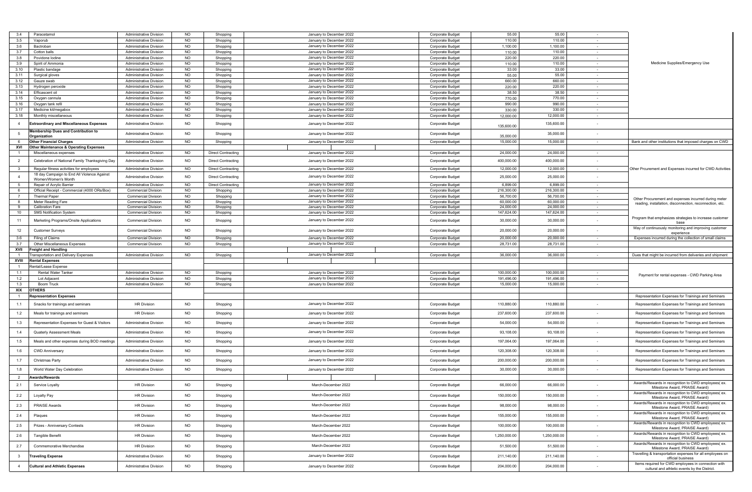| 3.4            | Paracetamol                                                        | <b>Administrative Division</b> | <b>NO</b> | Shopping                  | January to December 2022 | Corporate Budget        | 55.00        | 55.00        |                          |                                                                                                      |
|----------------|--------------------------------------------------------------------|--------------------------------|-----------|---------------------------|--------------------------|-------------------------|--------------|--------------|--------------------------|------------------------------------------------------------------------------------------------------|
| 3.5            | Vaporub                                                            | <b>Administrative Division</b> | <b>NO</b> | Shopping                  | January to December 2022 | Corporate Budget        | 110.00       | 110.00       | $\sim$                   |                                                                                                      |
| 3.6            | Bactroban                                                          | Administrative Division        | NO        | Shopping                  | January to December 2022 | Corporate Budget        | 1,100.00     | 1,100.00     |                          |                                                                                                      |
| 3.7            | Cotton balls                                                       | <b>Administrative Division</b> | NO        | Shopping                  | January to December 2022 | Corporate Budget        | 110.00       | 110.00       | $\sim$                   |                                                                                                      |
| 3.8            | Povidone lodine                                                    | <b>Administrative Division</b> | <b>NO</b> | Shopping                  | January to December 2022 | Corporate Budget        | 220.00       | 220.00       |                          |                                                                                                      |
| 3.9            | Spirit of Ammonia                                                  | <b>Administrative Division</b> | <b>NO</b> | Shopping                  | January to December 2022 | Corporate Budget        | 110.00       | 110.00       | $\sim$                   | Medicine Supplies/Emergency Use                                                                      |
| 3.10           | Plastic bandage                                                    | <b>Administrative Division</b> | <b>NO</b> | Shopping                  | January to December 2022 | Corporate Budget        | 33.00        | 33.00        | $\sim$                   |                                                                                                      |
| 3.11           | Surgical gloves                                                    | <b>Administrative Division</b> | <b>NO</b> | Shopping                  | January to December 2022 | <b>Corporate Budget</b> | 55.00        | 55.00        | $\sim$                   |                                                                                                      |
| 3.12           | Gauze swab                                                         | <b>Administrative Division</b> | NO        | Shopping                  | January to December 2022 | Corporate Budget        | 660.00       | 660.00       | $\sim$                   |                                                                                                      |
| 3.13           | Hydrogen peroxide                                                  | <b>Administrative Division</b> | <b>NO</b> | Shopping                  | January to December 2022 | Corporate Budget        | 220.00       | 220.00       | $\sim$                   |                                                                                                      |
| 3.14           | Efficascent oil                                                    | <b>Administrative Division</b> | <b>NO</b> | Shopping                  | January to December 2022 | Corporate Budget        | 38.50        | 38.50        | $\sim$                   |                                                                                                      |
| 3.15           | Oxygen cannula                                                     | <b>Administrative Division</b> | <b>NO</b> | Shopping                  | January to December 2022 | Corporate Budget        | 770.00       | 770.00       | $\sim$                   |                                                                                                      |
| 3.16           | Oxygen tank refil                                                  | <b>Administrative Division</b> | <b>NO</b> | Shopping                  | January to December 2022 | <b>Corporate Budget</b> | 990.00       | 990.00       | $\sim$                   |                                                                                                      |
| 3.17           | Medicine kit/megabo:                                               | <b>Administrative Division</b> | NO        | Shopping                  | January to December 2022 | Corporate Budget        | 330.00       | 330.00       | $\sim$                   |                                                                                                      |
| 3.18           | Monthly miscellaneous                                              | <b>Administrative Division</b> | <b>NO</b> | Shopping                  | January to December 2022 | Corporate Budget        | 12,000.00    | 12,000.00    | $\sim$                   |                                                                                                      |
|                |                                                                    |                                |           |                           |                          |                         |              |              |                          |                                                                                                      |
| $\overline{4}$ | <b>Extraordinary and Miscellaneous Expenses</b>                    | <b>Administrative Division</b> | <b>NO</b> | Shopping                  | January to December 2022 | Corporate Budget        | 135,600.00   | 135,600.00   |                          |                                                                                                      |
|                | <b>Membership Dues and Contribution to</b>                         | <b>Administrative Division</b> | <b>NO</b> | Shopping                  | January to December 2022 | Corporate Budget        |              | 35,000.00    |                          |                                                                                                      |
|                | Organization                                                       |                                |           |                           |                          |                         | 35,000.00    |              |                          |                                                                                                      |
| - 6            | <b>Other Financial Charges</b>                                     | <b>Administrative Division</b> | <b>NO</b> | Shopping                  | January to December 2022 | Corporate Budget        | 15,000.00    | 15,000.00    |                          | Bank and other institutions that imposed charges on CWD                                              |
| XVI            | <b>Other Maintenance &amp; Operating Expenses</b>                  |                                |           |                           |                          |                         |              |              |                          |                                                                                                      |
|                | Miscellaneous expenses                                             | <b>Administrative Division</b> | <b>NO</b> | <b>Direct Contracting</b> | January to December 2022 | Corporate Budget        | 24,000.00    | 24,000.00    | $\sim$                   |                                                                                                      |
| $\overline{2}$ | Celebration of National Family Thanksgiving Day                    | <b>Administrative Division</b> | <b>NO</b> | <b>Direct Contracting</b> | January to December 2022 | Corporate Budget        | 400,000.00   | 400,000.00   |                          |                                                                                                      |
|                |                                                                    |                                |           |                           |                          |                         |              |              |                          |                                                                                                      |
| -3             | Regular fitness activities for employees                           | <b>Administrative Division</b> | <b>NO</b> | <b>Direct Contracting</b> | January to December 2022 | Corporate Budget        | 12,000.00    | 12,000.00    |                          | Other Prcurement and Expenses incurred for CWD Activities                                            |
|                | 18 day Campaign to End All Violence Against<br>Women/Women's Month | Administrative Division        | <b>NO</b> | <b>Direct Contracting</b> | January to December 2022 | Corporate Budget        | 25,000.00    | 25,000.00    |                          |                                                                                                      |
| 5              | Repair of Acrylic Barrier                                          | <b>Administrative Division</b> | <b>NO</b> | <b>Direct Contracting</b> | January to December 2022 | Corporate Budget        | 6,899.00     | 6,899.00     |                          |                                                                                                      |
| - 6            | Official Receipt - Commercial (4000 ORs/Box)                       | <b>Commercial Division</b>     | <b>NO</b> | Shopping                  | January to December 2022 | Corporate Budget        | 216,300.00   | 216,300.00   | $\sim$                   |                                                                                                      |
|                | <b>Thermal Paper</b>                                               | <b>Commercial Division</b>     | <b>NO</b> | Shopping                  | January to December 2022 | Corporate Budget        | 56,700.00    | 56,700.00    | $\overline{\phantom{a}}$ |                                                                                                      |
| - 8            | Meter Reading Fare                                                 | <b>Commercial Division</b>     | <b>NO</b> | Shopping                  | January to December 2022 | Corporate Budget        | 60,000.00    | 60,000.00    |                          | Other Procurement and expenses incurred during meter                                                 |
| -9             | <b>Calibration Fare</b>                                            | <b>Commercial Division</b>     | <b>NO</b> | Shopping                  | January to December 2022 | Corporate Budget        | 24,000.00    | 24,000.00    | $\sim$                   | reading, installation, disconnection, reconnection, etc.                                             |
| 10             | <b>SMS Notification System</b>                                     | <b>Commercial Division</b>     | NO        | Shopping                  | January to December 2022 | Corporate Budget        | 147,624.00   | 147,624.00   | $\sim$                   |                                                                                                      |
| 11             |                                                                    | <b>Commercial Division</b>     | <b>NO</b> |                           | January to December 2022 |                         | 30,000.00    |              |                          | Program that emphasizes strategies to increase customer                                              |
|                | Marketing Programs/Onsite Applications                             |                                |           | Shopping                  |                          | Corporate Budget        |              | 30,000.00    |                          |                                                                                                      |
| 12             | <b>Customer Surveys</b>                                            | <b>Commercial Division</b>     | <b>NO</b> | Shopping                  | January to December 2022 | Corporate Budget        | 20,000.00    | 20,000.00    |                          | Way of continuously monitoring and improving customer                                                |
|                |                                                                    |                                |           |                           |                          |                         |              |              |                          | experience                                                                                           |
| 3.6            | Filing of Claims                                                   | <b>Commercial Division</b>     | <b>NO</b> | Shopping                  | January to December 2022 | Corporate Budget        | 20,000.00    | 20,000.00    |                          | Expenses incurred during the collection of small claims                                              |
| 3.7<br>XVII    | Other Miscellaneous Expenses                                       | <b>Commercial Division</b>     | NO        | Shopping                  | January to December 2022 | Corporate Budget        | 28,731.00    | 28,731.00    | $\sim$                   |                                                                                                      |
|                | reight and Handling                                                |                                |           |                           |                          |                         |              |              |                          |                                                                                                      |
|                |                                                                    |                                |           |                           |                          |                         |              |              |                          |                                                                                                      |
| $\overline{1}$ | ransportation and Delivery Expenses                                | <b>Administrative Division</b> | <b>NO</b> | Shopping                  | January to December 2022 | Corporate Budget        | 36,000.00    | 36,000.00    |                          | Dues that might be incurred from deliveries and shipment                                             |
| XVIII          | <b>Rental Expenses</b>                                             |                                |           |                           |                          |                         |              |              |                          |                                                                                                      |
| $\overline{1}$ | ≀ental/Lease Expense                                               |                                |           |                           |                          |                         |              |              |                          |                                                                                                      |
| 1.1            | Rental Water Tanker                                                | <b>Administrative Division</b> | NO.       | Shopping                  | January to December 2022 | Corporate Budget        | 100,000.00   | 100,000.00   |                          | Payment for rental expenses - CWD Parking Area                                                       |
| 1.2            | Lot Adjacent                                                       | <b>Administrative Division</b> | NO        | Shopping                  | January to December 2022 | Corporate Budget        | 191,496.00   | 191,496.00   | $\sim$                   |                                                                                                      |
| 1.3            | <b>Boom Truck</b>                                                  | <b>Administrative Division</b> | <b>NO</b> | Shopping                  | January to December 2022 | Corporate Budget        | 15,000.00    | 15,000.00    |                          |                                                                                                      |
| XIX            | <b>OTHERS</b>                                                      |                                |           |                           |                          |                         |              |              |                          |                                                                                                      |
| $\overline{1}$ | Representation Expenses                                            |                                |           |                           |                          |                         |              |              |                          | Representation Expenses for Trainings and Seminars                                                   |
| 1.1            | Snacks for trainings and seminars                                  | <b>HR Division</b>             | <b>NO</b> | Shopping                  | January to December 2022 | Corporate Budget        | 110,880.00   | 110,880.00   |                          | Representation Expenses for Trainings and Seminars                                                   |
|                |                                                                    |                                |           |                           |                          |                         |              |              |                          |                                                                                                      |
| 1.2            | Meals for trainings and seminars                                   | <b>HR Division</b>             | <b>NO</b> | Shopping                  | January to December 2022 | Corporate Budget        | 237,600.00   | 237,600.00   |                          | Representation Expenses for Trainings and Seminars                                                   |
| 1.3            | Representation Expenses for Guest & Visitors                       | <b>Administrative Division</b> | <b>NO</b> | Shopping                  | January to December 2022 | Corporate Budget        | 54,000.00    | 54,000.00    |                          | Representation Expenses for Trainings and Seminars                                                   |
|                |                                                                    |                                |           |                           |                          |                         |              |              |                          |                                                                                                      |
| 1.4            | Quaterly Assessment Meals                                          | Administrative Division        | <b>NO</b> | Shopping                  | January to December 2022 | Corporate Budget        | 93,108.00    | 93,108.00    |                          | Representation Expenses for Trainings and Seminars                                                   |
|                |                                                                    |                                |           |                           |                          |                         |              |              |                          |                                                                                                      |
| 1.5            | Meals and other expenses during BOD meetings                       | <b>Administrative Division</b> | <b>NO</b> | Shopping                  | January to December 2022 | Corporate Budget        | 197,064.00   | 197,064.00   |                          | Representation Expenses for Trainings and Seminars                                                   |
| 1.6            | <b>CWD Anniversary</b>                                             | <b>Administrative Division</b> | <b>NO</b> | Shopping                  | January to December 2022 | Corporate Budget        | 120,308.00   | 120,308.00   |                          | Representation Expenses for Trainings and Seminars                                                   |
|                |                                                                    |                                |           |                           |                          |                         |              |              |                          |                                                                                                      |
| 1.7            | Christmas Party                                                    | <b>Administrative Division</b> | <b>NO</b> | Shopping                  | January to December 2022 | Corporate Budget        | 200,000.00   | 200,000.00   |                          | Representation Expenses for Trainings and Seminars                                                   |
| 1.8            | World Water Day Celebration                                        | Administrative Division        | NO        | Shopping                  | January to December 2022 | Corporate Budget        | 30,000.00    | 30,000.00    |                          | Representation Expenses for Trainings and Seminars                                                   |
| -2             |                                                                    |                                |           |                           |                          |                         |              |              |                          |                                                                                                      |
|                | <b>Awards/Rewards</b>                                              |                                |           |                           |                          |                         |              |              |                          |                                                                                                      |
| 2.1            | Service Loyalty                                                    | <b>HR Division</b>             | <b>NO</b> | Shopping                  | March-December 2022      | Corporate Budget        | 66,000.00    | 66,000.00    |                          | Awards/Rewards in recognition to CWD employees(ex.<br>Milestone Award, PRAISE Award)                 |
|                |                                                                    |                                |           |                           |                          |                         |              |              |                          | Awards/Rewards in recognition to CWD employees(ex.                                                   |
| 2.2            | Loyalty Pay                                                        | <b>HR Division</b>             | <b>NO</b> | Shopping                  | March-December 2022      | Corporate Budget        | 150,000.00   | 150,000.00   |                          | Milestone Award, PRAISE Award)                                                                       |
| 2.3            | PRAISE Awards                                                      | <b>HR Division</b>             | <b>NO</b> | Shopping                  | March-December 2022      | Corporate Budget        | 98,000.00    | 98,000.00    |                          | Awards/Rewards in recognition to CWD employees( ex.                                                  |
|                |                                                                    |                                |           |                           |                          |                         |              |              |                          | Milestone Award, PRAISE Award)                                                                       |
| 2.4            | Plaques                                                            | <b>HR Division</b>             | NO        | Shopping                  | March-December 2022      | Corporate Budget        | 155,000.00   | 155,000.00   | ٠                        | Awards/Rewards in recognition to CWD employees( ex.                                                  |
|                |                                                                    |                                |           |                           |                          |                         |              |              |                          | Milestone Award, PRAISE Award)<br>Awards/Rewards in recognition to CWD employees(ex.                 |
| 2.5            | Prizes - Anniversary Contests                                      | <b>HR Division</b>             | <b>NO</b> | Shopping                  | March-December 2022      | Corporate Budget        | 100,000.00   | 100,000.00   |                          | Milestone Award, PRAISE Award)                                                                       |
|                |                                                                    |                                |           |                           |                          |                         |              |              |                          | Awards/Rewards in recognition to CWD employees(ex.                                                   |
| 2.6            | Tangible Benefit                                                   | <b>HR Division</b>             | <b>NO</b> | Shopping                  | March-December 2022      | Corporate Budget        | 1,250,000.00 | 1,250,000.00 |                          | Milestone Award, PRAISE Award)                                                                       |
| 2.7            | Commemorative Merchandise                                          | <b>HR Division</b>             | <b>NO</b> | Shopping                  | March-December 2022      | Corporate Budget        | 51,500.00    | 51,500.00    | $\overline{\phantom{a}}$ | Awards/Rewards in recognition to CWD employees( ex.                                                  |
|                |                                                                    |                                |           |                           |                          |                         |              |              |                          | Milestone Award, PRAISE Award)                                                                       |
| $\mathbf{3}$   | <b>Traveling Expense</b>                                           | <b>Administrative Division</b> | <b>NO</b> | Shopping                  | January to December 2022 | Corporate Budget        | 211,140.00   | 211,140.00   | $\sim$                   | Travelling & transportation expenses for all employees on<br>official business                       |
| $\overline{4}$ | <b>Cultural and Athletic Expenses</b>                              | <b>Administrative Division</b> | <b>NO</b> | Shopping                  | January to December 2022 | Corporate Budget        | 204,000.00   | 204,000.00   | $\overline{\phantom{a}}$ | Items required for CWD employees in connection with<br>cultural and athletic events by the District. |